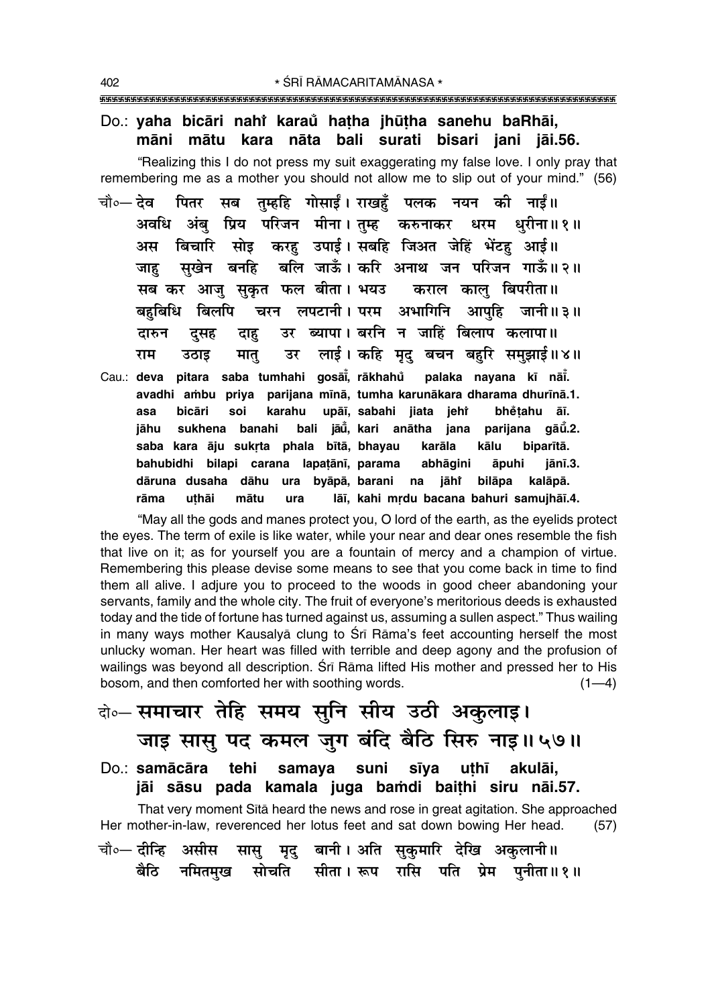## Do.: yaha bicāri nahi karaŭ hatha jhūtha sanehu baRhāi, māni mātu kara nāta bali surati bisari jani jāi.56.

"Realizing this I do not press my suit exaggerating my false love. I only pray that remembering me as a mother you should not allow me to slip out of your mind." (56)

- चौ०— **तेव** पितर सब तम्हहि गोसाईं। राखहँ पलक नयन की नाईं॥ अवधि अंबु प्रिय परिजन मीना।तुम्ह करुनाकर धरम धुरीना॥१॥ सोइ करह उपाई। सबहि जिअत जेहिं भेंटह आई॥ बिचारि अस सखेन बनहि बलि जाऊँ। करि अनाथ जन परिजन गाऊँ॥२॥ जाह सब कर आजु सुकृत फल बीता। भयउ कराल काल बिपरीता॥ बहबिधि बिलपि चरन लपटानी। परम अभागिनि आपहि जानी॥३॥ उर ब्यापा। बरनि न जाहिं बिलाप कलापा॥ दुसह दारुन दाह उर लाई। कहि मद बचन बहरि समझाई॥४॥ राम उठाड मात्
- Cau.: deva pitara saba tumhahi gosāi, rākhahů palaka nayana kī nāi. avadhi ambu priya parijana mīnā, tumha karunākara dharama dhurīnā.1. upāī, sabahi jiata jehř asa bicāri soi karahu bhětahu āī. bali jāū, kari anātha jana parijana gāū.2. sukhena banahi jāhu saba kara āju sukrta phala bītā, bhayau karāla kālu biparītā. bahubidhi bilapi carana lapatānī, parama abhāgini āpuhi jānī.3. jāhi bilāpa kalāpā. dāruna dusaha dāhu ura byāpā, barani na rāma uthāi mātu ura lāī, kahi mrdu bacana bahuri samujhāī.4.

"May all the gods and manes protect you, O lord of the earth, as the eyelids protect the eyes. The term of exile is like water, while your near and dear ones resemble the fish that live on it; as for yourself you are a fountain of mercy and a champion of virtue. Remembering this please devise some means to see that you come back in time to find them all alive. I adjure you to proceed to the woods in good cheer abandoning your servants, family and the whole city. The fruit of everyone's meritorious deeds is exhausted today and the tide of fortune has turned against us, assuming a sullen aspect." Thus wailing in many ways mother Kausalya clung to Sri Rama's feet accounting herself the most unlucky woman. Her heart was filled with terrible and deep agony and the profusion of wailings was beyond all description. Srī Rāma lifted His mother and pressed her to His bosom, and then comforted her with soothing words.  $(1-4)$ 

# बे॰ समाचार तेहि समय सुनि सीय उठी अकुलाइ। जाइ सासु पद कमल जुग बंदि बैठि सिरु नाइ॥५७॥

tehi samaya suni sīya Do.: samācāra uthī akulāi. jāi sāsu pada kamala juga bamdi baithi siru nāi.57.

That very moment Sita heard the news and rose in great agitation. She approached Her mother-in-law, reverenced her lotus feet and sat down bowing Her head.  $(57)$ सासु मृदु बानी। अति सुकुमारि देखि अकुलानी॥ चौ०— दीन्हि असीस नमितमुख सोचति सीता। रूप रासि पति प्रेम पुनीता॥१॥ बैठि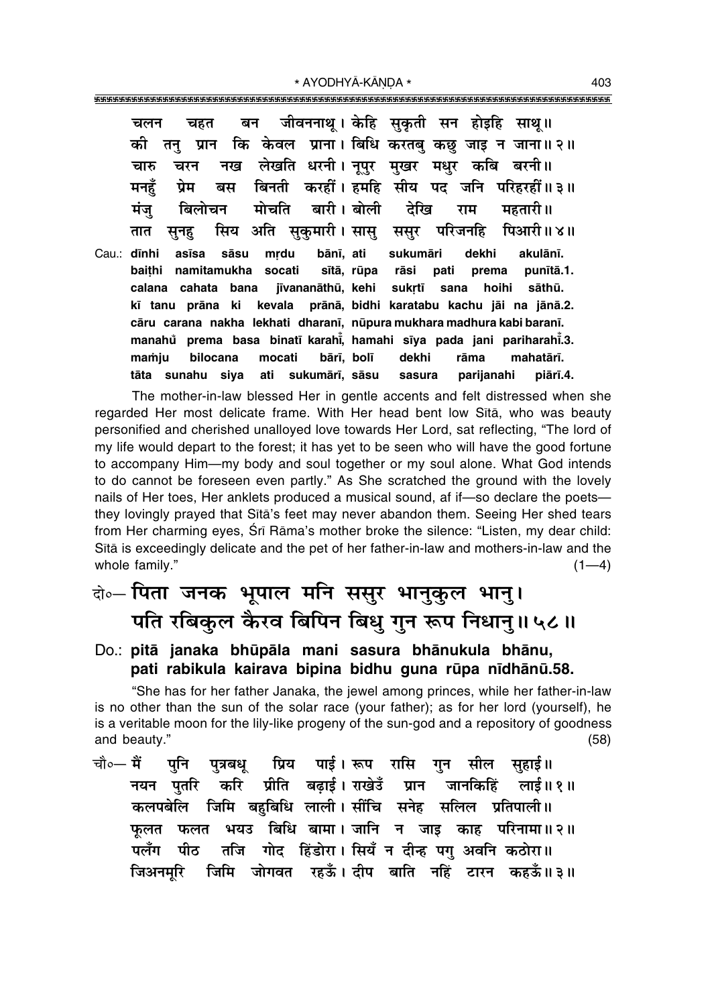\* AYODHYĀ-KĀNDA \* 

जीवननाथ । केहि सकती सन होइहि साथ॥ बन चहत चलन कि केवल प्राना। बिधि करतबु कछु जाइ न जाना॥२॥ को तन प्रान लेखति धरनी। नपर मखर मधर कबि बरनी॥ चारु चरन नख ਧੇਸ बिनती करहीं। हमहि सीय पट जनि परिहरहीं॥३॥ मनहँ बस मोर्चात महतारी ॥ बारी। बोली देखि मंज बिलोचन राम सकमारी। सास् परिजनहि पिआरी॥४॥ सिय अति ससूर तात सूनहु mrdu bānī, ati Cau.: dīnhi sāsu sukumāri dekhi akulānī. asīsa socati sītā, rūpa baithi namitamukha rāsi pati prema punītā.1. jīvananāthū, kehi calana cahata bana sukrtī sana hoihi sāthū. kī tanu prāna ki kevala prānā, bidhi karatabu kachu jāi na jānā.2. cāru carana nakha lekhati dharanī, nūpura mukhara madhura kabi baranī. manahů prema basa binatī karahi, hamahi sīya pada jani pariharahi.3. bārī, bolī dekhi rāma mamiu bilocana mocati mahatārī. sukumārī, sāsu tāta sunahu siya ati sasura parijanahi piārī.4.

The mother-in-law blessed Her in gentle accents and felt distressed when she regarded Her most delicate frame. With Her head bent low Sita, who was beauty personified and cherished unalloyed love towards Her Lord, sat reflecting, "The lord of my life would depart to the forest; it has yet to be seen who will have the good fortune to accompany Him—my body and soul together or my soul alone. What God intends to do cannot be foreseen even partly." As She scratched the ground with the lovely nails of Her toes, Her anklets produced a musical sound, af if-so declare the poetsthey lovingly prayed that Sita's feet may never abandon them. Seeing Her shed tears from Her charming eyes, Srī Rāma's mother broke the silence: "Listen, my dear child: Sita is exceedingly delicate and the pet of her father-in-law and mothers-in-law and the whole family."  $(1-4)$ 

# के-पिता जनक भूपाल मनि ससूर भानुकुल भानु। पति रबिकुल कैरव बिपिन बिधु गुन रूप निधानु॥५८॥

### Do.: pitā janaka bhūpāla mani sasura bhānukula bhānu, pati rabikula kairava bipina bidhu guna rūpa nīdhānū.58.

"She has for her father Janaka, the jewel among princes, while her father-in-law is no other than the sun of the solar race (your father); as for her lord (yourself), he is a veritable moon for the lily-like progeny of the sun-god and a repository of goodness and beauty."  $(58)$ 

चौ०— मैं प्रिय पाई।सूरुप रासि गन सील पनि पत्रबध सहार्ड ॥ प्रीति बढाई। राखेउँ प्रान जानकिहिं नयन पतरि करि लाई॥ १ ॥ कलपबेलि जिमि बहुबिधि लाली।सींचि सनेह सलिल प्रतिपाली॥ बिधि बामा। जानि न जाइ काह परिनामा॥२॥ फलत भयउ फूलत गोद हिंडोरा। सियँ न दीन्ह पग् अवनि कठोरा॥ पलँग पीठ तजि जिमि जोगवत रहऊँ।दीप बाति नहिं टारन कहऊँ॥३॥ जिअनमरि

403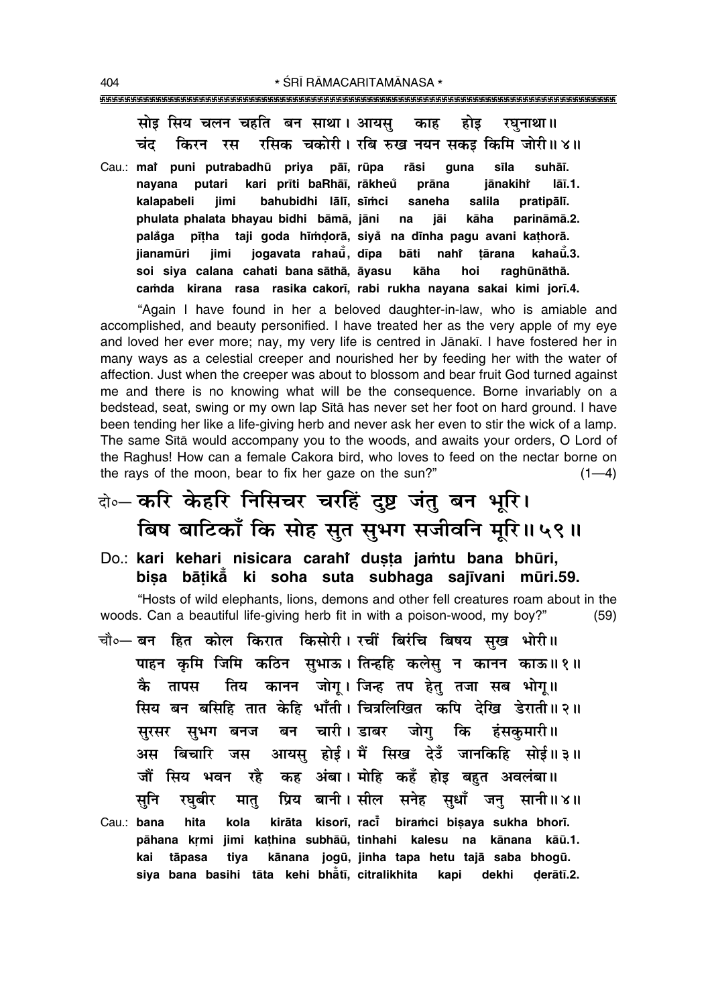सोड सिय चलन चहति बन साथा। आयस होड काह रघनाथा ॥ रसिक चकोरी। रबि रुख नयन सकड़ किमि जोरी॥४॥ चंद किरन रस

Cau.: mai puni putrabadhū priya pāī, rūpa rāsi suhāī. guna sīla navana putari kari prīti baRhāī, rākheů prāna jānakihr lāī.1. kalapabeli bahubidhi lālī, sīmci iimi saneha salila pratipālī. phulata phalata bhayau bidhi bāmā, jāni na iāi kāha parināmā.2. palåga pītha taji goda hīmdorā, siyå na dīnha pagu avani kathorā. iogavata rahaŭ. dīpa bāti nahr **ijanamūri** iimi tārana kahaū̃.3. soi siya calana cahati bana sāthā, āyasu kāha hoi raghūnāthā. camda kirana rasa rasika cakorī, rabi rukha nayana sakai kimi jorī.4.

"Again I have found in her a beloved daughter-in-law, who is amiable and accomplished, and beauty personified. I have treated her as the very apple of my eye and loved her ever more; nay, my very life is centred in Jānakī. I have fostered her in many ways as a celestial creeper and nourished her by feeding her with the water of affection. Just when the creeper was about to blossom and bear fruit God turned against me and there is no knowing what will be the consequence. Borne invariably on a bedstead, seat, swing or my own lap Sita has never set her foot on hard ground. I have been tending her like a life-giving herb and never ask her even to stir the wick of a lamp. The same Sita would accompany you to the woods, and awaits your orders, O Lord of the Raghus! How can a female Cakora bird, who loves to feed on the nectar borne on the rays of the moon, bear to fix her gaze on the sun?"  $(1-4)$ 

# बे-करि केहरि निसिचर चरहिं दुष्ट जंतु बन भूरि। बिष बाटिकाँ कि सोह सुत सुभग सजीवनि मूरि॥५९॥

Do.: kari kehari nisicara carahi dusta jamtu bana bhūri, bisa bātikā ki soha suta subhaga sajīvani mūri.59.

"Hosts of wild elephants, lions, demons and other fell creatures roam about in the woods. Can a beautiful life-giving herb fit in with a poison-wood, my boy?"  $(59)$ 

चौ०— बन हित कोल किरात किसोरी। रचीं बिरंचि बिषय सुख भोरी॥ पाहन कृमि जिमि कठिन सुभाऊ। तिन्हहि कलेसु न कानन काऊ॥१॥ तिय कानन जोग् । जिन्ह तप हेतु तजा सब भोग्॥ कै तापस सिय बन बसिहि तात केहि भाँती। चित्रलिखित कपि देखि डेराती॥२॥ बन चारी। डाबर जोग कि सरसर सभग बनज हंसकमारी॥ आयस होई। मैं सिख देउँ जानकिहि सोई॥३॥ अस बिचारि जस जौं सिय भवन रहै कह अंबा। मोहि कहँ होइ बहुत अवलंबा॥ प्रिय बानी।सील सनेह सुधाँ जनु सानी॥४॥ सुनि रघबीर मात् Cau.: bana hita kirāta kisorī, raci biramci bisaya sukha bhorī. kola pāhana krmi jimi kathina subhāū, tinhahi kalesu na kānana kāū.1. kānana jogū, jinha tapa hetu tajā saba bhogū. kai tāpasa tiya

kapi dekhi

derātī.2.

siya bana basihi tāta kehi bhåtī, citralikhita

404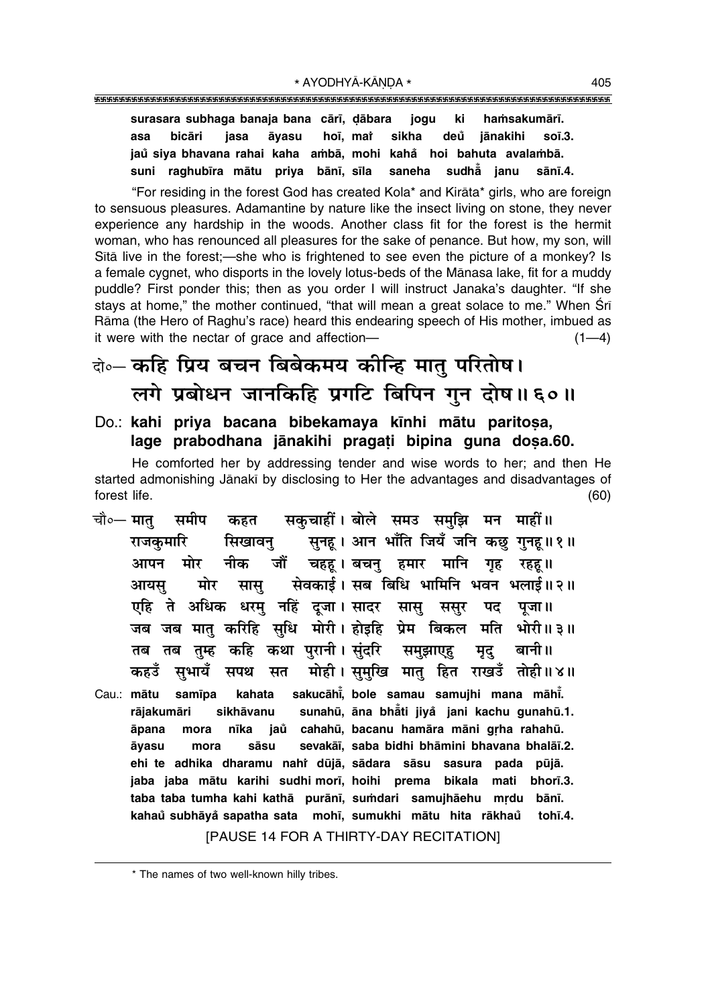### 

surasara subhaga banaja bana cārī, dābara jogu ki hamsakumārī. bicāri hoī, mat sikha deů asa jasa āvasu jānakihi  $so<sub>1</sub>3.$ jaŭ siya bhayana rahai kaha ambā, mohi kahå hoi bahuta ayalambā. saneha suni raghubīra mātu priya bānī, sīla sudh $\ddot{\tilde{a}}$  ianu sānī.4.

"For residing in the forest God has created Kola\* and Kirāta\* girls, who are foreign to sensuous pleasures. Adamantine by nature like the insect living on stone, they never experience any hardship in the woods. Another class fit for the forest is the hermit woman, who has renounced all pleasures for the sake of penance. But how, my son, will Sita live in the forest;—she who is frightened to see even the picture of a monkey? Is a female cygnet, who disports in the lovely lotus-beds of the Mānasa lake, fit for a muddy puddle? First ponder this; then as you order I will instruct Janaka's daughter. "If she stays at home," the mother continued, "that will mean a great solace to me." When Sri Rāma (the Hero of Raghu's race) heard this endearing speech of His mother, imbued as it were with the nectar of grace and affection- $(1-4)$ 

# वे⊶ कहि प्रिय बचन बिबेकमय कीन्हि मात् परितोष। लगे प्रबोधन जानकिहि प्रगटि बिपिन गुन दोष॥६०॥

### Do.: kahi priya bacana bibekamaya kinhi mātu paritosa, lage prabodhana jānakihi pragati bipina guna dosa.60.

He comforted her by addressing tender and wise words to her; and then He started admonishing Jānakī by disclosing to Her the advantages and disadvantages of forest life.  $(60)$ 

- सकुचाहीं। बोले समउ समुझि मन माहीं॥ समीप चौ∘— मात कहत सुनह। आन भाँति जियँ जनि कछ गुनह॥१॥ सिखावन राजकमारि नीक जौं चहह । बचन् हमार मानि गृह रहह ॥ आपन मोर मोर सेवकाई। सब बिधि भामिनि भवन भलाई॥२॥ आयस सास् एहि ते अधिक धरमु नहिं दूजा।सादर सासू ससूर पद पजा ॥ जब जब मात् करिहि सुधि मोरी। होइहि प्रेम बिकल मति ्भोरी॥ ३॥ कथा पुरानी। सुंदरि समझाएह तब तब तम्ह कहि मृद् बानी॥ मोही। समखि मात हित राखडँ तोही॥४॥ सभायँ कहउँ सपथ सत
- sakucāhi, bole samau samujhi mana māhi. Cau.: mātu samīpa kahata sunahū, āna bhāti jiyå jani kachu gunahū.1. rājakumāri sikhāvanu jaů cahahū, bacanu hamāra māni grha rahahū. āpana nīka mora sevakāī, saba bidhi bhāmini bhavana bhalāī.2. sāsu āyasu mora ehi te adhika dharamu nahi dūjā, sādara sāsu sasura pada pūjā. jaba jaba mātu karihi sudhi morī, hoihi prema bikala mati bhorī.3. taba taba tumha kahi kathā purānī, sumdari samujhāehu mrdu bānī. kahaů subhāyå sapatha sata mohī, sumukhi mātu hita rākhaů tohī.4. [PAUSE 14 FOR A THIRTY-DAY RECITATION]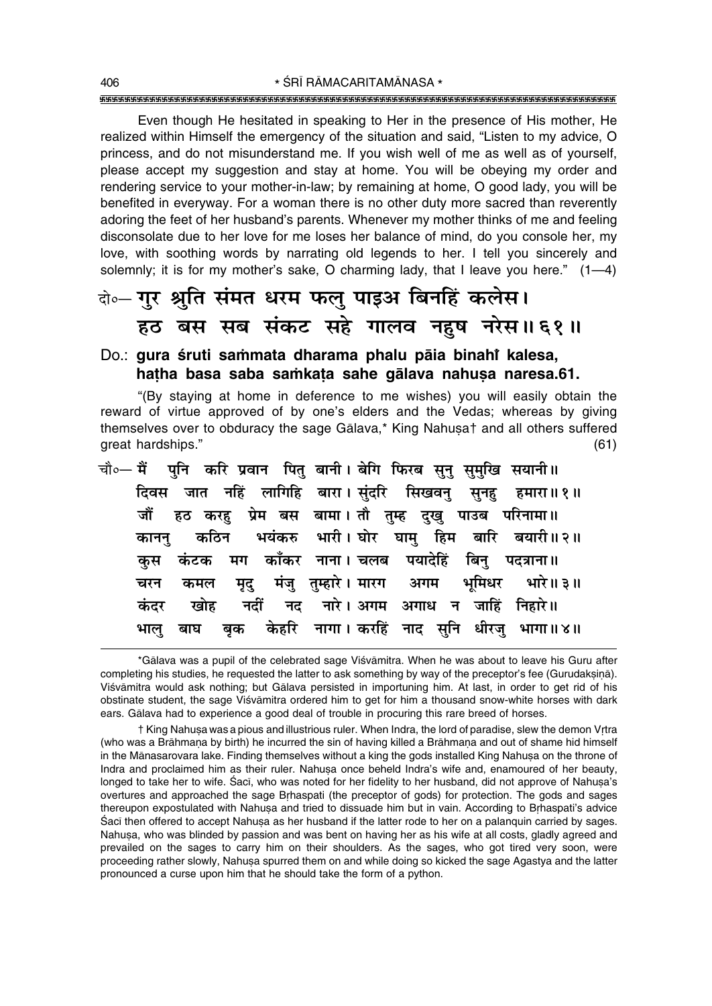Even though He hesitated in speaking to Her in the presence of His mother, He realized within Himself the emergency of the situation and said. "Listen to my advice, O princess, and do not misunderstand me. If you wish well of me as well as of yourself. please accept my suggestion and stay at home. You will be obeying my order and rendering service to your mother-in-law; by remaining at home, O good lady, you will be benefited in everyway. For a woman there is no other duty more sacred than reverently adoring the feet of her husband's parents. Whenever my mother thinks of me and feeling disconsolate due to her love for me loses her balance of mind, do you console her, my love, with soothing words by narrating old legends to her. I tell you sincerely and solemnly; it is for my mother's sake, O charming lady, that I leave you here." (1-4)

# वे०- गुर श्रुति संमत धरम फल् पाइअ बिनहिं कलेस। हठ बस सब संकट सहे गालव नहुष नरेस॥६१॥

### Do.: qura śruti sammata dharama phalu pāja binahi kalesa, hatha basa saba samkata sahe galava nahusa naresa.61.

"(By staying at home in deference to me wishes) you will easily obtain the reward of virtue approved of by one's elders and the Vedas; whereas by giving themselves over to obduracy the sage Galava,\* King Nahusa+ and all others suffered great hardships."  $(61)$ 

| चौ∘— मैं    पुनि   करि  प्रवान   पितु  बानी । बेगि  फिरब  सुनु  सुमुखि  सयानी॥ |  |
|--------------------------------------------------------------------------------|--|
| दिवस जात नहिं लागिहि बारा।सुंदरि सिखवनु सुनहु हमारा॥१॥                         |  |
| जौं हठ करह़ प्रेम बस बामा। तौ तुम्ह दुखु पाउब परिनामा॥                         |  |
| कानन् कठिन भयंकरु भारी। घोर घाम् हिम बारि बयारी॥२॥                             |  |
| कुस कंटक मग काँकर नाना। चलब पयादेहिं बिनु पदत्राना॥                            |  |
| चरन कमल मृदु मंजु तुम्हारे।मारग अगम भूमिधर भारे॥३॥                             |  |
| कंदर खोह नदीं नद नारे।अगम अगाध न जाहिं निहारे॥                                 |  |
| भालु बाघ बृक केहरि नागा।।करहिं नाद सुनि धीरजु भागा॥४॥                          |  |

<sup>\*</sup>Gālava was a pupil of the celebrated sage Viśvāmitra. When he was about to leave his Guru after completing his studies, he requested the latter to ask something by way of the preceptor's fee (Gurudaksina). Viśvāmitra would ask nothing; but Gālava persisted in importuning him. At last, in order to get rid of his obstinate student, the sage Viśvāmitra ordered him to get for him a thousand snow-white horses with dark ears. Gālava had to experience a good deal of trouble in procuring this rare breed of horses.

<sup>†</sup> King Nahusa was a pious and illustrious ruler. When Indra, the lord of paradise, slew the demon Vrtra (who was a Brāhmana by birth) he incurred the sin of having killed a Brāhmana and out of shame hid himself in the Manasarovara lake. Finding themselves without a king the gods installed King Nahusa on the throne of Indra and proclaimed him as their ruler. Nahusa once beheld Indra's wife and, enamoured of her beauty, longed to take her to wife. Saci, who was noted for her fidelity to her husband, did not approve of Nahusa's overtures and approached the sage Brhaspati (the preceptor of gods) for protection. The gods and sages thereupon expostulated with Nahusa and tried to dissuade him but in vain. According to Brhaspati's advice Saci then offered to accept Nahusa as her husband if the latter rode to her on a palanguin carried by sages. Nahusa, who was blinded by passion and was bent on having her as his wife at all costs, gladly agreed and prevailed on the sages to carry him on their shoulders. As the sages, who got tired very soon, were proceeding rather slowly. Nahusa spurred them on and while doing so kicked the sage Agastya and the latter pronounced a curse upon him that he should take the form of a python.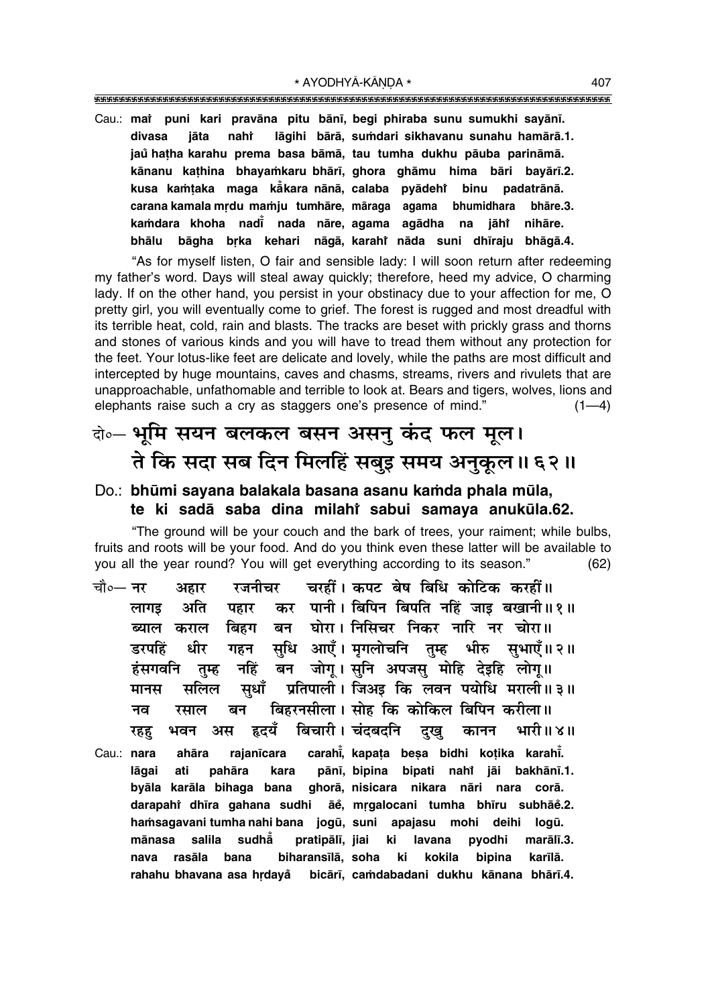\* AYODHYĀ-KĀNDA \*

- 
- Cau.: mai puni kari pravāna pitu bānī, begi phiraba sunu sumukhi sayānī. lāgihi bārā, sumdari sikhavanu sunahu hamārā.1. divasa jāta nahi jaŭ hatha karahu prema basa bāmā, tau tumha dukhu pāuba parināmā. kānanu kathina bhayamkaru bhārī, ghora ghāmu hima bāri bayārī.2. kusa kamtaka maga kakara nānā, calaba pyādeht binu padatrānā. bhumidhara carana kamala mrdu mamju tumhāre, māraga agama bhāre.3. kamdara khoha nadi nada nāre, agama agādha na jāhi nihāre. bāgha brka kehari nāgā, karahi nāda suni dhīraju bhāgā.4. bhālu

"As for myself listen, O fair and sensible lady: I will soon return after redeeming my father's word. Days will steal away quickly; therefore, heed my advice, O charming lady. If on the other hand, you persist in your obstinacy due to your affection for me, O pretty girl, you will eventually come to grief. The forest is rugged and most dreadful with its terrible heat, cold, rain and blasts. The tracks are beset with prickly grass and thorns and stones of various kinds and you will have to tread them without any protection for the feet. Your lotus-like feet are delicate and lovely, while the paths are most difficult and intercepted by huge mountains, caves and chasms, streams, rivers and rivulets that are unapproachable, unfathomable and terrible to look at. Bears and tigers, wolves, lions and elephants raise such a cry as staggers one's presence of mind."  $(1-4)$ 

# वे० भूमि सयन बलकल बसन असनु कंद फल मूल। ते कि सदा सब दिन मिलहिं सबुइ समय अनुकूल ॥ ६२ ॥

### Do.: bhūmi sayana balakala basana asanu kamda phala mūla, te ki sadā saba dina milahi sabui samaya anukūla.62.

"The ground will be your couch and the bark of trees, your raiment; while bulbs, fruits and roots will be your food. And do you think even these latter will be available to you all the year round? You will get everything according to its season."  $(62)$ 

- रजनीचर चरहीं। कपट बेष बिधि कोटिक करहीं॥ चौ०— नर अहार कर पानी। बिपिन बिपति नहिं जाड़ बखानी॥१॥ अति लागड पहार बन घोरा। निसिचर निकर नारि नर चोरा॥ ब्याल कराल बिहग सुधि आएँ। मृगलोचनि तुम्ह भीरु सुभाएँ॥२॥ डरपहिं धीर गहन बन जोगू। सुनि अपजसु मोहि देइहि लोगू॥ हंसगवनि नहिं तम्ह प्रतिपाली। जिअड़ कि लवन पयोधि मराली॥३॥ सुधाँ मानस सलिल बिहरनसीला। सोह कि कोकिल बिपिन करीला॥ बन रसाल नव बिचारी । चंदबदनि हृदयँ भारी॥४॥ भवन अस दख कानन रहह carahi, kapata besa bidhi kotika karahi. Cau.: nara ahāra rajanīcara
- pānī, bipina bipati nahi jāi bakhānī.1. lāgai ati pahāra kara ghorā, nisicara nikara nāri nara corā. byāla karāla bihaga bana darapahî dhīra gahana sudhi āe, mrgalocani tumha bhīru subhāe.2. logū. hamsagavani tumha nahi bana jogū, suni apajasu mohi deihi salila sudhå pratipālī, jiai marālī.3. mānasa ki lavana pyodhi biharansīlā, soha rasāla bana ki kokila bipina karīlā. nava rahahu bhavana asa hrdayå bicārī, camdabadani dukhu kānana bhārī.4.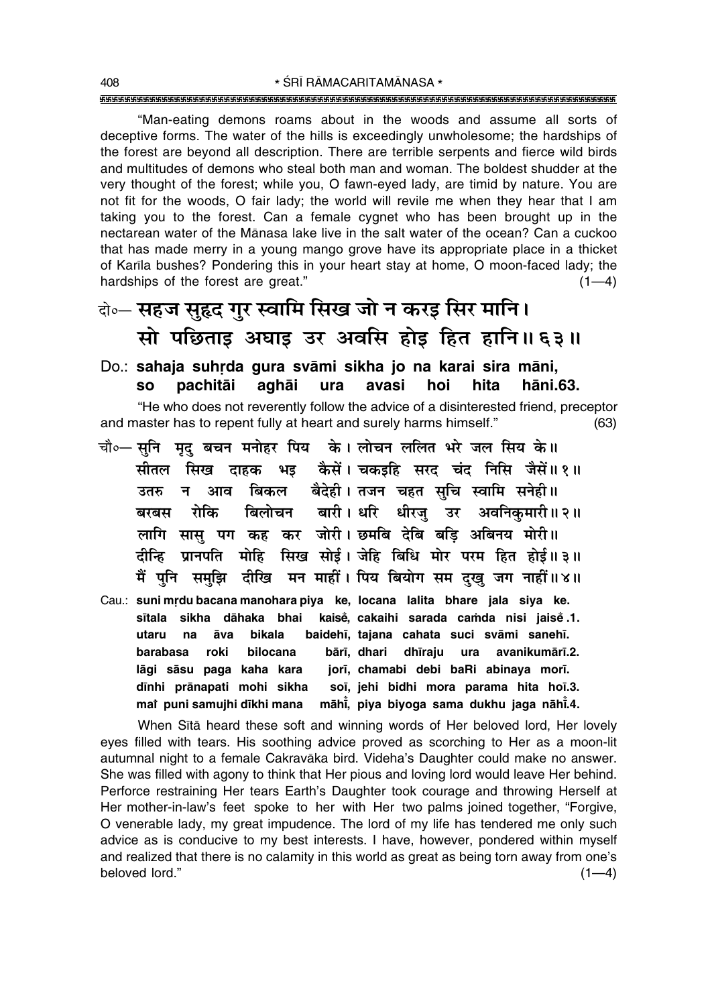ìMan-eating demons roams about in the woods and assume all sorts of deceptive forms. The water of the hills is exceedingly unwholesome; the hardships of the forest are beyond all description. There are terrible serpents and fierce wild birds and multitudes of demons who steal both man and woman. The boldest shudder at the very thought of the forest; while you, O fawn-eyed lady, are timid by nature. You are not fit for the woods, O fair lady; the world will revile me when they hear that I am taking you to the forest. Can a female cygnet who has been brought up in the nectarean water of the Månasa lake live in the salt water of the ocean? Can a cuckoo that has made merry in a young mango grove have its appropriate place in a thicket of Kar∂la bushes? Pondering this in your heart stay at home, O moon-faced lady; the hardships of the forest are great.<sup>n</sup>  $(1-4)$ 

# दो**०– सहज सुहृद गुर स्वामि सिख जो न करइ सिर मानि।** सो पछिताइ अघाइ उर अवसि होइ हित हानि॥६३॥

### Do.: sahaja suhrda gura svāmi sikha jo na karai sira māni, **so pachitåi aghåi ura avasi hoi hita håni.63.**

ìHe who does not reverently follow the advice of a disinterested friend, preceptor and master has to repent fully at heart and surely harms himself." (63)

- चौ०— सुनि मृदु बचन मनोहर पिय के। लोचन ललित भरे जल सिय के॥ सीतल सिख दाहक भइ कैसें। चकइहि सरद चंद निसि जैसें॥१॥ उतरु न आव बिकल बैदेही।तजन चहत सुचि स्वामि सनेही॥ बरबस रोकि बिलोचन बारी। धरि धीरजु उर अवनिकुमारी॥२॥ लागि सास पग कह कर जोरी। छमबि देबि बडि अबिनय मोरी॥ हीन्हि प्रानपति मोहि सिख सोई। जेहि बिधि मोर परम हित होई॥३॥ <u>मैं पुनि समुझि दीखि मन माहीं। पिय बियोग सम दुखु जग नाहीं॥४॥</u>
- Cau.: suni mrdu bacana manohara piya ke, locana lalita bhare jala siya ke. **s∂tala sikha dåhaka bhai kaise°, cakaihi sarada ca≈da nisi jaise° .1. utaru na åva bikala baideh∂, tajana cahata suci svåmi saneh∂. barabasa roki bilocana bår∂, dhari dh∂raju ura avanikumår∂.2. lågi såsu paga kaha kara jor∂, chamabi debi baRi abinaya mor∂. d∂nhi prånapati mohi sikha so∂, jehi bidhi mora parama hita ho∂.3. maiÚ puni samujhi d∂khi mana måh∂° , piya biyoga sama dukhu jaga nåh∂° .4.**

When Sītā heard these soft and winning words of Her beloved lord, Her lovely eyes filled with tears. His soothing advice proved as scorching to Her as a moon-lit autumnal night to a female Cakravåka bird. Videhaís Daughter could make no answer. She was filled with agony to think that Her pious and loving lord would leave Her behind. Perforce restraining Her tears Earth's Daughter took courage and throwing Herself at Her mother-in-law's feet spoke to her with Her two palms joined together, "Forgive, O venerable lady, my great impudence. The lord of my life has tendered me only such advice as is conducive to my best interests. I have, however, pondered within myself and realized that there is no calamity in this world as great as being torn away from one's beloved lord."  $(1-4)$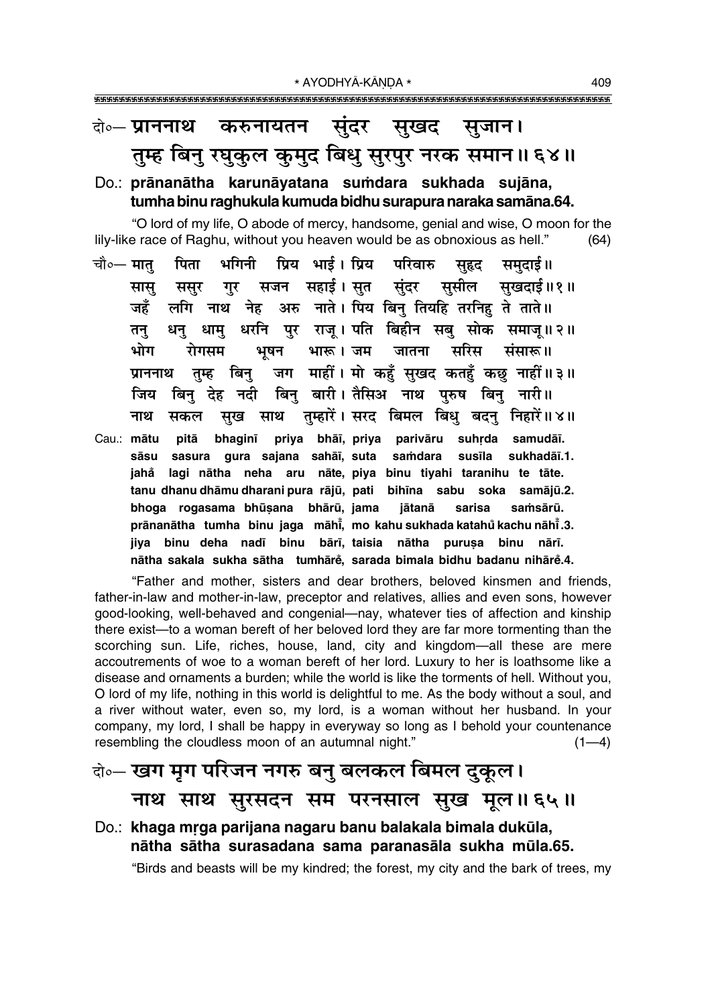### करुनायतन सुंदर सुखद सुजान। दो∘— प्राननाथ तुम्ह बिनु रघुकुल कुमुद बिधु सुरपुर नरक समान॥६४॥

### Do.: prānanātha karunāyatana sumdara sukhada sujāna, tumha binu raghukula kumuda bidhu surapura naraka samāna.64.

"O lord of my life, O abode of mercy, handsome, genial and wise, O moon for the lily-like race of Raghu, without you heaven would be as obnoxious as hell."  $(64)$ 

- प्रिय भाई। प्रिय परिवारु चौ∘— मात पिता भगिनी सहद समदाई ॥ सजन सहाई।सुत सुंदर सुसील सुखदाई॥१॥ सास ससूर गुर लगि नाथ नेह अरु नाते। पिय बिनु तियहि तरनिहु ते ताते॥ जहँ धन् धाम् धरनि पुर राज् । पति बिहीन सब् सोक समाज् ॥ २ ॥ तन भूषन भारू।जम जातना भोग रोगसम सरिस संसारू॥ जग माहीं। मो कहुँ सुखद कतहुँ कछु नाहीं॥३॥ प्राननाथ तम्ह बिन् बिन बारी। तैसिअ नाथ परुष बिन नारी॥ जिय बिन देह नदी सुख साथ तुम्हारें। सरद बिमल बिधु बदनु निहारें॥४॥ नाथ सकल
- bhaginī priya bhāī, priya parivāru suhrda samudāī. Cau.: mātu pitā sāsu sasura gura sajana sahāī, suta samdara susīla sukhadāī.1. jahå lagi nātha neha aru nāte, piya binu tiyahi taranihu te tāte. tanu dhanu dhāmu dharani pura rājū, pati bihīna sabu soka samājū.2. bhoga rogasama bhūṣana bhārū, jama sarisa jātanā samsārū. prānanātha tumha binu jaga māhi, mo kahu sukhada katahů kachu nāhi.3. jiya binu deha nadī binu bārī, taisia nātha purusa binu nārī. nātha sakala sukha sātha tumhārě, sarada bimala bidhu badanu nihārě.4.

"Father and mother, sisters and dear brothers, beloved kinsmen and friends, father-in-law and mother-in-law, preceptor and relatives, allies and even sons, however good-looking, well-behaved and congenial—nay, whatever ties of affection and kinship there exist—to a woman bereft of her beloved lord they are far more tormenting than the scorching sun. Life, riches, house, land, city and kingdom-all these are mere accoutrements of woe to a woman bereft of her lord. Luxury to her is loathsome like a disease and ornaments a burden; while the world is like the torments of hell. Without you, O lord of my life, nothing in this world is delightful to me. As the body without a soul, and a river without water, even so, my lord, is a woman without her husband. In your company, my lord, I shall be happy in everyway so long as I behold your countenance resembling the cloudless moon of an autumnal night."  $(1-4)$ 

# केन्- खग मृग परिजन नगरु बनु बलकल बिमल दुकूल। नाथ साथ सुरसदन सम परनसाल सुख मूल॥६५॥

## Do.: khaga mrga parijana nagaru banu balakala bimala dukūla, nātha sātha surasadana sama paranasāla sukha mūla.65.

"Birds and beasts will be my kindred; the forest, my city and the bark of trees, my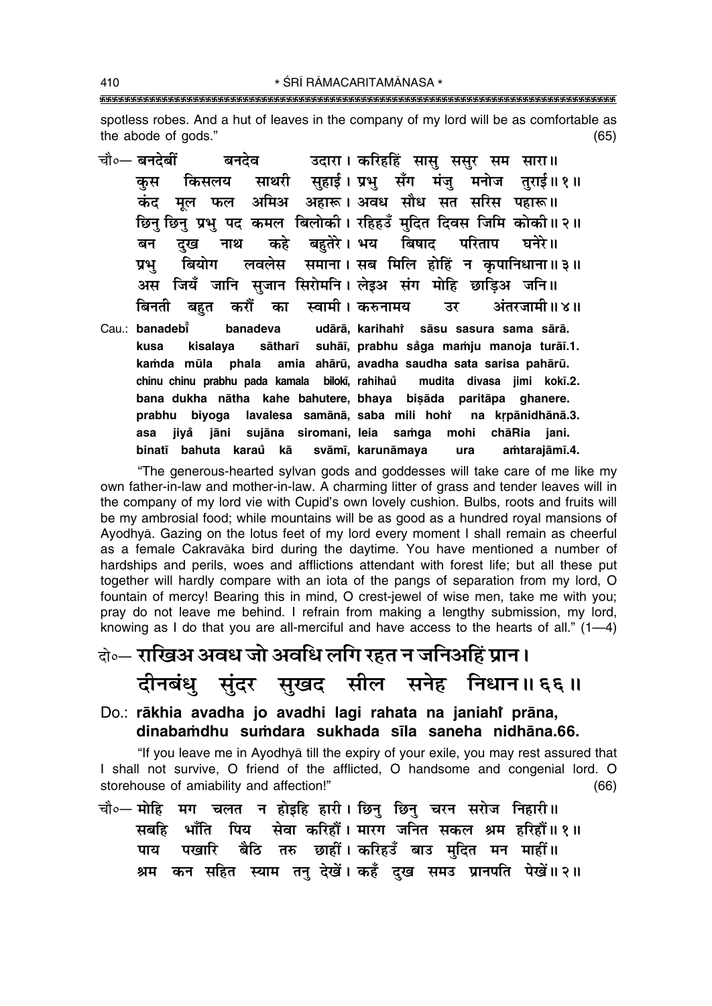spotless robes. And a hut of leaves in the company of my lord will be as comfortable as the abode of gods."  $(65)$  $\sim$   $\sim$ 

|  | चौ∘— बनदेबीं         बनदेव           उदारा । करिहहिं  सासु  ससुर  सम  सारा ॥ |  |  |  |  |
|--|------------------------------------------------------------------------------|--|--|--|--|
|  | कुस किसलय साथरी सुहाई।प्रभु सँग मंजु मनोज तुराई॥१॥                           |  |  |  |  |
|  | कंद मूल फल अमिअ अहारू। अवध सौध सत सरिस पहारू॥                                |  |  |  |  |
|  | छिनु छिनु प्रभु पद कमल बिलोकी। रहिहउँ मुदित दिवस जिमि कोकी॥२॥                |  |  |  |  |
|  | बन दुख नाथ कहे बहुतेरे। भय बिषाद परिताप घनेरे॥                               |  |  |  |  |
|  | प्रभु बियोग लवलेस समाना। सब मिलि होहिं न कृपानिधाना॥३॥                       |  |  |  |  |
|  | अस जियँ जानि सुजान सिरोमनि। लेइअ संग मोहि छाड़िअ जनि॥                        |  |  |  |  |
|  | बिनती बहुत करौँ का स्वामी। करुनामय  उर  अंतरजामी॥४॥                          |  |  |  |  |
|  | Cau.: banadebi banadeva udārā, karihahi sāsu sasura sama sārā.               |  |  |  |  |
|  | kusa kisalaya sātharī suhāī, prabhu såga mamju manoja turāī.1.               |  |  |  |  |
|  | kamda mūla phala amia ahārū, avadha saudha sata sarisa pahārū.               |  |  |  |  |
|  | chinu chinu prabhu pada kamala biloki, rahihaů mudita divasa jimi koki.2.    |  |  |  |  |
|  | bana dukha nātha kahe bahutere, bhaya bisāda paritāpa ghanere.               |  |  |  |  |
|  | prabhu biyoga lavalesa samānā, saba mili hohi na krpānidhānā.3.              |  |  |  |  |
|  | asa jiyå jāni sujāna siromani, leia samga mohi chāRia jani.                  |  |  |  |  |
|  | binatī bahuta karau kā svāmī, karunāmaya ura amtarajāmī.4.                   |  |  |  |  |

"The generous-hearted sylvan gods and goddesses will take care of me like my own father-in-law and mother-in-law. A charming litter of grass and tender leaves will in the company of my lord vie with Cupid's own lovely cushion. Bulbs, roots and fruits will be my ambrosial food; while mountains will be as good as a hundred royal mansions of Ayodhyā. Gazing on the lotus feet of my lord every moment I shall remain as cheerful as a female Cakravaka bird during the daytime. You have mentioned a number of hardships and perils, woes and afflictions attendant with forest life; but all these put together will hardly compare with an iota of the pangs of separation from my lord, O fountain of mercy! Bearing this in mind, O crest-jewel of wise men, take me with you; pray do not leave me behind. I refrain from making a lengthy submission, my lord, knowing as I do that you are all-merciful and have access to the hearts of all."  $(1-4)$ 

# केन्ट राखिअ अवध जो अवधि लगि रहत न जनिअहिं प्रान। दीनबंधु सुंदर सुखद सील सनेह निधान॥६६॥

### Do.: rākhia avadha jo avadhi lagi rahata na janiahi prāna, dinabamdhu sumdara sukhada sīla saneha nidhāna.66.

"If you leave me in Ayodhya till the expiry of your exile, you may rest assured that I shall not survive, O friend of the afflicted, O handsome and congenial lord. O storehouse of amiability and affection!"  $(66)$ 

चौ० मोहि मग चलत न होइहि हारी। छिनु छिनु चरन सरोज निहारी॥ सबहि भाँति पिय सेवा करिहौं। मारग जनित सकल श्रम हरिहौं॥१॥ पखारि बैठि तरु छाहीं।करिहउँ बाउ मुदित मन माहीं॥ पाय श्रम कन सहित स्याम तनु देखें। कहँ दुख समउ प्रानपति पेखें॥२॥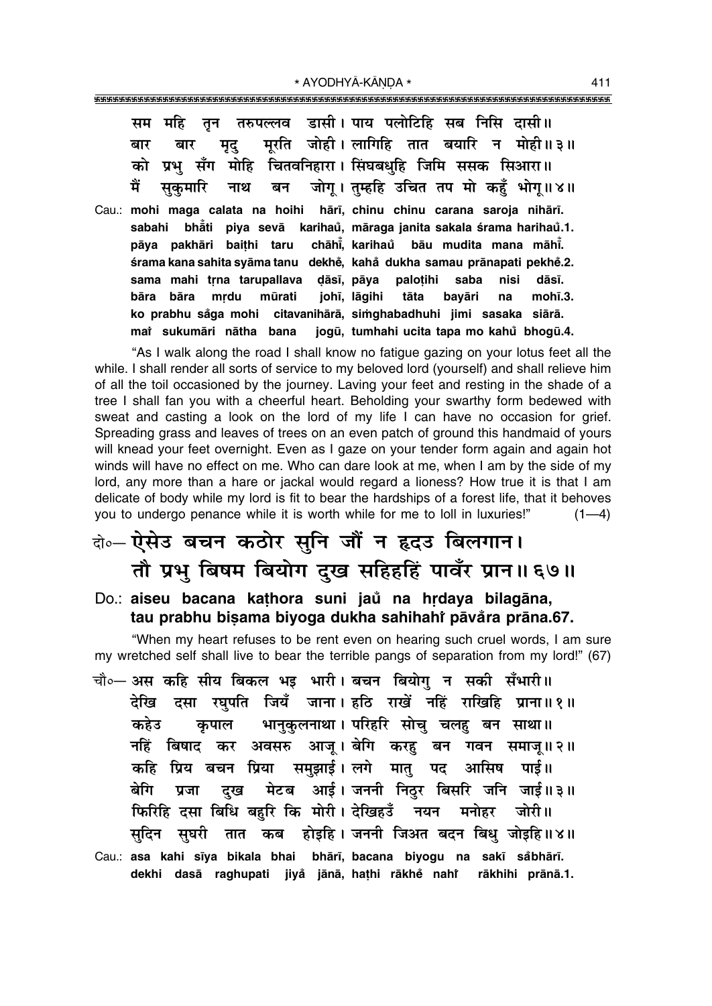| सम महि तृन तरुपल्लव डासी। पाय पलोटिहि सब निसि दासी॥                     |
|-------------------------------------------------------------------------|
| मृद् मूरति जोही।लागिहि तात बयारि न मोही॥३॥<br>बार<br>बार                |
| को प्रभु सँग मोहि चितवनिहारा। सिंघबधुहि जिमि ससक सिआरा॥                 |
| मैं<br>सुकुमारि नाथ बन जोगू। तुम्हहि उचित तप मो कहुँ भोगू॥४॥            |
| Cau.: mohi maga calata na hoihi hārī, chinu chinu carana saroja nihārī. |
| sabahi bhăti piya sevā karihaů, māraga janita sakala śrama harihaů.1.   |
| pāya pakhāri baithi taru chāhi, karihaŭ bāu mudita mana māhi.           |
| śrama kana sahita syāma tanu dekhě, kahå dukha samau prānapati pekhě.2. |
| sama mahi trna tarupallava dāsī, pāya palotihi saba nisi dāsī.          |
| bāra bāra mrdu mūrati johī, lāgihi tāta bayāri<br>na<br>mohī.3.         |
| ko prabhu såga mohi citavanihārā, simghabadhuhi jimi sasaka siārā.      |
| mai sukumāri nātha bana jogū, tumhahi ucita tapa mo kahů bhogū.4.       |

"As I walk along the road I shall know no fatigue gazing on your lotus feet all the while. I shall render all sorts of service to my beloved lord (yourself) and shall relieve him of all the toil occasioned by the journey. Laving your feet and resting in the shade of a tree I shall fan you with a cheerful heart. Beholding your swarthy form bedewed with sweat and casting a look on the lord of my life I can have no occasion for grief. Spreading grass and leaves of trees on an even patch of ground this handmaid of yours will knead your feet overnight. Even as I gaze on your tender form again and again hot winds will have no effect on me. Who can dare look at me, when I am by the side of my lord, any more than a hare or jackal would regard a lioness? How true it is that I am delicate of body while my lord is fit to bear the hardships of a forest life, that it behoves you to undergo penance while it is worth while for me to loll in luxuries!" $(1-4)$ 

# दोo ऐसेउ बचन कठोर सुनि जौं न हृदउ बिलगान। तौ प्रभु बिषम बियोग दुख सहिहहिं पावँर प्रान॥ ६७॥

Do.: **aiseu bacana ka¢hora suni jau° na hædaya bilagåna, tau prabhu bi¶ama biyoga dukha sahihahiÚ påva°ra pråna.67.**

ìWhen my heart refuses to be rent even on hearing such cruel words, I am sure my wretched self shall live to bear the terrible pangs of separation from my lord!" (67)

- चौ०– अस कहि सीय बिकल भइ भारी। बचन बियोग न सकी सँभारी॥ हेखि दसा रघुपति जियँ जाना।हठि राखें नहिं राखिहि प्राना॥१॥ <u>कहेउ</u> कृपाल भानुकुलनाथा । परिहरि सोचु चलहु बन साथा ॥ नहिं बिषाद कर अवसरु आज् ।**बेगि करह बन गवन समाज् ॥ २** ॥ **कहि प्रिय बचन प्रिया समुझाई। लगे मात् पद आसिष पाई।** बेगि प्रजा दुख मेटब आई।जननी निठुर बिसरि जनि जाई॥३॥ **फिरिहि दसा बिधि बहरि कि मोरी। देखिहउँ नयन मनोहर जोरी॥** सुदिन सुघरी तात कब होइहि**। जननी जिअत बदन बिध् जोइहि॥४**॥
- Cau.: **asa kahi s∂ya bikala bhai bhår∂, bacana biyogu na sak∂ sa°bhår∂. dekhi daså raghupati jiya° jånå, ha¢hi råkhe° nahiÚ råkhihi prånå.1.**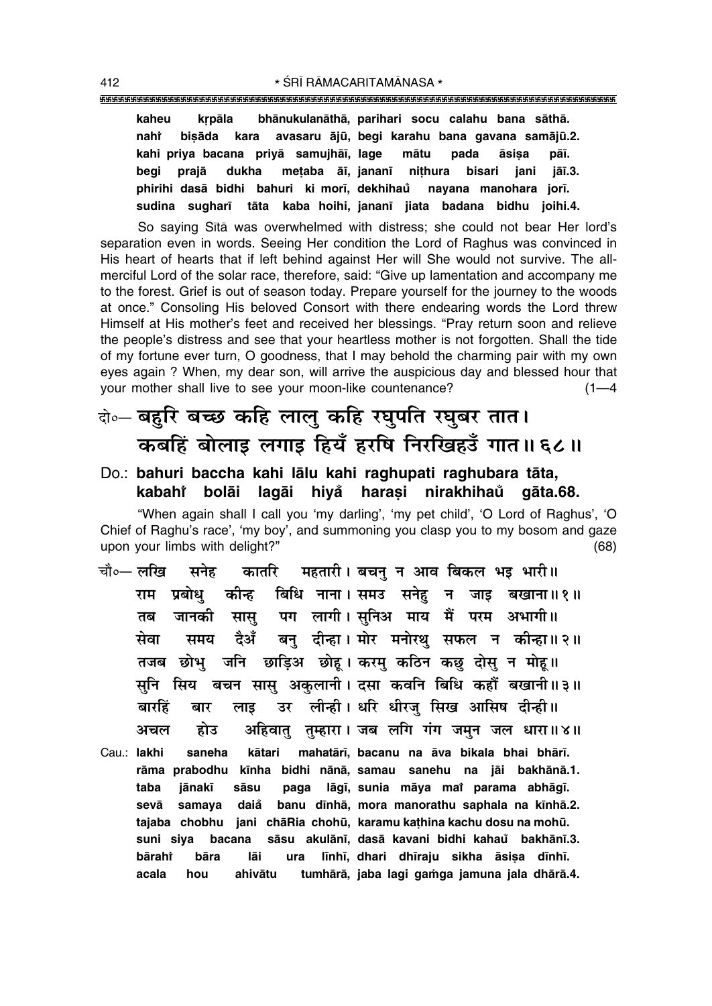### 

bhānukulanāthā, parihari socu calahu bana sāthā. kaheu krpāla avasaru ājū, begi karahu bana gavana samājū.2. nahi bisāda kara kahi priva bacana privā samuihāj, lage mātu pada āsisa pāī. prajā dukha mețaba āī, jananī nithura beai bisari jani jāī.3. phirihi dasā bidhi bahuri ki morī, dekhihau nayana manohara jorī. sudina sugharī tāta kaba hoihi, jananī jiata badana bidhu joihi.4.

So saying Sītā was overwhelmed with distress; she could not bear Her lord's separation even in words. Seeing Her condition the Lord of Raghus was convinced in His heart of hearts that if left behind against Her will She would not survive. The allmerciful Lord of the solar race, therefore, said: "Give up lamentation and accompany me to the forest. Grief is out of season today. Prepare yourself for the journey to the woods at once." Consoling His beloved Consort with there endearing words the Lord threw Himself at His mother's feet and received her blessings. "Pray return soon and relieve the people's distress and see that your heartless mother is not forgotten. Shall the tide of my fortune ever turn, O goodness, that I may behold the charming pair with my own eyes again ? When, my dear son, will arrive the auspicious day and blessed hour that your mother shall live to see your moon-like countenance?  $(1 - 4)$ 

# के- बहुरि बच्छ कहि लालु कहि रघुपति रघुबर तात। कबहिं बोलाइ लगाइ हियँ हरषि निरखिहउँ गात॥६८॥

Do.: bahuri baccha kahi lālu kahi raghupati raghubara tāta, haraşi nirakhihaŭ kabaht bolāi lagāi hiyå gāta.68.

"When again shall I call you 'my darling', 'my pet child', 'O Lord of Raghus', 'O Chief of Raghu's race', 'my boy', and summoning you clasp you to my bosom and gaze upon your limbs with delight?"  $(68)$ 

- कातरि महतारी। बचन् न आव बिकल भइ भारी॥ चौ∘— लखि सनेह बिधि नाना। समउ सनेहु न जाइ बखाना॥१॥ राम प्रबोध कीन्ह पग लागी। सनिअ माय मैं परम अभागी॥ जानकी तब सास बन दीन्हा। मोर मनोरथ सफल न कीन्हा॥२॥ दैअँ सेवा समय तजब छोभु जनि छाड़िअ छोहू। करमु कठिन कछु दोसु न मोहू॥ सुनि सिय बचन सासु अकुलानी। दसा कवनि बिधि कहौं बखानी॥३॥ उर लीन्ही। धरि धीरज् सिख आसिष दीन्ही॥ बारहिं बार लाड अहिवात तम्हारा। जब लगि गंग जमन जल धारा॥४॥ होउ अचल mahatārī, bacanu na āva bikala bhai bhārī. Cau.: lakhi saneha kātari rāma prabodhu kīnha bidhi nānā, samau sanehu na jāi bakhānā.1. lāgī, sunia māya mai parama abhāgī. taba jānakī sāsu paga
- sevā samaya daiå banu dīnhā, mora manorathu saphala na kīnhā.2. tajaba chobhu jani chāRia chohū, karamu kathina kachu dosu na mohū. suni siya bacana sāsu akulānī, dasā kavani bidhi kahau bakhānī.3. bāraht bāra lāi ura līnhī, dhari dhīraju sikha āsisa dīnhī. ahivātu tumhārā, jaba lagi gamga jamuna jala dhārā.4. acala hou

412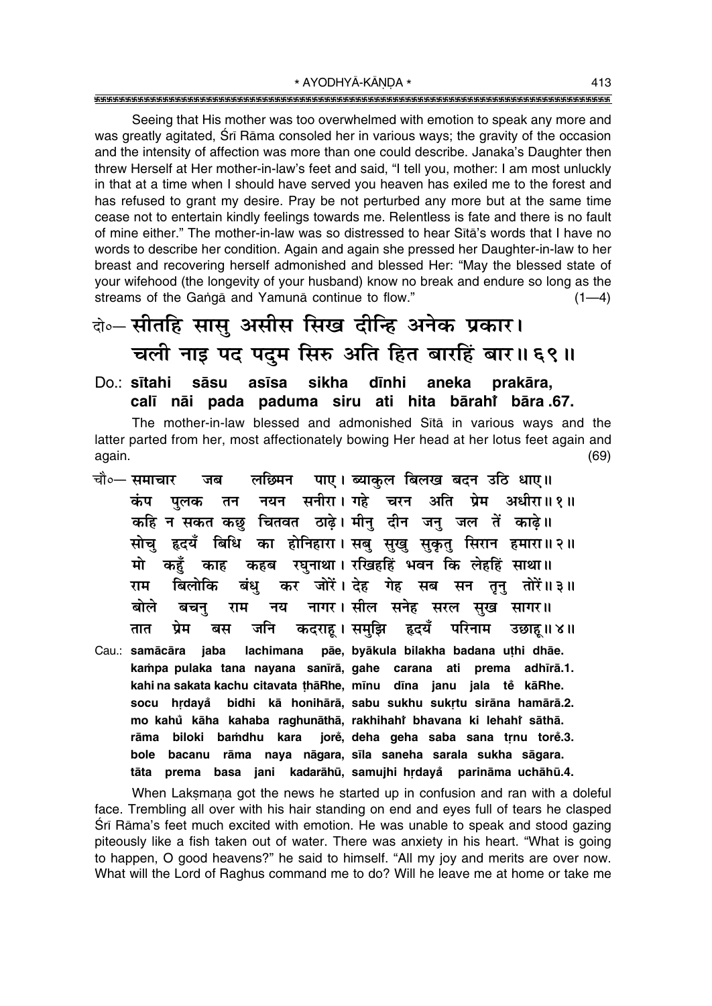Seeing that His mother was too overwhelmed with emotion to speak any more and was greatly agitated. Srī Rāma consoled her in various ways; the gravity of the occasion and the intensity of affection was more than one could describe. Janaka's Daughter then threw Herself at Her mother-in-law's feet and said, "I tell you, mother: I am most unluckly in that at a time when I should have served you heaven has exiled me to the forest and has refused to grant my desire. Pray be not perturbed any more but at the same time cease not to entertain kindly feelings towards me. Relentless is fate and there is no fault of mine either." The mother-in-law was so distressed to hear Sita's words that I have no words to describe her condition. Again and again she pressed her Daughter-in-law to her breast and recovering herself admonished and blessed Her: "May the blessed state of your wifehood (the longevity of your husband) know no break and endure so long as the streams of the Ganga and Yamuna continue to flow."  $(1-4)$ 

# बे॰-सीतहि सासु असीस सिख दीन्हि अनेक प्रकार। चली नाइ पद पदम सिरु अति हित बारहिं बार॥६९॥

### Do sītahi sāsu asīsa sikha dīnhi aneka prakāra. calī nāi pada paduma siru ati hita bārahi bāra.67.

The mother-in-law blessed and admonished Sita in various ways and the latter parted from her, most affectionately bowing Her head at her lotus feet again and again.  $(69)$ 

- पाए। ब्याकल बिलख बदन उठि धाए॥ लछिमन चौ∘— समाचार जब नयन सनीरा। गहे चरन अति प्रेम अधीरा॥१॥ कंप पलक तन कहि न सकत कछ चितवत ठाढे। मीन् दीन जन् जल तें काढे॥ सोचु हृदयँ बिधि का होनिहारा। सबु सुखु सुकृतु सिरान हमारा॥२॥ कहब रघनाथा। रखिहहिं भवन कि लेहहिं साथा॥ मो कहँ काह कर जोरें। देह गेह सब सन तुनु तोरें॥३॥ बिलोकि बंध राम नय नागर। सील सनेह सरल सुख सागर॥ बोले राम बचन् कदराह। समुझि हृदयँ परिनाम तात प्रेम बस जनि उछाह।। ४॥
- Cau.: samācāra jaba lachimana pāe, byākula bilakha badana uthi dhāe. kampa pulaka tana nayana sanīrā, gahe carana ati prema adhīrā.1. kahi na sakata kachu citavata thā Rhe, mīnu dīna janu jala tě kā Rhe. bidhi kā honihārā, sabu sukhu sukrtu sirāna hamārā.2. socu hrdayå mo kahů kāha kahaba raghunāthā, rakhihahi bhavana ki lehahi sāthā. jorė, deha geha saba sana trnu torė.3. biloki bamdhu kara rāma bacanu rāma naya nāgara, sīla saneha sarala sukha sāgara. bole tāta prema basa jani kadarāhū, samujhi hrdayå parināma uchāhū.4.

When Laksmana got the news he started up in confusion and ran with a doleful face. Trembling all over with his hair standing on end and eyes full of tears he clasped Śrī Rāma's feet much excited with emotion. He was unable to speak and stood gazing piteously like a fish taken out of water. There was anxiety in his heart. "What is going to happen, O good heavens?" he said to himself. "All my joy and merits are over now. What will the Lord of Raghus command me to do? Will he leave me at home or take me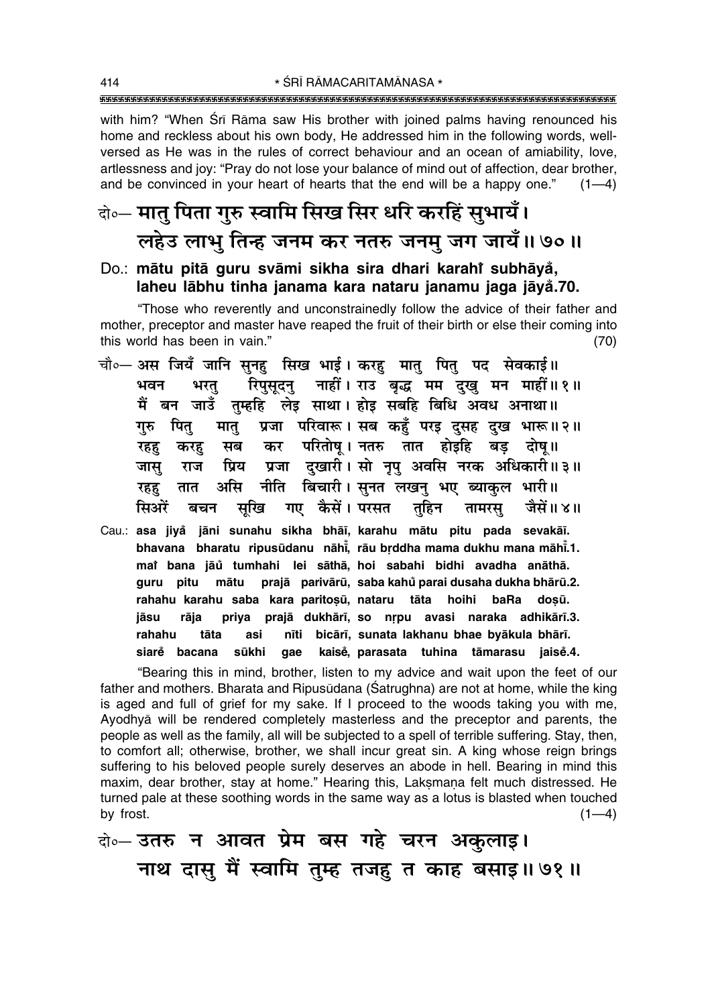\* ŚRĪ RĀMACARITAMĀNASA \* 

with him? "When Srī Rāma saw His brother with joined palms having renounced his home and reckless about his own body. He addressed him in the following words, wellversed as He was in the rules of correct behaviour and an ocean of amiability, love, artlessness and joy: "Pray do not lose your balance of mind out of affection, dear brother, and be convinced in your heart of hearts that the end will be a happy one."  $(1-4)$ 

# वे॰- मातु पिता गुरु स्वामि सिख सिर धरि करहिं सुभायँ। लहेउ लाभू तिन्ह जनम कर नतरु जनम् जग जायँ॥७०॥

### Do.: mātu pitā guru svāmi sikha sira dhari karahi subhāyå, laheu lābhu tinha janama kara nataru janamu jaga jāyå.70.

"Those who reverently and unconstrainedly follow the advice of their father and mother, preceptor and master have reaped the fruit of their birth or else their coming into this world has been in vain."  $(70)$ 

- चौ०— अस जियँ जानि सुनह सिख भाई। करह मात् पित् पद सेवकाई॥ रिपुसुदन् नाहीं। राउ बुद्ध मम दुखु मन माहीं॥१॥ भवन भरत मैं बन जाउँ तुम्हहि लेइ साथा। होइ सबहि बिधि अवध अनाथा॥ मात् प्रजा परिवारू। सब कहुँ परइ दुसह दुख भारू॥२॥ गरु पित कर परितोष् । नतरु तात होइहि बड़ दोष् ॥ सब रहह करह प्रजा दुखारी। सो नृपु अवसि नरक अधिकारी॥३॥ जास राज प्रिय असि नीति बिचारी। सुनत लखन् भए ब्याकुल भारी॥ रहह तात सिओरें गए कैसें। परसत तुहिन जैसें॥४॥ बचन सुखि तामरस्
- Cau.: asa jiyå jāni sunahu sikha bhāī, karahu mātu pitu pada sevakāī. bhavana bharatu ripusūdanu nāhi, rāu brddha mama dukhu mana māhi.1. mai bana jāu tumhahi lei sāthā, hoi sabahi bidhi avadha anāthā. mātu prajā parivārū, saba kahů parai dusaha dukha bhārū.2. quru pitu rahahu karahu saba kara paritoșu, nataru tāta hoihi baRa dosū. priya prajā dukhārī, so nrpu avasi naraka adhikārī.3. iāsu rāia bicārī, sunata lakhanu bhae byākula bhārī. rahahu tāta asi nīti siare bacana sūkhi kaisė, parasata tuhina tāmarasu jaisė.4. gae

"Bearing this in mind, brother, listen to my advice and wait upon the feet of our father and mothers. Bharata and Ripusudana (Satrughna) are not at home, while the king is aged and full of grief for my sake. If I proceed to the woods taking you with me, Ayodhya will be rendered completely masterless and the preceptor and parents, the people as well as the family, all will be subjected to a spell of terrible suffering. Stay, then, to comfort all; otherwise, brother, we shall incur great sin. A king whose reign brings suffering to his beloved people surely deserves an abode in hell. Bearing in mind this maxim, dear brother, stay at home." Hearing this, Laksmana felt much distressed. He turned pale at these soothing words in the same way as a lotus is blasted when touched by frost.  $(1-4)$ 

बे-उतरु न आवत प्रेम बस गहे चरन अकुलाइ। नाथ दासु मैं स्वामि तुम्ह तजह त काह बसाइ॥७१॥

414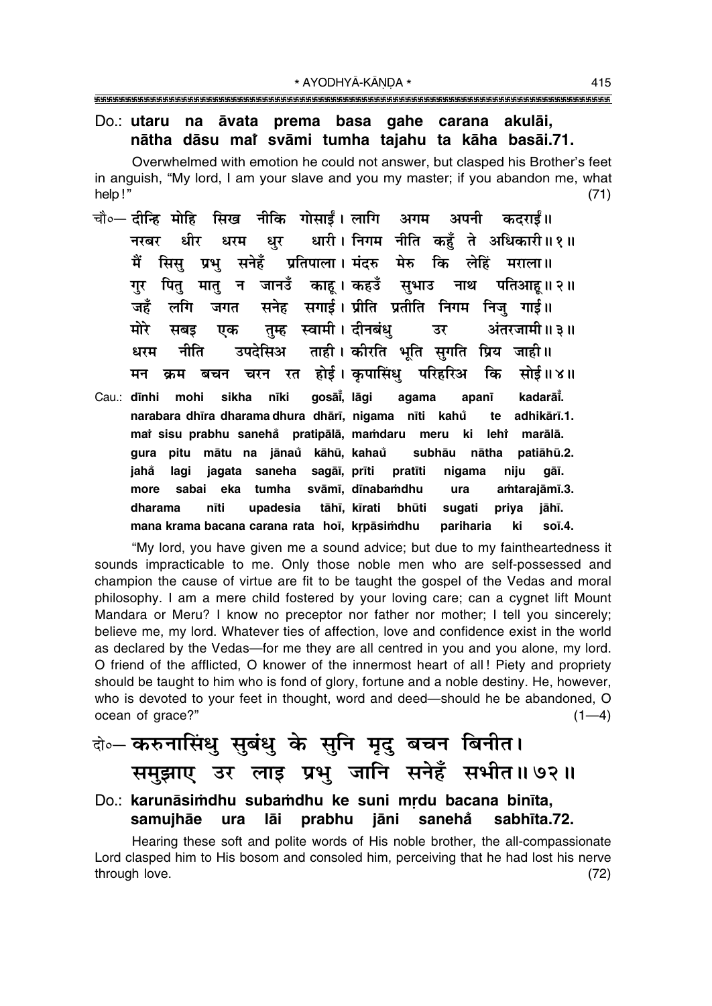### Do.: utaru na āvata prema basa gahe carana akulāi, nātha dāsu mai svāmi tumha tajahu ta kāha basāi.71.

Overwhelmed with emotion he could not answer, but clasped his Brother's feet in anguish, "My lord, I am your slave and you my master; if you abandon me, what help!"  $(71)$ 

- चौ०— <mark>दीन्हि मोहि सिख नीकि गोसाईं। लागि अगम</mark> अपनी कदराईं॥ धारी। निगम नीति कहँ ते अधिकारी॥१॥ धीर नरबर धरम धुर सिस प्रभ सनेहँ प्रतिपाला। मंदरु मेरु कि लेहिं मराला॥ मैं पितु मातु न जानउँ काहु।।कहउँ सुभाउ पतिआहु॥ २॥ नाथ गर सनेह सगाई। प्रीति प्रतीति निगम निज गाई॥ जहँ लगि जगत तुम्ह स्वामी। दीनबंध अंतरजामी ॥ ३॥ मोरे उर सबड एक ताही। कीरति भूति सुगति प्रिय जाही॥ नीति उपदेसिअ धरम बचन चरन रत होई। कपासिंध परिहरिअ कि सोई॥४॥ मन क्रम
- gosāi, lāgi kadarāt. sikha nīki agama apanī Cau.: dīnhi mohi narabara dhīra dharama dhura dhārī, nigama nīti kahu te adhikārī.1. mai sisu prabhu sanehå pratipālā, mamdaru meru ki lehi marālā. gura pitu mātu na jānau kāhū, kahau subhāu nātha patiāhū.2. jahå lagi jagata saneha sagāī, prīti pratīti nigama niju gāī. sabai eka tumha svāmī, dīnabamdhu amtarajāmī.3. more ura nīti upadesia tāhī, kīrati bhūti dharama sugati priya jāhī. mana krama bacana carana rata hoi, krpāsimdhu pariharia ki  $so\bar{1}$ .4.

"My lord, you have given me a sound advice; but due to my faintheartedness it sounds impracticable to me. Only those noble men who are self-possessed and champion the cause of virtue are fit to be taught the gospel of the Vedas and moral philosophy. I am a mere child fostered by your loving care; can a cygnet lift Mount Mandara or Meru? I know no preceptor nor father nor mother; I tell you sincerely; believe me, my lord. Whatever ties of affection, love and confidence exist in the world as declared by the Vedas—for me they are all centred in you and you alone, my lord. O friend of the afflicted, O knower of the innermost heart of all! Piety and propriety should be taught to him who is fond of glory, fortune and a noble destiny. He, however, who is devoted to your feet in thought, word and deed-should he be abandoned, O ocean of grace?"  $(1-4)$ 

# के- करुनासिंधु सुबंधु के सुनि मृदु बचन बिनीत। समुझाए उर लाइ प्रभु जानि सनेहँ सभीत॥७२॥

### Do.: karunāsimdhu subamdhu ke suni mrdu bacana binīta, samujhāe ura lāi prabhu jāni sanehå sabhīta.72.

Hearing these soft and polite words of His noble brother, the all-compassionate Lord clasped him to His bosom and consoled him, perceiving that he had lost his nerve through love.  $(72)$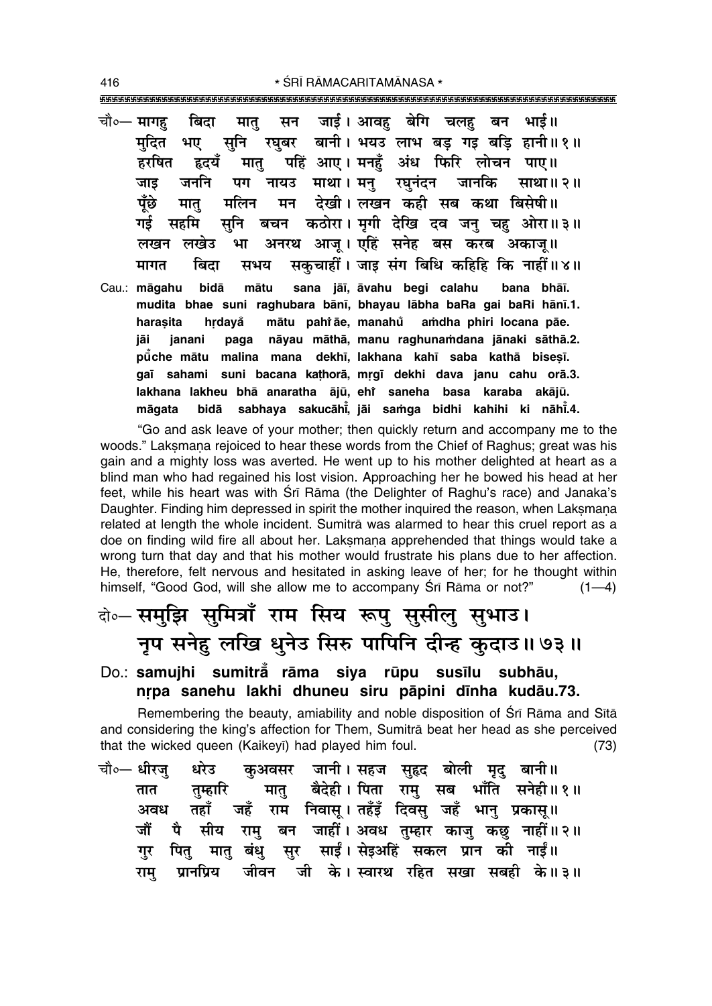\* ŚRĪ RĀMACARITAMĀNASA \*

चौ०— मागह बिदा सन जाई। आवह बेगि चलह बन भाई॥ मात् सुनि रघबर बानी। भयउ लाभ बड गड बडि हानी॥१॥ मुदित भए पहिं आए। मनहँ अंध फिरि लोचन पाए॥ हरषित हृदयँ मात् जननि माथा । मन जानकि जाड पग नायउ रघनंदन साथा॥२॥ पँछे देखी। लखन कही सब कथा बिसेषी॥ मलिन मन मात बचन कठोरा। मृगी देखि दव जनु चहु ओरा॥३॥ गर्द सनि सहमि अनरथ आज् । एहिं सनेह बस करब अकाज् ॥ लखन लखेड भा सकुचाहीं। जाइ संग बिधि कहिहि कि नाहीं॥४॥ मागत बिदा सभय Cau.: māgahu bidā mātu sana jāī, āvahu begi calahu bana bhāī. mudita bhae suni raghubara bānī, bhayau lābha baRa gai baRi hānī.1. mātu pahi āe, manahů harasita hrdavå amdha phiri locana pāe. nāyau māthā, manu raghunamdana jānaki sāthā.2. jāi janani paga pūche mātu malina mana dekhī, lakhana kahī saba kathā bisesī. gaī sahami suni bacana kathorā, mrgī dekhi dava janu cahu orā.3. lakhana lakheu bhā anaratha ājū, ehr saneha basa karaba akājū.

"Go and ask leave of your mother; then quickly return and accompany me to the woods." Laksmana rejoiced to hear these words from the Chief of Raghus; great was his gain and a mighty loss was averted. He went up to his mother delighted at heart as a blind man who had regained his lost vision. Approaching her he bowed his head at her feet, while his heart was with Sri Rama (the Delighter of Raghu's race) and Janaka's Daughter. Finding him depressed in spirit the mother inquired the reason, when Laksmana related at length the whole incident. Sumitra was alarmed to hear this cruel report as a doe on finding wild fire all about her. Laksmana apprehended that things would take a wrong turn that day and that his mother would frustrate his plans due to her affection. He, therefore, felt nervous and hesitated in asking leave of her; for he thought within himself, "Good God, will she allow me to accompany Sri Rama or not?"  $(1-4)$ 

bidā sabhaya sakucāhi, jāi samga bidhi kahihi ki nāhi.4.

# बे-समझि समित्राँ राम सिय रूपु सुसीलु सुभाउ। नृप सनेहु लखि धुनेउ सिरु पापिनि दीन्ह कुदाउ॥७३॥

Do.: samujhi sumitra rāma siya rūpu susīlu subhāu, nrpa sanehu lakhi dhuneu siru pāpini dīnha kudāu.73.

Remembering the beauty, amiability and noble disposition of Sri Rama and Sita and considering the king's affection for Them. Sumitra beat her head as she perceived that the wicked queen (Kaikeyi) had played him foul.  $(73)$ 

कुअवसर जानी। सहज सुहृद बोली मृदु बानी॥ चौ०— धीरज धरेउ मातु बैदेही। पिता रामु सब भाँति सनेही॥१॥ तम्हारि तात तहाँ जहँ राम निवास। तहँड़ँ दिवस जहँ भान प्रकास॥ अवध सीय रामु बन जाहीं। अवध तुम्हार काजु कछु नाहीं॥२॥ जौं पै मातु बंधु सुर साईं। सेइअहिं सकल प्रान की नाईं॥ पित गर ग्रानप्रिय जीवन जी के। स्वारथ रहित सखा सबही के॥३॥ राम

416

māgata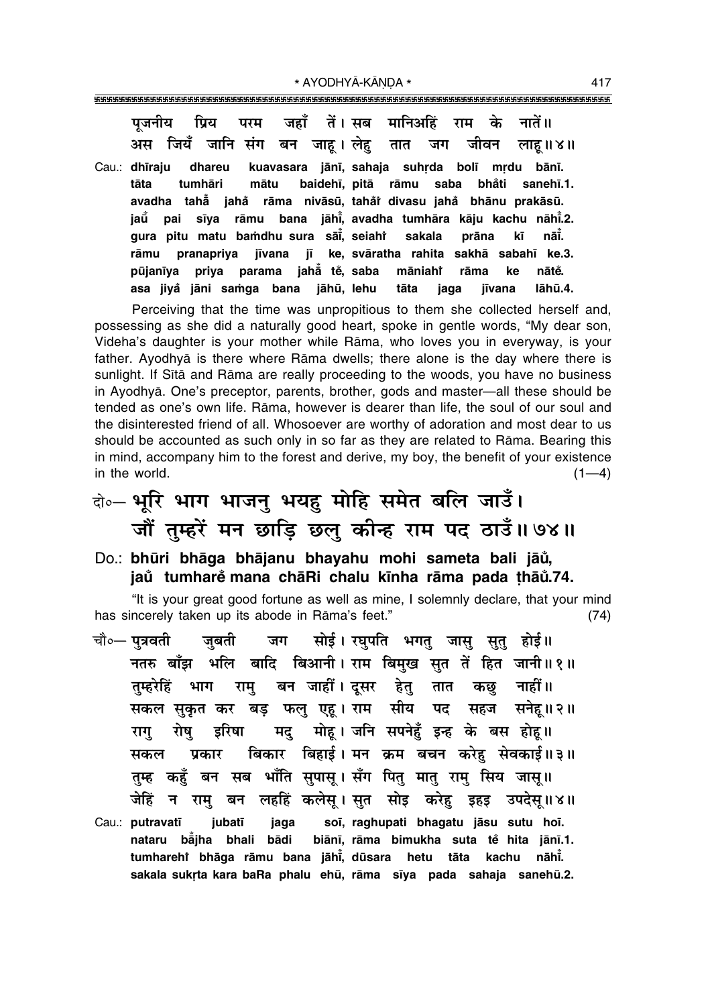प्रिय परम जहाँ तें। सब मानिअहिं के नातें ॥ पजनीय राम जियँ जानि संग बन जाह। लेह जीवन लाहू ॥ ४॥ अस तात जग kuavasara jānī, sahaja suhrda bolī mrdu bānī. Cau.: dhīraju dhareu

tumhāri mātu baidehī, pitā saba bhåti tāta rāmu sanehī.1. rāma nivāsū, tahår divasu jahå bhānu prakāsū. avadha tahẵ iahẳ sīya rāmu bana jāhi, avadha tumhāra kāju kachu nāhi.2. iaū pai gura pitu matu bamdhu sura sāi, seiahi sakala prāna nāĭ. kī jīvana jī ke svāratha rahita sakhā sabahī ke.3. rāmu pranapriva priya parama jahå tě, saba pūjanīva māniaht nātě. rāma ke jāhū, lehu asa jiyå jāni samga bana tāta jaga jīvana lāhū.4.

Perceiving that the time was unpropitious to them she collected herself and, possessing as she did a naturally good heart, spoke in gentle words, "My dear son, Videha's daughter is your mother while Rama, who loves you in everyway, is your father. Avodhyā is there where Rāma dwells; there alone is the day where there is sunlight. If Sītā and Rāma are really proceeding to the woods, you have no business in Ayodhyā. One's preceptor, parents, brother, gods and master—all these should be tended as one's own life. Rāma, however is dearer than life, the soul of our soul and the disinterested friend of all. Whosoever are worthy of adoration and most dear to us should be accounted as such only in so far as they are related to Rama. Bearing this in mind, accompany him to the forest and derive, my boy, the benefit of your existence in the world.  $(1-4)$ 

वे०- भूरि भाग भाजनु भयह मोहि समेत बलि जाउँ। जौं तुम्हरें मन छाड़ि छलु कीन्ह राम पद ठाउँ॥७४॥

### Do.: bhūri bhāga bhājanu bhayahu mohi sameta bali jāŭ, jaů tumharě mana chāRi chalu kīnha rāma pada thāů.74.

"It is your great good fortune as well as mine, I solemnly declare, that your mind has sincerely taken up its abode in Rāma's feet."  $(74)$ 

सोई। रघपति भगत जास सत होई॥ चौ∘— पत्रवती जग जबती नतरु बाँझ भलि बादि बिआनी। राम बिमुख सुत तें हित जानी॥१॥ तुम्हरेहिं भाग राम् बन जाहीं।दूसर हेतु तात कछ नाहीं॥ सकल सुकृत कर बड़ फलु एहू। राम सीय पद सहज सनेह।। २॥ मद मोह। जनि सपनेहँ इन्ह के बस होह॥ इरिषा राग रोष बिकार बिहाई। मन क्रम बचन करेह सेवकाई॥३॥ सकल प्रकार तुम्ह कहुँ बन सब भाँति सुपासू। सँग पितु मातु रामु सिय जासू॥ जेहिं न रामु बन लहहिं कलेसू।सुत सोइ करेहु इहइ उपदेसू॥४॥ Cau.: putravatī iubatī soī, raghupati bhagatu jāsu sutu hoī. jaga nataru bajha bhali bādi biānī, rāma bimukha suta tě hita jānī.1. tumharehi bhāga rāmu bana jāhi, dūsara hetu tāta kachu nāhi.

sakala sukrta kara baRa phalu ehū, rāma sīya pada sahaja sanehū.2.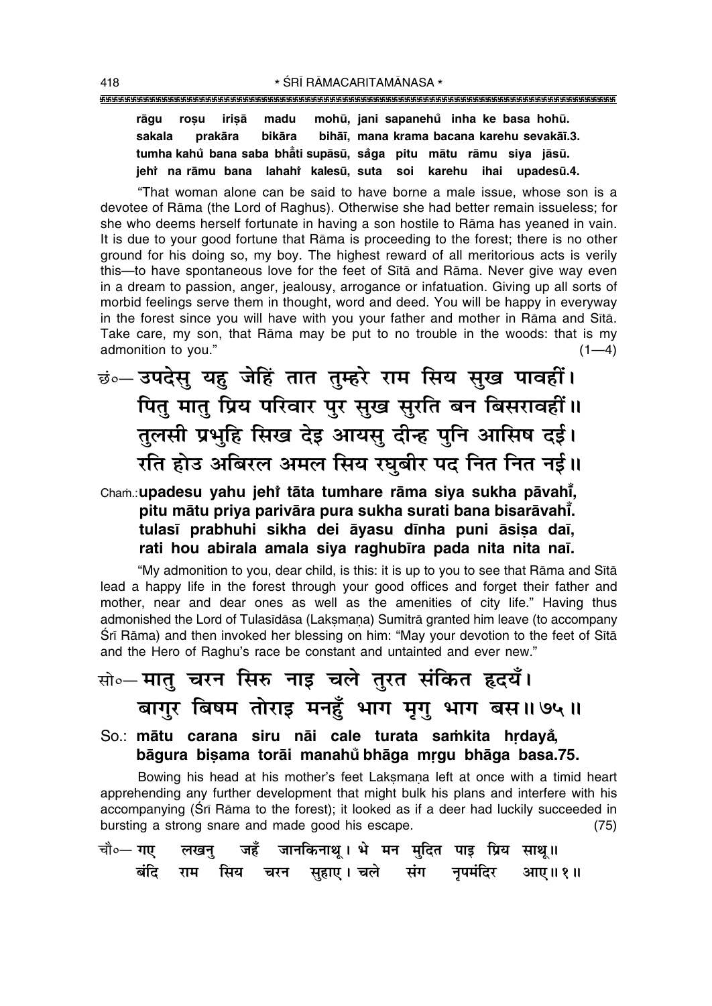mohū, jani sapanehů inha ke basa hohū. rāgu rosu irisā madu bihāī, mana krama bacana karehu sevakāī.3. sakala prakāra bikāra tumha kahů bana saba bhåti supāsū, såga pitu mātu rāmu siva iāsū. jehî na rāmu bana lahahî kalesū, suta soi karehu ihai upadesū.4.

"That woman alone can be said to have borne a male issue, whose son is a devotee of Rāma (the Lord of Raghus). Otherwise she had better remain issueless; for she who deems herself fortunate in having a son hostile to Rāma has yeaned in vain. It is due to your good fortune that Rama is proceeding to the forest; there is no other ground for his doing so, my boy. The highest reward of all meritorious acts is verily this—to have spontaneous love for the feet of Sita and Rama. Never give way even in a dream to passion, anger, jealousy, arrogance or infatuation. Giving up all sorts of morbid feelings serve them in thought, word and deed. You will be happy in everyway in the forest since you will have with you your father and mother in Rāma and Sītā. Take care, my son, that Rama may be put to no trouble in the woods: that is my admonition to you."  $(1-4)$ 

छं०- उपदेसु यह जेहिं तात तुम्हरे राम सिय सुख पावहीं। पितु मातु प्रिय परिवार पुर सुख सुरति बन बिसरावहीं ॥ तुलसी प्रभुहि सिख देइ आयसु दीन्ह पुनि आसिष दर्ड। रति होउ अबिरल अमल सिय रघुबीर पद नित नित नई।।

## Cham.: upadesu yahu jehi tāta tumhare rāma siya sukha pāvahī, pitu mātu priya parivāra pura sukha surati bana bisarāvahī. tulasī prabhuhi sikha dei āyasu dīnha puni āsisa daī, rati hou abirala amala siya raghubīra pada nita nita naī.

"My admonition to you, dear child, is this: it is up to you to see that Rāma and Sītā lead a happy life in the forest through your good offices and forget their father and mother, near and dear ones as well as the amenities of city life." Having thus admonished the Lord of Tulasīdāsa (Laksmana) Sumitrā granted him leave (to accompany Śrī Rāma) and then invoked her blessing on him: "May your devotion to the feet of Sītā and the Hero of Raghu's race be constant and untainted and ever new."

# सो∘—मातु चरन सिरु नाइ चले तुरत संकित हृदयँ। बागुर बिषम तोराइ मनहुँ भाग मृगु भाग बस॥७५॥

So.: mātu carana siru nāi cale turata samkita hrdayå, bāgura bisama torāi manahů bhāga mrgu bhāga basa.75.

Bowing his head at his mother's feet Laksmana left at once with a timid heart apprehending any further development that might bulk his plans and interfere with his accompanying (Srī Rāma to the forest); it looked as if a deer had luckily succeeded in bursting a strong snare and made good his escape.  $(75)$ 

|  |  | चौ∘— गए     लखनु     जहँ    जानकिनाथू । भे  मन  मुदित  पाइ  प्रिय  साथू॥ |  |  |  |
|--|--|--------------------------------------------------------------------------|--|--|--|
|  |  | बंदि राम सिय चरन सुहाए। चले संग नृपमंदिर आए॥१॥                           |  |  |  |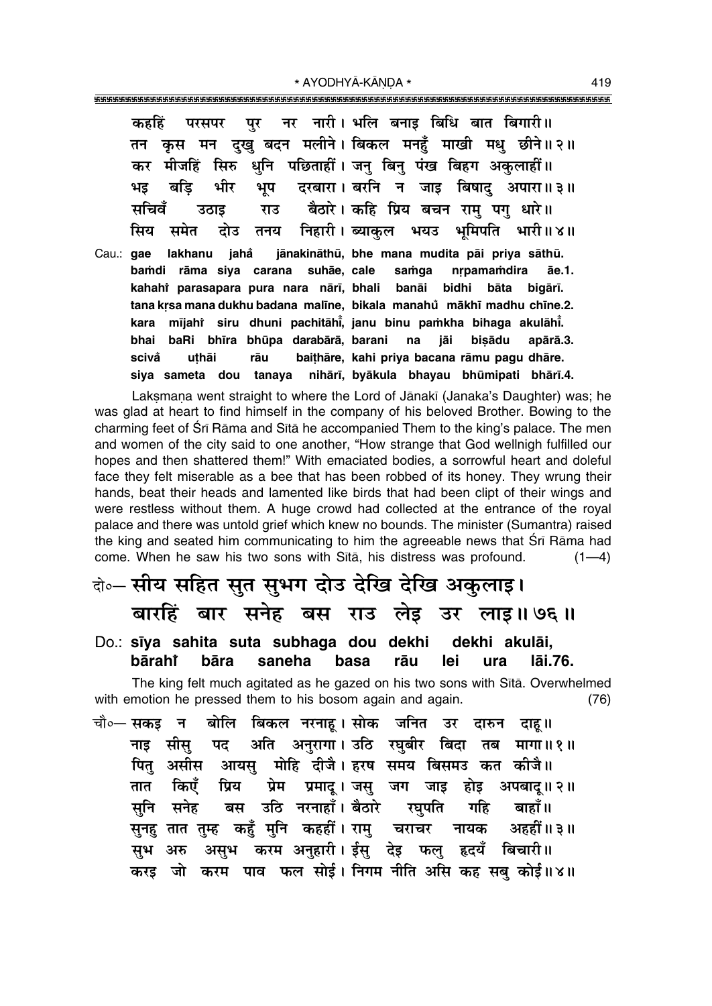\* AYODHYĀ-KĀNDA \* 

पर नर नारी। भलि बनाड़ बिधि बात बिगारी॥ कहहिं परसपर कृस मन दुखु बदन मलीने। बिकल मनहूँ माखी मधु छीने॥२॥ तन कर मीजहिं सिरु धुनि पछिताहीं। जनु बिनु पंख बिहग अकुलाहीं॥ दरबारा। बरनि न जाड़ बिषाद अपारा॥३॥ बडि भीर भप भड बैठारे। कहि प्रिय बचन राम् पग् धारे॥ सचिवँ राउ उठाड निहारी। ब्याकुल भयउ भूमिपति भारी॥४॥ सिय समेत दोउ तनय lakhanu jahå jānakināthū, bhe mana mudita pāi priva sāthū. Cau.: **gae** bamdi rāma siya carana suhāe, cale samga nrpamamdira āe.1. kahahi parasapara pura nara nārī, bhali banāi bidhi bāta bigārī. tana krsa mana dukhu badana malīne, bikala manahu mākhī madhu chīne.2. kara mījahi siru dhuni pachitāhi, janu binu pamkha bihaga akulāhi. bhai baRi bhīra bhūpa darabārā, barani na jāi bisādu apārā.3. uthāi rāu baithāre, kahi priya bacana rāmu pagu dhāre. scivă siya sameta dou tanaya nihārī, byākula bhayau bhūmipati bhārī.4.

Laksmana went straight to where the Lord of Jānakī (Janaka's Daughter) was; he was glad at heart to find himself in the company of his beloved Brother. Bowing to the charming feet of Srī Rāma and Sītā he accompanied Them to the king's palace. The men and women of the city said to one another, "How strange that God wellnigh fulfilled our hopes and then shattered them!" With emaciated bodies, a sorrowful heart and doleful face they felt miserable as a bee that has been robbed of its honey. They wrung their hands, beat their heads and lamented like birds that had been clipt of their wings and were restless without them. A huge crowd had collected at the entrance of the royal palace and there was untold grief which knew no bounds. The minister (Sumantra) raised the king and seated him communicating to him the agreeable news that Srī Rāma had come. When he saw his two sons with Sītā, his distress was profound.  $(1-4)$ 

# वे०-सीय सहित सुत सुभग दोउ देखि देखि अकुलाइ।

# बारहिं बार सनेह बस राउ लेइ उर लाइ॥७६॥

#### Do.: sīya sahita suta subhaga dou dekhi dekhi akulāi. bārahi bāra saneha basa rāu lei ura lāi.76.

The king felt much agitated as he gazed on his two sons with Sita. Overwhelmed with emotion he pressed them to his bosom again and again.  $(76)$ 

बोलि बिकल नरनाहू।सोक जनित उर दारुन दाहू॥ चौ॰— **सकड** न अति अनुरागा। उठि रघुबीर बिदा तब मागा॥१॥ सीस पट नाड पितु असीस आयसु मोहि दीजै। हरष समय बिसमउ कत कीजै॥ प्रेम प्रमाद् । जसु जग जाइ होइ अपबाद् ॥ २ ॥ किएँ पिय तात उठि नरनाहाँ। बैठारे रघपति सनेह गहि बाहाँ॥ सनि बस सुनह तात तुम्ह कहँ मुनि कहहीं । रामु चराचर नायक अहहीं ॥ ३ ॥ असुभ करम अनुहारी। ईसु देइ फलु हृदयँ बिचारी॥ सभ अरु करड़ जो करम पाव फल सोई। निगम नीति असि कह सब कोई॥४॥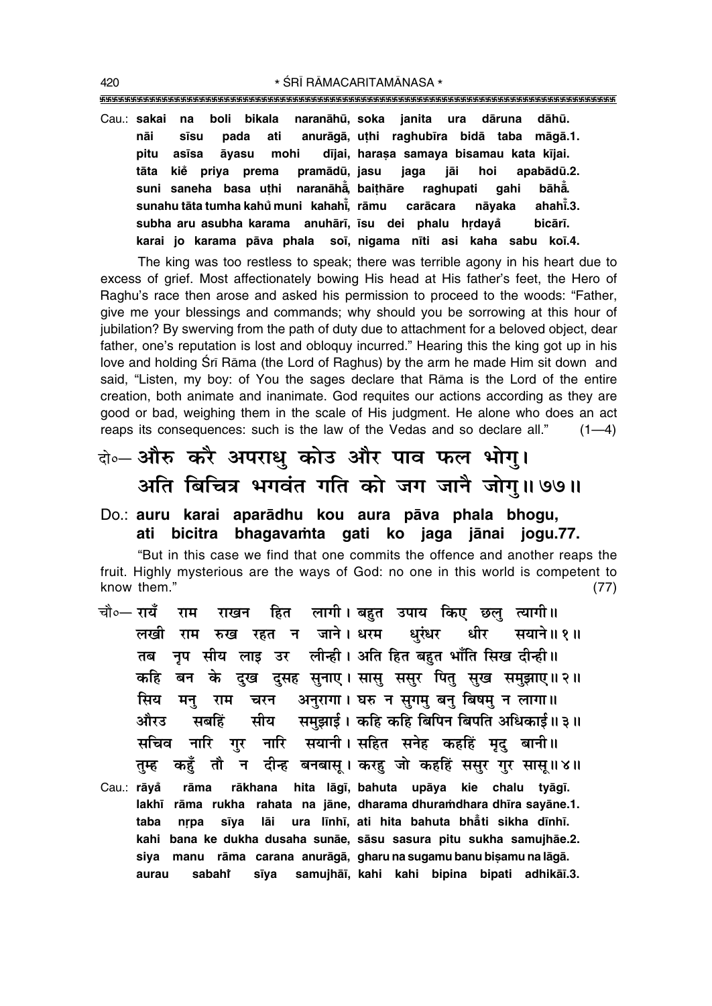""""""""""""""""""""""""""""""""""""""""""""""""""""""""""""""""""""""""""""""""""" 420 **\*** SRĪ RĀMACARITAMĀNASA \*

Cau.: **sakai na boli bikala naranåhµu, soka janita ura dåruna dåhµu. nåi s∂su pada ati anurågå, u¢hi raghub∂ra bidå taba mågå.1. pitu as∂sa åyasu mohi d∂jai, hara¶a samaya bisamau kata k∂jai.** tāta kie priya prema pramādū, jasu jaga jāi hoi apabādū.2. **suni saneha basa u¢hi naranåhå° , bai¢håre raghupati gahi båhå° . sunahu tåta tumha kahu muni ° kahah∂° , råmu caråcara nåyaka ahah∂° .3. subha aru asubha karama anuhår∂, ∂su dei phalu hædaya° bicår∂. karai jo karama påva phala so∂, nigama n∂ti asi kaha sabu ko∂.4.**

The king was too restless to speak; there was terrible agony in his heart due to excess of grief. Most affectionately bowing His head at His fatherís feet, the Hero of Raghu's race then arose and asked his permission to proceed to the woods: "Father, give me your blessings and commands; why should you be sorrowing at this hour of jubilation? By swerving from the path of duty due to attachment for a beloved object, dear father, one's reputation is lost and obloguy incurred." Hearing this the king got up in his love and holding Srī Rāma (the Lord of Raghus) by the arm he made Him sit down and said, "Listen, my boy: of You the sages declare that Rama is the Lord of the entire creation, both animate and inanimate. God requites our actions according as they are good or bad, weighing them in the scale of His judgment. He alone who does an act reaps its consequences: such is the law of the Vedas and so declare all."  $(1-4)$ 

# दो**०– औरु करै अपराधु कोउ और पाव फल भोगु।** अति बिचित्र भगवंत गति को जग जानै जोग्॥**७७॥**

### Do.: **auru karai aparådhu kou aura påva phala bhogu, ati bicitra bhagava≈ta gati ko jaga jånai jogu.77.**

ìBut in this case we find that one commits the offence and another reaps the fruit. Highly mysterious are the ways of God: no one in this world is competent to know them." (77)

- **चौ०— रायँ राम राखन हित लागी। बहुत उपाय किए छल त्यागी॥** लखी राम रुख रहत न जाने।धरम धरंधर धीर सयाने॥१॥ तब नृप सीय लाइ उर लीन्ही। अति हित बहुत भाँति सिख दीन्ही ।। **ऋहि बन के दुख दुसह सुनाए। सासु ससुर पितु सुख समुझाए॥२॥** सिय मन् राम चरन अनुरागा। घरु न**सुगम् बनु बिषम् न**लागा॥ औरउ सबहिं सीय समझाईं। कहि**कीह बिपिन बिपति अधिकाई।।३**॥ सचिव नारि गर नारि सयानी।**सहित सनेह कहहिं मुद्** बानी॥ तुम्ह कहुँ तौ न दीन्ह बनबासू। करहु जो कहहिं ससुर गुर सासू॥४॥
- Cau.: **råya° råma råkhana hita låg∂, bahuta upåya kie chalu tyåg∂. lakh∂ råma rukha rahata na jåne, dharama dhura≈dhara dh∂ra sayåne.1. taba næpa s∂ya låi ura l∂nh∂, ati hita bahuta bhå° ti sikha d∂nh∂. kahi bana ke dukha dusaha sunåe, såsu sasura pitu sukha samujhåe.2.** siya manu rāma carana anurāgā, gharu na sugamu banu bişamu na lāgā. **aurau sabahiÚ s∂ya samujhå∂, kahi kahi bipina bipati adhikå∂.3.**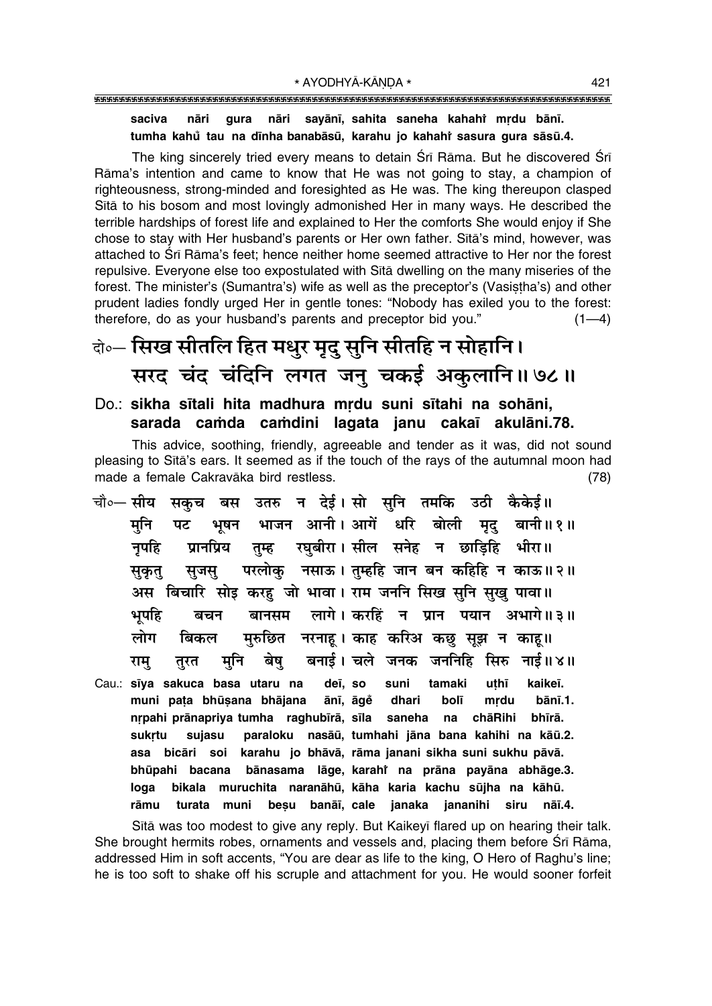### gura nāri sayānī, sahita saneha kahahi mrdu bānī. saciva nāri tumha kahů tau na dīnha banabāsū, karahu jo kahahť sasura gura sāsū.4.

The king sincerely tried every means to detain Srī Rāma. But he discovered Srī Rāma's intention and came to know that He was not going to stay, a champion of righteousness, strong-minded and foresighted as He was. The king thereupon clasped Sita to his bosom and most lovingly admonished Her in many ways. He described the terrible hardships of forest life and explained to Her the comforts She would enjoy if She chose to stay with Her husband's parents or Her own father. Sita's mind, however, was attached to Srī Rāma's feet; hence neither home seemed attractive to Her nor the forest repulsive. Everyone else too expostulated with Sita dwelling on the many miseries of the forest. The minister's (Sumantra's) wife as well as the preceptor's (Vasistha's) and other prudent ladies fondly urged Her in gentle tones: "Nobody has exiled you to the forest: therefore, do as your husband's parents and preceptor bid you."  $(1-4)$ 

# केन्टि सिख सीतलि हित मधुर मृदु सुनि सीतहि न सोहानि। सरद चंद चंदिनि लगत जनु चकई अकुलानि॥ ७८॥

### Do.: sikha sītali hita madhura mrdu suni sītahi na sohāni, sarada camda camdini lagata janu cakaī akulāni.78.

This advice, soothing, friendly, agreeable and tender as it was, did not sound pleasing to Sītā's ears. It seemed as if the touch of the rays of the autumnal moon had made a female Cakravāka bird restless.  $(78)$ 

- उतरु न देई।सो सुनि तमकि चौ०— सीय उठी कैकेई॥ सकच बस भाजन आनी।अागें धरि बोली मृद बानी ॥ १ ॥ मनि पट भषन ्<br>रघुबीरा। सील सनेह न छाड़िहि भीरा॥ नुपहि प्रानप्रिय तम्ह परलोकु नसाऊ। तुम्हहि जान बन कहिहि न काऊ॥२॥ सूजस् सुकुतु अस बिचारि सोड़ करह जो भावा। राम जननि सिख सनि सख पावा॥ बानसम लागे। करहिं न प्रान पयान अभागे॥३॥ भपहि बचन मुरुछित नरनाह। काह करिअ कछ सुझ न काह॥ लोग बिकल बनाई। चले जनक जननिहि सिरु नाई॥४॥ मुनि बेष् राम् तुरत
- Cau.: sīya sakuca basa utaru na uthī kaikeī. deī, so suni tamaki muni pata bhūṣana bhājana ānī, āgě dhari bolī mrdu bānī.1. nrpahi prānapriya tumha raghubīrā, sīla saneha na chāRihi bhīrā. sukrtu paraloku nasāū, tumhahi jāna bana kahihi na kāū.2. sujasu asa bicāri soi karahu jo bhāvā, rāma janani sikha suni sukhu pāvā. bānasama lāge, karahi na prāna payāna abhāge.3. bhūpahi bacana bikala muruchita naranāhū, kāha karia kachu sūjha na kāhū. loga rāmu turata muni besu banāī, cale janaka jananihi siru nāī.4.

Sītā was too modest to give any reply. But Kaikeyī flared up on hearing their talk. She brought hermits robes, ornaments and vessels and, placing them before Srī Rāma, addressed Him in soft accents, "You are dear as life to the king, O Hero of Raghu's line; he is too soft to shake off his scruple and attachment for you. He would sooner forfeit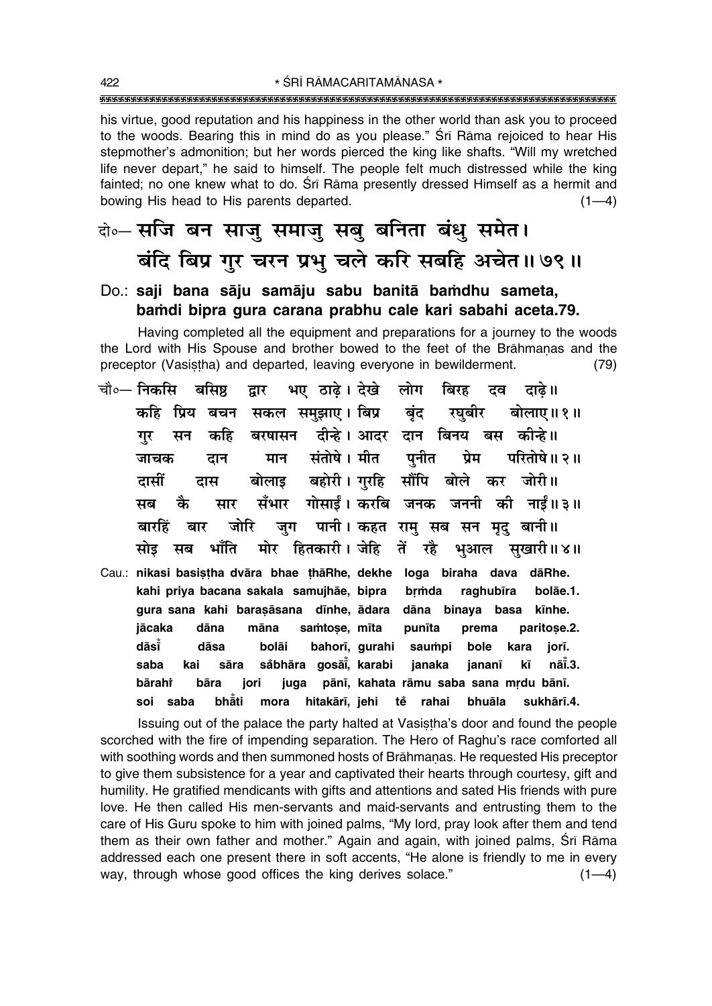his virtue, good reputation and his happiness in the other world than ask you to proceed to the woods. Bearing this in mind do as you please." Srī Rāma rejoiced to hear His stepmother's admonition; but her words pierced the king like shafts. "Will my wretched life never depart," he said to himself. The people felt much distressed while the king fainted; no one knew what to do. Srī Rāma presently dressed Himself as a hermit and bowing His head to His parents departed.  $(1-4)$ 

वे०-सजि बन साजु समाजु सबु बनिता बंधु समेत। बंदि बिप्र गुर चरन प्रभु चले करि सबहि अचेत ॥ ७९ ॥

### Do.: saji bana sāju samāju sabu banitā bamdhu sameta, bamdi bipra gura carana prabhu cale kari sabahi aceta.79.

Having completed all the equipment and preparations for a journey to the woods the Lord with His Spouse and brother bowed to the feet of the Brāhmanas and the preceptor (Vasistha) and departed, leaving everyone in bewilderment.  $(79)$ 

| चौ∘— निकसि  बसिष्ठ   द्वार   भए ठाढ़े। देखे   लोग   बिरह   दव   दाढ़े॥   |      |                    |  |                                                                |       |                                                      |
|--------------------------------------------------------------------------|------|--------------------|--|----------------------------------------------------------------|-------|------------------------------------------------------|
|                                                                          |      |                    |  |                                                                |       | कहि प्रिय बचन सकल समुझाए। बिप्र बृंद रघुबीर बोलाए॥१॥ |
|                                                                          |      |                    |  | गुर सन कहि बरषासन दीन्हे।अादर दान बिनय बस कीन्हे॥              |       |                                                      |
| जाचक                                                                     |      |                    |  |                                                                |       | दान मान संतोषे।मीत पुनीत प्रेम परितोषे॥२॥            |
|                                                                          |      |                    |  | दासीं दास बोलाइ बहोरी।गुरहि सौंपि बोले कर जोरी॥                |       |                                                      |
|                                                                          |      |                    |  |                                                                |       | सब कै सार सँभार गोसाईं। करबि जनक जननी की नाईं॥३॥     |
|                                                                          |      |                    |  | बारहिं बार जोरि जुग पानी।कहत रामु सब सन मृदु बानी॥             |       |                                                      |
|                                                                          |      |                    |  |                                                                |       | सोइ सब भाँति मोर हितकारी।जेहि तें रहै भुआल सुखारी॥४॥ |
| Cau.: nikasi basistha dvāra bhae thā Rhe, dekhe loga biraha dava dā Rhe. |      |                    |  |                                                                |       |                                                      |
|                                                                          |      |                    |  | kahi priya bacana sakala samujhāe, bipra brmda raghubīra       |       | bolāe.1.                                             |
|                                                                          |      |                    |  | gura sana kahi barasāsana dīnhe, ādara dāna binaya basa kīnhe. |       |                                                      |
| jācaka                                                                   | dāna | māna samtose, mīta |  | punīta                                                         | prema | paritose.2.                                          |
| dāsī                                                                     | dāsa |                    |  | bolāi bahorī, gurahi saumpi bole kara                          |       | jorī.                                                |
| saba                                                                     |      |                    |  | kai sāra såbhāra gosāi̇̃, karabi janaka jananī kī              |       | nāī.3.                                               |
| bārahi                                                                   |      |                    |  | bāra jori juga pānī, kahata rāmu saba sana mrdu bānī.          |       |                                                      |

bhăti mora hitakārī, jehi tě rahai soi saba bhuāla sukhārī 4.

Issuing out of the palace the party halted at Vasistha's door and found the people scorched with the fire of impending separation. The Hero of Raghu's race comforted all with soothing words and then summoned hosts of Brāhmanas. He requested His preceptor to give them subsistence for a year and captivated their hearts through courtesy, gift and humility. He gratified mendicants with gifts and attentions and sated His friends with pure love. He then called His men-servants and maid-servants and entrusting them to the care of His Guru spoke to him with joined palms, "My lord, pray look after them and tend them as their own father and mother." Again and again, with joined palms, Srī Rāma addressed each one present there in soft accents, "He alone is friendly to me in every way, through whose good offices the king derives solace."  $(1-4)$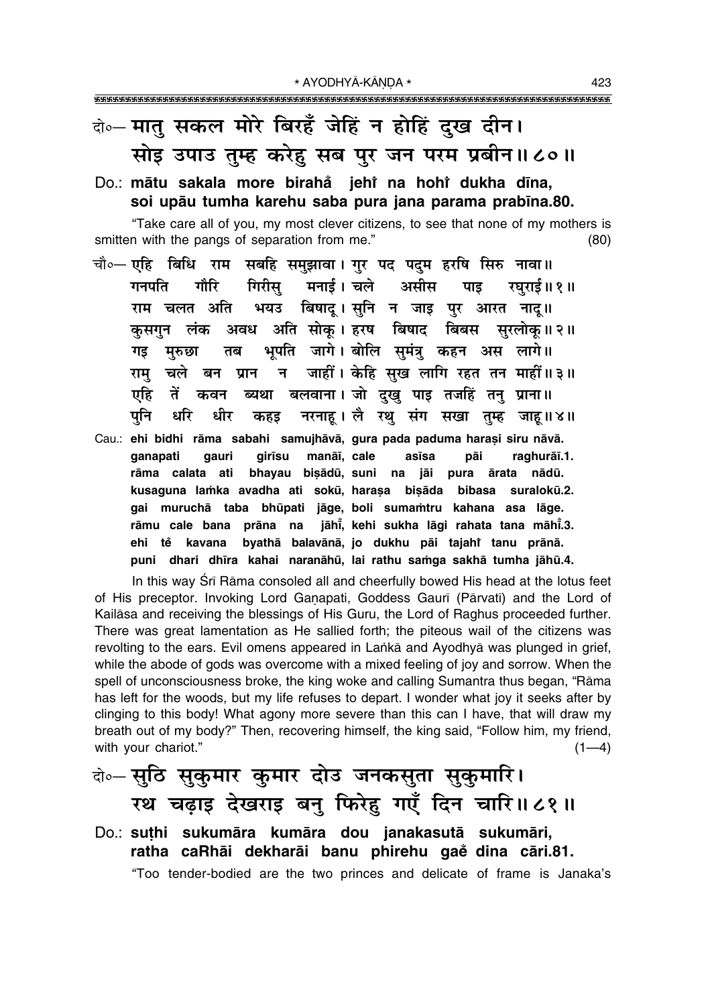# के-मात् सकल मोरे बिरहँ जेहिं न होहिं दुख दीन। सोड़ उपाउ तुम्ह करेह सब पुर जन परम प्रबीन॥८०॥

### Do.: mātu sakala more birahă jehî na hohî dukha dīna, soi upāu tumha karehu saba pura jana parama prabīna.80.

"Take care all of you, my most clever citizens, to see that none of my mothers is smitten with the pangs of separation from me."  $(80)$ 

- सबहि समुझावा। गुर पद पदुम हरषि सिरु नावा॥ चौ०— **एहि बिधि राम** गिरीस मनाई। चले असीस गनपति गौरि पाड रघराई॥ १॥ बिषादू। सुनि न जाइ पुर आरत नादू॥ राम चलत अति भयउ अवध अति सोकु। हरष बिषाद बिबस सुरलोकु॥२॥ कसगन लंक भूपति जागे। बोलि सुमंत्रु कहन अस लागे॥ गड मुरुछा तब न जाहीं। केहि सुख लागि रहत तन माहीं॥३॥ राम चले बन प्रान ब्यथा बलवाना। जो दुखु पाइ तजहिं तनु प्राना॥ एहि तें कवन नरनाह। लै रथु संग सखा तुम्ह जाह॥४॥ पनि धरि धीर कहड़
- Cau.: ehi bidhi rāma sabahi samujhāvā, gura pada paduma harași siru nāvā. ganapati manāī, cale qauri qirīsu asīsa pāi raghurāī.1. rāma calata ati bhayau bisādū, suni na jāi pura ārata nādū. kusaguna lamka avadha ati sokū, haraṣa biṣāda bibasa suralokū.2. gai muruchā taba bhūpati jāge, boli sumamtru kahana asa lāge. rāmu cale bana prāna na jāhi, kehi sukha lāgi rahata tana māhi.3. ehi tě kavana byathā balavānā, jo dukhu pāi tajahi tanu prānā. puni dhari dhīra kahai naranāhū, lai rathu samga sakhā tumha jāhū.4.

In this way Srī Rāma consoled all and cheerfully bowed His head at the lotus feet of His preceptor. Invoking Lord Ganapati, Goddess Gauri (Pārvatī) and the Lord of Kailasa and receiving the blessings of His Guru, the Lord of Raghus proceeded further. There was great lamentation as He sallied forth; the piteous wail of the citizens was revolting to the ears. Evil omens appeared in Lanka and Ayodhya was plunged in grief, while the abode of gods was overcome with a mixed feeling of joy and sorrow. When the spell of unconsciousness broke, the king woke and calling Sumantra thus began, "Rāma has left for the woods, but my life refuses to depart. I wonder what joy it seeks after by clinging to this body! What agony more severe than this can I have, that will draw my breath out of my body?" Then, recovering himself, the king said, "Follow him, my friend, with your chariot."  $(1-4)$ 

# बेञ्- सुठि सुकुमार कुमार दोउ जनकसुता सुकुमारि। रथ चढ़ाइ देखराइ बनु फिरेहु गएँ दिन चारि॥८१॥

Do.: suthi sukumāra kumāra dou janakasutā sukumāri, ratha caRhāi dekharāi banu phirehu gaĕ dina cāri.81. "Too tender-bodied are the two princes and delicate of frame is Janaka's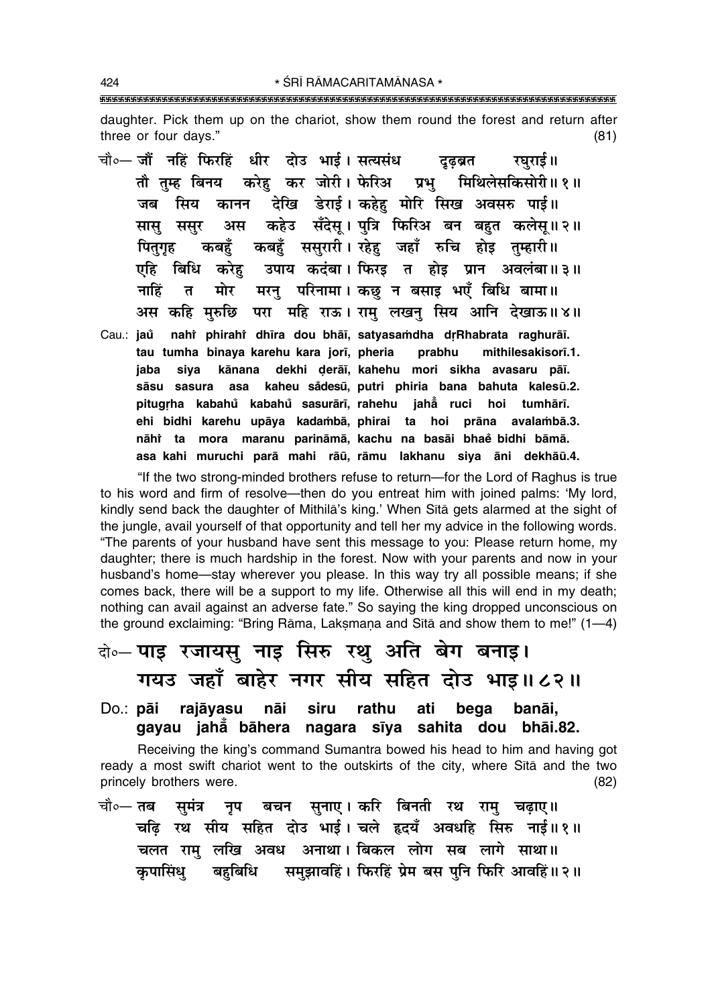daughter. Pick them up on the chariot, show them round the forest and return after three or four days."  $(81)$ 

चौ० - जौं नहिं फिरहिं धीर दोउ भाई। सत्यसंध दुढब्रत रघराई॥ तौ तम्ह बिनय करेह कर जोरी। फेरिअ प्रभ मिथिलेसकिसोरी॥१॥ कानन देखि डेराई। कहेहु मोरि सिख अवसरु पाई॥ जब सिय अस कहेउ सँदेस् । पत्रि फिरिअ बन बहुत कलेस् ॥२॥ सासु संसर कबहुँ कबहुँ ससुरारी। रहेहु जहाँ रुचि होइ तुम्हारी॥ पितगह एहि बिधि करेह उपाय कदंबा। फिरड त होड़ प्रान अवलंबा॥३॥ मरन परिनामा । कछ न बसाइ भएँ बिधि बामा ॥ नाहिं  $\overline{b}$ मोर अस कहि मुरुछि परा महि राऊ। रामु लखनु सिय आनि देखाऊ॥४॥ nahi phirahi dhīra dou bhāī, satyasamdha drRhabrata raghurāī. Cau.: jaů tau tumha binaya karehu kara jorī, pheria prabhu mithilesakisorī.1. kānana dekhi derāī, kahehu mori sikha avasaru pāī. iaba siva asa kaheu sådesū, putri phiria bana bahuta kalesū.2. sāsu sasura pitugrha kabahů kabahů sasurārī, rahehu jahå ruci hoi tumhārī. ehi bidhi karehu upāya kadambā, phirai ta hoi prāna avalambā.3. nāhi ta mora maranu parināmā, kachu na basāi bhaĕ bidhi bāmā.

"If the two strong-minded brothers refuse to return-for the Lord of Raghus is true to his word and firm of resolve—then do you entreat him with joined palms: 'My lord, kindly send back the daughter of Mithila's king.' When Sita gets alarmed at the sight of the jungle, avail yourself of that opportunity and tell her my advice in the following words. "The parents of your husband have sent this message to you: Please return home, my daughter; there is much hardship in the forest. Now with your parents and now in your husband's home—stay wherever you please. In this way try all possible means; if she comes back, there will be a support to my life. Otherwise all this will end in my death; nothing can avail against an adverse fate." So saying the king dropped unconscious on the ground exclaiming: "Bring Rāma, Lakṣmaṇa and Sītā and show them to me!" (1-4)

asa kahi muruchi parā mahi rāū, rāmu lakhanu siya āni dekhāū.4.

# वे॰- पाइ रजायसु नाइ सिरु रथु अति बेग बनाइ।

गयउ जहाँ बाहेर नगर सीय सहित दोउ भाइ॥८२॥

Do.: pāi rajāyasu nāi siru rathu ati bega banāi, gayau jahā bāhera nagara sīya sahita dou bhāi.82.

Receiving the king's command Sumantra bowed his head to him and having got ready a most swift chariot went to the outskirts of the city, where Sītā and the two princely brothers were.  $(82)$ 

चौ∘— तब समंत्र नप बचन सनाए।करि बिनती रथ राम चढाए॥ चढ़ि रथ सीय सहित दोउ भाई। चले हृदयँ अवधहि सिरु नाई॥१॥ चलत रामु लखि अवध अनाथा। बिकल लोग सब लागे साथा॥ कपासिंध बहुबिधि समझावहिं। फिरहिं प्रेम बस पुनि फिरि आवहिं॥२॥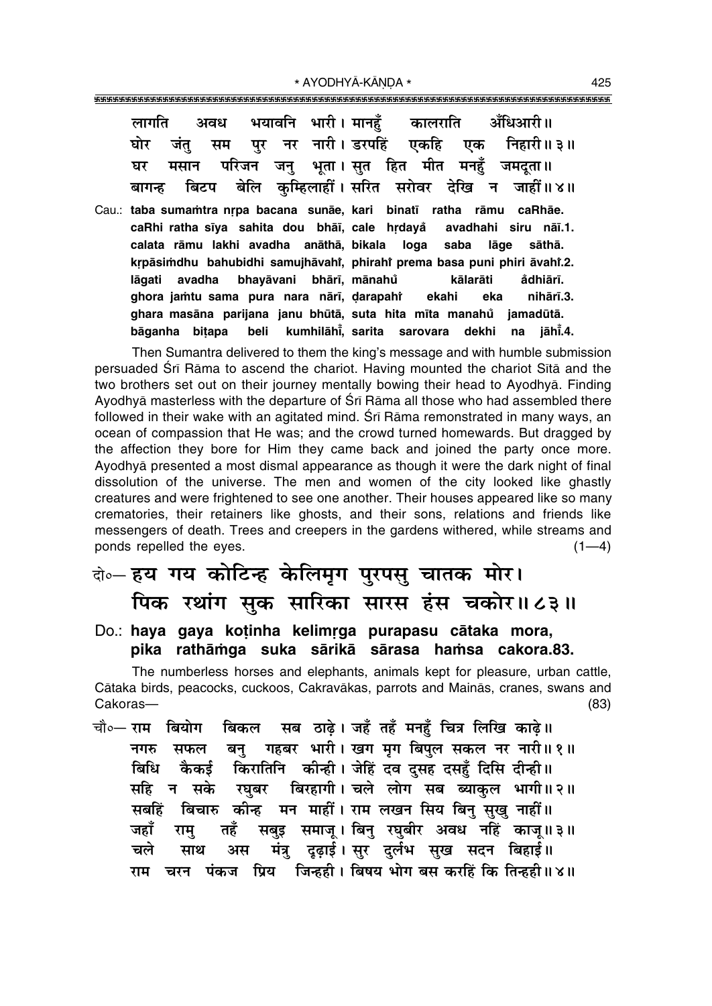|                                                                       |  | लागति अवध भयावनि भारी। मानहँ कालराति आँधिआरी॥           |  |
|-----------------------------------------------------------------------|--|---------------------------------------------------------|--|
|                                                                       |  | घोर जंतु सम पुर नर नारी। डरपहिं एकहि एक निहारी॥३॥       |  |
|                                                                       |  | घर मसान परिजन जनु भूता।सुत हित मीत मनहुँ जमदता॥         |  |
|                                                                       |  | बागन्ह बिटप बेलि कुम्हिलाहीं।सरित सरोवर देखि न जाहीं॥४॥ |  |
| Cau.: taba sumamtra nrpa bacana sunāe, kari binatī ratha rāmu caRhāe. |  |                                                         |  |

**caRhi ratha s∂ya sahita dou bhå∂, cale hædaya° avadhahi siru nå∂.1. calata råmu lakhi avadha anåthå, bikala loga saba låge såthå. kæpåsi≈dhu bahubidhi samujhåvahiÚ , phirahiÚ prema basa puni phiri åvahiÚ .2. lågati avadha bhayåvani bhår∂, månahu kålaråti a ° °dhiår∂.** ghora jamtu sama pura nara nārī, darapahî  **ekahi eka nihår∂.3. ghara masåna parijana janu bhµutå, suta hita m∂ta manahu jamadµutå. ° båganha bi¢apa beli kumhilåh∂°** kumhilāhi̇̃, sarita sarovara dekhi **.4.**

Then Sumantra delivered to them the kingís message and with humble submission persuaded Srī Rāma to ascend the chariot. Having mounted the chariot Sītā and the two brothers set out on their journey mentally bowing their head to Ayodhyå. Finding Ayodhyā masterless with the departure of Śrī Rāma all those who had assembled there followed in their wake with an agitated mind. Śrī Rāma remonstrated in many ways, an ocean of compassion that He was; and the crowd turned homewards. But dragged by the affection they bore for Him they came back and joined the party once more. Ayodhyå presented a most dismal appearance as though it were the dark night of final dissolution of the universe. The men and women of the city looked like ghastly creatures and were frightened to see one another. Their houses appeared like so many crematories, their retainers like ghosts, and their sons, relations and friends like messengers of death. Trees and creepers in the gardens withered, while streams and ponds repelled the eyes.  $(1-4)$ 

# दो∘— **हय गय कोटिन्ह केलिमृग पुरपसु चातक मोर।** <u>पिक रथांग सक सारिका सारस हंस चकोर॥८३॥</u>

### Do.: haya gaya kotinha kelimrga purapasu cātaka mora, pika rathāmga suka sārikā sārasa hamsa cakora.83.

The numberless horses and elephants, animals kept for pleasure, urban cattle, Cåtaka birds, peacocks, cuckoos, Cakravåkas, parrots and Mainås, cranes, swans and Cakoras— (83)

चौ०— **राम बियोग बिकल सब ठाढे । जहँ** तहँ मनहँ चित्र लिखि काढे ॥ नगरु सफल बन् गहबर भारी। खग**मग बिपल सकल नर नारी॥१॥ बिधि कैकई किरातिनि कीन्ही। जेहिं दव दसह दसहँ दिसि दीन्ही ।।** सहि न सके रघबर बिरहागी।**चले लोग सब ब्याकल भागी॥२॥** सबहिं बिचारु कीन्ह मन माहीं। राम लखन सिय बिन् सुखु नाहीं ।। जहाँ रामु तहँ सबुइ समाजू।।बिनु रघुबीर अवध नहिं काजू॥३॥ <u>चले साथ अस मंत्रु दृढ़ाई।सुर दुर्लभ सुख सदन बिहाई।।</u> **राम चरन पंकज प्रिय जिन्हही। बिषय भोग** बस करहिं कि तिन्हही॥४॥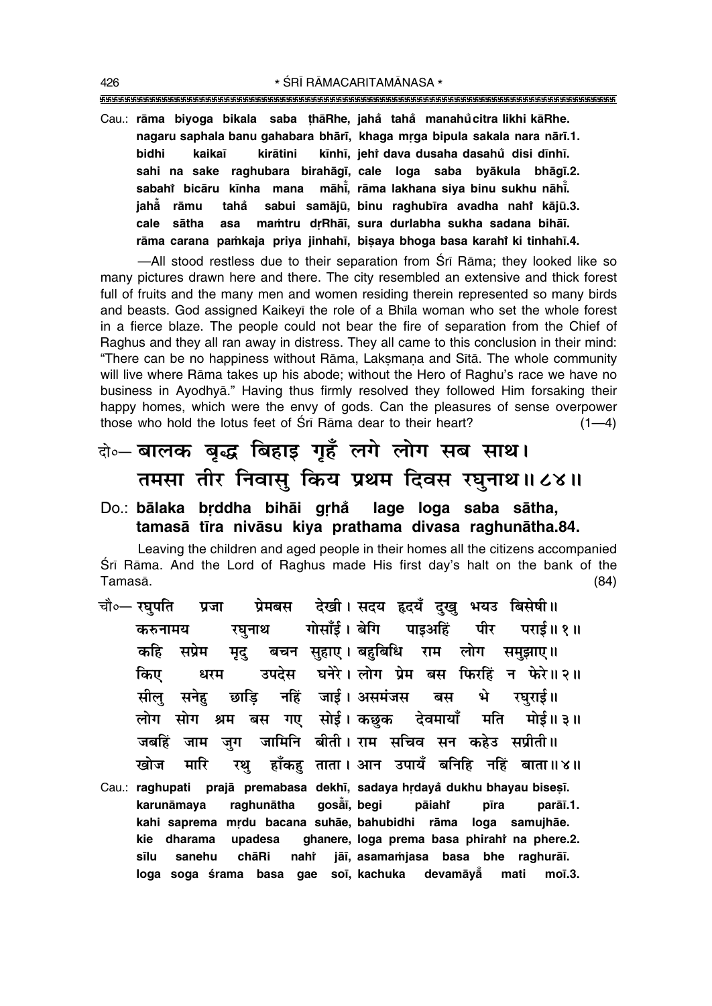""""""""""""""""""""""""""""""""""""""""""""""""""""""""""""""""""""""""""""""""""" 426 \* SRĪ RĀMACARITAMĀNASA \*

Cau.: **råma biyoga bikala saba ¢håRhe, jaha° taha° manahu citra likhi kåRhe. °** nagaru saphala banu gahabara bhārī, khaga mrga bipula sakala nara nārī.1. **bidhi kaika∂ kiråtini k∂nh∂, jehiÚ dava dusaha dasahu disi d∂nh∂. ° sahi na sake raghubara birahåg∂, cale loga saba byåkula bhåg∂.2. sabahî bicāru kīnha mana māhi̇̃, rāma lakhana siya binu sukhu nāhi̇̃. jahå°**  $\tilde{a}$  rāmu tahå sabui samājū, binu raghubīra avadha nah† kājū.3. **cale såtha asa ma≈tru dæRhå∂, sura durlabha sukha sadana bihå∂.** rāma carana paṁkaja priya jinhahī, biṣaya bhoga basa karah<mark>î ki tinhahī.4.</mark>

—All stood restless due to their separation from Śrī Rāma; they looked like so many pictures drawn here and there. The city resembled an extensive and thick forest full of fruits and the many men and women residing therein represented so many birds and beasts. God assigned Kaikeyī the role of a Bhīla woman who set the whole forest in a fierce blaze. The people could not bear the fire of separation from the Chief of Raghus and they all ran away in distress. They all came to this conclusion in their mind: ìThere can be no happiness without Råma, Lak¶maƒa and S∂tå. The whole community will live where Rāma takes up his abode; without the Hero of Raghu's race we have no business in Ayodhyā." Having thus firmly resolved they followed Him forsaking their happy homes, which were the envy of gods. Can the pleasures of sense overpower those who hold the lotus feet of Śrī Rāma dear to their heart? (1—4)

# दो**०– बालक बृद्ध बिहाइ गृहँ लगे लोग सब साथ।** तमसा तीर निवासु किय प्रथम दिवस रघुनाथ॥८४॥

### Do.: **bālaka brddha bihāi grhå lage loga saba sātha, tamaså t∂ra nivåsu kiya prathama divasa raghunåtha.84.**

Leaving the children and aged people in their homes all the citizens accompanied Srī Rāma. And the Lord of Raghus made His first day's halt on the bank of the Tamaså. (84)

- **चौ०– रघपति प्रजा प्रेमबस देखी। सदय हृदयँ दख भयउ बिसेषी॥ करुनामय रघुनाथ गोसाँई।**बेगि पाइअहिं पीर पराई॥१॥ **ऋहि सप्रेम मृद बचन सुहाए।** बहुबिधि राम लोग समुझाए॥ **किए धरम उपदेस घनेरे। लोग प्रेम बस फिरहिं न फेरे॥२॥** सील सनेह छाडि नहिं जाई। असमंजस बस **भे रघराई**॥ लोग सोग श्रम बस गए सोई।**कछक देवमायाँ मति मोई॥३॥** जबहिं जाम जुग जामिनि बीती।**राम सचिव सन कहेउ सप्रीती**॥ <u>खोज मारि रथ</u> हाँकह ताता ।आन उपायँ बनिहि नहिं बाता॥४॥
- Cau.: raghupati prajā premabasa dekhī, sadaya hrdaya<sup>°</sup> dukhu bhayau bisesī. **karunåmaya raghunåtha goså°** gosāī, begi pāiah**ř** pīra parāī.1. **kahi saprema mædu bacana suhåe, bahubidhi råma loga samujhåe.** kie dharama upadesa ghanere, loga prema basa phirahi na phere.2. **s∂lu sanehu chåRi nahiÚ jå∂, asama≈jasa basa bhe raghurå∂. loga soga ‹rama basa gae so∂, kachuka devamåyå° mati mo∂.3.**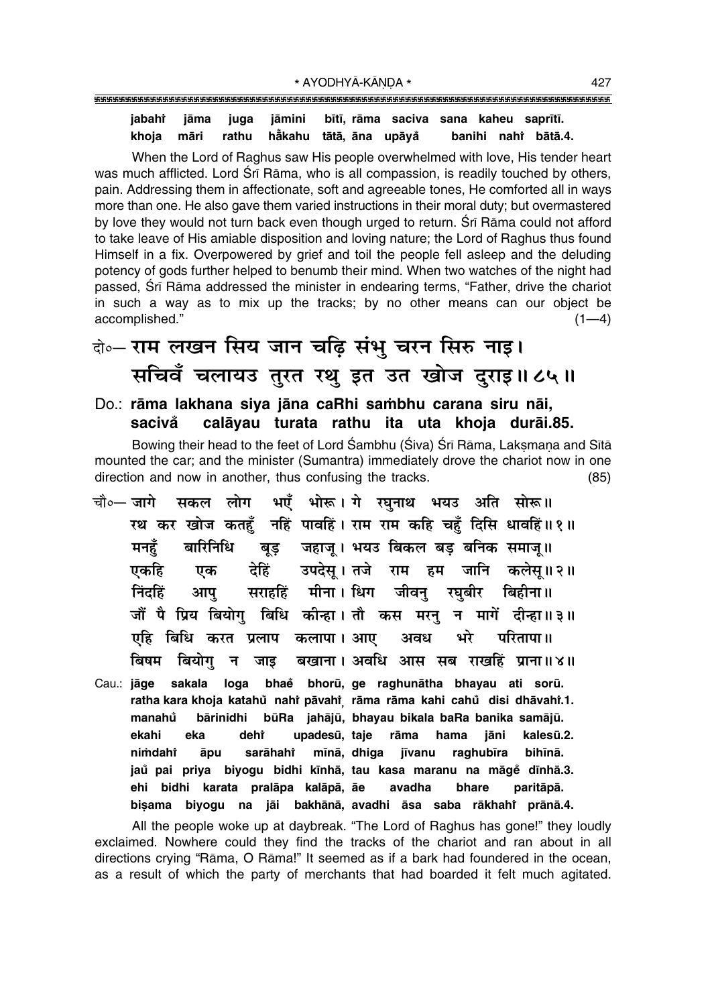#### jabahi jāma juga jāmini bītī, rāma saciva sana kaheu saprītī. rathu hẳkahu tātā, āna upāyå khoja māri banihi nahi bātā.4.

When the Lord of Raghus saw His people overwhelmed with love, His tender heart was much afflicted. Lord Śrī Rāma, who is all compassion, is readily touched by others, pain. Addressing them in affectionate, soft and agreeable tones, He comforted all in ways more than one. He also gave them varied instructions in their moral duty; but overmastered by love they would not turn back even though urged to return. Sri Rama could not afford to take leave of His amiable disposition and loving nature; the Lord of Raghus thus found Himself in a fix. Overpowered by grief and toil the people fell asleep and the deluding potency of gods further helped to benumb their mind. When two watches of the night had passed, Srī Rāma addressed the minister in endearing terms, "Father, drive the chariot in such a way as to mix up the tracks; by no other means can our object be accomplished."  $(1-4)$ 

# वे०- राम लखन सिय जान चढ़ि संभु चरन सिरु नाइ। सचिवँ चलायउ तुरत रथु इत उत खोज दुराइ॥८५॥

### Do.: rāma lakhana siya jāna caRhi sambhu carana siru nāi, sacivă calāvau turata rathu ita uta khoja durāi.85.

Bowing their head to the feet of Lord Śambhu (Śiva) Śrī Rāma, Laksmana and Sītā mounted the car; and the minister (Sumantra) immediately drove the chariot now in one direction and now in another, thus confusing the tracks.  $(85)$ 

- भएँ भोरू। गे रघनाथ भयउ अति सोरू॥ चौ०— जागे सकल लोग रथ कर खोज कतहँ नहिं पावहिं। राम राम कहि चहँ दिसि धावहिं॥१॥ बुड जहाजु । भयउ बिकल बड बनिक समाजु ॥ मनहँ बारिनिधि देहिं उपदेस् । तजे राम हम जानि कलेस् ॥२॥ एकहि एक सराहहिं मीना। धिग जीवन ਜਿੰਟਫ਼ਿੱ आप रघबीर बिहीना ॥ जौं पै प्रिय बियोग बिधि कीन्हा।तौ कस मरन् न मागें दीन्हा॥३॥ एहि बिधि करत प्रलाप कलापा । आए अवध भरे परितापा ॥ बिषम बियोग बखाना। अवधि आस सब राखहिं प्राना॥४॥ न जाड
- sakala loga bhae bhorū, ge raghunātha bhayau ati sorū. Cau.: jāge ratha kara khoja katahů nahř pāvahř rāma rāma kahi cahů disi dhāvahř.1. **bārinidhi** būRa jahājū, bhayau bikala baRa banika samājū. manahů ekahi eka dehr upadesū, taje rāma hama jāni kalesū.2. nimdaht āpu sarāhaht mīnā, dhiga jīvanu raghubīra bihīnā. jaů pai priva biyogu bidhi kīnhā, tau kasa maranu na māgě dīnhā.3. ehi bidhi karata pralāpa kalāpā, āe paritāpā. avadha bhare bisama biyogu na jāi bakhānā, avadhi āsa saba rākhahi prānā.4.

All the people woke up at daybreak. "The Lord of Raghus has gone!" they loudly exclaimed. Nowhere could they find the tracks of the chariot and ran about in all directions crying "Rāma, O Rāma!" It seemed as if a bark had foundered in the ocean, as a result of which the party of merchants that had boarded it felt much agitated.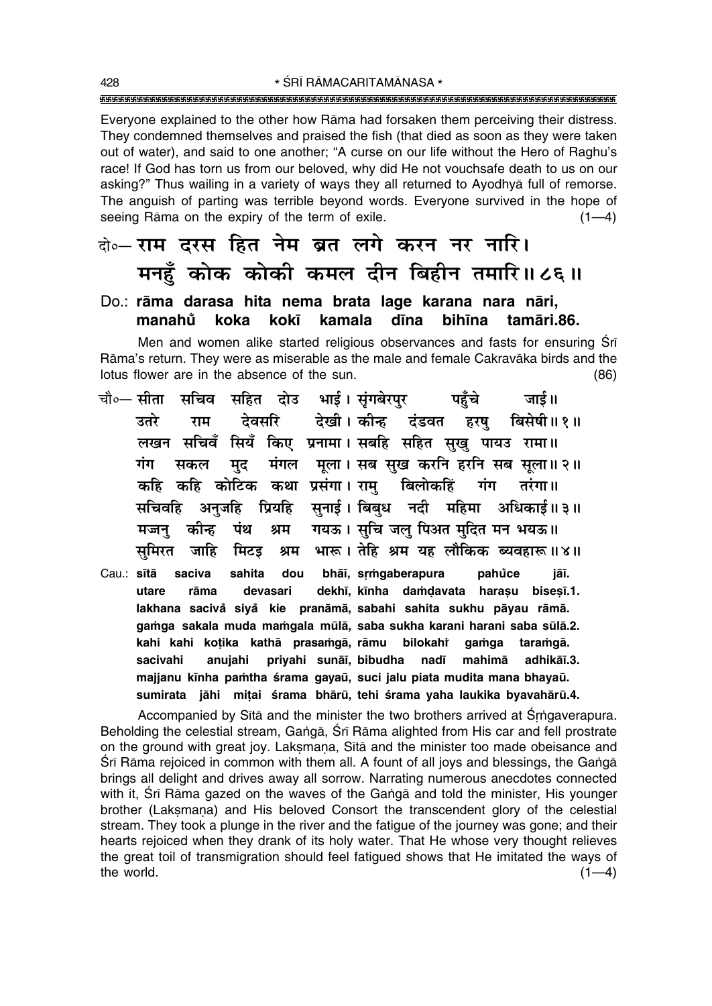\* ŚRĪ RĀMACARITAMĀNASA \* 

Everyone explained to the other how Rāma had forsaken them perceiving their distress. They condemned themselves and praised the fish (that died as soon as they were taken out of water), and said to one another; "A curse on our life without the Hero of Raghu's race! If God has torn us from our beloved, why did He not vouchsafe death to us on our asking?" Thus wailing in a variety of ways they all returned to Ayodhya full of remorse. The anguish of parting was terrible beyond words. Everyone survived in the hope of seeing Rāma on the expiry of the term of exile.  $(1-4)$ 

# के-राम दरस हित नेम ब्रत लगे करन नर नारि। मनहुँ कोक कोकी कमल दीन बिहीन तमारि॥८६॥

#### Do.: rāma darasa hita nema brata lage karana nara nāri, manahů koka kokī kamala dīna bihīna tamāri 86.

Men and women alike started religious observances and fasts for ensuring Sri Rāma's return. They were as miserable as the male and female Cakravāka birds and the lotus flower are in the absence of the sun.  $(86)$ 

- चौ०— सीता सचिव सहित दोउ भाई। सुंगबेरपुर पहुँचे जार्ड ॥ देवसरि देखी। कीन्ह दंडवत हरषु बिसेषी॥१॥ उतरे राम लखन सचिवँ सियँ किए प्रनामा। सबहि सहित सुखु पायउ रामा॥ मंगल मला। सब सख करनि हरनि सब सला॥२॥ गंग सकल मद कहि कहि कोटिक कथा प्रसंगा। राम बिलोकहिं गंग तरंगा ॥ प्रियहि सुनाई। बिबुध नदी महिमा अधिकाई॥३॥ सचिवहि अनजहि गयऊ। सचि जल पिअत मुदित मन भयऊ॥ कोन्ह पंथ श्रम मजन श्रम भारू। तेहि श्रम यह लौकिक ब्यवहारू॥४॥ समिरत जाहि मिटड
- bhāī, srmgaberapura Cau.: sītā saciva sahita dou pahůce jāī. dekhī, kīnha damdavata harasu bisesī.1. utare rāma devasari lakhana sacivă siyă kie pranāmā, sabahi sahita sukhu pāyau rāmā. gamga sakala muda mamgala mūlā, saba sukha karani harani saba sūlā.2. kahi kahi kotika kathā prasamgā, rāmu bilokahi gamga taramgā. mahimā sacivahi anujahi priyahi sunāī, bibudha nadī adhikāī.3. majjanu kīnha pamtha śrama gayaū, suci jalu piata mudita mana bhayaū. sumirata jāhi mițai śrama bhārū, tehi śrama yaha laukika byavahārū.4.

Accompanied by Sita and the minister the two brothers arrived at Srngaverapura. Beholding the celestial stream, Ganga, Sri Rama alighted from His car and fell prostrate on the ground with great joy. Laksmana, Sita and the minister too made obeisance and Srī Rāma rejoiced in common with them all. A fount of all joys and blessings, the Gangā brings all delight and drives away all sorrow. Narrating numerous anecdotes connected with it, Srī Rāma gazed on the waves of the Ganga and told the minister, His younger brother (Laksmana) and His beloved Consort the transcendent glory of the celestial stream. They took a plunge in the river and the fatigue of the journey was gone; and their hearts rejoiced when they drank of its holy water. That He whose very thought relieves the great toil of transmigration should feel fatigued shows that He imitated the ways of the world.  $(1-4)$ 

428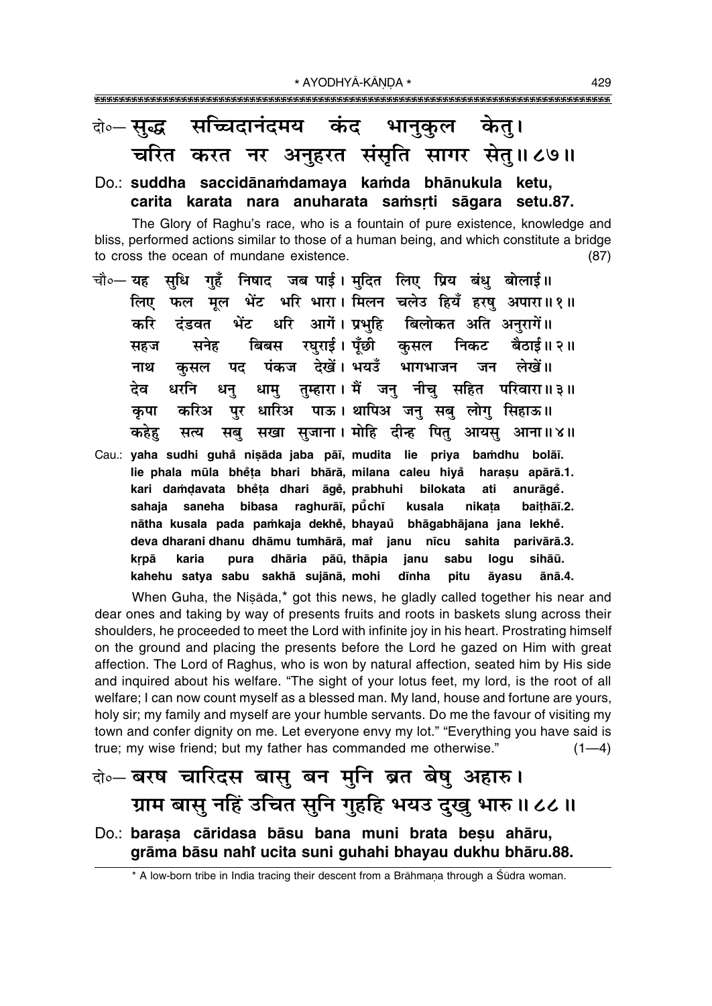### सच्चिदानंदमय कंद भानुकूल दो०-सब्द्ध केत्। चरित करत नर अनुहरत संसृति सागर सेतु॥८७॥

## Do.: suddha saccidānamdamaya kamda bhānukula ketu, carita karata nara anuharata samsrti sāgara setu.87.

The Glory of Raghu's race, who is a fountain of pure existence, knowledge and bliss, performed actions similar to those of a human being, and which constitute a bridge to cross the ocean of mundane existence.  $(87)$ 

- चौ०— यह सुधि गुहँ निषाद जब पाई। मुदित लिए प्रिय बंधु बोलाई॥ लिए फल मूल भेंट भरि भारा। मिलन चलेउ हियँ हरषु अपारा॥१॥ भेंट धरि आगें। प्रभहि बिलोकत अति अनुरागें॥ करि ढंडवत बिबस रघुराई। पूँछी कुसल निकट बैठाई॥ २॥ सनेह सहज पंकज देखें। भयउँ भागभाजन जन लेखें।। पद नाथ कसल धामु तुम्हारा। मैं जनु नीचु सहित परिवारा॥३॥ धरनि देव धनु पर धारिअ पाऊ। थापिअ जन सब लोग सिहाऊ॥ करिअ कपा कहेह सब सखा सजाना। मोहि दीन्ह पित आयस आना॥४॥ सत्य
- Cau.: yaha sudhi guhå nişāda jaba pāī, mudita lie priya bamdhu bolāī. lie phala mūla bhėta bhari bhārā, milana caleu hiya harasu apārā.1. kari damdavata bhěta dhari āgě, prabhuhi bilokata anurāge. ati sahaja saneha bibasa raghurāī, pūchī kusala nikata baithāī.2. nātha kusala pada pamkaja dekhė, bhayaŭ bhāgabhājana jana lekhė. deva dharani dhanu dhāmu tumhārā, mai janu nīcu sahita parivārā.3. sihāū. pura dhāria pāū, thāpia janu krpā karia sabu logu kahehu satya sabu sakhā sujānā, mohi dīnha pitu āvasu ānā.4.

When Guha, the Niṣāda,\* got this news, he gladly called together his near and dear ones and taking by way of presents fruits and roots in baskets slung across their shoulders, he proceeded to meet the Lord with infinite joy in his heart. Prostrating himself on the ground and placing the presents before the Lord he gazed on Him with great affection. The Lord of Raghus, who is won by natural affection, seated him by His side and inquired about his welfare. "The sight of your lotus feet, my lord, is the root of all welfare; I can now count myself as a blessed man. My land, house and fortune are yours, holy sir; my family and myself are your humble servants. Do me the favour of visiting my town and confer dignity on me. Let everyone envy my lot." "Everything you have said is true; my wise friend; but my father has commanded me otherwise."  $(1-4)$ 

# बे-बरष चारिदस बासु बन मुनि ब्रत बेषु अहारु। ग्राम बासु नहिं उचित सुनि गुहहि भयउ दुखु भारु॥८८॥

### Do.: barasa cāridasa bāsu bana muni brata besu ahāru, grāma bāsu nahi ucita suni guhahi bhayau dukhu bhāru.88.

\* A low-born tribe in India tracing their descent from a Brāhmana through a Śūdra woman.

429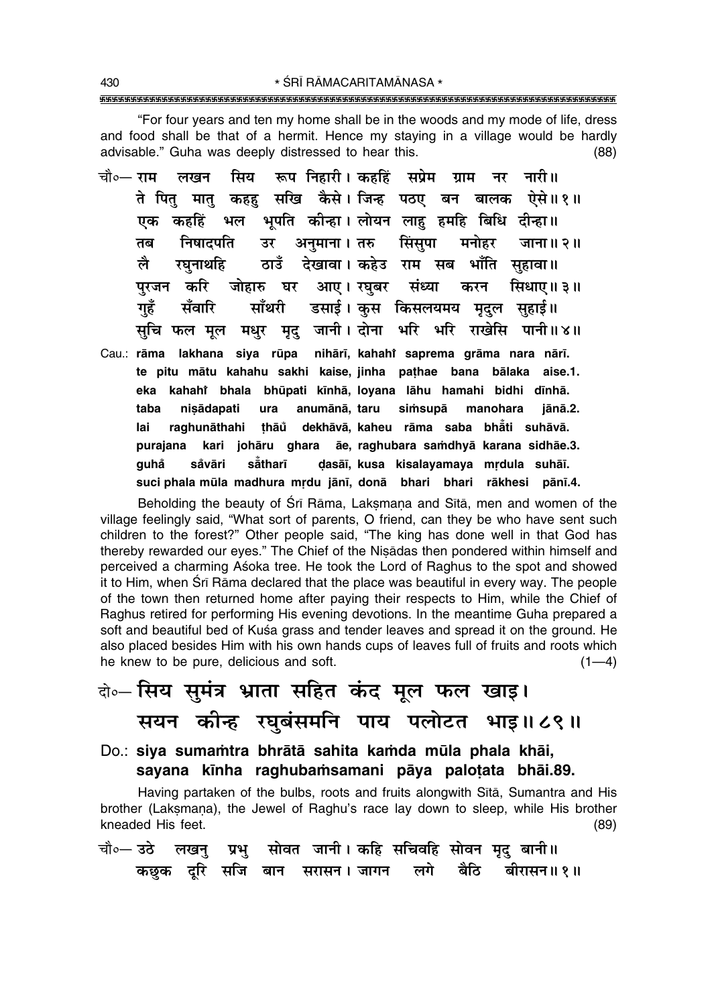"For four years and ten my home shall be in the woods and my mode of life, dress and food shall be that of a hermit. Hence my staying in a village would be hardly advisable." Guha was deeply distressed to hear this.  $(88)$ 

- रूप निहारी। कहहिं चौ०— राम सिय सप्रेम ग्राम नारी॥ लखन नर ते पित मात कहह सखि कैसे।जिन्ह पठए बन बालक ऐसे॥१॥ भल भूपति कीन्हा। लोयन लाह हमहि बिधि दीन्हा॥ कहहिं एक उर अनुमाना। तरु सिंसुपा तब निषादपति मनोहर जाना॥२॥ ठाउँ देखावा। कहेउ राम सब भाँति सहावा॥ लै रघनाथहि आए। रघुबर संध्या पुरजन करि जोहारु घर करन सिधाए॥ ३॥ डसाई। कस किसलयमय मदल सहाई॥ गहँ सँवारि माँथरी मधर मद जानी। दोना भरि भरि राखेसि पानी॥४॥ सचि फल मल
- Cau.: rāma lakhana siya rūpa nihārī, kahahi saprema grāma nara nārī. te pitu mātu kahahu sakhi kaise, jinha pathae bana bālaka aise.1. eka kahahi bhala bhūpati kīnhā, loyana lāhu hamahi bidhi dīnhā. anumānā, taru taba nisādapati ura simsupā manohara iānā.2. raghunāthahi thāů dekhāvā, kaheu rāma saba bhāti suhāvā. lai āe, raghubara samdhyā karana sidhāe.3. kari johāru ghara purajana såvāri såtharī dasāi, kusa kisalayamaya mrdula suhāi. quhả suci phala mūla madhura mrdu jānī, donā bhari bhari rākhesi pānī.4.

Beholding the beauty of Srī Rāma, Laksmana and Sītā, men and women of the village feelingly said, "What sort of parents, O friend, can they be who have sent such children to the forest?" Other people said, "The king has done well in that God has thereby rewarded our eyes." The Chief of the Nisadas then pondered within himself and perceived a charming Asoka tree. He took the Lord of Raghus to the spot and showed it to Him, when Srī Rāma declared that the place was beautiful in every way. The people of the town then returned home after paying their respects to Him, while the Chief of Raghus retired for performing His evening devotions. In the meantime Guha prepared a soft and beautiful bed of Kuśa grass and tender leaves and spread it on the ground. He also placed besides Him with his own hands cups of leaves full of fruits and roots which he knew to be pure, delicious and soft.  $(1-4)$ 

# वे० सिय सुमंत्र भ्राता सहित कंद मूल फल खाइ। सयन कीन्ह रघुबंसमनि पाय पलोटत भाइ॥८९॥

Do.: siya sumamtra bhrātā sahita kamda mūla phala khāi, sayana kinha raghubamsamani pāya palotata bhāi.89.

Having partaken of the bulbs, roots and fruits alongwith Sītā, Sumantra and His brother (Laksmana), the Jewel of Raghu's race lay down to sleep, while His brother kneaded His feet.  $(89)$ 

सोवत जानी। कहि सचिवहि सोवन मृद् बानी॥ चौ०— उठे लखन् प्रभु कछक दरि सजि बान सरासन।जागन लगे बैठि बीरासन॥ १॥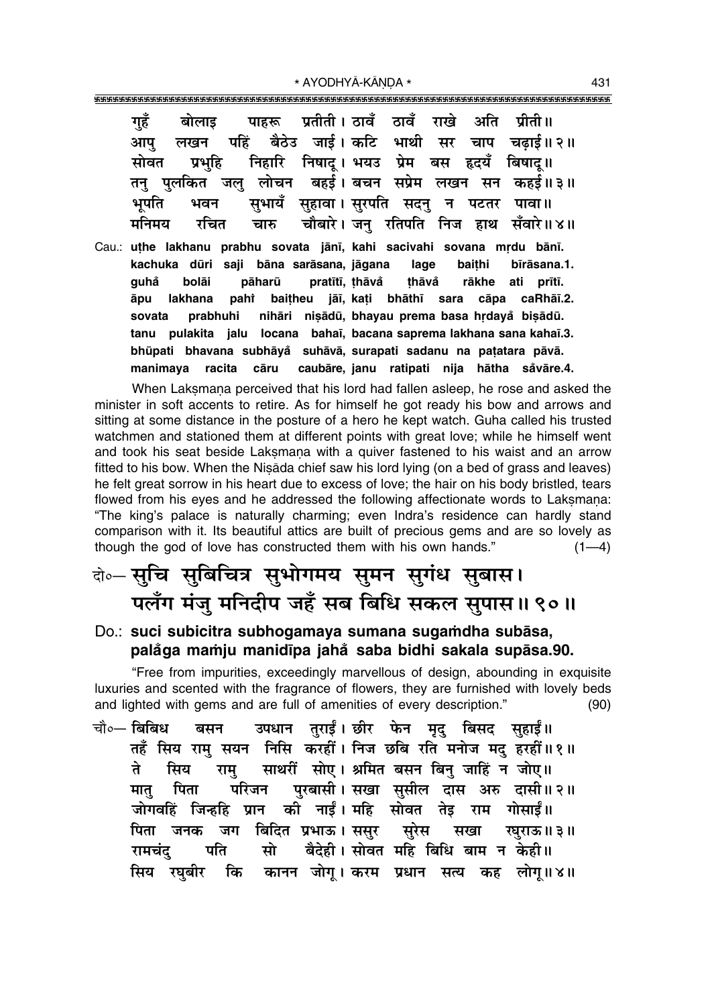\* AYODHYĀ-KĀNDA \*

गहँ बोलाइ पाहरू प्रतीती। ठावँ ठावँ राखे अति पीती ॥ बैठेउ जाई। कटि भाथी सर चाप चढाई॥२॥ पहिं लखन आप् निहारि निषाद। भयउ प्रेम बस हृदयँ बिषाद॥ सोवत प्रभहि जल लोचन बहर्ड।बचन सप्रेम लखन सन कहर्ड॥३॥ तन पलकित सभायँ सुहावा। सुरपति सदनु भपति भवन पटतर न पावा ॥ मनिमय रचित चौबारे। जन रतिपति निज हाथ सँवारे॥४॥ चारु Cau.: uthe lakhanu prabhu sovata jānī, kahi sacivahi sovana mrdu bānī. kachuka dūri saji bāna sarāsana, jāgana lage baithi bīrāsana.1. quhẳ bolāi pāharū pratītī, thāvå thāvå rākhe ati prītī. baitheu jāī, kati bhāthī sara cāpa caRhāī.2. āpu lakhana pahi nihāri nisādū, bhayau prema basa hrdayå bisādū. sovata prabhuhi tanu pulakita jalu locana bahai, bacana saprema lakhana sana kahai.3. bhūpati bhavana subhāyå suhāvā, surapati sadanu na patatara pāvā. manimaya racita cāru caubāre, janu ratipati nija hātha såvāre.4.

When Laksmana perceived that his lord had fallen asleep, he rose and asked the minister in soft accents to retire. As for himself he got ready his bow and arrows and sitting at some distance in the posture of a hero he kept watch. Guha called his trusted watchmen and stationed them at different points with great love; while he himself went and took his seat beside Laksmana with a quiver fastened to his waist and an arrow fitted to his bow. When the Nisāda chief saw his lord lying (on a bed of grass and leaves) he felt great sorrow in his heart due to excess of love; the hair on his body bristled, tears flowed from his eyes and he addressed the following affectionate words to Laksmana: "The king's palace is naturally charming; even Indra's residence can hardly stand comparison with it. Its beautiful attics are built of precious gems and are so lovely as though the god of love has constructed them with his own hands."  $(1-4)$ 

# बेञ्-सुचि सुबिचित्र सुभोगमय सुमन सुगंध सुबास। पलँग मंजु मनिदीप जहँ सब बिधि सकल सुपास॥ ९०॥

### Do.: suci subicitra subhogamaya sumana sugamdha subāsa, palåga mamju manidīpa jahå saba bidhi sakala supāsa.90.

"Free from impurities, exceedingly marvellous of design, abounding in exquisite luxuries and scented with the fragrance of flowers, they are furnished with lovely beds and lighted with gems and are full of amenities of every description."  $(90)$ 

उपधान तुराईं। छीर फेन मृदु बिसद सुहाईं॥ चौ∘— बिबिध बसन तहँ सिय राम सयन निसि करहीं। निज छबि रति मनोज मद हरहीं॥१॥ सिय साथरीं सोए। श्रमित बसन बिन् जाहिं न जोए॥ ते राम पुरबासी। सखा सुसील दास अरु दासी॥२॥ मात पिता परिजन जोगवहिं जिन्हहि प्रान की नाईं। महि सोवत तेड़ राम गोसाईं॥ पिता जनक जग बिदित प्रभाऊ। ससुर सूरेस सखा रघुराऊ॥३॥ बैदेही। सोवत महि बिधि बाम न केही॥ रामचंद पति सो सिय रघबीर कि कानन जोग्। करम प्रधान सत्य कह लोग्॥४॥

431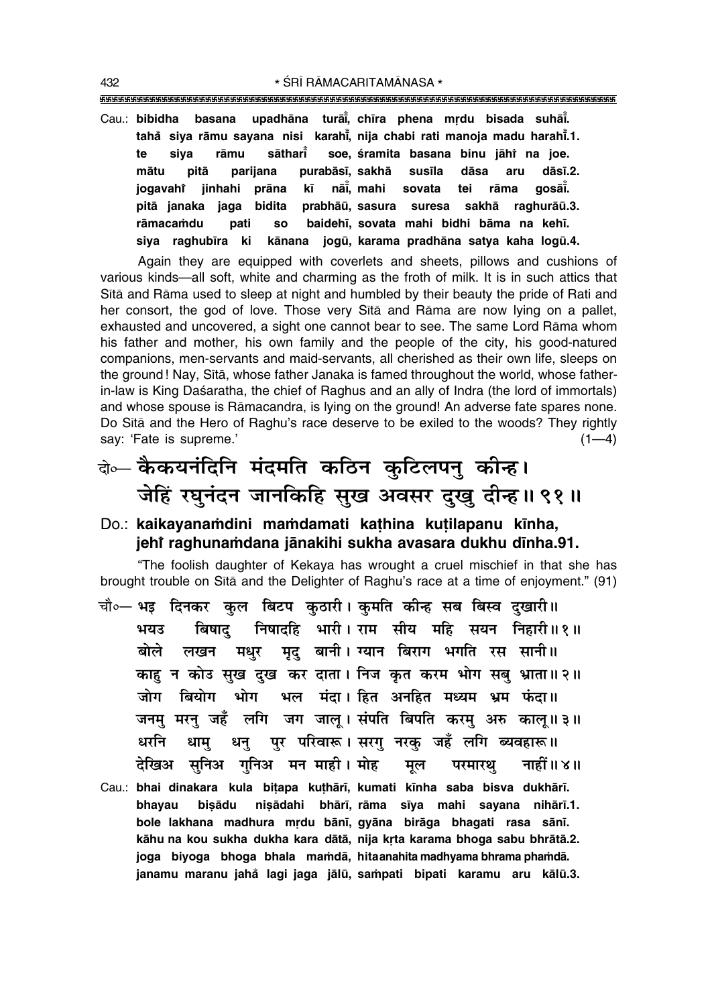""""""""""""""""""""""""""""""""""""""""""""""""""""""""""""""""""""""""""""""""""" 432 **\*** SRĪ RĀMACARITAMĀNASA \*

Cau.: **bibidha basana upadhāna turāi̇̃, chīra phena mṛdu bisada suhāi̇̃. taha° siya råmu sayana nisi karah∂° , nija chabi rati manoja madu harah∂° .1. te siya råmu såthar∂° soe, ‹ramita basana binu jåhiÚ na joe. måtu pitå parijana purabås∂, sakhå sus∂la dåsa aru dås∂.2. jogavahi jinhahi pråna k∂ nå∂° , mahi sovata tei råma goså∂° .** pitā janaka jaga bidita prabhāū, sasura suresa sakhā raghurāū.3. **råmaca≈du pati so baideh∂, sovata mahi bidhi båma na keh∂.** siya raghubīra ki kānana jogū, karama pradhāna satya kaha logū.4.

Again they are equipped with coverlets and sheets, pillows and cushions of various kinds—all soft, white and charming as the froth of milk. It is in such attics that Sītā and Rāma used to sleep at night and humbled by their beauty the pride of Rati and her consort, the god of love. Those very Sītā and Rāma are now lying on a pallet, exhausted and uncovered, a sight one cannot bear to see. The same Lord Råma whom his father and mother, his own family and the people of the city, his good-natured companions, men-servants and maid-servants, all cherished as their own life, sleeps on the ground ! Nay, S∂tå, whose father Janaka is famed throughout the world, whose fatherin-law is King Dasaratha, the chief of Raghus and an ally of Indra (the lord of immortals) and whose spouse is Råmacandra, is lying on the ground! An adverse fate spares none. Do Sītā and the Hero of Raghu's race deserve to be exiled to the woods? They rightly say: 'Fate is supreme.' (1—4)

दो∞– **कैकयनंदिनि मंदमति कठिन कुटिलपन् कीन्ह। जेहिं रघुनंदन जानकिहि सुख अवसर दुखु दीन्ह।। ९१।।** 

## Do.: kaikayanamdini mamdamati kathina kutilapanu kīnha, **jehiÚ raghuna≈dana jånakihi sukha avasara dukhu d∂nha.91.**

ìThe foolish daughter of Kekaya has wrought a cruel mischief in that she has brought trouble on Sītā and the Delighter of Raghu's race at a time of enjoyment." (91)

- चौ०— भइ दिनकर कल बिटप कठारी। कमति कीन्ह सब बिस्व दखारी॥ भयउ बिषाद निषादहि भारी । राम सीय महि सयन निहारी ॥ १ ॥ बोले लखन मधुर मृदु बानी।<sup>1</sup>यान बिराग भगति रस सानी ।। काह न कोउ सुख दुख कर दाता। निज कृत करम भोग सबु भ्राता॥२॥ जोग बियोग भोग भल मंदा।*हित अनहित* मध्यम भ्रम फंदा॥ जनम् मरन् जहँ लगि जग जाल् । संपति बिपति करम् अरु काल् ॥३॥ धरनि धाम् धन् पर परिवारू।**सरग् नरक् जहँ लगि ब्यवहारू**॥ हेखिअ सुनिअ गुनिअ मन**माही । मोह मूल परमारथ् नाहीं ॥ ४** ॥
- Cau.: **bhai dinakara kula bi¢apa ku¢hår∂, kumati k∂nha saba bisva dukhår∂. bhayau bi¶ådu ni¶ådahi bhår∂, råma s∂ya mahi sayana nihår∂.1.** bole lakhana madhura mrdu bānī, gyāna birāga bhagati rasa sānī. kāhu na kou sukha dukha kara dātā, nija krta karama bhoga sabu bhrātā.2. **joga biyoga bhoga bhala ma≈då, hita anahita madhyama bhrama pha≈då. janamu maranu jaha° lagi jaga jålµu, sa≈pati bipati karamu aru kålµu.3.**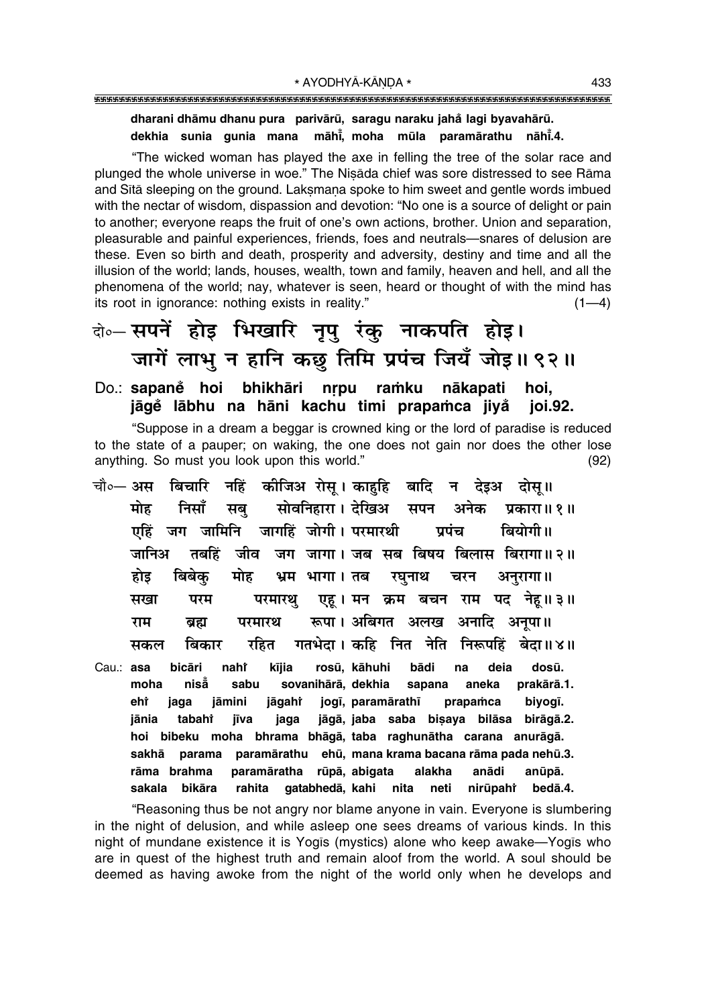## 

dharani dhāmu dhanu pura parivārū, saragu naraku jahå lagi byavahārū. dekhia sunia qunia mana māhi, moha mūla paramārathu nāhi.4.

"The wicked woman has played the axe in felling the tree of the solar race and plunged the whole universe in woe." The Nisada chief was sore distressed to see Rama and Sita sleeping on the ground. Laksmana spoke to him sweet and gentle words imbued with the nectar of wisdom, dispassion and devotion: "No one is a source of delight or pain to another; everyone reaps the fruit of one's own actions, brother. Union and separation, pleasurable and painful experiences, friends, foes and neutrals-snares of delusion are these. Even so birth and death, prosperity and adversity, destiny and time and all the illusion of the world; lands, houses, wealth, town and family, heaven and hell, and all the phenomena of the world; nay, whatever is seen, heard or thought of with the mind has its root in ignorance: nothing exists in reality."  $(1-4)$ 

# बे॰-सपनें होइ भिखारि नृपु रंकु नाकपति होइ। जागें लाभु न हानि कछू तिमि प्रपंच जियँ जोइ॥९२॥

Do.: sapaně hoi bhikhāri nrpu ramku nākapati hoi. jāgě lābhu na hāni kachu timi prapamca jivå **joi.92.** 

"Suppose in a dream a beggar is crowned king or the lord of paradise is reduced to the state of a pauper; on waking, the one does not gain nor does the other lose anything. So must you look upon this world."  $(92)$ 

- चौ∘— अस बिचारि नहिं कीजिअ रोस् । काहहि बादि न देइअ दोस् ॥ सोवनिहारा । देखिअ मोह निसाँ सब् सपन अनेक प्रकारा॥ १॥ एहिं जग जामिनि जागहिं जोगी। परमारथी पपंच बियोगी।। जानिअ जग जागा। जब सब बिषय बिलास बिरागा॥२॥ तबहिं जीव मोह होड बिबेक भ्रम भागा। तब रघनाथ चरन अनुरागा। एह। मन क्रम बचन राम पद नेह॥३॥ परम सखा परमारथ परमारथ रूपा। अबिगत अलख अनादि अनुपा॥ राम ब्रह्म गतभेदा । कहि नित नेति निरूपहिं बेदा॥४॥ बिकार रहित सकल
- Cau: asa bicāri naht kīija rosū. kāhuhi bādi na deia dosū. niså sabu sovanihārā, dekhia aneka prakārā.1. moha sapana eht jaga jāmini jāgahr jogī, paramārathī prapamca biyogī. jāgā, jaba saba bisaya bilāsa birāgā.2. jānia tabaht jīva jaga hoi bibeku moha bhrama bhāgā, taba raghunātha carana anurāgā. ehū, mana krama bacana rāma pada nehū.3. parama paramārathu sakhā rāma brahma paramāratha rūpā, abigata alakha anādi anūpā. sakala bikāra rahita gatabhedā, kahi nita neti nirūpaht bedā.4.

"Reasoning thus be not angry nor blame anyone in vain. Everyone is slumbering in the night of delusion, and while asleep one sees dreams of various kinds. In this night of mundane existence it is Yogis (mystics) alone who keep awake-Yogis who are in quest of the highest truth and remain aloof from the world. A soul should be deemed as having awoke from the night of the world only when he develops and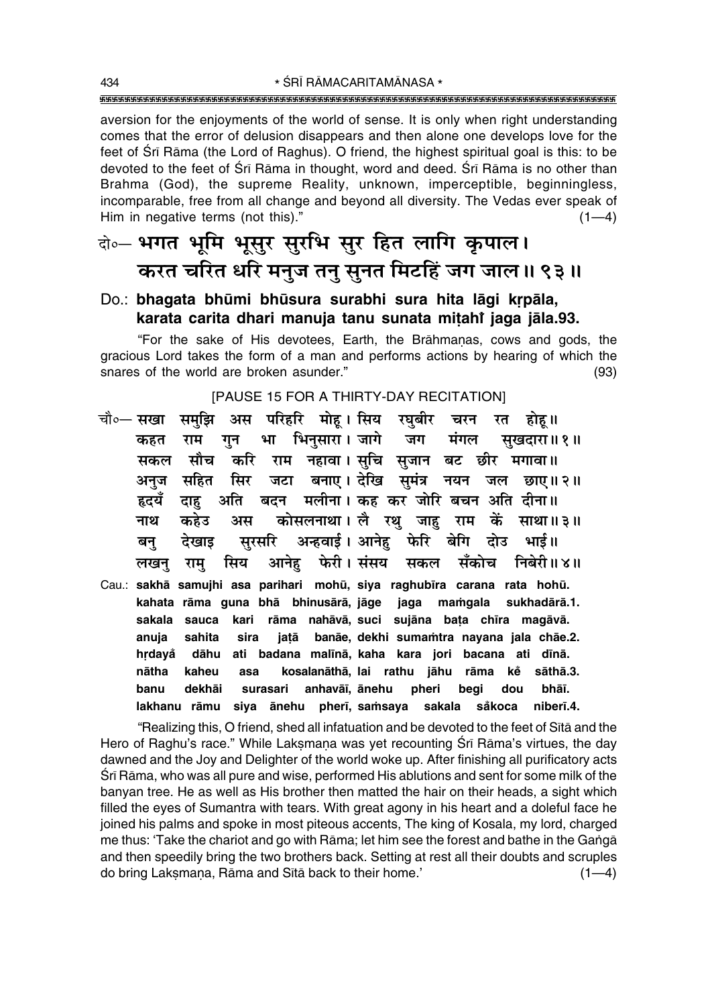aversion for the enjoyments of the world of sense. It is only when right understanding comes that the error of delusion disappears and then alone one develops love for the feet of Sri Rama (the Lord of Raghus). O friend, the highest spiritual goal is this: to be devoted to the feet of Sri Rama in thought, word and deed. Sri Rama is no other than Brahma (God), the supreme Reality, unknown, imperceptible, beginningless, incomparable, free from all change and beyond all diversity. The Vedas ever speak of Him in negative terms (not this)."  $(1-4)$ 

# बे- भगत भूमि भूसुर सुरभि सुर हित लागि कृपाल। करत चरित धरि मनुज तनु सुनत मिटहिं जग जाल॥ ९३॥

## Do.: bhagata bhūmi bhūsura surabhi sura hita lāgi krpāla, karata carita dhari manuja tanu sunata mitahi jaga jāla.93.

"For the sake of His devotees, Earth, the Brāhmanas, cows and gods, the gracious Lord takes the form of a man and performs actions by hearing of which the snares of the world are broken asunder."  $(93)$ 

### [PAUSE 15 FOR A THIRTY-DAY RECITATION]

अस परिहरि मोह।सिय रघबीर चौ०— **सखा** समझि चरन रत होह ॥ भा भिनुसारा। जागे कहत गुन जग मंगल सुखदारा॥ १॥ राम करि राम नहावा। सुचि सुजान बट छीर मगावा॥ मौच सकल जटा बनाए। देखि सुमंत्र नयन जल छाए॥२॥ सहित सिर अनुज अति बदन मलीना। कह कर जोरि बचन अति दीना॥ हृदयँ दाह कोसलनाथा। लै रथ जाह राम कें साथा॥३॥ नाथ कहेउ अस अन्हवाई। आनेह फेरि सुरसरि बेगि दोउ देखाड भार्ड ॥ बन् फेरी। संसय सिय आनेह सँकोच निबेरी॥४॥ सकल लखन् राम् Cau.: sakhā samujhi asa parihari mohū, siya raghubīra carana rata hohū. jaga mamgala kahata rāma quna bhā bhinusārā, jāge sukhadārā.1. sakala sauca rāma nahāvā, suci sujāna bata chīra magāvā. kari anuja sahita sira jatā banāe, dekhi sumamtra nayana jala chāe.2. hrdavå dāhu ati badana malīnā, kaha kara jori bacana ati dīnā. nātha kaheu asa kosalanāthā, lai rathu jāhu rāma kě sāthā.3. banu dekhāi surasari anhavāī, ānehu pheri begi bhāī. dou lakhanu rāmu siya ānehu pherī, samsaya sakala niberī.4. såkoca

"Realizing this, O friend, shed all infatuation and be devoted to the feet of Sītā and the Hero of Raghu's race." While Laksmana was yet recounting Sri Rama's virtues, the day dawned and the Joy and Delighter of the world woke up. After finishing all purificatory acts Śrī Rāma, who was all pure and wise, performed His ablutions and sent for some milk of the banyan tree. He as well as His brother then matted the hair on their heads, a sight which filled the eyes of Sumantra with tears. With great agony in his heart and a doleful face he joined his palms and spoke in most piteous accents. The king of Kosala, my lord, charged me thus: 'Take the chariot and go with Rāma; let him see the forest and bathe in the Ganga and then speedily bring the two brothers back. Setting at rest all their doubts and scruples do bring Laksmana, Rāma and Sītā back to their home.'  $(1-4)$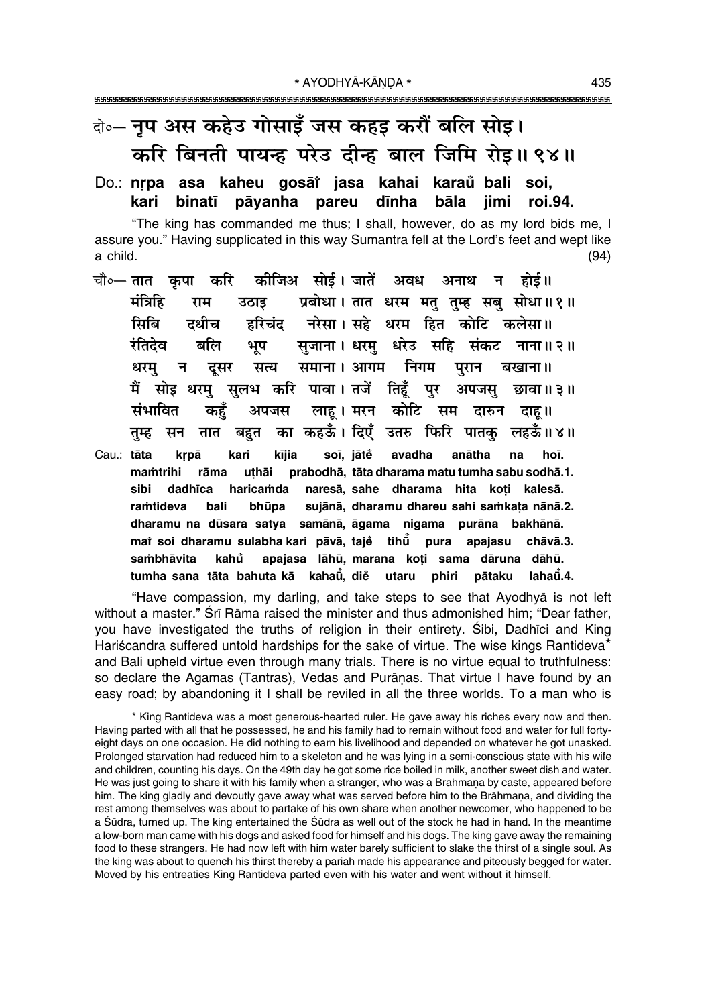# वे॰ नुप अस कहेउ गोसाइँ जस कहड़ करौं बलि सोइ। करि बिनती पायन्ह परेउ दीन्ह बाल जिमि रोइ॥ ९४॥

### Do.: nrpa asa kaheu gosāt jasa kahai karaŭ bali soi, kari binatī pāyanha pareu dīnha bāla iimi roi.94.

"The king has commanded me thus; I shall, however, do as my lord bids me, I assure you." Having supplicated in this way Sumantra fell at the Lord's feet and wept like a child.  $(94)$ 

- कीजिअ सोई। जातें अवध चौ∘— तात कपा करि अनाथ न होर्द ॥ प्रबोधा। तात धरम मतु तुम्ह सबु सोधा॥१॥ मंत्रिहि राम उठाड हरिचंद नरेसा। सहे धरम हित कोटि कलेसा॥ सिबि दधीच सजाना। धरम् धरेउ सहि संकट नाना॥२॥ रंतिदेव बलि भूप सत्य समाना। आगम निगम पुरान धरम् न दुसर बखाना ॥ मैं सोइ धरम् सुलभ करि पावा।तजें तिहँ पुर अपजस छावा॥३॥ लाह। मरन कोटि सम संभावित कहँ अपजस दारुन दाह ॥ का कहऊँ। दिएँ उतरु फिरि पातक लहऊँ॥४॥ बहुत तम्ह सन तात
- anātha Cau.: tāta kari kījia soī, jātě avadha na krpā hoī. uthāi prabodhā, tāta dharama matu tumha sabu sodhā.1. mamtrihi rāma sibi dadhīca haricamda naresā, sahe dharama hita koti kalesā. bali sujānā, dharamu dhareu sahi samkata nānā.2. ramtideva bhūpa dharamu na dūsara satya samānā, āgama nigama purāna bakhānā. mai soi dharamu sulabha kari pāvā, taje tihu pura apajasu chāvā.3. kahů apajasa lāhū, marana koti sama dāruna dāhū. sambhāvita tumha sana tāta bahuta kā kahaū. die utaru phiri pātaku lahaū̃.4.

"Have compassion, my darling, and take steps to see that Ayodhya is not left without a master." Srī Rāma raised the minister and thus admonished him; "Dear father, you have investigated the truths of religion in their entirety. Sibi, Dadhici and King Hariścandra suffered untold hardships for the sake of virtue. The wise kings Rantideva\* and Bali upheld virtue even through many trials. There is no virtue equal to truthfulness: so declare the Agamas (Tantras), Vedas and Purānas. That virtue I have found by an easy road; by abandoning it I shall be reviled in all the three worlds. To a man who is

<sup>\*</sup> King Rantideva was a most generous-hearted ruler. He gave away his riches every now and then. Having parted with all that he possessed, he and his family had to remain without food and water for full fortyeight days on one occasion. He did nothing to earn his livelihood and depended on whatever he got unasked. Prolonged starvation had reduced him to a skeleton and he was lying in a semi-conscious state with his wife and children, counting his days. On the 49th day he got some rice boiled in milk, another sweet dish and water. He was just going to share it with his family when a stranger, who was a Brāhmana by caste, appeared before him. The king gladly and devoutly gave away what was served before him to the Brāhmana, and dividing the rest among themselves was about to partake of his own share when another newcomer, who happened to be a Śūdra, turned up. The king entertained the Śūdra as well out of the stock he had in hand. In the meantime a low-born man came with his dogs and asked food for himself and his dogs. The king gave away the remaining food to these strangers. He had now left with him water barely sufficient to slake the thirst of a single soul. As the king was about to quench his thirst thereby a pariah made his appearance and piteously begged for water. Moved by his entreaties King Rantideva parted even with his water and went without it himself.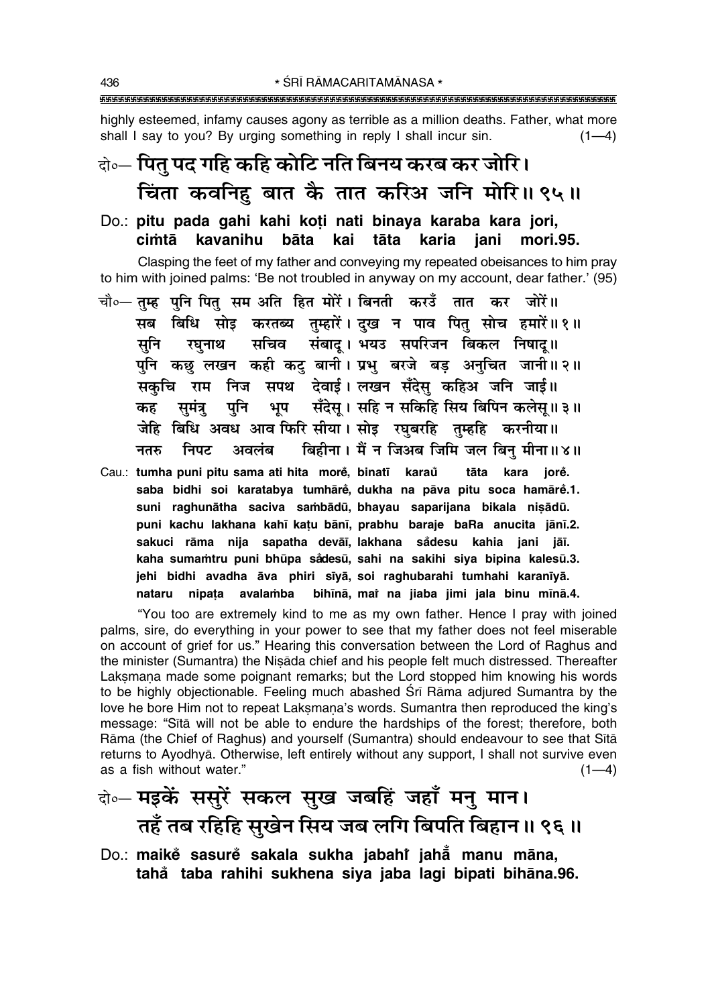highly esteemed, infamy causes agony as terrible as a million deaths. Father, what more shall I say to you? By urging something in reply I shall incur sin.  $(1-4)$ 

## केन्- पितु पद गहि कहि कोटि नति बिनय करब कर जोरि। चिंता कवनिहु बात कै तात करिअ जनि मोरि॥९५॥

Do.: pitu pada qahi kahi koti nati binaya karaba kara jori, kavanihu bāta cimtā kai tāta karia iani mori.95.

Clasping the feet of my father and conveying my repeated obeisances to him pray to him with joined palms: 'Be not troubled in anyway on my account, dear father.' (95)

- चौ०— तुम्ह पुनि पितु सम अति हित मोरें। बिनती करउँ तात कर जोरें॥ सब बिधि सोइ करतब्य तुम्हारें। दुख न पाव पितु सोच हमारें॥१॥ रघनाथ सचिव संबाद्। भयउ सपरिजन बिकल निषाद्॥ सनि पुनि कछु लखन कही कटु बानी। प्रभु बरजे बड़ अनुचित जानी॥२॥ सकचि राम निज सपथ देवाई।लखन सँदेस कहिअ जनि जाई॥ भूप सँदेस् । सहि न सकिहि सिय बिपिन कलेस् ॥ ३ ॥ पनि समंत्र कह जेहि बिधि अवध आव फिरि सीया। सोइ रघुबरहि तुम्हहि करनीया॥ बिहीना। मैं न जिअब जिमि जल बिन मीना॥४॥ निपट अवलंब नतरु
- Cau.: tumha puni pitu sama ati hita more, binatī karau tāta kara iore. saba bidhi soi karatabya tumhārė, dukha na pāva pitu soca hamārė.1. suni raghunātha saciva sambādū, bhayau saparijana bikala nisādū. puni kachu lakhana kahī katu bānī, prabhu baraje baRa anucita jānī.2. sakuci rāma nija sapatha devāi, lakhana sådesu kahia jani jāī. kaha sumamtru puni bhūpa sådesū, sahi na sakihi siya bipina kalesū.3. jehi bidhi avadha āva phiri sīyā, soi raghubarahi tumhahi karanīyā. nipata avalamba bihīnā, mar na jiaba jimi jala binu mīnā.4. nataru

"You too are extremely kind to me as my own father. Hence I pray with joined palms, sire, do everything in your power to see that my father does not feel miserable on account of grief for us." Hearing this conversation between the Lord of Raghus and the minister (Sumantra) the Nisada chief and his people felt much distressed. Thereafter Laksmana made some poignant remarks; but the Lord stopped him knowing his words to be highly objectionable. Feeling much abashed Sri Rama adjured Sumantra by the love he bore Him not to repeat Laksmana's words. Sumantra then reproduced the king's message: "Sītā will not be able to endure the hardships of the forest; therefore, both Rāma (the Chief of Raghus) and yourself (Sumantra) should endeavour to see that Sita returns to Ayodhyā. Otherwise, left entirely without any support, I shall not survive even as a fish without water."  $(1-4)$ 

# वे०- मइकें ससुरें सकल सुख जबहिं जहाँ मनु मान। तहँ तब रहिहि सुखेन सिय जब लगि बिपति बिहान॥ ९६॥

Do.: maikė sasurė sakala sukha jabahť jaha manu māna, tahå taba rahihi sukhena siya jaba lagi bipati bihāna.96.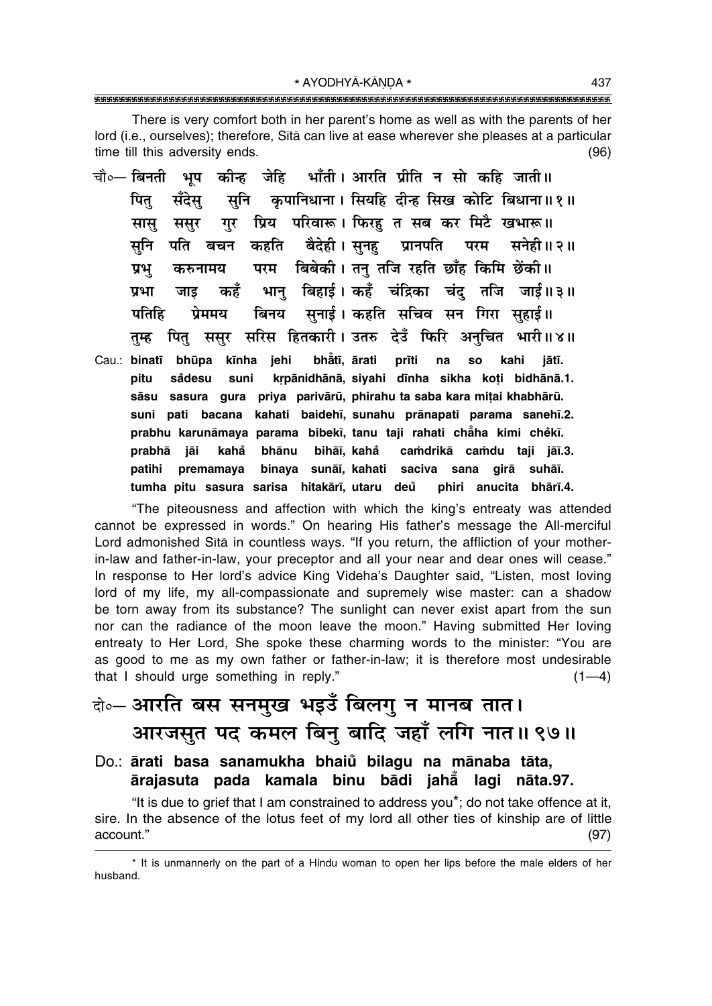\* AYODHYĀ-KĀNDA \* 

There is very comfort both in her parent's home as well as with the parents of her lord (i.e., ourselves); therefore, Sita can live at ease wherever she pleases at a particular time till this adversity ends.  $(96)$ 

- चौ∘— बिनती भप कीन्ह जेहि भाँती। आरति प्रीति न सो कहि जाती॥ कपानिधाना। सियहि दीन्ह सिख कोटि बिधाना॥१॥ पित् सँदेस सनि गर प्रिय परिवारू। फिरह त सब कर मिटै खभारू॥ सास ससर बैदेही। सनह प्रानपति सनि पति बचन कहति परम सनेही॥ २॥ परम विबेकी। तन् तजि रहति छाँह किमि छेंकी॥ प्रभू करुनामय भान बिहार्ड। कहँ चंद्रिका चंद तजि जार्ड॥३॥ कहँ प्रभा जाड सुनाई। कहति सचिव सन गिरा सुहाई॥ प्रेममय बिनय पतिहि पितु ससुर सरिस हितकारी। उतरु देउँ फिरि अनुचित भारी॥४॥ तम्ह
- Cau.: binatī bhūpa kīnha jehi bhẳtī, ārati prīti na **SO** kahi iātī. krpānidhānā, siyahi dīnha sikha koti bidhānā.1. pitu sådesu suni sāsu sasura gura priya parivārū, phirahu ta saba kara mitai khabhārū. suni pati bacana kahati baidehī, sunahu prānapati parama sanehī.2. prabhu karunāmaya parama bibekī, tanu taji rahati chāha kimi chěkī. prabhā jāi kahå bhānu bihāī, kahå camdrikā camdu taji jāī.3. binaya sunāi, kahati saciva sana girā suhāi. patihi premamaya tumha pitu sasura sarisa hitakārī, utaru deu phiri anucita bhārī.4.

"The piteousness and affection with which the king's entreaty was attended cannot be expressed in words." On hearing His father's message the All-merciful Lord admonished Sītā in countless ways. "If you return, the affliction of your motherin-law and father-in-law, your preceptor and all your near and dear ones will cease." In response to Her lord's advice King Videha's Daughter said, "Listen, most loving lord of my life, my all-compassionate and supremely wise master: can a shadow be torn away from its substance? The sunlight can never exist apart from the sun nor can the radiance of the moon leave the moon." Having submitted Her loving entreaty to Her Lord, She spoke these charming words to the minister: "You are as good to me as my own father or father-in-law; it is therefore most undesirable that I should urge something in reply."  $(1-4)$ 

# के- आरति बस सनमुख भइउँ बिलगु न मानब तात। आरजसुत पद कमल बिनु बादि जहाँ लगि नात॥ ९७॥

Do.: ārati basa sanamukha bhaiů bilagu na mānaba tāta, ārajasuta pada kamala binu bādi jahā lagi nāta.97.

"It is due to grief that I am constrained to address you\*; do not take offence at it, sire. In the absence of the lotus feet of my lord all other ties of kinship are of little account."  $(97)$ 

<sup>\*</sup> It is unmannerly on the part of a Hindu woman to open her lips before the male elders of her husband.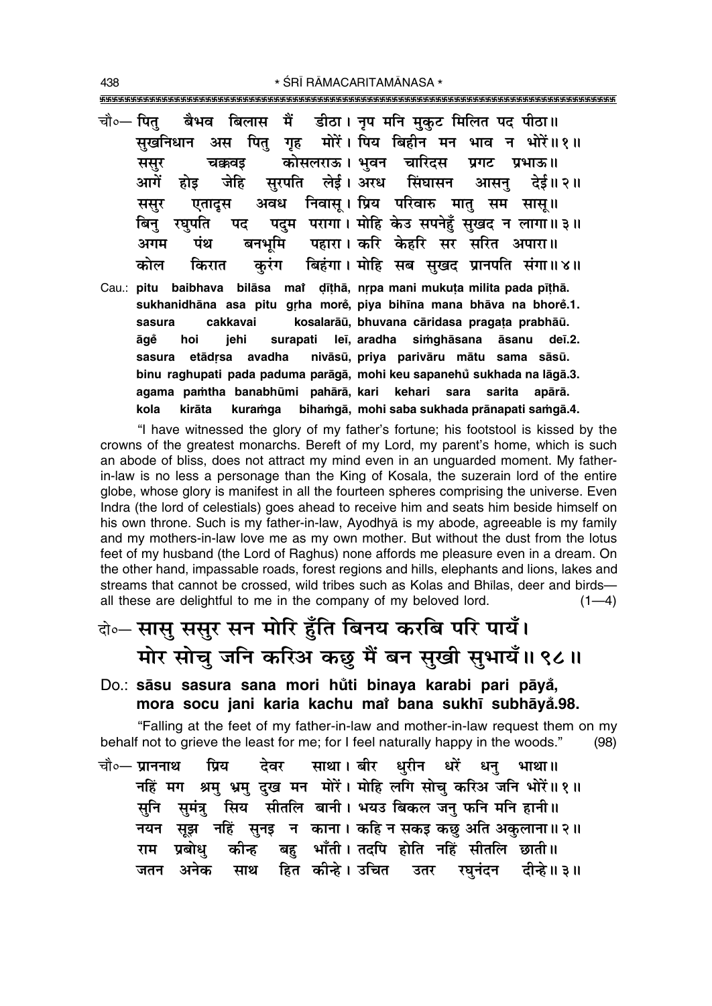\* ŚRĪ RĀMACARITAMĀNASA \* 

- चौ∘— पित बैभव बिलास ੱ में डीठा। नूप मनि मुकट मिलित पद पीठा॥ मोरें। पिय बिहीन मन भाव न भोरें॥१॥ अस पितु गृह सखनिधान कोसलराऊ। भवन चारिदस चक्रवड प्रगट प्रभाऊ॥ ससर आगें सरपति लेई।अरध सिंघासन जेहि देई॥ २॥ होड आसन ससूर अवध निवास। प्रिय परिवारु मात सम सास॥ एतादुस पदम परागा। मोहि केउ सपनेहँ सुखद न लागा॥३॥ बिन रघपति पट बनर्भाम पहारा। करि केहरि सर सरित अपारा॥ अगम पंथ बिहंगा। मोहि सब सुखद प्रानपति संगा॥४॥ कोल किरात करंग Cau.: pitu baibhava bilāsa mai dīthā, nrpa mani mukuta milita pada pīthā.
- sukhanidhāna asa pitu grha more, piya bihīna mana bhāva na bhore.1. sasura cakkavai kosalarāū, bhuvana cāridasa pragata prabhāū. leī, aradha simghāsana āsanu āqě hoi iehi surapati deī.2. avadha nivāsū, priya parivāru mātu sama sāsū. sasura etādrsa binu raghupati pada paduma parāgā, mohi keu sapanehů sukhada na lāgā.3. agama pamtha banabhūmi pahārā, kari kehari sara sarita apārā. bihamgā, mohi saba sukhada prānapati samgā.4. kola kirāta kuramga

"I have witnessed the glory of my father's fortune; his footstool is kissed by the crowns of the greatest monarchs. Bereft of my Lord, my parent's home, which is such an abode of bliss, does not attract my mind even in an unquarded moment. My fatherin-law is no less a personage than the King of Kosala, the suzerain lord of the entire globe, whose glory is manifest in all the fourteen spheres comprising the universe. Even Indra (the lord of celestials) goes ahead to receive him and seats him beside himself on his own throne. Such is my father-in-law, Ayodhya is my abode, agreeable is my family and my mothers-in-law love me as my own mother. But without the dust from the lotus feet of my husband (the Lord of Raghus) none affords me pleasure even in a dream. On the other hand, impassable roads, forest regions and hills, elephants and lions, lakes and streams that cannot be crossed, wild tribes such as Kolas and Bhilas, deer and birdsall these are delightful to me in the company of my beloved lord.  $(1-4)$ 

# वे०-सासु ससुर सन मोरि हुँति बिनय करबि परि पायँ। मोर सोचु जनि करिअ कछु मैं बन सुखी सुभायँ॥ ९८॥

Do.: sāsu sasura sana mori hůti binaya karabi pari pāyå, mora socu jani karia kachu mai bana sukhī subhāya.98.

"Falling at the feet of my father-in-law and mother-in-law request them on my behalf not to grieve the least for me; for I feel naturally happy in the woods."  $(98)$ 

साथा। बीर धुरीन धरें धन् चौ∘— प्राननाथ प्रिय देवर भाथा ॥ नहिं मग श्रम् भ्रम् दख मन मोरें। मोहि लगि सोच् करिअ जनि भोरें॥१॥ सुमंत्रु सिय सीतलि बानी। भयउ बिकल जनु फनि मनि हानी॥ सनि सूझ नहिं सुनइ न काना । कहि न सकइ कछु अति अकुलाना॥२॥ नयन बह भाँती। तदपि होति नहिं सीतलि छाती॥ प्रबोध कीन्ह राम हित कीन्हे। उचित उतर जतन अनेक साथ रघनंदन दीन्हे ॥ ३ ॥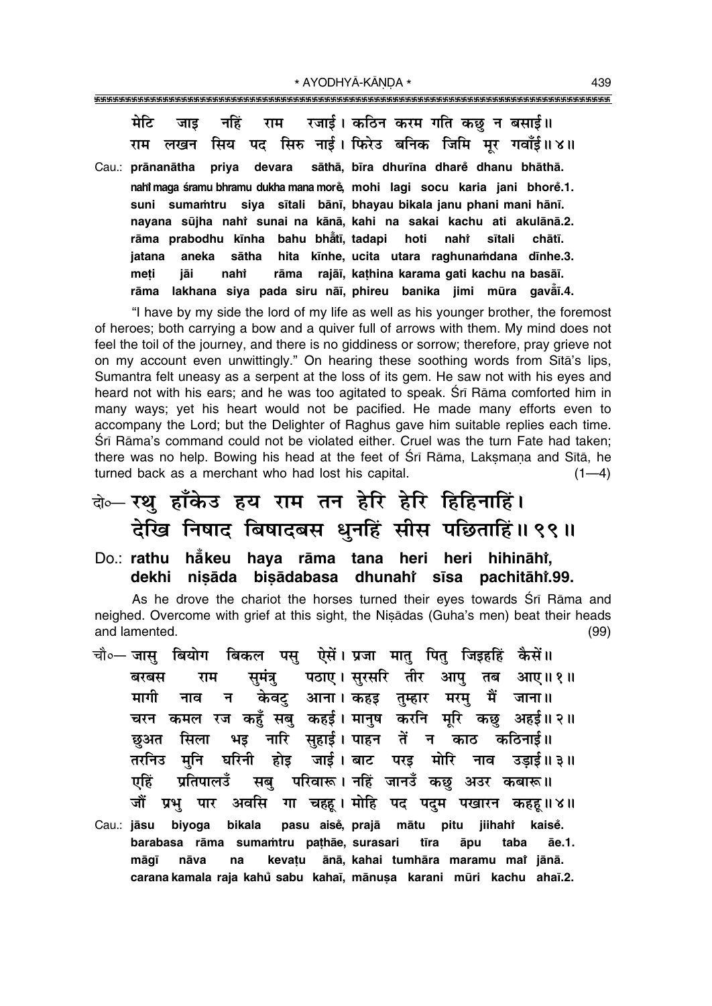मेटि नहिं राम रजाई। कठिन करम गति कछ न बसाई॥ जाड सिय पद सिरु नाई। फिरेउ बनिक जिमि मर गवाँई॥४॥ राम लखन Cau.: prānanātha priya devara sāthā, bīra dhurīna dhare dhanu bhāthā. nahi maga śramu bhramu dukha mana more, mohi lagi socu karia jani bhore.1. suni sumamtru siya sītali bānī, bhayau bikala janu phani mani hānī. nayana sūjha nahi sunai na kānā, kahi na sakai kachu ati akulānā.2. rāma prabodhu kīnha bahu bhātī, tadapi hoti nahi sītali chātī. hita kīnhe, ucita utara raghunamdana dīnhe.3. iatana aneka sātha meti nahi rāma rajāī, kathina karama gati kachu na basāī. jāi rāma lakhana siya pada siru nāi, phireu banika jimi mūra gavār.4.

"I have by my side the lord of my life as well as his younger brother, the foremost of heroes; both carrying a bow and a quiver full of arrows with them. My mind does not feel the toil of the journey, and there is no giddiness or sorrow; therefore, pray grieve not on my account even unwittingly." On hearing these soothing words from Sita's lips, Sumantra felt uneasy as a serpent at the loss of its gem. He saw not with his eyes and heard not with his ears; and he was too agitated to speak. Srī Rāma comforted him in many ways; yet his heart would not be pacified. He made many efforts even to accompany the Lord; but the Delighter of Raghus gave him suitable replies each time. Śrī Rāma's command could not be violated either. Cruel was the turn Fate had taken; there was no help. Bowing his head at the feet of Srī Rāma, Laksmana and Sītā, he turned back as a merchant who had lost his capital.  $(1-4)$ 

# बे⊶ रथ हाँकेउ हय राम तन हेरि हेरि हिहिनाहिं। देखि निषाद बिषादबस धुनहिं सीस पछिताहिं॥ ९९॥

Do.: rathu håkeu haya rāma tana heri heri hihināhi, dekhi nisāda bisādabasa dhunahi sīsa pachitāhi.99.

As he drove the chariot the horses turned their eyes towards Sri Rama and neighed. Overcome with grief at this sight, the Niṣādas (Guha's men) beat their heads and lamented.  $(99)$ 

- चौ०- जास बियोग बिकल पस ऐसें। प्रजा मात पित जिडहहिं कैसें॥ समंत्र पठाए। सुरसरि तीर आप तब बरबस राम आए॥१॥ न केवटु आना।कहइ तुम्हार मरमु मैं जाना॥ मागी नाव चरन कमल रज कहुँ सबु कहई। मानुष करनि मूरि कछु अहई॥२॥ छुअत सिला भइ नारि सुहाई। पाहन तें न काठ कठिनाई।। तरनिउ मनि घरिनी होड़ जाई।बाट परइ मोरि नाव उडाई॥ ३॥ सबु परिवारू। नहिं जानउँ कछु अउर कबारू॥ एहिं प्रतिपालउँ अवसि गा चहह। मोहि पद पदम पखारन कहह॥४॥ जौं प्रभ पार
- Cau.: jāsu biyoga bikala pasu aisė, prajā mātu pitu **iiihaht** kaisě. barabasa rāma sumamtru pathāe, surasari tīra āpu taba āe.1. kevatu ānā, kahai tumhāra maramu mar jānā. māgī nāva na carana kamala raja kahů sabu kahaī, mānuṣa karani mūri kachu ahaī.2.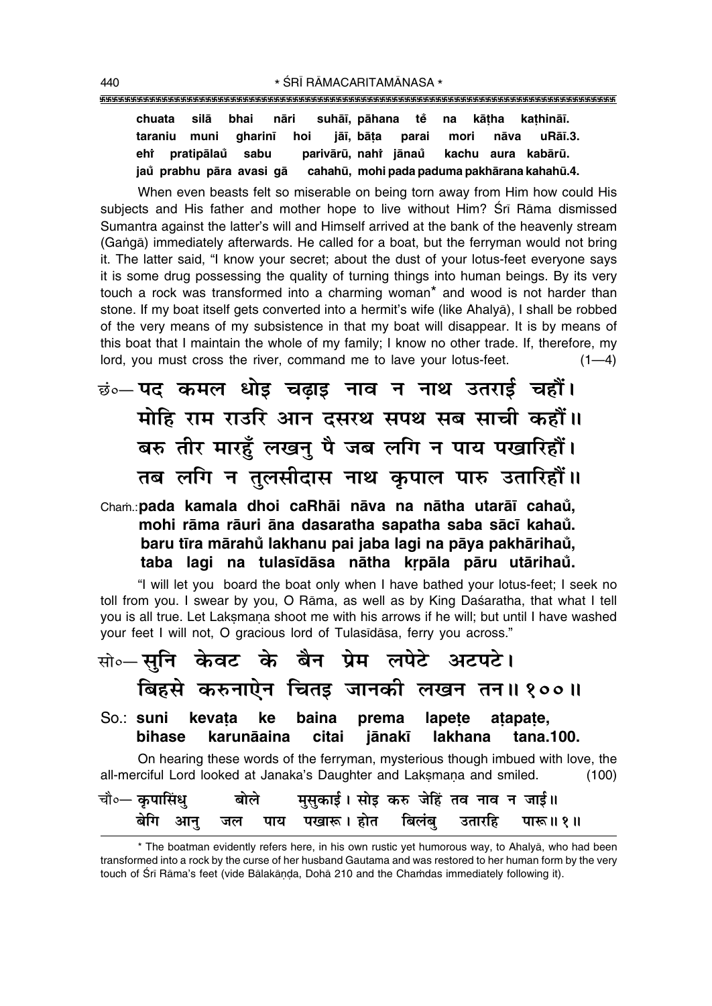chuata silā bhai nāri suhāī, pāhana tě na kātha kathināī. taraniu muni jāī, bāta uRāī.3. qharinī hoi parai mori nāva eht pratipālaů parivārū, nahi iānau sabu kachu aura kabārū. cahahū, mohi pada paduma pakhārana kahahū.4. jaů prabhu pāra avasi gā

When even beasts felt so miserable on being torn away from Him how could His subjects and His father and mother hope to live without Him? Sri Rama dismissed Sumantra against the latter's will and Himself arrived at the bank of the heavenly stream (Ganga) immediately afterwards. He called for a boat, but the ferryman would not bring it. The latter said, "I know your secret; about the dust of your lotus-feet everyone says it is some drug possessing the quality of turning things into human beings. By its very touch a rock was transformed into a charming woman\* and wood is not harder than stone. If my boat itself gets converted into a hermit's wife (like Ahalya), I shall be robbed of the very means of my subsistence in that my boat will disappear. It is by means of this boat that I maintain the whole of my family; I know no other trade. If, therefore, my lord, you must cross the river, command me to lave your lotus-feet.  $(1 -$ 

- <u>छं०</u> पद कमल धोइ चढाइ नाव न नाथ उतराई चहौं। मोहि राम राउरि आन दसरथ सपथ सब साची कहौं।। बरु तीर मारहूँ लखनु पै जब लगि न पाय पखारिहौं। तब लगि न तुलसीदास नाथ कृपाल पारु उतारिहों।।
- Cham.: pada kamala dhoi caRhāi nāva na nātha utarāī cahaŭ, mohi rāma rāuri āna dasaratha sapatha saba sācī kahaŭ. baru tīra mārahů lakhanu pai jaba lagi na pāya pakhārihaů, taba lagi na tulasīdāsa nātha krpāla pāru utārihau.

"I will let you board the boat only when I have bathed your lotus-feet; I seek no toll from you. I swear by you, O Rama, as well as by King Dasaratha, that what I tell you is all true. Let Laksmana shoot me with his arrows if he will; but until I have washed your feet I will not, O gracious lord of Tulasidasa, ferry you across."

|  | सो∘— सूनि  केवट  के  बैन  प्रेम  लपेटे  अटपटे।                          |  |  |                                                                                 |       |
|--|-------------------------------------------------------------------------|--|--|---------------------------------------------------------------------------------|-------|
|  |                                                                         |  |  | बिहसे करुनाऐन चितइ जानकी लखन तन॥१००॥                                            |       |
|  | So.: suni kevata ke baina prema lapete atapate,                         |  |  | bihase karunāaina citai jānakī lakhana tana.100.                                |       |
|  | all-merciful Lord looked at Janaka's Daughter and Laksmana and smiled.  |  |  | On hearing these words of the ferryman, mysterious though imbued with love, the | (100) |
|  | चौ∘— कृपासिंधु         बोले       मुसुकाई । सोइ करु जेहिं तव नाव न जाई॥ |  |  |                                                                                 |       |

<sup>\*</sup> The boatman evidently refers here, in his own rustic yet humorous way, to Ahalyā, who had been transformed into a rock by the curse of her husband Gautama and was restored to her human form by the very touch of Srī Rāma's feet (vide Bālakāņda, Dohā 210 and the Chamdas immediately following it).

बिलंब

उतारहि

पारू ॥ १ ॥

पखारू । होत

पाय

जल

बेगि

आन्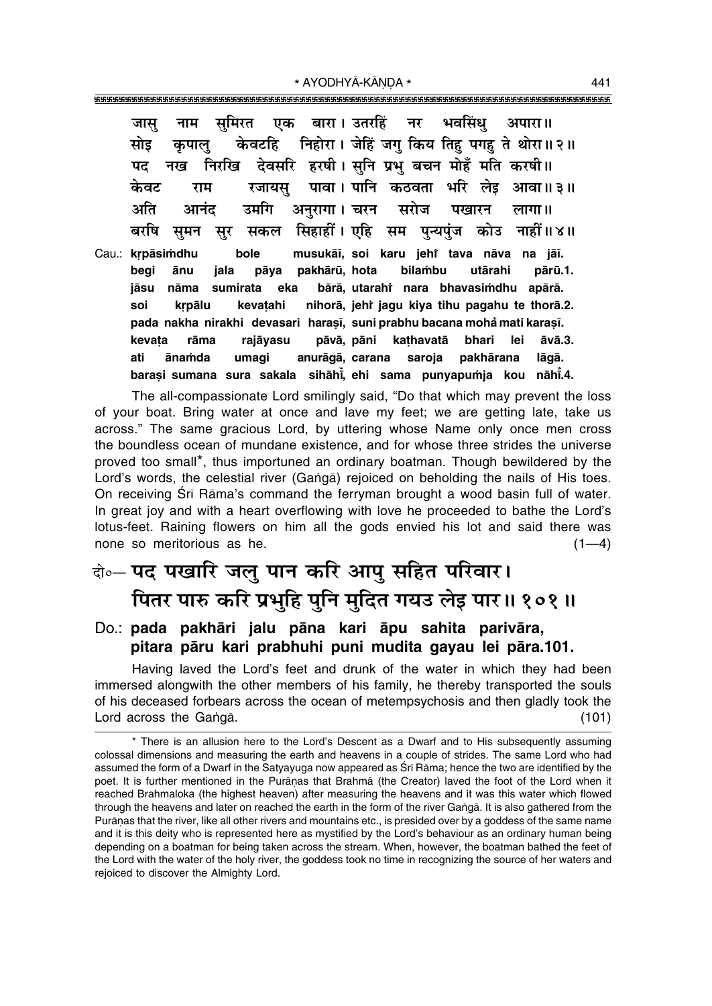एक बारा। उतरहिं भवसिंध समिरत नर जास अपारा।। नाम निहोरा। जेहिं जगु किय तिह पगह ते थोरा॥२॥ केवटहि सोड कपाल देवसरि हरषी। सनि प्रभ बचन मोहँ मति करषी ।। पट नख निरखि पावा। पानि कठवता भरि लेड केवट रजायस आवा॥ ३॥ राम अति अनुरागा। चरन उमगि सरोज पखारन आनंद लागा ॥ सिहाहीं। एहि सम बरषि पुन्यपुंज कोउ नाहीं॥४॥ समन सकल सर Cau.: krpāsimdhu bole musukāī, soi karu jeht tava nāva na jāī. begi pakhārū, hota bilambu pārū.1. ānu jala pāya utārahi bārā, utarahi nara bhavasimdhu apārā. jāsu nāma sumirata eka krpālu kevatahi nihorā, jehr jagu kiya tihu pagahu te thorā.2. soi pada nakha nirakhi devasari harasī, suni prabhu bacana mohă mati karașī. kevata rāma rajāyasu pāvā, pāni kathavatā bhari lei  $āvā.3.$ ati ānamda umagi anurāgā, carana saroja pakhārana lāgā. barasi sumana sura sakala sihāhi, ehi sama punyapumja kou nāhi.4.

The all-compassionate Lord smilingly said, "Do that which may prevent the loss of your boat. Bring water at once and lave my feet; we are getting late, take us across." The same gracious Lord, by uttering whose Name only once men cross the boundless ocean of mundane existence, and for whose three strides the universe proved too small\*, thus importuned an ordinary boatman. Though bewildered by the Lord's words, the celestial river (Ganga) rejoiced on beholding the nails of His toes. On receiving Srī Rāma's command the ferryman brought a wood basin full of water. In great joy and with a heart overflowing with love he proceeded to bathe the Lord's lotus-feet. Raining flowers on him all the gods envied his lot and said there was none so meritorious as he.  $(1-4)$ 

# के-पद पखारि जलु पान करि आपु सहित परिवार। पितर पारु करि प्रभुहि पुनि मुदित गयउ लेइ पार॥ १०१॥

### Do.: pada pakhāri jalu pāna kari āpu sahita parivāra, pitara pāru kari prabhuhi puni mudita gayau lei pāra.101.

Having laved the Lord's feet and drunk of the water in which they had been immersed alongwith the other members of his family, he thereby transported the souls of his deceased forbears across the ocean of metempsychosis and then gladly took the Lord across the Ganga.  $(101)$ 

<sup>\*</sup> There is an allusion here to the Lord's Descent as a Dwarf and to His subsequently assuming colossal dimensions and measuring the earth and heavens in a couple of strides. The same Lord who had assumed the form of a Dwarf in the Satyayuga now appeared as Srī Rāma; hence the two are identified by the poet. It is further mentioned in the Puranas that Brahma (the Creator) laved the foot of the Lord when it reached Brahmaloka (the highest heaven) after measuring the heavens and it was this water which flowed through the heavens and later on reached the earth in the form of the river Ganga. It is also gathered from the Purānas that the river, like all other rivers and mountains etc., is presided over by a goddess of the same name and it is this deity who is represented here as mystified by the Lord's behaviour as an ordinary human being depending on a boatman for being taken across the stream. When, however, the boatman bathed the feet of the Lord with the water of the holy river, the goddess took no time in recognizing the source of her waters and rejoiced to discover the Almighty Lord.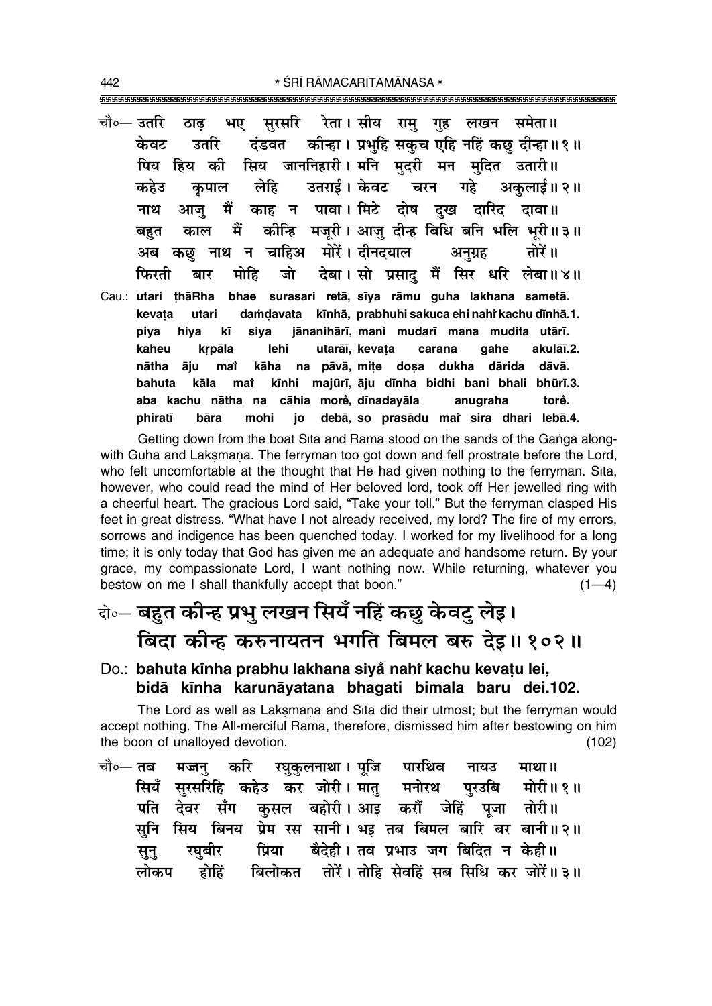- चौ∘— उतरि सुरसरि रेता। सीय राम गह लखन समेता॥ ठाढ भए कीन्हा। प्रभुहि सकुच एहि नहिं कछु दीन्हा॥१॥ केवट उतरि दंडवत सिय जाननिहारी। मनि मदरी मन मदित उतारी॥ पिय हिय की उतराई। केवट लेहि चरन गहे अकलाई॥ २॥ कहेउ कपाल काह न पावा। मिटे दोष दख दारिद दावा॥ मैं नाथ आज कीन्हि मजुरी। आजु दीन्ह बिधि बनि भलि भुरी॥३॥ मैं काल बहत न चाहिअ मोरें। दीनदयाल अनग्रह तोरें ॥ अब कछ नाथ देबा। सो प्रसाद मैं सिर धरि लेबा॥४॥ फिरती मोहि जो बार
- Cau.: utari țhāRha bhae surasari retā, sīya rāmu guha lakhana sametā. damdavata kīnhā, prabhuhi sakuca ehi nahi kachu dīnhā.1. kevata utari jānanihārī, mani mudarī mana mudita utārī. piya hiva kī siva kaheu krpāla lehi utarāī, kevata carana qahe akulāī.2. nātha āju mat kāha na pāvā, mite dosa dukha dārida dāvā. kīnhi majūrī, āju dīnha bidhi bani bhali bhūrī.3. kāla bahuta mat cāhia morė, dīnadayāla aba kachu nātha na anugraha torě. phiratī bāra mohi jo debā, so prasādu mai sira dhari lebā.4.

Getting down from the boat Sita and Rama stood on the sands of the Ganga alongwith Guha and Laksmana. The ferryman too got down and fell prostrate before the Lord, who felt uncomfortable at the thought that He had given nothing to the ferryman. Sita, however, who could read the mind of Her beloved lord, took off Her jewelled ring with a cheerful heart. The gracious Lord said, "Take your toll." But the ferryman clasped His feet in great distress. "What have I not already received, my lord? The fire of my errors, sorrows and indigence has been quenched today. I worked for my livelihood for a long time; it is only today that God has given me an adequate and handsome return. By your grace, my compassionate Lord, I want nothing now. While returning, whatever you bestow on me I shall thankfully accept that boon."  $(1-4)$ 

## केन्च बहुत कीन्ह प्रभु लखन सियँ नहिं कछु केवटु लेइ। बिदा कीन्ह करुनायतन भगति बिमल बरु देइ॥१०२॥

### Do.: bahuta kīnha prabhu lakhana siya nahi kachu kevatu lei, bidā kīnha karunāyatana bhagati bimala baru dei.102.

The Lord as well as Laksmana and Sita did their utmost; but the ferryman would accept nothing. The All-merciful Rāma, therefore, dismissed him after bestowing on him the boon of unalloyed devotion.  $(102)$ 

चौ०— **तब** मज्जन् करि रघुकुलनाथा। पूजि पारथिव नायउ माथा ॥ सियँ सरसरिहि कहेउ कर जोरी।मात मनोरथ परउबि मोरी॥१॥ कुसल बहोरी। आइ करौं जेहिं पति देवर सँग पूजा तोरी॥ सिय बिनय प्रेम रस सानी। भइ तब बिमल बारि बर बानी॥२॥ सनि प्रिया बैदेही। तव प्रभाउ जग बिदित न केही॥ रघुबीर सून् बिलोकत तोरें। तोहि सेवहिं सब सिधि कर जोरें॥३॥ होहिं लोकप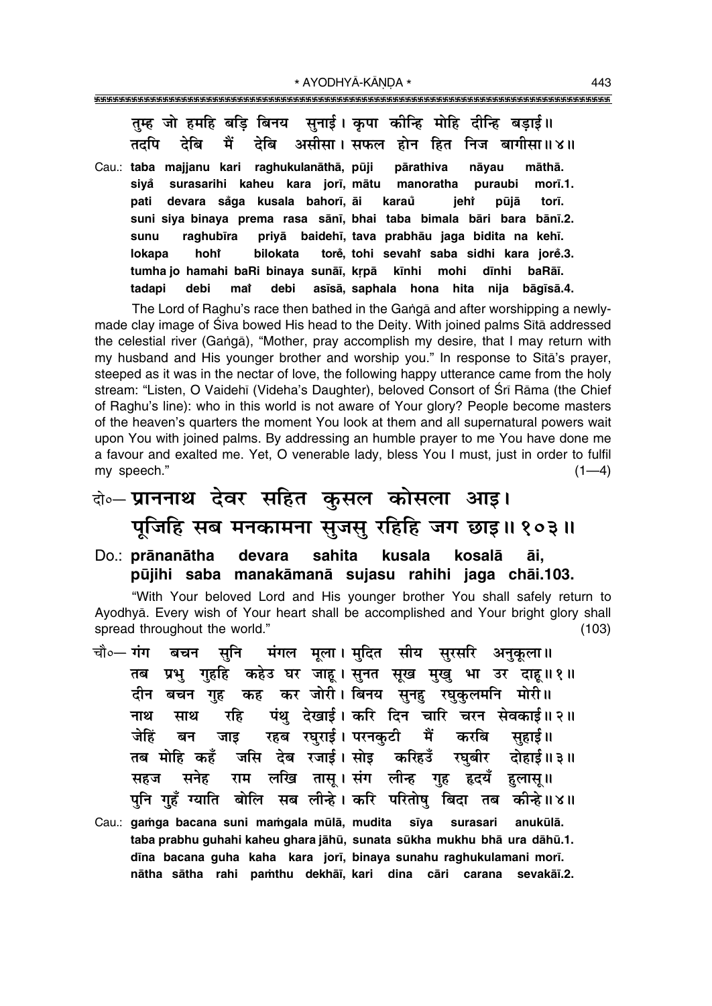तम्ह जो हमहि बडि बिनय सुनाई । कृपा कीन्हि मोहि दीन्हि बडाई॥ देबि देबि असीसा। सफल होन हित निज बागीसा॥४॥ तदपि मैं

Cau.: taba majjanu kari raghukulanāthā, pūji pārathiva nāyau māthā. surasarihi kaheu kara jorī, mātu sivå manoratha puraubi morī.1. devara såga kusala bahorī āi pati karaů iehr pūiā torī. suni siya binaya prema rasa sānī, bhai taba bimala bāri bara bānī.2. raghubīra priyā baidehī, tava prabhāu jaga bidita na kehī. sunu torě, tohi sevahř saba sidhi kara jorě.3. lokapa hohť bilokata tumha jo hamahi baRi binaya sunāī, krpā kīnhi mohi dīnhi baRāī. debi asīsā, saphala hona hita nija bāgīsā.4. tadapi debi mat

The Lord of Raghu's race then bathed in the Ganga and after worshipping a newlymade clay image of Siva bowed His head to the Deity. With joined palms Sita addressed the celestial river (Ganga), "Mother, pray accomplish my desire, that I may return with my husband and His younger brother and worship you." In response to Sita's prayer, steeped as it was in the nectar of love, the following happy utterance came from the holy stream: "Listen, O Vaidehī (Videha's Daughter), beloved Consort of Śrī Rāma (the Chief of Raghu's line): who in this world is not aware of Your glory? People become masters of the heaven's quarters the moment You look at them and all supernatural powers wait upon You with joined palms. By addressing an humble prayer to me You have done me a favour and exalted me. Yet, O venerable lady, bless You I must, just in order to fulfil my speech."  $(1-4)$ 

- के-प्राननाथ देवर सहित कुसल कोसला आइ। पूजिहि सब मनकामना सुजसु रहिहि जग छाइ॥१०३॥
- Do.: prānanātha devara sahita kusala kosalā āi. pūjihi saba manakāmanā sujasu rahihi jaga chāi.103.

"With Your beloved Lord and His younger brother You shall safely return to Ayodhyā. Every wish of Your heart shall be accomplished and Your bright glory shall spread throughout the world."  $(103)$ 

- चौ०— गंग मंगल मुला। मदित सीय सरसरि बचन सनि अनुकूला ॥ तब प्रभु गुहहि कहेउ घर जाहू।सुनत सूख मुखु भा उर दाहू॥१॥ कह कर जोरी। बिनय सुनहु रघुकुलमनि मोरी॥ दीन बचन गह पंथ देखाई। करि दिन चारि चरन सेवकाई॥२॥ नाथ साथ रहि रहब रघुराई । परनकुटी जेहिं मैं करबि बन जाड सहार्ड ॥ जसि देब रजाई।ससोइ करिहउँ तब मोहि कहँ रघबीर दोहाई ॥ ३ ॥ राम लखि तासू।संग लीन्ह गृह हृदयँ सनेह सहज हलास ॥ पनि गहँ ग्याति बोलि सब लीन्हे। करि परितोष बिदा तब कीन्हे॥४॥ Cau.: gamga bacana suni mamgala mūlā, mudita sīya surasari anukūlā.
- taba prabhu guhahi kaheu ghara jāhū, sunata sūkha mukhu bhā ura dāhū.1. dīna bacana guha kaha kara jorī, binaya sunahu raghukulamani morī. nātha sātha rahi pamthu dekhāi, kari dina cāri carana sevakāi.2.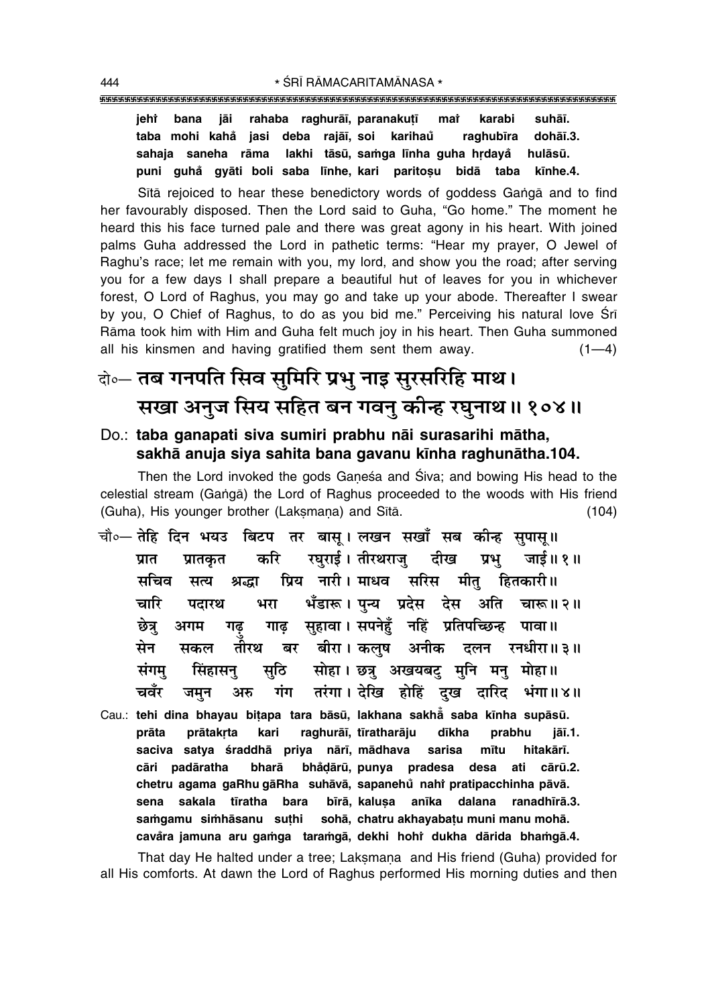### 

rahaba raghurāī, paranakuțī jehî bana jāi mar karabi suhāī. taba mohi kahå jasi deba rajāī, soi karihau raghubīra dohāī.3. sahaia saneha rāma lakhi tāsū, samga līnha guha hrdavå hulāsū. puni guhå gyāti boli saba līnhe, kari paritoșu bidā taba kīnhe.4.

Sita rejoiced to hear these benedictory words of goddess Ganga and to find her favourably disposed. Then the Lord said to Guha, "Go home." The moment he heard this his face turned pale and there was great agony in his heart. With joined palms Guha addressed the Lord in pathetic terms: "Hear my prayer, O Jewel of Raghu's race; let me remain with you, my lord, and show you the road; after serving you for a few days I shall prepare a beautiful hut of leaves for you in whichever forest, O Lord of Raghus, you may go and take up your abode. Thereafter I swear by you, O Chief of Raghus, to do as you bid me." Perceiving his natural love Sri Rāma took him with Him and Guha felt much joy in his heart. Then Guha summoned all his kinsmen and having gratified them sent them away.  $(1-4)$ 

# केन्ट तब गनपति सिव सुमिरि प्रभु नाइ सुरसरिहि माथ। सखा अनुज सिय सहित बन गवनु कीन्ह रघुनाथ॥ १०४॥

### Do.: taba ganapati siva sumiri prabhu nāi surasarihi mātha, sakhā anuja siya sahita bana gavanu kīnha raghunātha.104.

Then the Lord invoked the gods Ganesa and Siva; and bowing His head to the celestial stream (Ganga) the Lord of Raghus proceeded to the woods with His friend (Guha), His younger brother (Laksmana) and Sītā.  $(104)$ 

- चौ०— तेहि दिन भयउ बिटप तर बासू। लखन सखाँ सब कीन्ह सुपासू॥ रघुराई। तीरथराज् दीख करि जाई॥ १॥ प्रात प्रातकृत प्रभ प्रिय नारी। माधव सरिस मीत मचिव हितकारी॥ सत्य श्रद्धा भँडारू। पन्य प्रदेस देस अति चारू॥२॥ चारि भरा पटारथ गाढ सहावा। सपनेहँ नहिं प्रतिपच्छिन्ह पावा॥ छेत्र अगम गढ तौरथ बर बीरा।कलुष अनीक दलन रनधीरा॥३॥ सेन सकल संगमु सोहा। छत्र अखयबट् मनि मन् मोहा॥ सिंहासनु सठि तरंगा। देखि होहिं दख दारिद भंगा॥४॥ चवँर गंग जमन अरु
- Cau.: tehi dina bhayau bitapa tara bāsū, lakhana sakhā saba kīnha supāsū. prabhu prātakrta kari raghurāī, tīratharāju prāta dīkha jāī.1. saciva satya śraddhā priya nārī, mādhava sarisa mītu hitakārī. cāri padāratha bharā bhådārū, punya pradesa desa ati cārū.2. chetru agama gaRhu gāRha suhāvā, sapanehů nahř pratipacchinha pāvā. sena sakala tīratha bara bīrā, kalusa anīka dalana ranadhīrā.3. samgamu simhāsanu suthi sohā, chatru akhayabatu muni manu mohā. cavåra jamuna aru gamga taramgā, dekhi hohi dukha dārida bhamgā.4.

That day He halted under a tree; Laksmana and His friend (Guha) provided for all His comforts. At dawn the Lord of Raghus performed His morning duties and then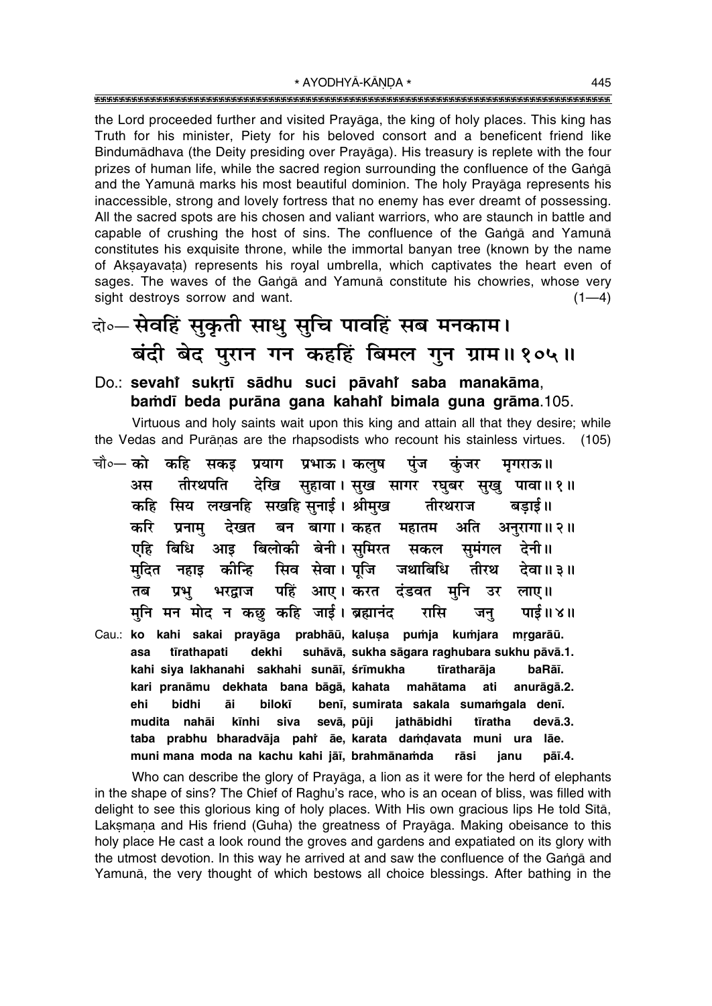the Lord proceeded further and visited Prayāga, the king of holy places. This king has Truth for his minister, Piety for his beloved consort and a beneficent friend like Bindumādhava (the Deity presiding over Prayāga). His treasury is replete with the four prizes of human life, while the sacred region surrounding the confluence of the Ganga and the Yamuna marks his most beautiful dominion. The holy Prayaga represents his inaccessible, strong and lovely fortress that no enemy has ever dreamt of possessing. All the sacred spots are his chosen and valiant warriors, who are staunch in battle and capable of crushing the host of sins. The confluence of the Ganga and Yamuna constitutes his exquisite throne, while the immortal banyan tree (known by the name of Aksayavata) represents his royal umbrella, which captivates the heart even of sages. The waves of the Ganga and Yamuna constitute his chowries, whose very sight destroys sorrow and want.  $(1-4)$ 

# वो० सेवहिं सुकृती साधु सुचि पावहिं सब मनकाम। बंदी बेद पुरान गन कहहिं बिमल गुन ग्राम॥१०५॥

### Do.: sevahi sukrtī sādhu suci pāvahi saba manakāma. bamdī beda purāna gana kahahi bimala guna grāma.105.

Virtuous and holy saints wait upon this king and attain all that they desire; while the Vedas and Purānas are the rhapsodists who recount his stainless virtues. (105)

- चौ∘— को कहि सकड प्रभाऊ। कलष प्रयाग पंज कंजर मगराऊ॥ सहावा। सुख सागर रघुबर सुखु पावा॥१॥ देखि अस तीरथपति सिय लखनहि सखहि सनाई। श्रीमुख तीरथराज कहि बडाई॥ करि देखत बन बागा। कहत प्रनाम अति अनुरागा।। २॥ महातम बिधि बिलोकी बेनी। समिरत सुमंगल एहि आड सकल देनी ॥ सिव सेवा। पूजि मदित कोन्हि जथाबिधि तीरथ देवा॥ ३॥ नहाड पहिं आए। करत दंडवत भरद्राज प्रभ मनि उर तब लाए।। मुनि मन मोद न कछ कहि जाई। ब्रह्मानंद रासि पाई ॥ ४ ॥ जन्
- Cau.: ko kahi sakai prayāga prabhāū, kalusa pumja kumjara mrgarāū. tīrathapati dekhi suhāvā, sukha sāgara raghubara sukhu pāvā.1. asa kahi siya lakhanahi sakhahi sunāī, śrīmukha tīratharāja baRāī. kari pranāmu dekhata bana bāgā, kahata mahātama ati anurāgā.2. ehi bidhi āi bilokī benī, sumirata sakala sumamgala denī. mudita nahāi kīnhi siva sevā, pūji jathābidhi tīratha devā.3. taba prabhu bharadvāja pahř āe, karata damdavata muni ura lãe. muni mana moda na kachu kahi jāī, brahmānamda pāī.4. rāsi janu

Who can describe the glory of Prayaga, a lion as it were for the herd of elephants in the shape of sins? The Chief of Raghu's race, who is an ocean of bliss, was filled with delight to see this glorious king of holy places. With His own gracious lips He told Sītā, Laksmana and His friend (Guha) the greatness of Prayaga. Making obeisance to this holy place He cast a look round the groves and gardens and expatiated on its glory with the utmost devotion. In this way he arrived at and saw the confluence of the Ganga and Yamuna, the very thought of which bestows all choice blessings. After bathing in the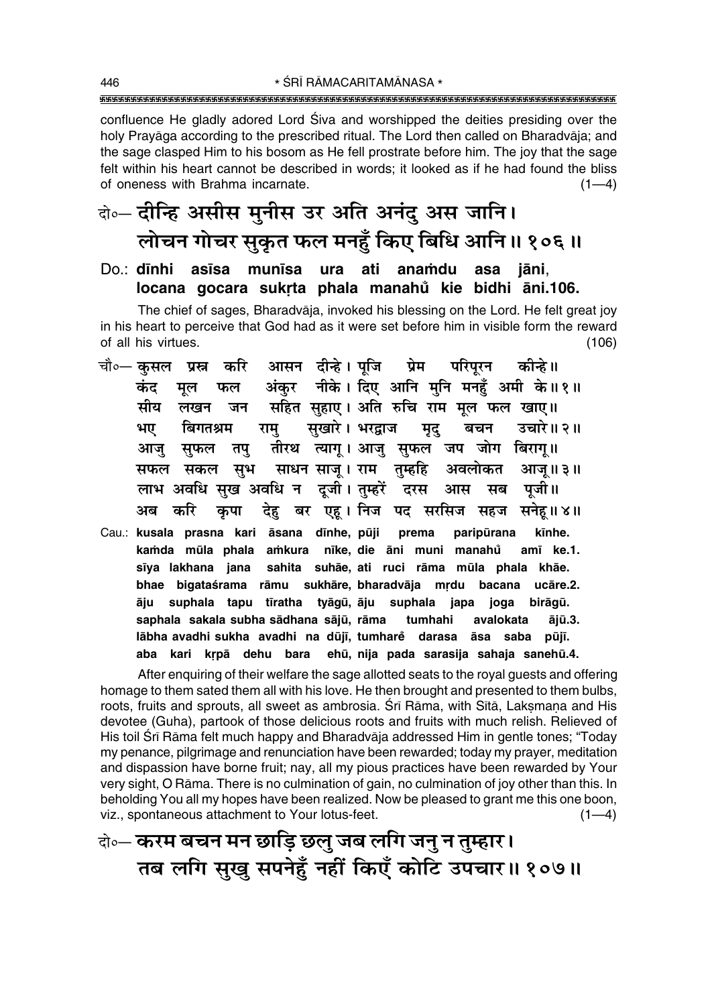\* ŚRĪ RĀMACARITAMĀNASA \* 

confluence He gladly adored Lord Siva and worshipped the deities presiding over the holy Pravāga according to the prescribed ritual. The Lord then called on Bharadvāja; and the sage clasped Him to his bosom as He fell prostrate before him. The joy that the sage felt within his heart cannot be described in words; it looked as if he had found the bliss of oneness with Brahma incarnate.  $(1-4)$ 

# केन्- दीन्हि असीस मुनीस उर अति अनंदु अस जानि। लोचन गोचर सुकृत फल मनहुँ किए बिधि आनि॥ १०६॥

### munīsa ura ati anamdu Do.: **dīnhi** asīsa asa jāni. locana gocara sukrta phala manahů kie bidhi āni.106.

The chief of sages, Bharadvāja, invoked his blessing on the Lord. He felt great joy in his heart to perceive that God had as it were set before him in visible form the reward of all his virtues.  $(106)$ 

- चौ०— कुसल आसन दीन्हे। पूजि प्रेम परिपूरन प्रस्न करि कोन्हे ॥ अंकर नीके। दिए आनि मनि मनहँ अमी के॥१॥ कंद मूल फल सहित सहाए। अति रुचि राम मूल फल खाए॥ मीय लखन जन सुखारे। भरद्वाज उचारे॥ २॥ भए बिगतश्रम राम बचन मृद् तीरथ त्यागू। आजु सुफल जप जोग बिरागू॥ आज सुफल तप् अवलोकत साधन साजू। राम तुम्हहि सफल सकल सूभ आज॥३॥ लाभ अवधि सुख अवधि न दूजी। तुम्हरें दरस आस सब पजी।। देह बर एह। निज पद सरसिज सहज सनेह॥४॥ अब करि कपा
- Cau.: kusala prasna kari āsana dīnhe, pūji prema paripūrana kīnhe. kamda mūla phala amkura nīke, die āni muni manahů amī ke.1. sīya lakhana jana sahita suhāe, ati ruci rāma mūla phala khāe. bhae bigataśrama rāmu sukhāre, bharadvāja mrdu bacana ucāre.2. āju suphala tapu tīratha tyāgū, āju suphala japa joga birāgū. saphala sakala subha sādhana sājū, rāma tumhahi avalokata ājū.3. lābha avadhi sukha avadhi na dūjī, tumhare darasa āsa saba pūjī. aba kari krpā dehu bara ehū, nija pada sarasija sahaja sanehū.4.

After enquiring of their welfare the sage allotted seats to the royal guests and offering homage to them sated them all with his love. He then brought and presented to them bulbs, roots, fruits and sprouts, all sweet as ambrosia. Srī Rāma, with Sītā, Laksmana and His devotee (Guha), partook of those delicious roots and fruits with much relish. Relieved of His toil Srī Rāma felt much happy and Bharadvāja addressed Him in gentle tones; "Today" my penance, pilgrimage and renunciation have been rewarded; today my prayer, meditation and dispassion have borne fruit; nay, all my pious practices have been rewarded by Your very sight, O Rāma. There is no culmination of gain, no culmination of joy other than this. In beholding You all my hopes have been realized. Now be pleased to grant me this one boon, viz., spontaneous attachment to Your lotus-feet.  $(1-4)$ 

## केन्- करम बचन मन छाड़ि छलु जब लगि जनु न तुम्हार। तब लगि सुखु सपनेहुँ नहीं किएँ कोटि उपचार॥ १०७॥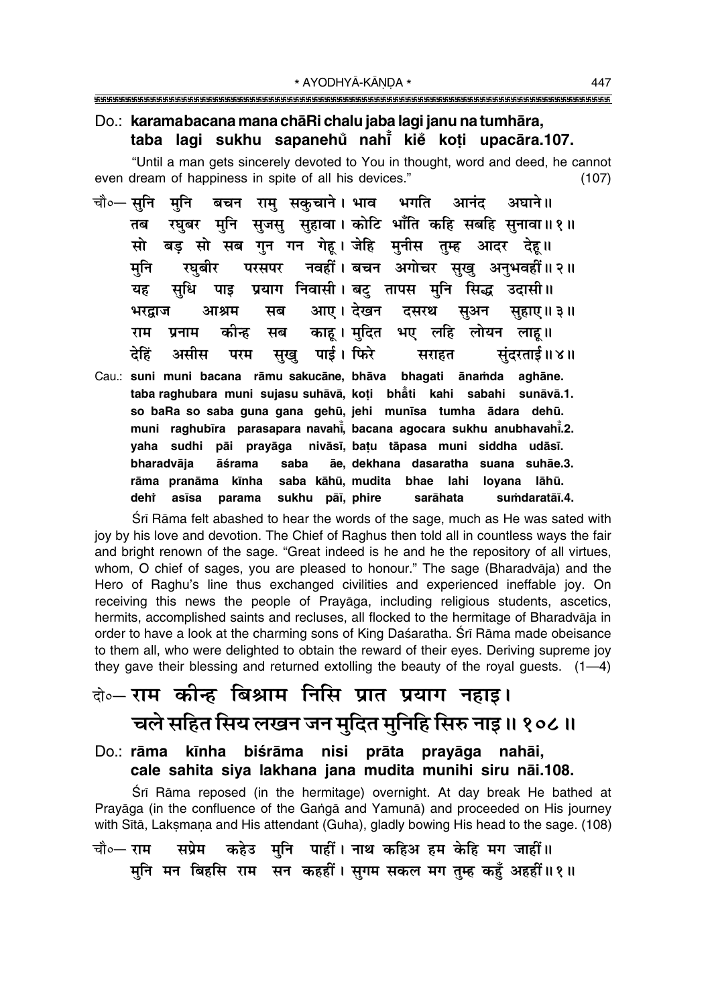### Do.: karamabacana mana chā Richalu jaba lagi janu na tumhāra, taba lagi sukhu sapanehů nahi kiě koti upacāra.107.

"Until a man gets sincerely devoted to You in thought, word and deed, he cannot even dream of happiness in spite of all his devices."  $(107)$ 

- चौ∘— सनि मनि बचन राम सकचाने। भाव भगति आनंद अघाने ॥ रघुबर मुनि सुजसु सुहावा। कोटि भाँति कहि सबहि सुनावा॥१॥ तब बड़ सो सब गुन गन गेह। जेहि मुनीस तुम्ह आदर देह॥ मो नवहीं। बचन अगोचर सुखु अनुभवहीं॥२॥ मनि रघबीर परसपर सृधि प्रयाग निवासी। बट् तापस मनि सिद्ध उदासी॥ यह पाइ आए। देखन दसरथ सब भरद्राज आश्रम सुअन सहाए॥ ३॥ काह। मुदित भए लहि राम कीन्ह मब लोयन लाह॥ प्रनाम सुखु पाई। फिरे देहिं असीस परम सराहत संदरताई ॥ ४ ॥
- Cau.: suni muni bacana rāmu sakucāne, bhāva bhagati ānamda aghāne. taba raghubara muni sujasu suhāvā, koti bhāti kahi sabahi sunāvā.1. so baRa so saba guna gana gehū, jehi munīsa tumha ādara dehū. muni raghubīra parasapara navahī, bacana agocara sukhu anubhavahī.2. vaha sudhi pāi pravāga nivāsī, batu tāpasa muni siddha udāsī. bharadvāja āśrama saba ãe, dekhana dasaratha suana suhãe.3. rāma pranāma kīnha saba kāhū, mudita bhae lahi loyana lāhū. deht asīsa parama sukhu pāī, phire sarāhata sumdaratāī.4.

Sri Rama felt abashed to hear the words of the sage, much as He was sated with joy by his love and devotion. The Chief of Raghus then told all in countless ways the fair and bright renown of the sage. "Great indeed is he and he the repository of all virtues, whom, O chief of sages, you are pleased to honour." The sage (Bharadvāja) and the Hero of Raghu's line thus exchanged civilities and experienced ineffable joy. On receiving this news the people of Prayaga, including religious students, ascetics, hermits, accomplished saints and recluses, all flocked to the hermitage of Bharadvāja in order to have a look at the charming sons of King Daśaratha. Śrī Rāma made obeisance to them all, who were delighted to obtain the reward of their eyes. Deriving supreme joy they gave their blessing and returned extolling the beauty of the royal quests.  $(1-4)$ 

# के-राम कीन्ह बिश्राम निसि प्रात प्रयाग नहाइ। चले सहित सिय लखन जन मुदित मुनिहि सिरु नाइ॥ १०८॥

### nisi prāta prayāga nahāi, kīnha biśrāma Do.: **rāma** cale sahita siya lakhana jana mudita munihi siru nāi.108.

Śrī Rāma reposed (in the hermitage) overnight. At day break He bathed at Prayāga (in the confluence of the Ganga and Yamuna) and proceeded on His journey with Sītā, Lakṣmaṇa and His attendant (Guha), gladly bowing His head to the sage. (108) सप्रेम कहेउ मुनि पाहीं। नाथ कहिअ हम केहि मग जाहीं॥ चौ०— **राम** मुनि मन बिहसि राम सन कहहीं। सुगम सकल मग तुम्ह कहँ अहहीं॥१॥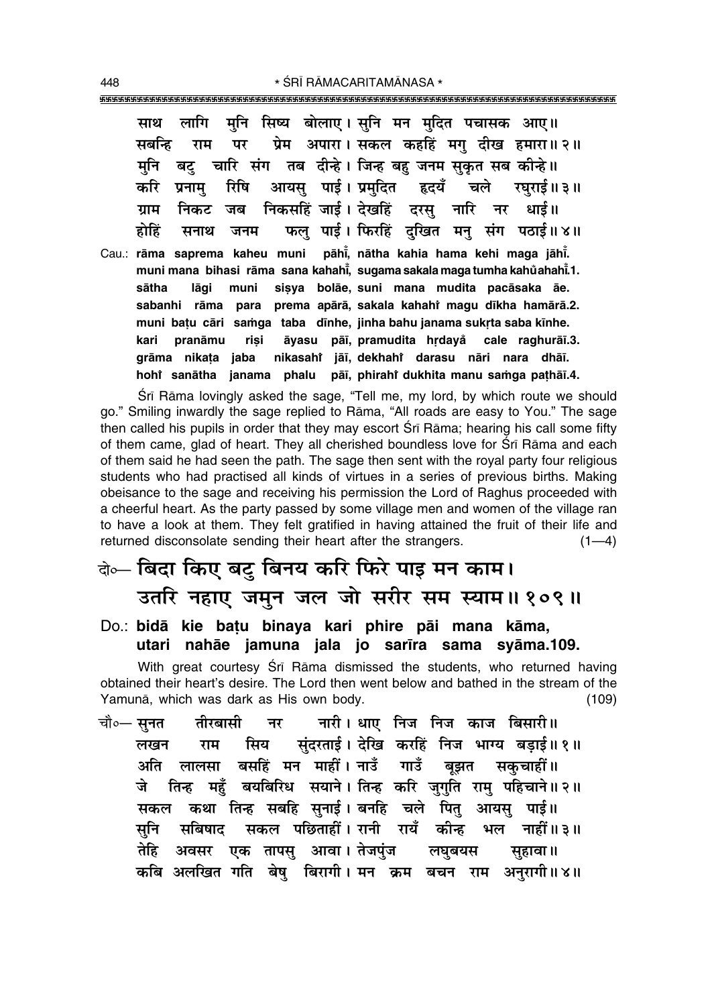मनि सिष्य बोलाए। सनि मन मदित पचासक आए॥ लागि साथ प्रेम अपारा। सकल कहहिं मग दीख हमारा॥२॥ सबन्धि राम पर बट चारि संग तब दीन्हे। जिन्ह बह जनम सकत सब कीन्हे ।। मनि आयस पाई। प्रमदित करि रिषि हृदयँ चले रघराई॥३॥ प्रनाम निकसहिं जाई। देखहिं दरसु नारि धाई॥ ग्राम निकट नर जब फल पाई। फिरहिं दुखित मन् संग पठाई॥४॥ होहिं जनम सनाथ Cau.: rāma saprema kaheu muni pāhī, nātha kahia hama kehi maga jāhī. muni mana bihasi rāma sana kahahi, sugama sakala maga tumha kahŭahahi.1. sisya bolāe, suni mana mudita pacāsaka āe. sātha lāgi muni sabanhi rāma para prema apārā, sakala kahahi magu dīkha hamārā.2. muni batu cāri samga taba dīnhe, jinha bahu janama sukrta saba kīnhe. kari pranāmu risi āyasu pāī, pramudita hrdayå cale raghurāī.3. nikasaht jāī, dekhaht darasu nāri nara dhāī. grāma nikata jaba hohi sanātha janama phalu pāī, phirahi dukhita manu samga pathāī.4.

Śrī Rāma lovingly asked the sage, "Tell me, my lord, by which route we should go." Smiling inwardly the sage replied to Rama, "All roads are easy to You." The sage then called his pupils in order that they may escort Srī Rāma; hearing his call some fifty of them came, glad of heart. They all cherished boundless love for Sri Rama and each of them said he had seen the path. The sage then sent with the royal party four religious students who had practised all kinds of virtues in a series of previous births. Making obeisance to the sage and receiving his permission the Lord of Raghus proceeded with a cheerful heart. As the party passed by some village men and women of the village ran to have a look at them. They felt gratified in having attained the fruit of their life and returned disconsolate sending their heart after the strangers.  $(1-4)$ 

# बेञ्- बिदा किए बटु बिनय करि फिरे पाइ मन काम। उतरि नहाए जमुन जल जो सरीर सम स्याम॥१०९॥

Do.: bidā kie batu binaya kari phire pāi mana kāma, utari nahāe jamuna jala jo sarīra sama syāma.109.

With great courtesy Srī Rāma dismissed the students, who returned having obtained their heart's desire. The Lord then went below and bathed in the stream of the Yamunā, which was dark as His own body.  $(109)$ 

नारी। धाए निज निज काज बिसारी॥ चौ∘— सुनत तीरबासी नर सुंदरताई। देखि करहिं निज भाग्य बड़ाई॥१॥ लखन राम सिय बसहिं मन माहीं। नाउँ गाउँ अति बझत सकचाहीं॥ लालसा तिन्ह महँ बयबिरिध सयाने। तिन्ह करि जुगति राम् पहिचाने॥२॥ जे कथा तिन्ह सबहि सनाई। बनहि चले पित आयस पाई।। मकल सकल पछिताहीं। रानी रायँ कीन्ह सनि सबिषाद भल नाहीं॥३॥ अवसर एक तापसु आवा। तेजपुंज तेहि लघबयस सहावा ॥ कबि अलखित गति बेषु बिरागी। मन क्रम बचन राम अनुरागी॥४॥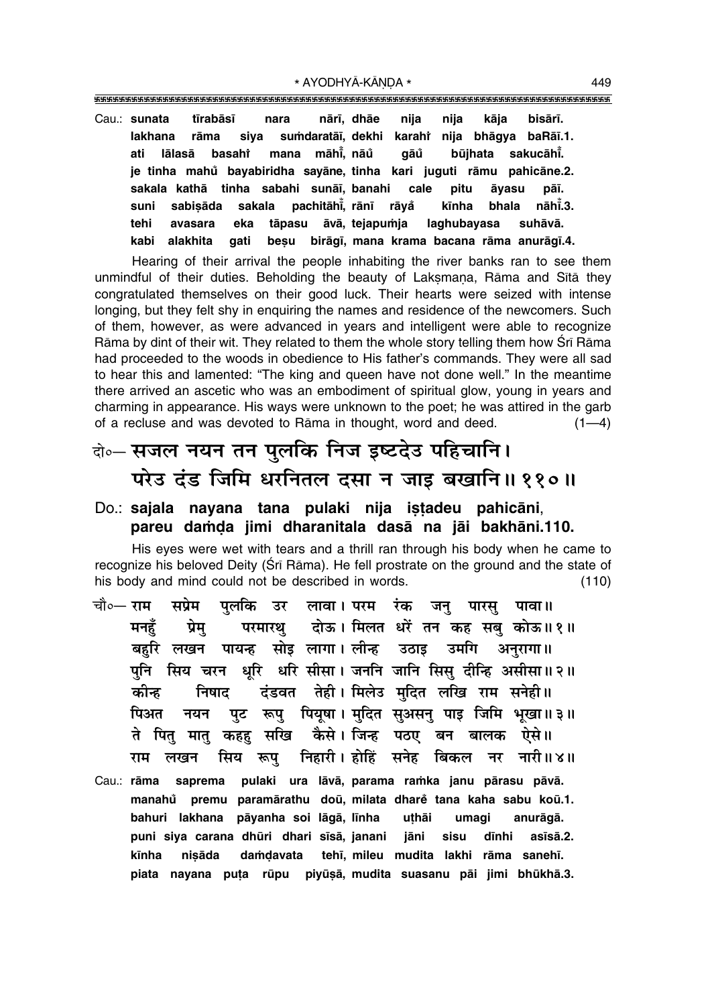Cau.: sunata tīrabāsī nara nārī, dhāe nija nija kāja bisārī. sumdaratāī, dekhi karahi nija bhāqya baRāī.1. lakhana rāma siva sakucāhī. lālasā basaht mana māhī, nāů aāů būihata ati je tinha mahů bayabiridha sayāne, tinha kari juguti rāmu pahicāne.2. sakala kathā tinha sabahi sunāī banahi cale pitu āvasu pāī. suni sabisāda sakala pachitāhi, rānī rāyå kīnha bhala nāhī.3. tehi avasara eka tāpasu āvā, tejapumja laghubayasa suhāvā. besu birāqī, mana krama bacana rāma anurāqī.4. alakhita aati kabi

Hearing of their arrival the people inhabiting the river banks ran to see them unmindful of their duties. Beholding the beauty of Laksmana, Rāma and Sītā they congratulated themselves on their good luck. Their hearts were seized with intense longing, but they felt shy in enquiring the names and residence of the newcomers. Such of them, however, as were advanced in years and intelligent were able to recognize Rāma by dint of their wit. They related to them the whole story telling them how Srī Rāma had proceeded to the woods in obedience to His father's commands. They were all sad to hear this and lamented: "The king and queen have not done well." In the meantime there arrived an ascetic who was an embodiment of spiritual glow, young in years and charming in appearance. His ways were unknown to the poet; he was attired in the garb of a recluse and was devoted to Rāma in thought, word and deed.  $(1-4)$ 

# बेञ्- सजल नयन तन पुलकि निज इष्टदेउ पहिचानि। परेउ दंड जिमि धरनितल दसा न जाइ बखानि॥११०॥

### Do.: sajala nayana tana pulaki nija istadeu pahicāni, pareu damda jimi dharanitala dasā na jāi bakhāni.110.

His eves were wet with tears and a thrill ran through his body when he came to recognize his beloved Deity (Sri Rama). He fell prostrate on the ground and the state of his body and mind could not be described in words.  $(110)$ 

- चौ०— राम सप्रेम पलकि उर लावा।परम रंक जन् पारस् पावा॥ परमारथ दोऊ। मिलत धरें तन कह सब कोऊ॥१॥ मनहॅ प्रेम बहरि लखन पायन्ह सोइ लागा।लीन्ह उठाइ उमगि अनुरागा॥ पुनि सिय चरन धूरि धरि सीसा। जननि जानि सिसु दीन्हि असीसा॥२॥ दंडवत तेही। मिलेउ मदित लखि राम सनेही॥ कीन्ह निषाद पुट रूप पियूषा। मुदित सुअसन् पाइ जिमि भूखा॥३॥ पिअत नयन ते पितु मातु कहहु सखि कैसे।जिन्ह पठए बन बालक ऐसे॥ निहारी। होहिं सनेह बिकल नर नारी॥४॥ राम लखन सिय रूप
- Cau.: rāma saprema pulaki ura lāvā, parama ramka janu pārasu pāvā. premu paramārathu doū, milata dhare tana kaha sabu koū.1. manahů bahuri lakhana pāyanha soi lāgā, līnha uthāi umagi anurāgā. puni siya carana dhūri dhari sīsā, janani jāni sisu dīnhi asīsā.2. kīnha nisāda damdavata tehī, mileu mudita lakhi rāma sanehī. piata nayana puta rūpu piyūsā, mudita suasanu pāi jimi bhūkhā.3.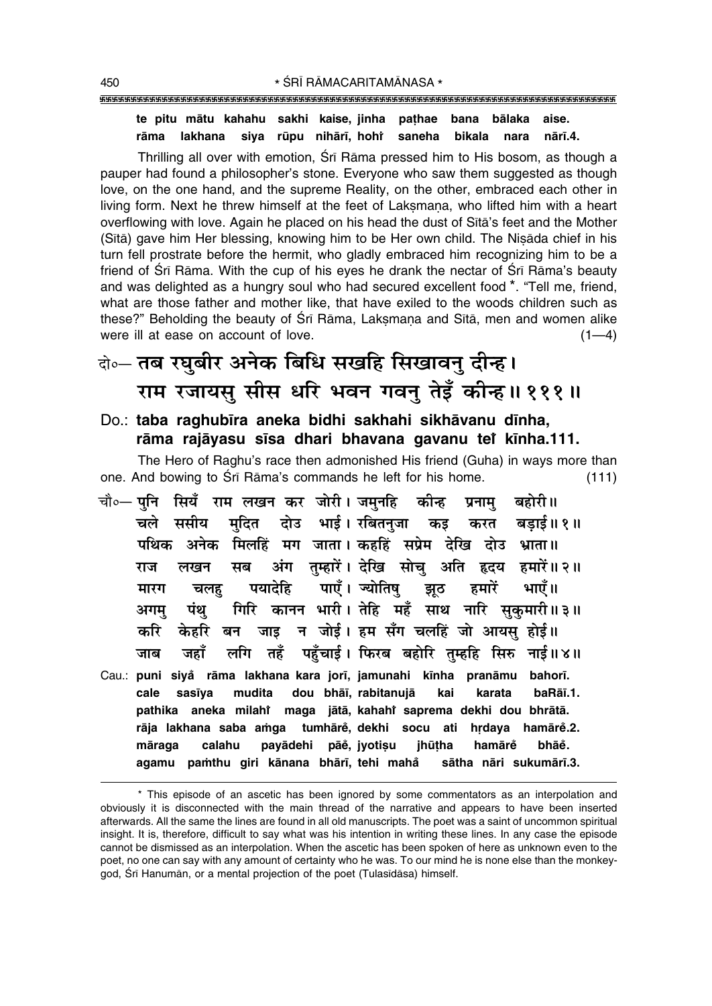### te pitu mātu kahahu sakhi kaise, jinha pathae bana bālaka aise. siya rūpu nihārī, hohr saneha rāma lakhana bikala nara nārī.4.

Thrilling all over with emotion, Sri Rama pressed him to His bosom, as though a pauper had found a philosopher's stone. Everyone who saw them suggested as though love, on the one hand, and the supreme Reality, on the other, embraced each other in living form. Next he threw himself at the feet of Laksmana, who lifted him with a heart overflowing with love. Again he placed on his head the dust of Sita's feet and the Mother (Sītā) gave him Her blessing, knowing him to be Her own child. The Nisāda chief in his turn fell prostrate before the hermit, who gladly embraced him recognizing him to be a friend of Sri Rāma. With the cup of his eyes he drank the nectar of Sri Rāma's beauty and was delighted as a hungry soul who had secured excellent food \*. "Tell me, friend, what are those father and mother like, that have exiled to the woods children such as these?" Beholding the beauty of Sri Rama, Laksmana and Sita, men and women alike were ill at ease on account of love.  $(1-4)$ 

# बेन्ट तब रघुबीर अनेक बिधि सखहि सिखावनु दीन्ह। राम रजायसु सीस धरि भवन गवनु तेइँ कीन्ह।। १११॥

Do.: taba raghubīra aneka bidhi sakhahi sikhāvanu dīnha, rāma rajāyasu sīsa dhari bhavana gavanu tet kīnha.111.

The Hero of Raghu's race then admonished His friend (Guha) in ways more than one. And bowing to Sri Rama's commands he left for his home.  $(111)$ 

चौ०— पुनि सियँ राम लखन कर जोरी। जमुनहि कीन्ह बहोरी॥ प्रनाम मुदित दोउ भाई। रबितन्जा कइ करत बडाई॥१॥ चले ससीय पथिक अनेक मिलहिं मग जाता। कहहिं सप्रेम देखि दोउ भ्राता॥ अंग तम्हारें। देखि सोच अति हृदय हमारें॥२॥ मब लखन राज पयादेहि पाएँ । ज्योतिष झूठ हमारें मारग चलह भाएँ ॥ गिरि कानन भारी। तेहि महँ साथ नारि सकमारी॥३॥ अगम पंथ जाड़ न जोई। हम सँग चलहिं जो आयस होई॥ करि केर्हारे बन लगि तहँ पहुँचाई। फिरब बहोरि तुम्हहि सिरु नाई॥४॥ जहाँ जाब Cau.: puni siyå rāma lakhana kara jorī, jamunahi kīnha pranāmu bahorī. dou bhāī, rabitanujā cale sasīva mudita kai baRāī.1. karata pathika aneka milahî maga jātā, kahahî saprema dekhi dou bhrātā. rāja lakhana saba amga tumhārě, dekhi socu ati hrdaya hamārě.2. māraga calahu payādehi pāė, jyotisu jhūtha hamārě bhāě. agamu pamthu giri kānana bhārī, tehi mahå sātha nāri sukumārī.3.

<sup>\*</sup> This episode of an ascetic has been ignored by some commentators as an interpolation and obviously it is disconnected with the main thread of the narrative and appears to have been inserted afterwards. All the same the lines are found in all old manuscripts. The poet was a saint of uncommon spiritual insight. It is, therefore, difficult to say what was his intention in writing these lines. In any case the episode cannot be dismissed as an interpolation. When the ascetic has been spoken of here as unknown even to the poet, no one can say with any amount of certainty who he was. To our mind he is none else than the monkeygod, Śrī Hanumān, or a mental projection of the poet (Tulasīdāsa) himself.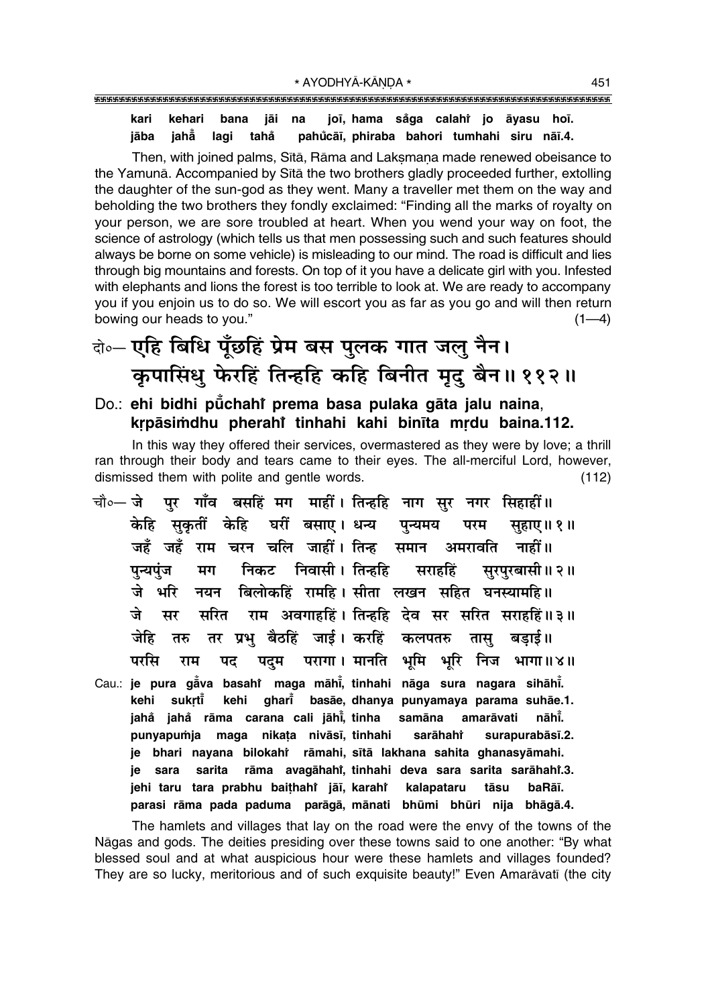### joī, hama såga calahî jo āyasu hoī. kari kehari bana jāi na pahůcāī, phiraba bahori tumhahi siru nāī.4. jāba jahă lagi tahå

Then, with joined palms, Sita, Rama and Laksmana made renewed obeisance to the Yamunā. Accompanied by Sītā the two brothers gladly proceeded further, extolling the daughter of the sun-god as they went. Many a traveller met them on the way and beholding the two brothers they fondly exclaimed: "Finding all the marks of royalty on your person, we are sore troubled at heart. When you wend your way on foot, the science of astrology (which tells us that men possessing such and such features should always be borne on some vehicle) is misleading to our mind. The road is difficult and lies through big mountains and forests. On top of it you have a delicate girl with you. Infested with elephants and lions the forest is too terrible to look at. We are ready to accompany you if you enjoin us to do so. We will escort you as far as you go and will then return bowing our heads to you."  $(1-4)$ 

# केन्ट एहि बिधि पूँछहिं प्रेम बस पुलक गात जलु नैन। कुपासिंधु फेरहिं तिन्हहि कहि बिनीत मृदु बैन॥११२॥

### Do.: ehi bidhi pūchahi prema basa pulaka gāta jalu naina, krpāsimdhu pherahi tinhahi kahi binīta mrdu baina.112.

In this way they offered their services, overmastered as they were by love; a thrill ran through their body and tears came to their eyes. The all-merciful Lord, however, dismissed them with polite and gentle words.  $(112)$ 

- गाँव बसहिं मग माहीं। तिन्हहि नाग सुर नगर सिहाहीं॥ चौ०— जे पर केहि सकतीं केहि घरीं बसाए। धन्य पन्यमय परम सहाए।। १॥ जहँ जहँ राम चरन चलि जाहीं। तिन्ह समान अमरावति नाहीं ॥ निकट निवासी । तिन्हहि पन्यपंज मग सराहहिं सरपरबासी॥ २॥ नयन बिलोकहिं रामहि। सीता लखन सहित घनस्यामहि॥ जे भरि राम अवगाहहिं। तिन्हहि देव सर सरित सराहहिं॥३॥ जे मर सरित तर प्रभु बैठहिं जाई। करहिं कलपतरु जेहि तास् बडाई॥ तरु परसि पदम परागा। मानति भूमि भूरि निज भागा॥४॥ पद राम
- Cau.: je pura gava basahi maga māhi, tinhahi nāga sura nagara sihāhi. ghari basāe, dhanya punyamaya parama suhāe.1. kehi sukrtī kehi jahå jahå rāma carana cali jāhi, tinha samāna nāhĪ. amarāvati punyapumja maga nikata nivāsī, tinhahi sarāhahi surapurabāsī.2. je bhari nayana bilokahi rāmahi, sītā lakhana sahita ghanasyāmahi. je sara sarita rāma avagāhahi, tinhahi deva sara sarita sarāhahi.3. jehi taru tara prabhu baithahi jāī, karahi kalapataru tāsu baRāī. parasi rāma pada paduma parāgā, mānati bhūmi bhūri nija bhāgā.4.

The hamlets and villages that lay on the road were the envy of the towns of the Nāgas and gods. The deities presiding over these towns said to one another: "By what blessed soul and at what auspicious hour were these hamlets and villages founded? They are so lucky, meritorious and of such exquisite beauty!" Even Amarāvatī (the city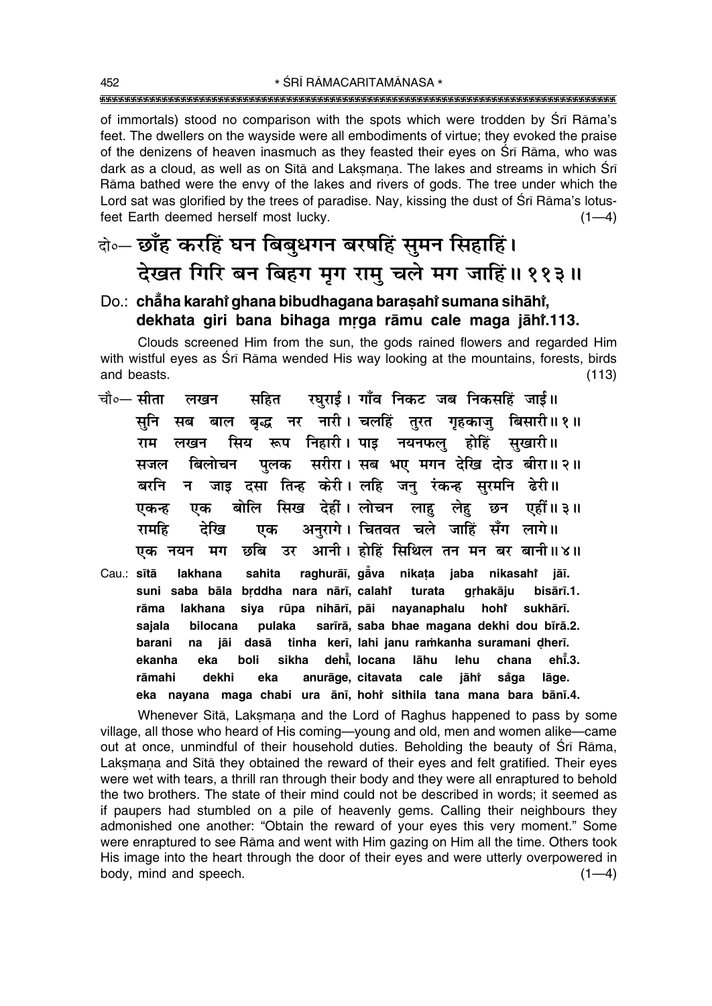of immortals) stood no comparison with the spots which were trodden by Sri Rāma's feet. The dwellers on the wayside were all embodiments of virtue; they evoked the praise of the denizens of heaven inasmuch as they feasted their eyes on Sri Rāma, who was dark as a cloud, as well as on Sita and Laksmana. The lakes and streams in which Sri Rāma bathed were the envy of the lakes and rivers of gods. The tree under which the Lord sat was glorified by the trees of paradise. Nay, kissing the dust of Sri Rāma's lotusfeet Earth deemed herself most lucky.  $(1-4)$ 

### बे॰ छाँह करहिं घन बिबुधगन बरषहिं सुमन सिहाहिं। देखत गिरि बन बिहग मृग राम् चले मग जाहिं॥ ११३॥

### Do.: chẳha karahi ghana bibudhagana barasahi sumana sihāhi, dekhata giri bana bihaga mrga rāmu cale maga jāhī.113.

Clouds screened Him from the sun, the gods rained flowers and regarded Him with wistful eves as Srī Rāma wended His way looking at the mountains, forests, birds and beasts.  $(113)$ 

रघुराई। गाँव निकट जब निकसहिं जाई॥ चौ०— सीता सहित लखन बाल बद्ध नर नारी। चलहिं तुरत गृहकाजु बिसारी॥१॥ सूनि सब सिय रूप निहारी। पाइ नयनफल् होहिं सुखारी॥ राम लखन पलक सरीरा। सब भए मगन देखि दोउ बीरा॥२॥ बिलोचन मजल जाड़ दसा तिन्ह केरी। लहि जन रंकन्ह सरमनि ढेरी॥ बरनि न बोलि सिख देहीं। लोचन लाह लेह छन एहीं॥३॥ एकन्ह एक अनुरागे। चितवत चले जाहिं सँग लागे॥ देखि रामहि एक आनी। होहिं सिथिल तन मन बर बानी॥४॥ छबि उर एक नयन मग raghurāī, gāva nikata jaba nikasahi Cau.: sītā lakhana sahita jāī. suni saba bāla brddha nara nārī, calahî turata grhakāju bisārī.1. siya rūpa nihārī, pāi nayanaphalu hohi rāma lakhana sukhārī. sarīrā, saba bhae magana dekhi dou bīrā.2. bilocana pulaka sajala

tinha kerī, lahi janu ramkanha suramani dherī. barani na jāi dasā lāhu sikha dehi, locana ekanha eka boli lehu chana ehī.3. rāmahi dekhi eka anurāge, citavata cale jāhř såga lāge. eka nayana maga chabi ura ānī, hohi sithila tana mana bara bānī.4.

Whenever Sita, Laksmana and the Lord of Raghus happened to pass by some village, all those who heard of His coming-young and old, men and women alike-came out at once, unmindful of their household duties. Beholding the beauty of Sri Rama, Laksmana and Sita they obtained the reward of their eyes and felt gratified. Their eyes were wet with tears, a thrill ran through their body and they were all enraptured to behold the two brothers. The state of their mind could not be described in words; it seemed as if paupers had stumbled on a pile of heavenly gems. Calling their neighbours they admonished one another: "Obtain the reward of your eyes this very moment." Some were enraptured to see Rāma and went with Him gazing on Him all the time. Others took His image into the heart through the door of their eyes and were utterly overpowered in body, mind and speech.  $(1-4)$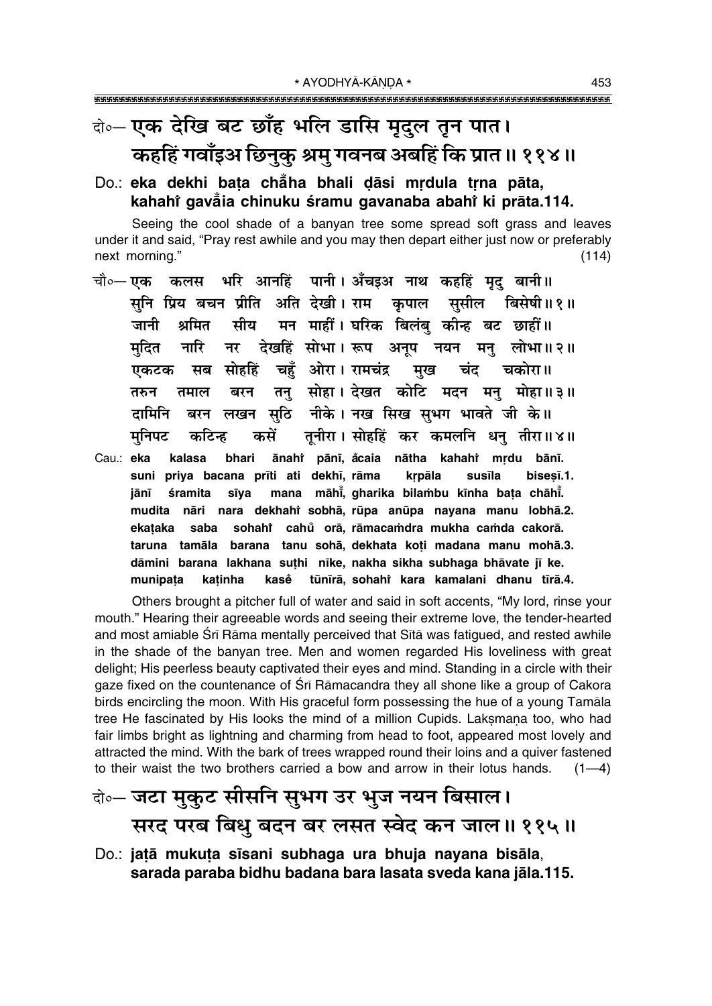# के-एक देखि बट छाँह भलि डासि मृदुल तून पात। कहहिं गवाँइअ छिनुकु श्रमु गवनब अबहिं कि प्रात॥ ११४॥

### Do.: eka dekhi bata chẳha bhali dāsi mrdula trna pāta, kahahi qavala chinuku sramu qavanaba abahi ki prāta.114.

Seeing the cool shade of a banyan tree some spread soft grass and leaves under it and said, "Pray rest awhile and you may then depart either just now or preferably next morning."  $(114)$ 

- चौ०— एक कलस भरि आनहिं पानी। अँचइअ नाथ कहहिं मृद् बानी॥ सनि प्रिय बचन प्रीति अति देखी। राम कपाल ससील बिसेषी॥१॥ सीय मन माहीं। घरिक बिलंब कीन्ह बट छाहीं॥ श्रमित जानी नर देखहिं सोभा। रूप अनूप नयन मनु लोभा॥२॥ नारि मदित सब सोहहिं चहँ ओरा। रामचंद्र मख चंद चकोरा॥ एकटक तनु सोहा। देखत कोटि मदन मनु मोहा॥३॥ बरन तरुन तमाल बरन लखन सुठि नीके। नख सिख सुभग भावते जी के॥ दामिनि तनीरा। सोहहिं कर कमलनि धन तीरा॥४॥ कसें मनिपट कटिन्ह
- Cau.: eka ānahi pānī, åcaia nātha kahahi mrdu bānī. kalasa bhari suni priya bacana prīti ati dekhī, rāma krpāla susīla bisesī.1. śramita sīya mana māhi, gharika bilambu kīnha bata chāhi. jānī mudita nāri nara dekhahi sobhā, rūpa anūpa nayana manu lobhā.2. sohahi cahů orā, rāmacamdra mukha camda cakorā. ekataka saba taruna tamāla barana tanu sohā, dekhata koti madana manu mohā.3. dāmini barana lakhana suthi nīke, nakha sikha subhaga bhāvate jī ke. kasě tūnīrā, sohahi kara kamalani dhanu tīrā.4. munipata katinha

Others brought a pitcher full of water and said in soft accents, "My lord, rinse your mouth." Hearing their agreeable words and seeing their extreme love, the tender-hearted and most amiable Srī Rāma mentally perceived that Sītā was fatigued, and rested awhile in the shade of the banyan tree. Men and women regarded His loveliness with great delight; His peerless beauty captivated their eyes and mind. Standing in a circle with their gaze fixed on the countenance of Śrī Rāmacandra they all shone like a group of Cakora birds encircling the moon. With His graceful form possessing the hue of a young Tamala tree He fascinated by His looks the mind of a million Cupids. Laksmana too, who had fair limbs bright as lightning and charming from head to foot, appeared most lovely and attracted the mind. With the bark of trees wrapped round their loins and a quiver fastened to their waist the two brothers carried a bow and arrow in their lotus hands.  $(1-4)$ 

# केन्चल मुकुट सीसनि सुभग उर भुज नयन बिसाल। सरद परब बिधु बदन बर लसत स्वेद कन जाल॥ ११५॥

Do.: jatā mukuta sīsani subhaga ura bhuja nayana bisāla, sarada paraba bidhu badana bara lasata sveda kana jāla.115.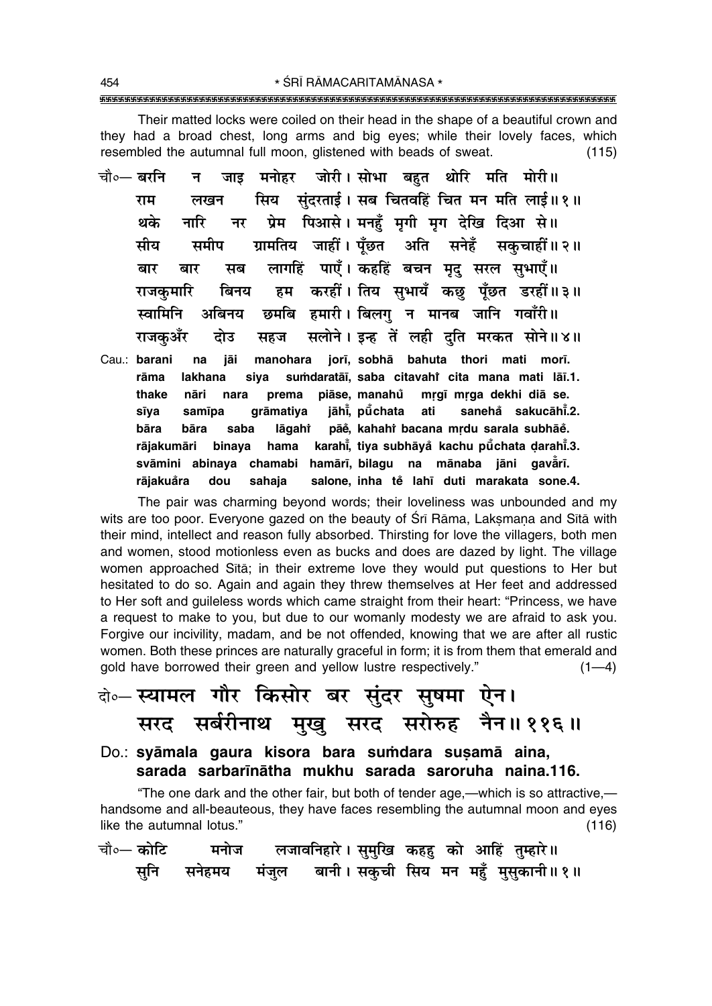\* ŚRĪ RĀMACARITAMĀNASA \* 

Their matted locks were coiled on their head in the shape of a beautiful crown and they had a broad chest, long arms and big eyes; while their lovely faces, which resembled the autumnal full moon, glistened with beads of sweat.  $(115)$ 

- जोरी। सोभा बहुत थोरि मति मोरी॥ चौ०— बरनि मनोहर न $\overline{a}$ जाड सिय संदरताई। सब चितवहिं चित मन मति लाई॥१॥ राम लखन प्रेम पिआसे। मनहँ मगी मग देखि दिआ से॥ थके नारि नर ग्रामतिय जाहीं। पूँछत अति सनेहँ सकुचाहीं॥२॥ समीप मीय लागहिं पाएँ। कहहिं बचन मृदु सरल सुभाएँ॥ बार बार मब हम करहीं। तिय सुभायँ कछ पूँछत डरहीं॥३॥ राजकमारि बिनय छमबि हमारी। बिलगु न मानब जानि गवाँरी॥ स्वामिनि अबिनय सलोने। इन्ह तें लही दति मरकत सोने॥४॥ राजकअँर दोउ सहज
- manohara jorī, sobhā bahuta thori mati morī. Cau.: barani na jāi rāma lakhana sumdaratāi, saba citavahi cita mana mati lāī.1. siva thake prema piāse, manahů mrgī mrga dekhi diā se. nāri nara jāhi, pūchata ati sanehå sakucāhi.2. sīva samīpa grāmatiya pāě, kahahi bacana mrdu sarala subhāě. bāra lāgahi bāra saba karahi, tiya subhāyå kachu pūchata darahi.3. rājakumāri binaya hama svāmini abinaya chamabi hamārī, bilagu na mānaba jāni gavārī. dou salone, inha tě lahī duti marakata sone.4. rājakuåra sahaja

The pair was charming beyond words; their loveliness was unbounded and my wits are too poor. Everyone gazed on the beauty of Sri Rama, Laksmana and Sita with their mind, intellect and reason fully absorbed. Thirsting for love the villagers, both men and women, stood motionless even as bucks and does are dazed by light. The village women approached Sita; in their extreme love they would put questions to Her but hesitated to do so. Again and again they threw themselves at Her feet and addressed to Her soft and quileless words which came straight from their heart: "Princess, we have a request to make to you, but due to our womanly modesty we are afraid to ask you. Forgive our incivility, madam, and be not offended, knowing that we are after all rustic women. Both these princes are naturally graceful in form; it is from them that emerald and gold have borrowed their green and vellow lustre respectively."  $(1-4)$ 

# के-स्यामल गौर किसोर बर सुंदर सुषमा ऐन। सरद सर्बरीनाथ मुखु सरद सरोरुह नैन॥११६॥

Do.: syāmala gaura kisora bara sumdara susamā aina, sarada sarbarīnātha mukhu sarada saroruha naina.116.

"The one dark and the other fair, but both of tender age,—which is so attractive, handsome and all-beauteous, they have faces resembling the autumnal moon and eyes like the autumnal lotus."  $(116)$ 

| चौ∘— कोटि |  | मनोज लजावनिहारे। सुमुखि कहहु को आहिं तुम्हारे॥       |  |  |
|-----------|--|------------------------------------------------------|--|--|
|           |  | सुनि सनेहमय मंजुल बानी।सकुची सिय मन महुँ मुसुकानी॥१॥ |  |  |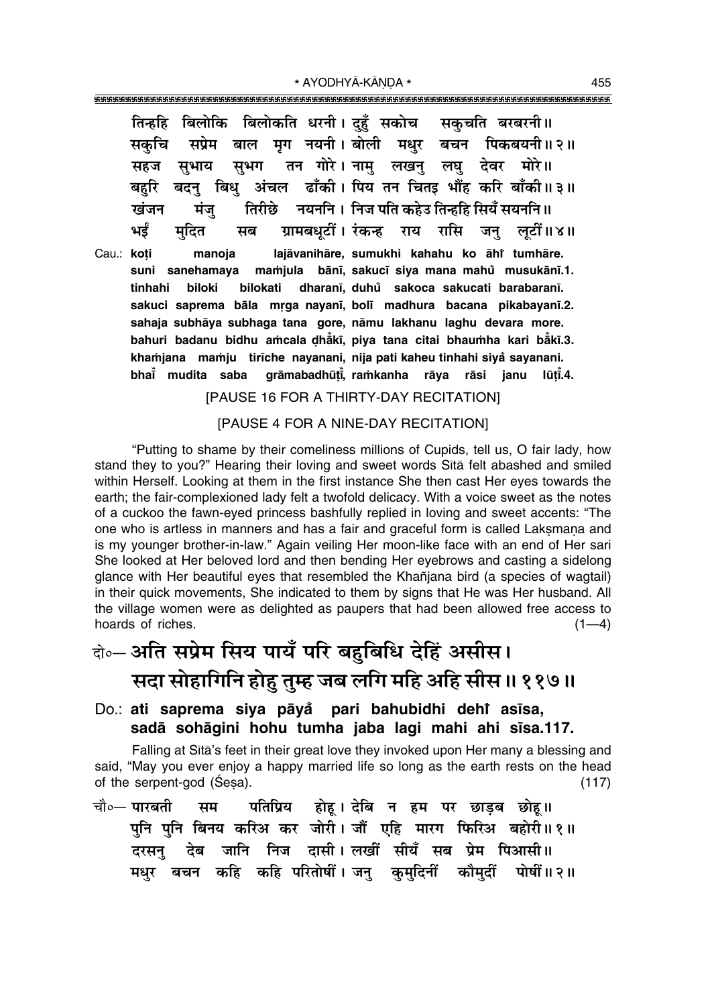\* AYODHYĀ-KĀNDA \* 

तिन्हहि बिलोकि बिलोकति धरनी। दहँ सकोच सकचति बरबरनी॥ सप्रेम बाल मग नयनी। बोली मधर बचन पिकबयनी॥२॥ सकचि सभग तन गोरे। नाम लखन लघ देवर मोरे॥ सहज सभाय बदनु बिधु अंचल ढाँकी। पिय तन चितइ भौंह करि बाँकी॥३॥ बहरि तिरीछे नयननि । निज पति कहेउ तिन्हहि सियँ सयननि ॥ खंजन मंज भई ग्रामबधुटीं। रंकन्ह राय रासि जन् लुटीं॥४॥ मदित मब Cau.: koti manoja lajāvanihāre, sumukhi kahahu ko āhi tumhāre. mamjula bānī, sakucī siya mana mahu musukānī.1. suni sanehamaya bilokati dharanī, duhů sakoca sakucati barabaranī. tinhahi biloki sakuci saprema bāla mrga nayanī, bolī madhura bacana pikabayanī.2. sahaja subhāya subhaga tana gore, nāmu lakhanu laghu devara more. bahuri badanu bidhu amcala dhaki, piya tana citai bhaumha kari baki.3. khamjana mamju tirīche nayanani, nija pati kaheu tinhahi siya sayanani. bhai mudita saba grāmabadhūti, ramkanha rāya rāsi janu lūti.4.

[PAUSE 16 FOR A THIRTY-DAY RECITATION]

### [PAUSE 4 FOR A NINE-DAY RECITATION]

"Putting to shame by their comeliness millions of Cupids, tell us, O fair lady, how stand they to you?" Hearing their loving and sweet words Sita felt abashed and smiled within Herself. Looking at them in the first instance She then cast Her eyes towards the earth; the fair-complexioned lady felt a twofold delicacy. With a voice sweet as the notes of a cuckoo the fawn-eyed princess bashfully replied in loving and sweet accents: "The one who is artless in manners and has a fair and graceful form is called Laksmana and is my younger brother-in-law." Again veiling Her moon-like face with an end of Her sari She looked at Her beloved lord and then bending Her eyebrows and casting a sidelong glance with Her beautiful eyes that resembled the Khañjana bird (a species of wagtail) in their quick movements. She indicated to them by signs that He was Her husband. All the village women were as delighted as paupers that had been allowed free access to hoards of riches.  $(1-4)$ 

# वे॰ अति सप्रेम सिय पायँ परि बहुबिधि देहिं असीस। सदा सोहागिनि होहु तुम्ह जब लगि महि अहि सीस ॥ ११७॥

### Do.: ati saprema siya pāyå pari bahubidhi dehi asīsa, sadā sohāqini hohu tumha jaba lagi mahi ahi sīsa.117.

Falling at Sītā's feet in their great love they invoked upon Her many a blessing and said, "May you ever enjoy a happy married life so long as the earth rests on the head of the serpent-god (Sesa).  $(117)$ 

चौ∘— पारबती पतिप्रिय होह। देबि न हम पर छाडब छोह॥ सम पुनि पुनि बिनय करिअ कर जोरी। जौं एहि मारग फिरिअ बहोरी॥१॥ देब जानि निज दासी।लखीं सीयँ सब प्रेम पिआसी॥ दरसन मधुर बचन कहि कहि परितोषीं। जनु कुमुदिनीं कौमुदीं पोषीं॥२॥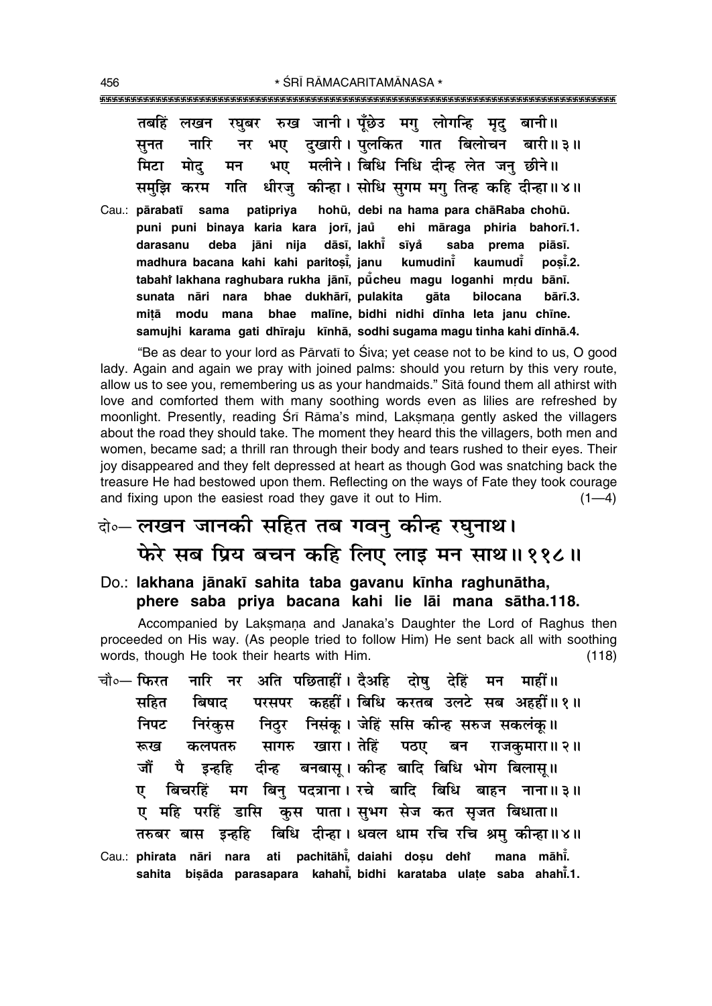|  |  | तबहिं लखन रघुबर रुख जानी। पूँछेउ मगु लोगन्हि मृद् बानी॥       |
|--|--|---------------------------------------------------------------|
|  |  | सुनत नारि नर भए दुखारी। पुलकित गात बिलोचन बारी॥३॥             |
|  |  | मिटा मोद् मन भए मलीने। बिधि निधि दीन्ह लेत जनु छीने॥          |
|  |  | समुझि करम गति धीरजु कीन्हा। सोधि सुगम मगु तिन्ह कहि दीन्हा॥४॥ |

Cau.: pārabatī sama patipriya hohū, debi na hama para chāRaba chohū. **puni puni binaya karia kara jor∂, jau ehi måraga phiria bahor∂.1. ° darasanu deba jåni nija dås∂, lakh∂° s∂ya° saba prema piås∂. madhura bacana kahi kahi paritosik** janu **, janu kumudin∂° kaumud∂° po¶∂° .2.** tabahì lakhana raghubara rukha jānī, pū̃cheu magu loganhi mṛdu bānī. **sunata nåri nara bhae dukhår∂, pulakita gåta bilocana bår∂.3. mi¢å modu mana bhae mal∂ne, bidhi nidhi d∂nha leta janu ch∂ne. samujhi karama gati dh∂raju k∂nhå, sodhi sugama magu tinha kahi d∂nhå.4.**

ìBe as dear to your lord as Pårvat∂ to ›iva; yet cease not to be kind to us, O good lady. Again and again we pray with joined palms: should you return by this very route, allow us to see you, remembering us as your handmaids." Sītā found them all athirst with love and comforted them with many soothing words even as lilies are refreshed by moonlight. Presently, reading Śrī Rāma's mind, Laksmana gently asked the villagers about the road they should take. The moment they heard this the villagers, both men and women, became sad; a thrill ran through their body and tears rushed to their eyes. Their joy disappeared and they felt depressed at heart as though God was snatching back the treasure He had bestowed upon them. Reflecting on the ways of Fate they took courage and fixing upon the easiest road they gave it out to Him.  $(1-4)$ 

# दो**० लखन जानकी सहित तब गवन् कीन्ह रघुनाथ। फेरे सब प्रिय बचन कहि लिए लाइ मन साथ॥११८॥**

Do.: **lakhana jånak∂ sahita taba gavanu k∂nha raghunåtha, phere saba priya bacana kahi lie låi mana såtha.118.**

Accompanied by Laksmana and Janaka's Daughter the Lord of Raghus then proceeded on His way. (As people tried to follow Him) He sent back all with soothing words, though He took their hearts with Him. (118)

चौ०— फिरत नारि नर अति पछिताहीँ । दैअहि दोष देहिं मन माहीँ ॥ सहित बिषाद परसपर कहहीं । बिधि करतब उलटे सब अहहीं ॥ १ ॥ निपट निरंकुस निठुर निसंकू। जेहिं ससि कौन्ह सरुज सकलंकु॥ रूख कलपतरु सागरु खारा।**तेहिं पठए बन राजकुमारा॥२**॥ जौं पै इन्हहि दीन्ह बनबासू।कोन्ह बादि बिधि भोग बिलास् ।। <u>ए</u> बिचरहिं मग बिनु पदत्राना।ारचे बादि बिधि बाहन नाना॥३॥ ए महि परहिं डासि कुस पाता। सुभग सेज कत सृजत बिधाता॥ तरुबर बास *इन्ह*हि बिधि दीन्हा । धवल धाम रचि रचि श्रम् कीन्हा ॥४॥ Cau.: **phirata nåri nara ati pachitåh∂° , daiahi do¶u dehiÚ mana måh∂°** mana māhi. **sahita bi¶åda parasapara kahah∂° , bidhi karataba ula¢e saba ahah∂°.1.**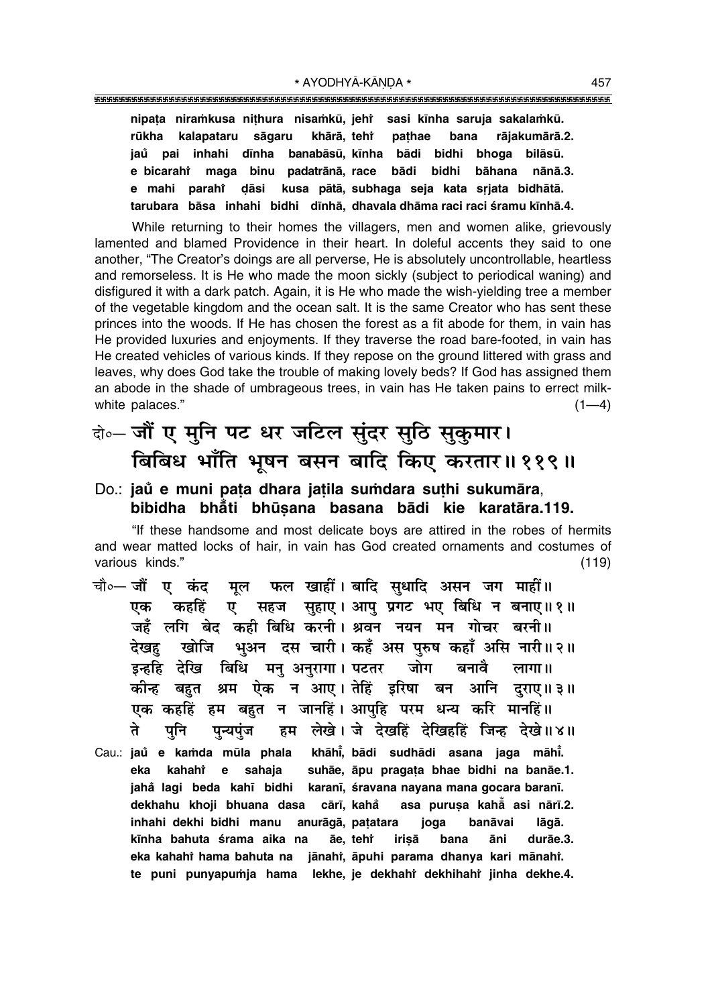nipata niramkusa nithura nisamkū, jehr sasi kīnha saruja sakalamkū. kalapataru sāgaru khārā, teht pathae bana rājakumārā.2. rūkha iaů pai inhahi dīnha banabāsū, kīnha bādi bidhi bhoga bilāsū. maga binu padatrānā, race e bicarahî bādi bidhi bāhana nānā.3. e mahi parahi dāsi kusa pātā, subhaga seja kata sriata bidhātā. tarubara bāsa inhahi bidhi dīnhā, dhavala dhāma raci raci śramu kīnhā.4.

While returning to their homes the villagers, men and women alike, grievously lamented and blamed Providence in their heart. In doleful accents they said to one another, "The Creator's doings are all perverse, He is absolutely uncontrollable, heartless and remorseless. It is He who made the moon sickly (subject to periodical waning) and disfigured it with a dark patch. Again, it is He who made the wish-yielding tree a member of the vegetable kingdom and the ocean salt. It is the same Creator who has sent these princes into the woods. If He has chosen the forest as a fit abode for them, in vain has He provided luxuries and enjoyments. If they traverse the road bare-footed, in vain has He created vehicles of various kinds. If they repose on the ground littered with grass and leaves, why does God take the trouble of making lovely beds? If God has assigned them an abode in the shade of umbrageous trees, in vain has He taken pains to errect milkwhite palaces."  $(1-4)$ 

### वे०- जौं ए मुनि पट धर जटिल सुंदर सुठि सुकुमार। बिबिध भाँति भूषन बसन बादि किए करतार॥११९॥

### Do.: jaŭ e muni pata dhara jatila sumdara suthi sukumāra, bibidha bhati bhūsana basana bādi kie karatāra.119.

"If these handsome and most delicate boys are attired in the robes of hermits and wear matted locks of hair, in vain has God created ornaments and costumes of various kinds."  $(119)$ 

- फल खाहीं। बादि सधादि असन जग माहीं॥ चौ∘— जौं ए कंद मुल ए सहज सुहाए। आपु प्रगट भए बिधि न बनाए॥१॥ कहहिं एक जहँ लगि बेद कही बिधि करनी। श्रवन नयन मन गोचर बरनी॥ खोजि भुअन दस चारी। कहँ अस पुरुष कहाँ असि नारी॥२॥ देखह इन्हहि देखि बिधि मन् अनुरागा। पटतर जोग बनावे लागा। कीन्ह बहुत श्रम ऐक न आए।तेहिं इरिषा बन आनि दराए॥ ३॥ एक कहहिं हम बहुत न जानहिं। आपुहि परम धन्य करि मानहिं॥ हम लेखे। जे देखहिं देखिहहिं जिन्ह देखे ॥४॥ ते पनि पुन्यपुंज
- khāhi, bādi sudhādi asana jaga māhi. Cau.: jaů e kamda mūla phala suhāe, āpu pragata bhae bidhi na banāe.1. eka kahahi e sahaja karanī, śravana nayana mana gocara baranī. jahå lagi beda kahī bidhi dekhahu khoji bhuana dasa cārī, kahå asa purusa kaha asi nārī.2. inhahi dekhi bidhi manu anurāgā, patatara joga banāvai lāgā. kīnha bahuta śrama aika na irisā āe, tehr bana āni durāe.3. eka kahahi hama bahuta na jānahi, āpuhi parama dhanya kari mānahi. te puni punyapumja hama lekhe, je dekhahi dekhihahi jinha dekhe.4.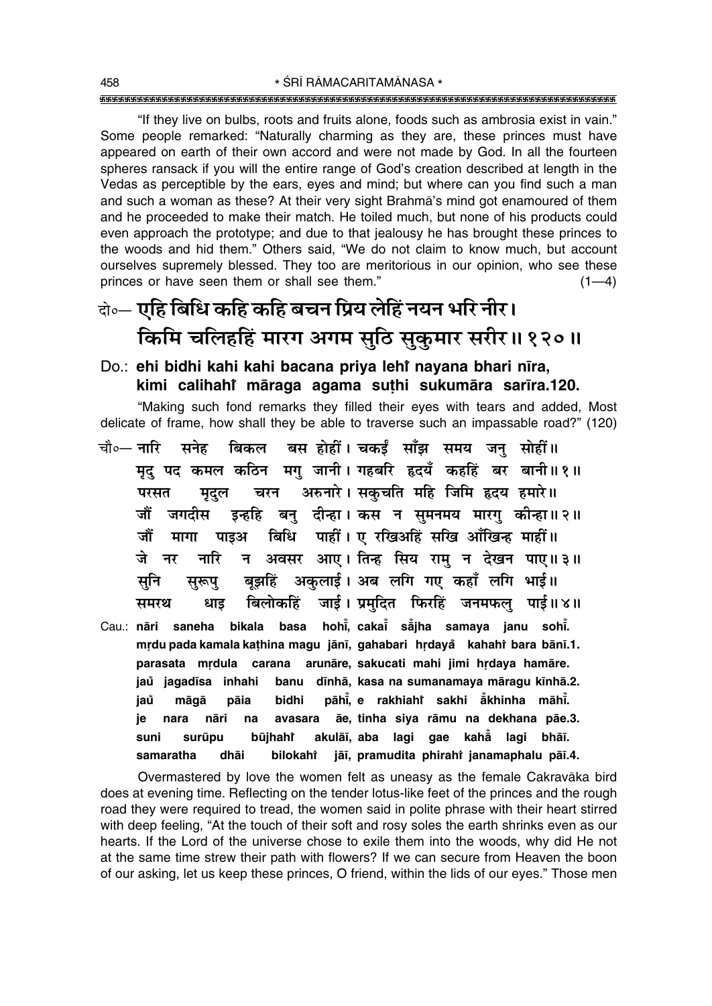"If they live on bulbs, roots and fruits alone, foods such as ambrosia exist in vain." Some people remarked: "Naturally charming as they are, these princes must have appeared on earth of their own accord and were not made by God. In all the fourteen spheres ransack if you will the entire range of God's creation described at length in the Vedas as perceptible by the ears, eyes and mind; but where can you find such a man and such a woman as these? At their very sight Brahma's mind got enamoured of them and he proceeded to make their match. He toiled much, but none of his products could even approach the prototype; and due to that jealousy he has brought these princes to the woods and hid them." Others said, "We do not claim to know much, but account ourselves supremely blessed. They too are meritorious in our opinion, who see these princes or have seen them or shall see them."  $(1-4)$ 

# वे०- एहि बिधि कहि कहि बचन प्रिय लेहिं नयन भरि नीर। किमि चलिहहिं मारग अगम सुठि सुकुमार सरीर॥१२०॥

### Do.: ehi bidhi kahi kahi bacana priya lehi nayana bhari nīra, kimi calihahi māraga agama suthi sukumāra sarīra.120.

"Making such fond remarks they filled their eyes with tears and added, Most delicate of frame, how shall they be able to traverse such an impassable road?" (120)

- बस होहीं। चकईं साँझ समय जन सोहीं॥ चौ∘— नारि सनेह बिकल मृद् पद कमल कठिन मग् जानी। गहबरि हृदयँ कहहिं बर बानी॥१॥ चरन अरुनारे। सकचति महि जिमि हृदय हमारे॥ परसत मदल इन्हहि बनु दीन्हा। कस न सुमनमय मारगु कीन्हा॥२॥ जौं जगदीस बिधि पाहीं। ए रखिअहिं सखि आँखिन्ह माहीं॥ जौं मागा पाइअ न अवसर आए। तिन्ह सिय राम् न देखन पाए॥३॥ जे नारि नर बूझहिं अकुलाई। अब लगि गए कहाँ लगि भाई॥ सूनि सुरूपु बिलोकहिं जाई। प्रमुदित फिरहिं जनमफल् पाई॥४॥ समरथ धाड Cau.: nāri saneha bikala basa hohi, cakai sā iha samaya janu sohi.
- mrdu pada kamala kathina magu jānī, gahabari hrdaya kahahi bara bānī.1. parasata mṛdula carana arunāre, sakucati mahi jimi hṛdaya hamāre. jaů jagadīsa inhahi banu dīnhā, kasa na sumanamaya māragu kīnhā.2. pāhi, e rakhiaht sakhi akhinha māhi. jaů māgā pāia bidhi ãe, tinha siya rāmu na dekhana pāe.3. nara nāri avasara ie na akulāī, aba lagi gae kahā lagi bhāī. suni surūpu būjhahř jāi, pramudita phirahi janamaphalu pāi.4. samaratha dhāi bilokahi

Overmastered by love the women felt as uneasy as the female Cakravaka bird does at evening time. Reflecting on the tender lotus-like feet of the princes and the rough road they were required to tread, the women said in polite phrase with their heart stirred with deep feeling, "At the touch of their soft and rosy soles the earth shrinks even as our hearts. If the Lord of the universe chose to exile them into the woods, why did He not at the same time strew their path with flowers? If we can secure from Heaven the boon of our asking, let us keep these princes, O friend, within the lids of our eyes." Those men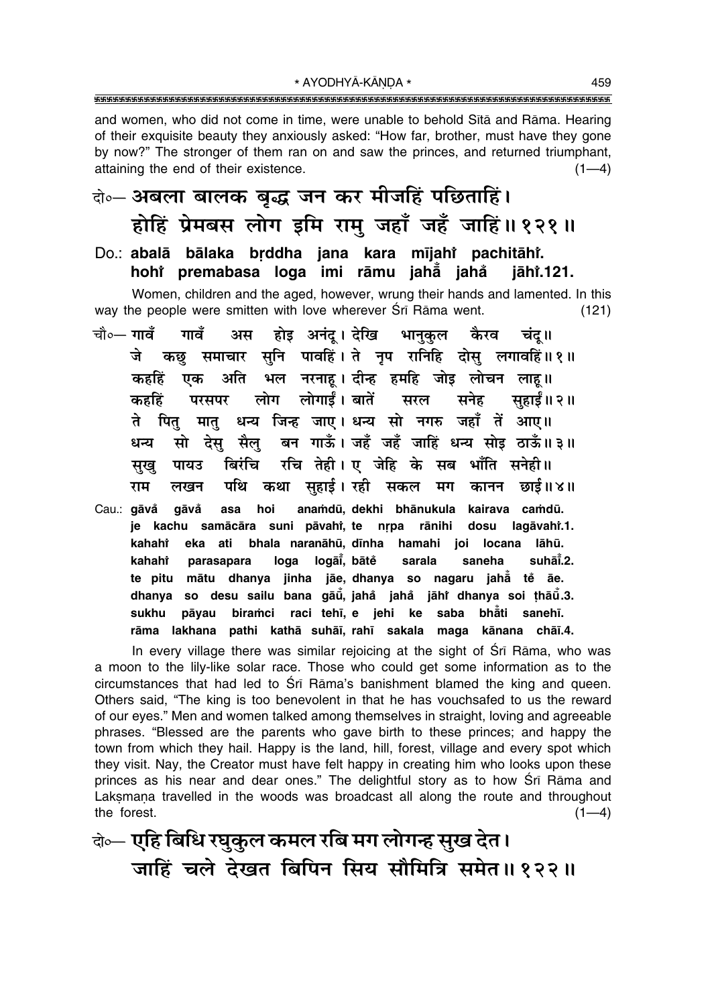and women, who did not come in time, were unable to behold Sita and Rama. Hearing of their exquisite beauty they anxiously asked: "How far, brother, must have they gone by now?" The stronger of them ran on and saw the princes, and returned triumphant, attaining the end of their existence.  $(1-4)$ 

## बेञ-अबला बालक बृद्ध जन कर मीजहिं पछिताहिं। होहिं प्रेमबस लोग इमि रामु जहाँ जहँ जाहिं॥१२१॥

Do.: abalā bālaka brddha iana kara mījahi pachitāhi. hohi premabasa loga imi rāmu jahā jahå jāhr.121.

Women, children and the aged, however, wrung their hands and lamented. In this way the people were smitten with love wherever Sri Rama went.  $(121)$ 

- चौ०— **गावँ** गावँ अस होइ अनंदू। देखि भानुकुल कैरव चंद् ॥ कछ समाचार सनि पावहिं। ते नृप रानिहि दोस् लगावहिं॥१॥ जे भल नरनाह। दीन्ह हमहि जोड़ लोचन लाह॥ अति कहहिं एक लोग लोगार्डं। बातें सहाईं॥ २॥ कहहिं परसपर सरल सनेह धन्य जिन्ह जाए। धन्य सो नगरु जहाँ तें आए॥ पित् मात ते बन गाऊँ। जहँ जहँ जाहिं धन्य सोड ठाऊँ॥३॥ सो देस सैल धन्य रचि तेही। ए जेहि के सब भाँति सनेही॥ बिरंचि पायउ सुख् कथा सहाई। रही सकल मग कानन छाई॥४॥ राम पथि लखन
- Cau.: gāvå gāvå asa hoi anamdū, dekhi bhānukula kairava camdū. je kachu samācāra suni pāvahi, te nrpa rānihi dosu lagāvahi.1. kahaht ati bhala naranāhū, dīnha hamahi joi locana lāhū. eka kahaht parasapara loga logāi, bātě sarala saneha suhāt.2. te pitu mātu dhanya jinha jāe, dhanya so nagaru jahā te āe. dhanya so desu sailu bana gāū, jaha jaha jāhi dhanya soi thāu.3. raci tehī, e jehi ke saba bhåti sanehī. sukhu pāyau biramci rāma lakhana pathi kathā suhāī, rahī sakala maga kānana chāī.4.

In every village there was similar rejoicing at the sight of Srī Rāma, who was a moon to the lily-like solar race. Those who could get some information as to the circumstances that had led to Srī Rāma's banishment blamed the king and queen. Others said, "The king is too benevolent in that he has vouchsafed to us the reward of our eyes." Men and women talked among themselves in straight, loving and agreeable phrases. "Blessed are the parents who gave birth to these princes; and happy the town from which they hail. Happy is the land, hill, forest, village and every spot which they visit. Nay, the Creator must have felt happy in creating him who looks upon these princes as his near and dear ones." The delightful story as to how Sri Rama and Laksmana travelled in the woods was broadcast all along the route and throughout the forest.  $(1-4)$ 

के— एहि बिधि रघुकुल कमल रबि मग लोगन्ह सुख देत। जाहिं चले देखत बिपिन सिय सौमित्रि समेत॥१२२॥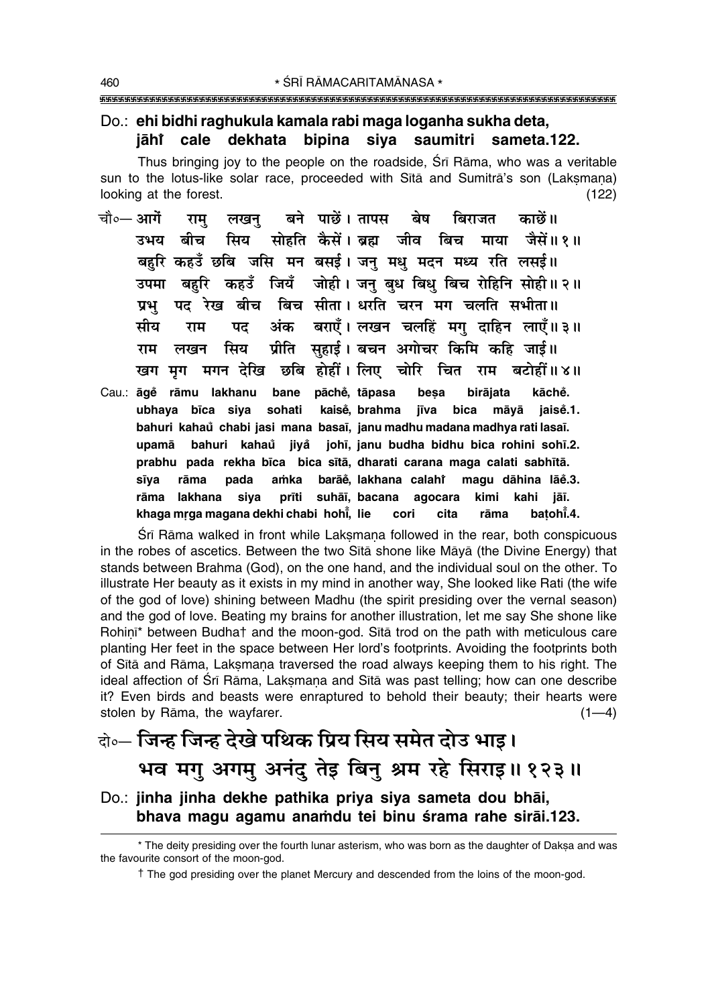### Do.: ehi bidhi raghukula kamala rabi maga loganha sukha deta, cale dekhata bipina siya saumitri sameta.122. iāhr

Thus bringing joy to the people on the roadside, Srī Rāma, who was a veritable sun to the lotus-like solar race, proceeded with Sita and Sumitra's son (Laksmana) looking at the forest.  $(122)$ 

- बने पाछें। तापस चौ०— आगें बेष बिराजत काछें।। लखन राम मिय सोहति कैसें। बहा जीव बिच माया जैसें॥१॥ उभय बीच बहरि कहउँ छबि जसि मन बसई। जन् मधु मदन मध्य रति लसई॥ बहरि कहउँ जियँ जोही। जन बध बिध बिच रोहिनि सोही॥२॥ उपमा पद रेख बीच बिच सीता। धरति चरन मग चलति सभीता॥ प्रभ अंक बराएँ। लखन चलहिं मग् दाहिन लाएँ॥३॥ सीय राम पद प्रीति सहाई। बचन अगोचर किमि कहि जाई॥ सिय लखन राम खग मग मगन देखि छबि होहीं। लिए चोरि चित राम बटोहीं॥४॥
- Cau.: āgě rāmu lakhanu pāchě, tāpasa bane besa birājata kāchě. ubhaya bīca siya sohati kaisė, brahma jīva bica māvā iaise.1. bahuri kahaŭ chabi jasi mana basaī, janu madhu madana madhya rati lasaī. bahuri kahaů jiyå johī, janu budha bidhu bica rohini sohī.2. upamā prabhu pada rekha bīca bica sītā, dharati carana maga calati sabhītā. sīva rāma pada amka barāĕ, lakhana calahr magu dāhina lāĕ.3. rāma lakhana siya prīti suhāī, bacana agocara kimi kahi jāī. khaga mrga magana dekhi chabi hohi, lie cori cita rāma batohi.4.

Śrī Rāma walked in front while Laksmana followed in the rear, both conspicuous in the robes of ascetics. Between the two Sita shone like Maya (the Divine Energy) that stands between Brahma (God), on the one hand, and the individual soul on the other. To illustrate Her beauty as it exists in my mind in another way, She looked like Rati (the wife of the god of love) shining between Madhu (the spirit presiding over the vernal season) and the god of love. Beating my brains for another illustration, let me say She shone like Rohini\* between Budhat and the moon-god. Sita trod on the path with meticulous care planting Her feet in the space between Her lord's footprints. Avoiding the footprints both of Sita and Rama, Laksmana traversed the road always keeping them to his right. The ideal affection of Śrī Rāma, Laksmana and Sītā was past telling; how can one describe it? Even birds and beasts were enraptured to behold their beauty; their hearts were stolen by Rāma, the wayfarer.  $(1-4)$ 

# वे॰- जिन्ह जिन्ह देखे पथिक प्रिय सिय समेत दोउ भाइ। भव मगु अगमु अनंदु तेइ बिनु श्रम रहे सिराइ॥१२३॥

Do.: jinha jinha dekhe pathika priya siya sameta dou bhāi, bhava magu agamu anamdu tei binu śrama rahe sirāi.123.

<sup>\*</sup> The deity presiding over the fourth lunar asterism, who was born as the daughter of Daksa and was the favourite consort of the moon-god.

The god presiding over the planet Mercury and descended from the loins of the moon-god.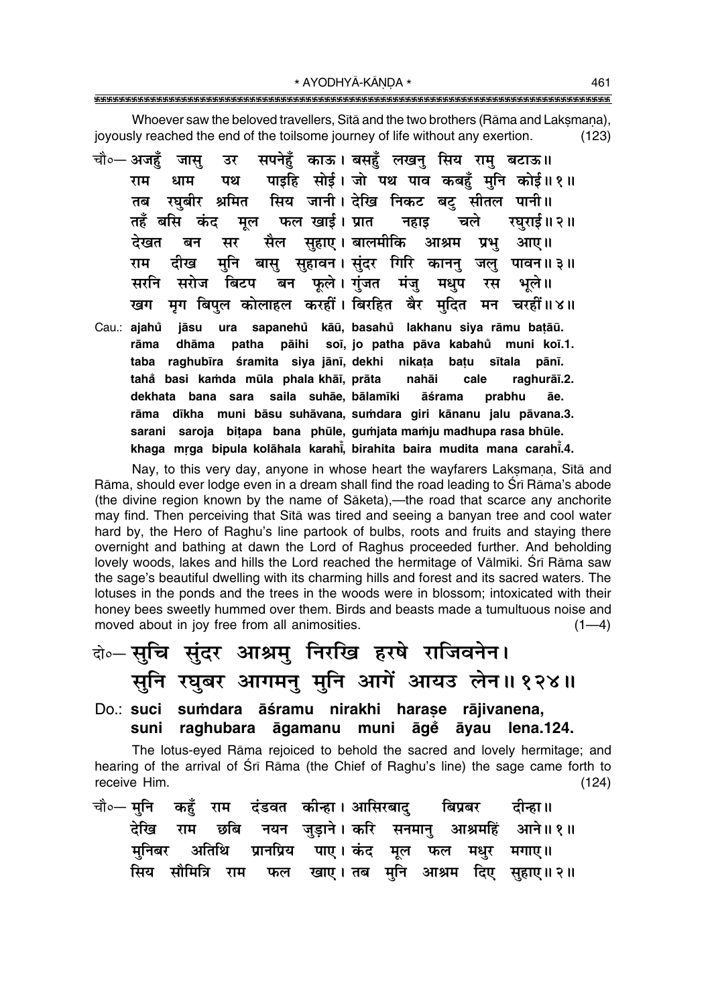\* AYODHYĀ-KĀNDA \* 

Whoever saw the beloved travellers. Sitä and the two brothers (Rama and Laksmana). joyously reached the end of the toilsome journey of life without any exertion.  $(123)$ 

- सपनेहुँ काऊ। बसहुँ लखनु सिय रामु बटाऊ॥ जासू चौ०— अजहँ उर पाइहि सोई। जो पथ पाव कबहँ मुनि कोई॥१॥ राम धाम पथ रघुबीर श्रमित सिय जानी। देखि निकट बट् सीतल पानी॥ तब तहँ बसि कंद मल फल खाई। प्रात रघराई॥ २॥ नहाड चले सैल सहाए।बालमीकि आश्रम देखत बन सर प्रभ आए।। मुनि बासु सुहावन। सुंदर गिरि काननु जलु पावन॥३॥ दीख राम बन फूले। गुंजत मंजु सरनि सरोज बिटप मधप रस भले ॥ मृग बिपुल कोलाहल करहीं। बिरहित बैर मुदित मन चरहीं॥४॥ खग Cau.: ajahů jāsu ura sapanehů kāū, basahů lakhanu siya rāmu bațāū.
- rāma dhāma patha pāihi soī, jo patha pāva kabahů muni koī.1. taba raghubīra śramita siya jānī, dekhi nikata batu sītala pānī. tahå basi kamda mūla phala khāī, prāta nahāi cale raghurāī.2. dekhata bana sara saila suhāe, bālamīki āśrama prabhu āe. rāma dīkha muni bāsu suhāvana, sumdara giri kānanu jalu pāvana.3. sarani saroja bitapa bana phūle, gumjata mamju madhupa rasa bhūle. khaga mrga bipula kolāhala karahī, birahita baira mudita mana carahī.4.

Nay, to this very day, anyone in whose heart the wayfarers Laksmana, Sita and Rāma, should ever lodge even in a dream shall find the road leading to Śrī Rāma's abode (the divine region known by the name of Sāketa),—the road that scarce any anchorite may find. Then perceiving that Sita was tired and seeing a banyan tree and cool water hard by, the Hero of Raghu's line partook of bulbs, roots and fruits and staying there overnight and bathing at dawn the Lord of Raghus proceeded further. And beholding lovely woods, lakes and hills the Lord reached the hermitage of Vālmīki. Srī Rāma saw the sage's beautiful dwelling with its charming hills and forest and its sacred waters. The lotuses in the ponds and the trees in the woods were in blossom; intoxicated with their honey bees sweetly hummed over them. Birds and beasts made a tumultuous noise and moved about in joy free from all animosities.  $(1-4)$ 

# बे॰ सचि संदर आश्रम निरखि हरषे राजिवनेन। सूनि रघुबर आगमनु मुनि आगें आयउ लेन॥१२४॥

Do.: suci sumdara āśramu nirakhi harașe rājivanena, suni raghubara āgamanu muni āgē āyau lena.124.

The lotus-eyed Rama rejoiced to behold the sacred and lovely hermitage; and hearing of the arrival of Sri Rama (the Chief of Raghu's line) the sage came forth to receive Him.  $(124)$ 

|  |  | चौ∘— मुनि  कहुँ  राम  दंडवत  कीन्हा । आसिरबादु    बिप्रबर     दीन्हा ॥ |  |  |  |
|--|--|------------------------------------------------------------------------|--|--|--|
|  |  | देखि राम छबि नयन जुड़ाने।करि सनमानु आश्रमहिं आने॥१॥                    |  |  |  |
|  |  | मनिबर अतिथि प्रानप्रिय पाए।कंद मूल फल मधुर मगाए॥                       |  |  |  |
|  |  | सिय सौमित्रि राम फल खाए।तब मुनि आश्रम दिए सुहाए॥२॥                     |  |  |  |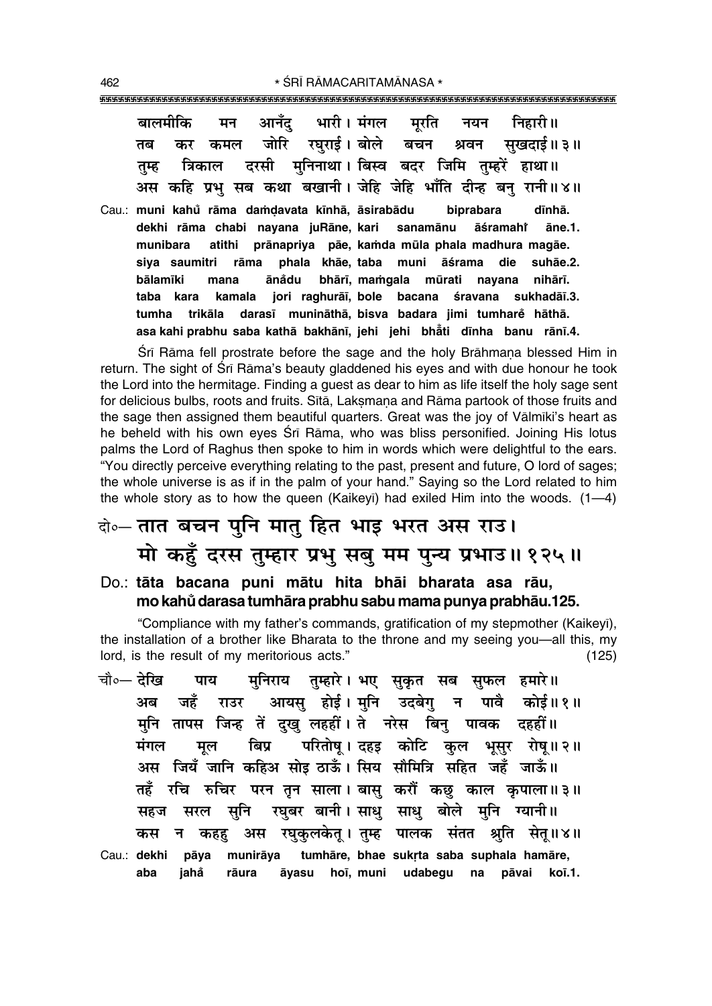| बालमीकि मन आनँद भारी। मंगल मुरति नयन निहारी॥               |  |  |  |                                                              |
|------------------------------------------------------------|--|--|--|--------------------------------------------------------------|
|                                                            |  |  |  | तब कर कमल जोरि रघुराई।बोले बचन श्रवन सुखदाई॥३॥               |
| तुम्ह त्रिकाल दरसी मुनिनाथा।।बिस्व बदर जिमि तुम्हरें हाथा॥ |  |  |  |                                                              |
|                                                            |  |  |  | अस कहि प्रभु सब कथा बखानी। जेहि जेहि भाँति दीन्ह बनु रानी॥४॥ |
|                                                            |  |  |  |                                                              |

Cau.: **muni kahu råma da≈Œavata k∂nhå, ° åsirabådu biprabara d∂nhå. dekhi rāma chabi nayana juRāne, kari sanamānu āśramahř åne.1. munibara atithi prånapriya påe, ka≈da mµula phala madhura magåe.** siya saumitri rāma phala khāe, taba muni āśrama die suhāe.2. **bålam∂ki mana åna° du bhår∂, ma≈gala mµurati nayana nihår∂.** taba kara kamala jori raghurāī, bole bacana śravana sukhadāī.3. **tumha trikåla daras∂ muninåthå, bisva badara jimi tumhare° håthå. asa kahi prabhu saba kathå bakhån∂, jehi jehi bhå° ti d∂nha banu rån∂.4.**

Srī Rāma fell prostrate before the sage and the holy Brāhmana blessed Him in return. The sight of Śrī Rāma's beauty gladdened his eyes and with due honour he took the Lord into the hermitage. Finding a guest as dear to him as life itself the holy sage sent for delicious bulbs, roots and fruits. Sītā, Laksmana and Rāma partook of those fruits and the sage then assigned them beautiful quarters. Great was the joy of Vālmīki's heart as he beheld with his own eyes Śrī Rāma, who was bliss personified. Joining His lotus palms the Lord of Raghus then spoke to him in words which were delightful to the ears. ìYou directly perceive everything relating to the past, present and future, O lord of sages; the whole universe is as if in the palm of your hand." Saying so the Lord related to him the whole story as to how the queen (Kaikeyī) had exiled Him into the woods.  $(1-4)$ 

# दो**0 तात बचन पुनि मातु हित भाइ भरत अस राउ।** <u>मो कहुँ दरस तुम्हार प्रभु सबु मम पुन्य प्रभाउ॥१२५॥</u>

### Do.: **tåta bacana puni måtu hita bhåi bharata asa råu, mo kahu° darasa tumhåra prabhu sabu mama punya prabhåu.125.**

ìCompliance with my fatherís commands, gratification of my stepmother (Kaikey∂), the installation of a brother like Bharata to the throne and my seeing you—all this, my lord, is the result of my meritorious acts.<sup>"</sup> (125)

चौ०— <mark>देखि पाय मुनिराय तुम्हारे। भए सुकृत सब सुफल हमारे॥</mark> <u>अब जहँ राउर आयसू होई। मुनि उदबेगु न पावै कोई॥१॥</u> **मुनि तापस जिन्ह तें दुखु लहहीं । ते** नरेस बिनु पावक दहहीं ॥ <u>मंगल मूल बिप्र परितोषु। दहइ कोटि कुल भूसुर रोषु॥२॥</u> **•' Á¡ÿ° ¡ÊÁŸ ∑§Á"U• 'Ùß ∆UÊ™°§ – Á'ÿ 'ıÁ◊ÁòÊ 'Á"Uà ¡"°U ¡Ê™°§H तहँ रचि रुचिर परन तृन साला। बासु करौं कछु** काल कृपाला॥३॥ सहज सरल सुनि रघुबर बानी।साधु साधु बोले मुनि ग्यानी॥ े कस न कहह अस रघकलकेत् । तम्ह पालक संतत श्रति **सेत् ॥४॥** Cau.: dekhi pāya munirāya tumhāre, bhae sukrta saba suphala hamāre, **aba jaha° råura åyasu ho∂, muni udabegu na påvai ko∂.1.**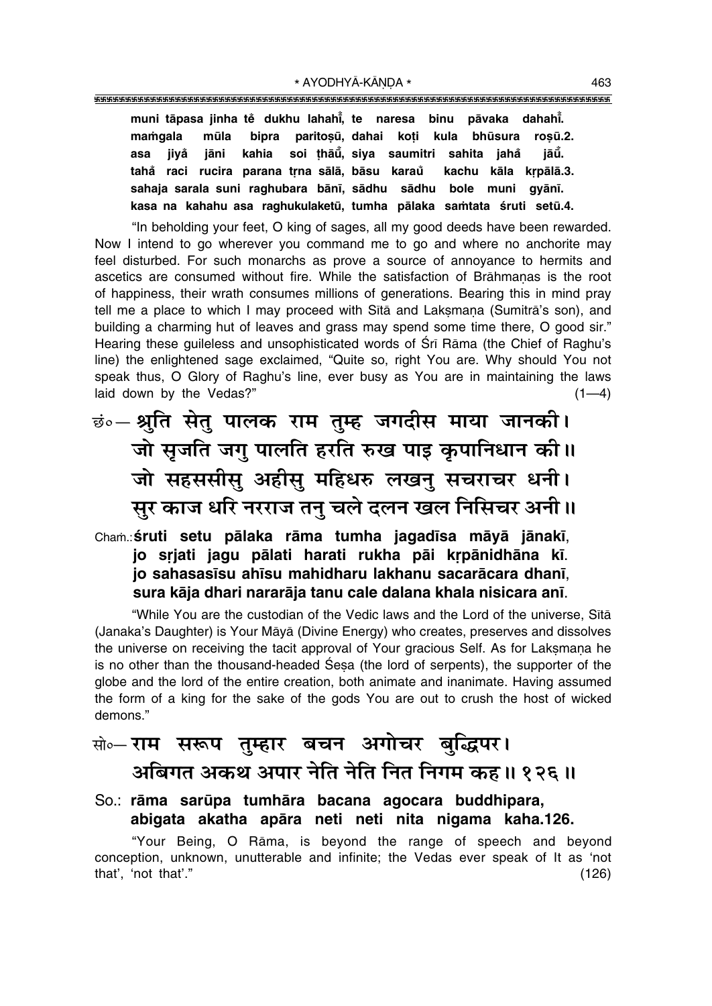"""""""""""""""""""""""""""""""""""""""""""""""""""""""""""""""""""""""""""""""""""

**muni tāpasa jinha tĕ dukhu lahahi̇̃, te naresa binu pāvaka dahahi̇̃.** mamgala mūla bipra paritosū, dahai koti kula bhūsura rosū.2. **asa jiya° jåni kahia soi ¢håµu° , siya saumitri sahita jaha° jåµu° . taha° raci rucira parana tæna sålå, båsu karau kachu kåla kæpålå.3. ° sahaja sarala suni raghubara bån∂, sådhu sådhu bole muni gyån∂. kasa na kahahu asa raghukulaketµu, tumha pålaka sa≈tata ‹ruti setµu.4.**

"In beholding your feet, O king of sages, all my good deeds have been rewarded. Now I intend to go wherever you command me to go and where no anchorite may feel disturbed. For such monarchs as prove a source of annoyance to hermits and ascetics are consumed without fire. While the satisfaction of Brāhmanas is the root of happiness, their wrath consumes millions of generations. Bearing this in mind pray tell me a place to which I may proceed with Sītā and Laksmana (Sumitrā's son), and building a charming hut of leaves and grass may spend some time there, O good sir." Hearing these guileless and unsophisticated words of Śrī Rāma (the Chief of Raghu's line) the enlightened sage exclaimed, "Quite so, right You are. Why should You not speak thus, O Glory of Raghu's line, ever busy as You are in maintaining the laws laid down by the Vedas?"  $(1-4)$ 

# **छं०— श्रुति सेतु पालक राम तुम्ह जगदीस माया जानकी।** जो सृजति जग् पालति हरति रुख पाइ कृपानिधान की ।। जो सहससीसु अहीसु महिधरु लखनु सचराचर धनी। सुर काज धरि नरराज तन् चले दलन खल निसिचर अनी ॥

Cha≈.:**‹ruti setu pålaka råma tumha jagad∂sa måyå jånak∂**, jo srjati jagu pālati harati rukha pāi krpānidhāna kī. **jo sahasas∂su ah∂su mahidharu lakhanu sacaråcara dhan∂**, **sura kåja dhari nararåja tanu cale dalana khala nisicara an∂**.

ìWhile You are the custodian of the Vedic laws and the Lord of the universe, S∂tå (Janakaís Daughter) is Your Måyå (Divine Energy) who creates, preserves and dissolves the universe on receiving the tacit approval of Your gracious Self. As for Laksmana he is no other than the thousand-headed Sesa (the lord of serpents), the supporter of the globe and the lord of the entire creation, both animate and inanimate. Having assumed the form of a king for the sake of the gods You are out to crush the host of wicked demons."

## सो०– **राम सरूप तुम्हार बचन अगोचर बुद्धिपर।** <u>अबिगत अकथ अपार नेति नेति नित निगम कह॥ १२६॥</u>

### So.: rāma sarūpa tumhāra bacana agocara buddhipara, **abigata akatha apåra neti neti nita nigama kaha.126.**

ìYour Being, O Råma, is beyond the range of speech and beyond conception, unknown, unutterable and infinite; the Vedas ever speak of It as 'not that', 'not that'."  $(126)$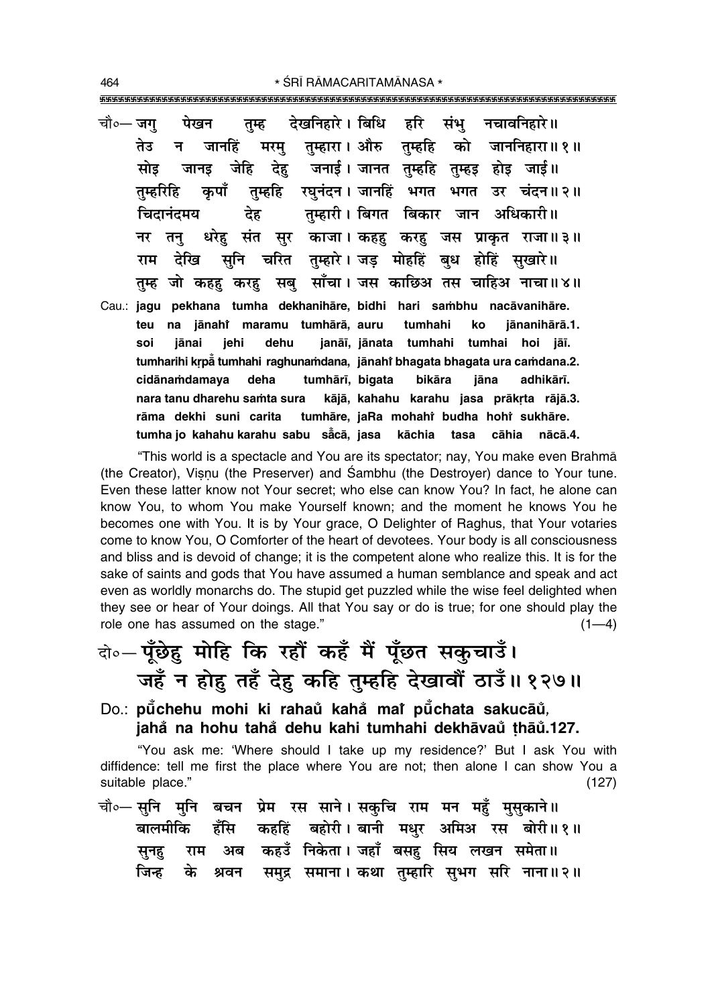- देखनिहारे । बिधि हरि नचावनिहारे॥ संभ चौ∘— जग पेखन तम्ह मरम् तुम्हारा। औरु तुम्हहि को जाननिहारा॥१॥ तेउ जानहिं न जानड़ जेहि देह जनाई। जानत तम्हहि तुम्हड़ होड़ जाई॥ सोड तुम्हहि रघुनंदन । जानहिं भगत भगत उर चंदन॥२॥ कपाँ तम्हरिहि तम्हारी। बिगत बिकार जान अधिकारी॥ चिदानंदमय देह धरेह संत सुर काजा। कहह करह जस प्राकृत राजा॥३॥ नर तन सूनि चरित तुम्हारे। जड़ मोहहिं बुध होहिं सुखारे॥ राम देखि तुम्ह जो कहहु करहु सबु साँचा। जस काछिअ तस चाहिअ नाचा॥४॥
- Cau.: jagu pekhana tumha dekhanihāre, bidhi hari sambhu nacāvanihāre. teu na jānahi maramu tumhārā, auru jānanihārā.1. tumhahi ko janāī, jānata tumhahi tumhai hoi jāī. soi jānai jehi dehu tumharihi krpå tumhahi raghunamdana, jānahi bhagata bhagata ura camdana.2. cidānamdamaya deha tumhārī, bigata bikāra jāna adhikārī. nara tanu dharehu samta sura kājā, kahahu karahu jasa prākrta rājā.3. rāma dekhi suni carita tumhāre, jaRa mohahi budha hohi sukhāre. tumha jo kahahu karahu sabu sācā, jasa kāchia tasa cāhia nācā.4.

"This world is a spectacle and You are its spectator; nay, You make even Brahma (the Creator), Visnu (the Preserver) and Sambhu (the Destrover) dance to Your tune. Even these latter know not Your secret; who else can know You? In fact, he alone can know You, to whom You make Yourself known; and the moment he knows You he becomes one with You. It is by Your grace, O Delighter of Raghus, that Your votaries come to know You, O Comforter of the heart of devotees. Your body is all consciousness and bliss and is devoid of change; it is the competent alone who realize this. It is for the sake of saints and gods that You have assumed a human semblance and speak and act even as worldly monarchs do. The stupid get puzzled while the wise feel delighted when they see or hear of Your doings. All that You say or do is true; for one should play the role one has assumed on the stage."  $(1-4)$ 

### Do.: půchehu mohi ki rahaů kahå mař půchata sakucāů, jahå na hohu tahå dehu kahi tumhahi dekhāvaŭ thāŭ.127.

"You ask me: 'Where should I take up my residence?' But I ask You with diffidence: tell me first the place where You are not; then alone I can show You a suitable place."  $(127)$ 

चौ∘— सनि मनि बचन प्रेम रस साने। सकचि राम मन महँ मसकाने॥ कहहिं बहोरी। बानी मधुर अमिअ रस बोरी॥१॥ बालमीकि हँसि कहउँ निकेता। जहाँ बसह सिय लखन समेता॥ अब सूनह राम समुद्र समाना। कथा तुम्हारि सुभग सरि नाना॥२॥ जिन्ह के श्रवन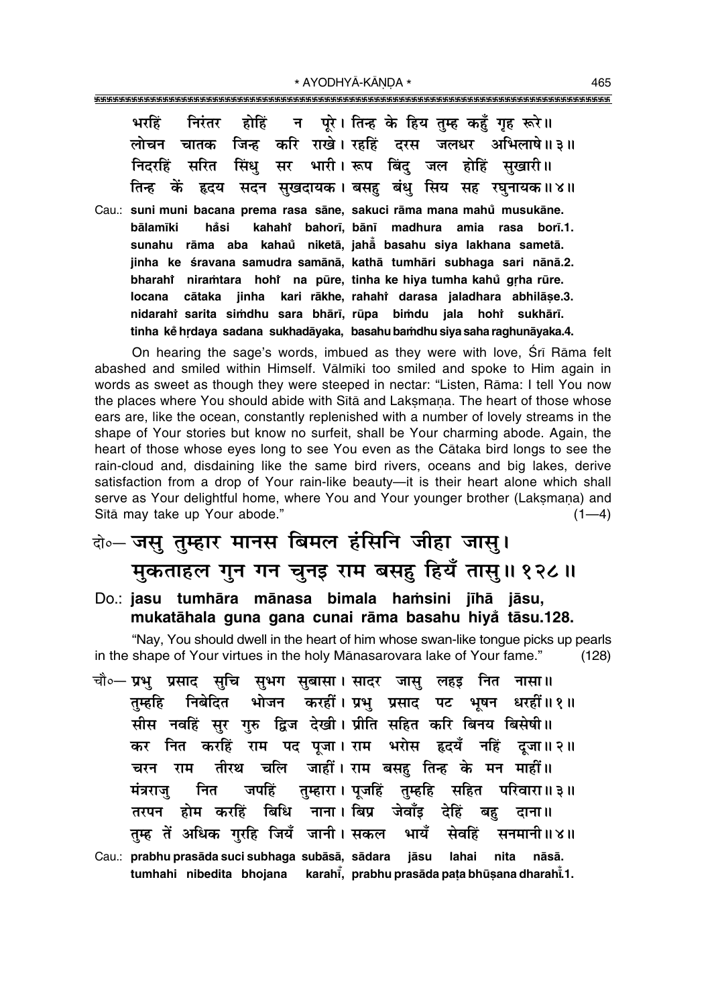|  |  |  |  | भरहिं निरंतर होहिं न पूरे।।तिन्ह के हिय तुम्ह कहँ गृह रूरे॥ |
|--|--|--|--|-------------------------------------------------------------|
|  |  |  |  | लोचन चातक जिन्ह करि राखे। रहहिं दरस जलधर अभिलाषे॥३॥         |
|  |  |  |  | निदरहिं सरित सिंधु सर भारी। रूप बिंदु जल होहिं सुखारी॥      |
|  |  |  |  | तिन्ह कें हृदय सदन सुखदायक। बसहु बंधु सिय सह रघुनायक॥४॥     |

Cau.: **suni muni bacana prema rasa såne, sakuci råma mana mahu musukåne. ° bålam∂ki ha° si kahahiÚ bahor∂, bån∂ madhura amia rasa bor∂.1. sunahu råma aba kahau° niketå, jahå° basahu siya lakhana sametå. jinha ke ‹ravana samudra samånå, kathå tumhåri subhaga sari nånå.2. bharahi niraṁtara hohi na pūre, tinha ke hiya tumha kahů gṛha rūre. locana cåtaka jinha kari råkhe, rahahiÚ darasa jaladhara abhilå¶e.3.** nidarahì sarita siṁdhu sara bhārī, rūpa biṁdu jala hohi̇̀ sukhārī. **tinha ke° hædaya sadana sukhadåyaka, basahu ba≈dhu siya saha raghunåyaka.4.**

On hearing the sage's words, imbued as they were with love, Srī Rāma felt abashed and smiled within Himself. Vālmīki too smiled and spoke to Him again in words as sweet as though they were steeped in nectar: "Listen, Rāma: I tell You now the places where You should abide with Sītā and Laksmana. The heart of those whose ears are, like the ocean, constantly replenished with a number of lovely streams in the shape of Your stories but know no surfeit, shall be Your charming abode. Again, the heart of those whose eyes long to see You even as the Cåtaka bird longs to see the rain-cloud and, disdaining like the same bird rivers, oceans and big lakes, derive satisfaction from a drop of Your rain-like beauty—it is their heart alone which shall serve as Your delightful home, where You and Your younger brother (Laksmana) and Sītā may take up Your abode." (1—4)

## दो**०– जसु तुम्हार मानस बिमल हंसिनि जीहा जासु। मुकताहल गुन गन चुनइ राम बसहु हियँ तासु॥ १२८॥**

Do.: **jasu tumhāra mānasa bimala hamsini jīhā jāsu**, **mukatåhala guna gana cunai råma basahu hiya° tåsu.128.**

"Nay, You should dwell in the heart of him whose swan-like tongue picks up pearls in the shape of Your virtues in the holy Mānasarovara lake of Your fame."  $(128)$ 

- <sup>चौ०</sup>─ प्रभु प्रसाद सुचि सुभग सुबासा। सादर जासु लहइ नित नासा॥ तुम्हहि निबेदित भोजन करहीं।**प्रभु प्रसाद पट भुषन धरहीं॥१॥** सीस नवहिं सर गरु द्विज देखी। प्रीति सहित करि बिनय बिसेषी ।। कर नित करहिं राम पद पजा।**राम भरोस हृदयँ नहिं दुजा॥२॥ चरन राम तीरथ चलि जाहीं।** राम बसह तिन्ह के मन माहीं॥ **मंत्रराजु नित जपहिं तुम्हारा**। पुजहिं तुम्हहि सहित परिवारा॥ ३॥ तरपन होम करहिं बिधि नाना।**बिप्र जेवाँइ देहिं बह** दाना॥ तुम्ह तें अधिक गुरहि जियँ जानी। सकल भायँ सेवहिं सनमानी॥४॥
- Cau.: **prabhu prasåda suci subhaga subåså, sådara jåsu lahai nita nåså.** tumhahi nibedita bhojana karahī̃, prabhu prasāda paṭa bhūṣana dharahī̃.1.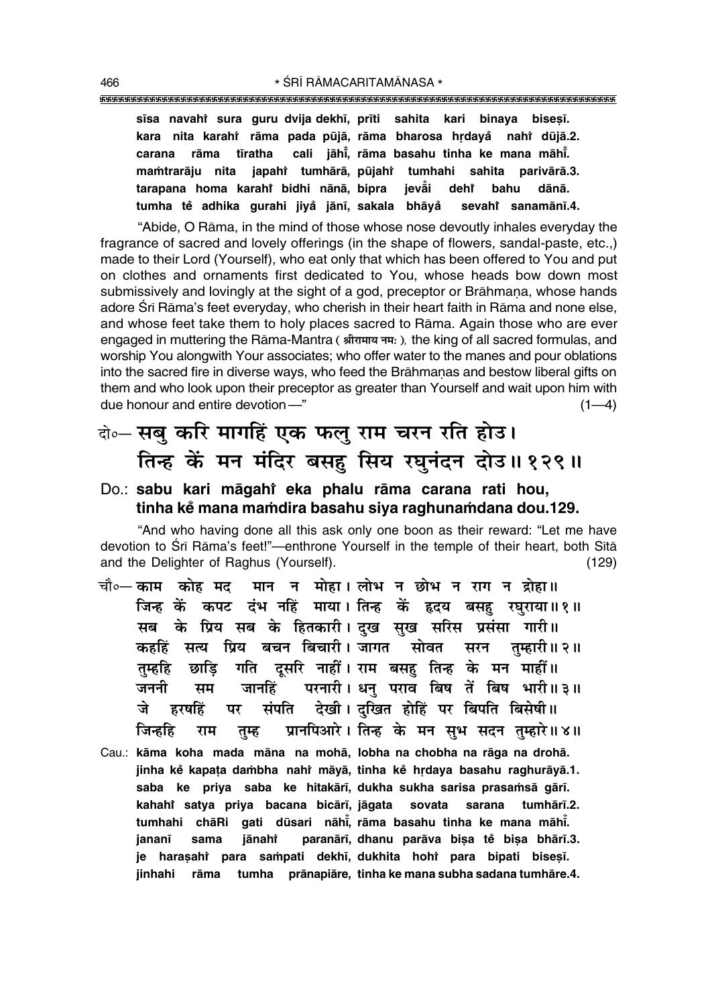sīsa navahi sura guru dvija dekhī, prīti sahita kari binaya biseșī. kara nita karahî rāma pada pūjā, rāma bharosa hrdaya nahi dūjā.2. cali iāhī. rāma basahu tinha ke mana māhī. tīratha carana rāma mamtrarāju nita japahi tumhārā, pūjahi tumhahi sahita parivārā.3. tarapana homa karahi bidhi nānā, bipra ievåi deht bahu dānā. tumha tě adhika gurahi jiyå jānī, sakala bhāyå sevahi sanamānī.4.

"Abide, O Rāma, in the mind of those whose nose devoutly inhales everyday the fragrance of sacred and lovely offerings (in the shape of flowers, sandal-paste, etc.,) made to their Lord (Yourself), who eat only that which has been offered to You and put on clothes and ornaments first dedicated to You, whose heads bow down most submissively and lovingly at the sight of a god, preceptor or Brāhmana, whose hands adore Srī Rāma's feet everyday, who cherish in their heart faith in Rāma and none else. and whose feet take them to holy places sacred to Rama. Again those who are ever engaged in muttering the Rāma-Mantra ( श्रीरामाय नम: ), the king of all sacred formulas, and worship You alongwith Your associates; who offer water to the manes and pour oblations into the sacred fire in diverse ways, who feed the Brāhmanas and bestow liberal gifts on them and who look upon their preceptor as greater than Yourself and wait upon him with due honour and entire devotion-"  $(1-4)$ 

### के-सबु करि मागहिं एक फलु राम चरन रति होउ। तिन्ह कें मन मंदिर बसह सिय रघनंदन दोउ॥१२९॥

### Do.: sabu kari māgahi eka phalu rāma carana rati hou, tinha ke mana mamdira basahu siya raghunamdana dou.129.

"And who having done all this ask only one boon as their reward: "Let me have devotion to Śrī Rāma's feet!"-enthrone Yourself in the temple of their heart, both Sītā and the Delighter of Raghus (Yourself).  $(129)$ 

- मान न मोहा। लोभ न छोभ न राग न द्रोहा॥ चौ∘— काम कोह मद जिन्ह कें कपट दंभ नहिं माया। तिन्ह कें हृदय बसह रघुराया॥१॥ सब के प्रिय सब के हितकारी। दख सुख सरिस प्रसंसा गारी॥ कहहिं सत्य प्रिय बचन बिचारी।जागत सोवत तम्हारी॥ २॥ सरन गति दुसरि नाहीं। राम बसह तिन्ह के मन माहीं॥ तम्हहि छाडि परनारी। धन पराव बिष तें बिष भारी॥३॥ जननी जानहिं सम देखी। दुखित होहिं पर बिपति बिसेषी॥ जे हरषहिं पर संपति ग्रानपिआरे। तिन्ह के मन सुभ सदन तुम्हारे॥४॥ जिन्हहि राम तम्ह
- Cau.: kāma koha mada māna na mohā, lobha na chobha na rāga na drohā. jinha kẻ kapata dambha nahi māyā, tinha kẻ hrdaya basahu raghurāyā.1. saba ke priya saba ke hitakārī, dukha sukha sarisa prasamsā gārī. kahahi satya priya bacana bicārī, jāgata sovata sarana tumhārī.2. tumhahi chāRi gati dūsari nāhi, rāma basahu tinha ke mana māhi. jananī sama jānahi paranārī, dhanu parāva bisa tě bisa bhārī.3. je haraşahî para sampati dekhī, dukhita hohî para bipati biseşī. iinhahi rāma tumha prānapiāre, tinha ke mana subha sadana tumhāre.4.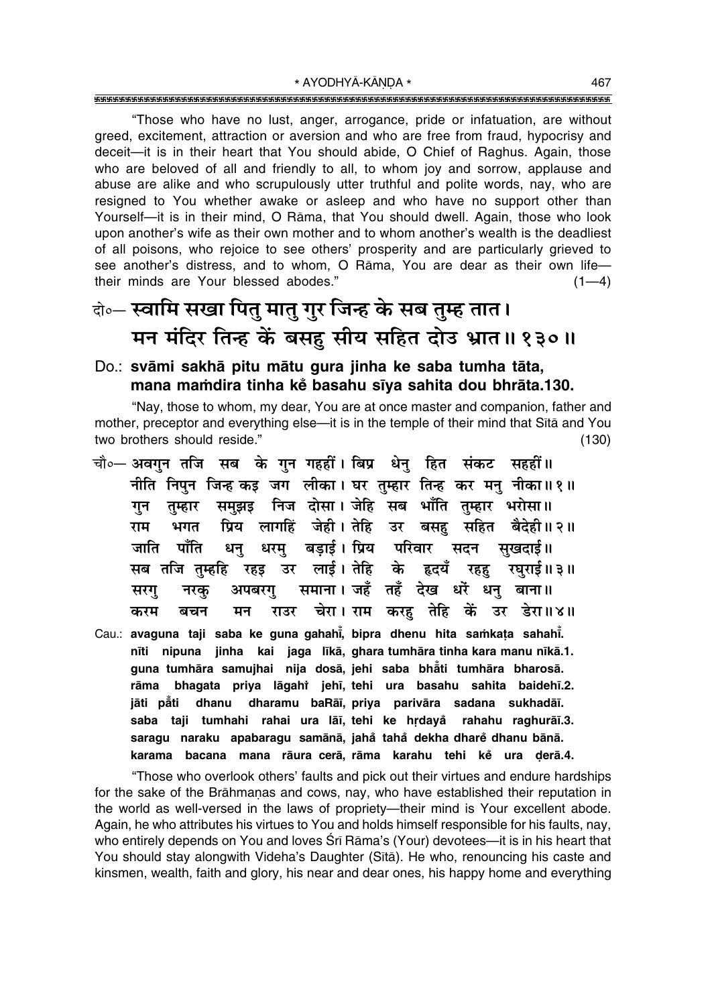"Those who have no lust, anger, arrogance, pride or infatuation, are without greed, excitement, attraction or aversion and who are free from fraud, hypocrisy and deceit-it is in their heart that You should abide, O Chief of Raghus. Again, those who are beloved of all and friendly to all, to whom joy and sorrow, applause and abuse are alike and who scrupulously utter truthful and polite words, nay, who are resigned to You whether awake or asleep and who have no support other than Yourself-it is in their mind, O Rama, that You should dwell. Again, those who look upon another's wife as their own mother and to whom another's wealth is the deadliest of all poisons, who rejoice to see others' prosperity and are particularly grieved to see another's distress, and to whom, O Rama, You are dear as their own lifetheir minds are Your blessed abodes."  $(1-4)$ 

# केन्- स्वामि सखा पितु मातु गुर जिन्ह के सब तुम्ह तात। मन मंदिर तिन्ह कें बसहु सीय सहित दोउ भ्रात॥ १३०॥

### Do.: svāmi sakhā pitu mātu gura jinha ke saba tumha tāta, mana mamdira tinha kẻ basahu sīya sahita dou bhrāta.130.

"Nay, those to whom, my dear, You are at once master and companion, father and mother, preceptor and everything else-it is in the temple of their mind that Sita and You two brothers should reside."  $(130)$ 

- चौ∘— अवगन तजि सब के गन गहहीं। बिप्र धेन हित संकट सहहीं॥ नीति निपुन जिन्ह कड़ जग लीका। घर तुम्हार तिन्ह कर मनु नीका॥१॥ समुझइ निज दोसा। जेहि सब भाँति तुम्हार भरोसा॥ गन तम्हार प्रिय लागहिं जेही। तेहि उर बसहु सहित बैदेही॥२॥ भगत राम धरम बडाई। प्रिय परिवार सदन सखदाई॥ जाति पाँति धन् सब तजि तुम्हहि रहइ उर लाई। तेहि के हृदयँ रहहु रघुराई॥३॥ अपबरगु समाना। जहँ तहँ देख धरें धनु बाना॥ सरग नरक राउर चेरा। राम करह तेहि कें उर डेरा॥४॥ करम बचन मन
- Cau.: avaguna taji saba ke guna gahahi, bipra dhenu hita samkata sahahi. nīti nipuna jinha kai jaga līkā, ghara tumhāra tinha kara manu nīkā.1. guna tumhāra samujhai nija dosā, jehi saba bhåti tumhāra bharosā. bhagata priya lāgahi jehī, tehi ura basahu sahita baidehī.2. rāma jāti påti dhanu dharamu baRāī, priya parivāra sadana sukhadāī. saba taji tumhahi rahai ura lāi, tehi ke hrdayå rahahu raghurāi.3. saragu naraku apabaragu samānā, jahå tahå dekha dharė dhanu bānā. karama bacana mana rāura-cerā, rāma karahu tehi ke ura derā.4.

"Those who overlook others' faults and pick out their virtues and endure hardships for the sake of the Brāhmanas and cows, nay, who have established their reputation in the world as well-versed in the laws of propriety-their mind is Your excellent abode. Again, he who attributes his virtues to You and holds himself responsible for his faults, nay, who entirely depends on You and loves Srī Rāma's (Your) devotees—it is in his heart that You should stay alongwith Videha's Daughter (Sita). He who, renouncing his caste and kinsmen, wealth, faith and glory, his near and dear ones, his happy home and everything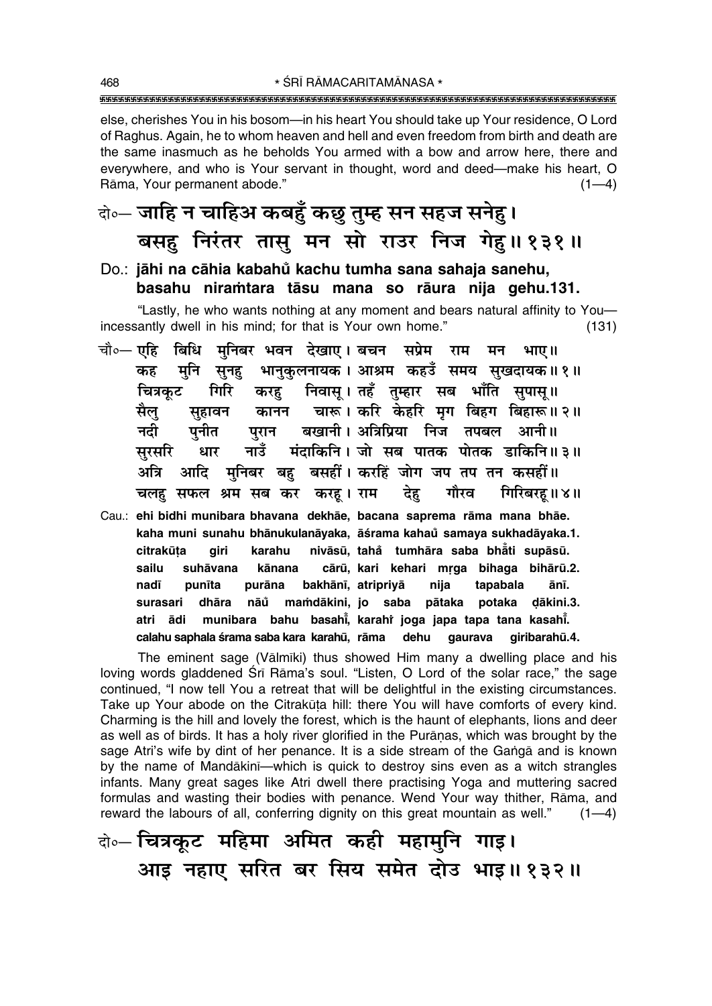else, cherishes You in his bosom—in his heart You should take up Your residence, O Lord of Raghus. Again, he to whom heaven and hell and even freedom from birth and death are the same inasmuch as he beholds You armed with a bow and arrow here, there and everywhere, and who is Your servant in thought, word and deed—make his heart, O Rāma, Your permanent abode."  $(1-4)$ 

### वे॰- जाहि न चाहिअ कबहुँ कछु तुम्ह सन सहज सनेहु। बसह निरंतर तासु मन सो राउर निज गेह।। १३१॥

### Do.: jāhi na cāhia kabahů kachu tumha sana sahaja sanehu, basahu niramtara tāsu mana so rāura nija gehu.131.

"Lastly, he who wants nothing at any moment and bears natural affinity to Youincessantly dwell in his mind; for that is Your own home."  $(131)$ 

- चौ∘— एहि बिधि मुनिबर भवन देखाए। बचन सप्रेम राम मन भाए॥ मनि सनह भानकलनायक। आश्रम कहउँ समय सखदायक॥१॥ कह गिरि करह निवास् । तहँ तुम्हार सब भाँति सुपास् ॥ चित्रकट कानन चारू। करि केहरि मृग बिहग बिहारू॥२॥ सुहावन सैल बखानी। अत्रिप्रिया निज तपबल आनी॥ नदी पनीत परान मंदाकिनि । जो सब पातक पोतक डाकिनि॥३॥ सरसरि नाउँ धार अत्रि आदि मनिबर बह बसहीं। करहिं जोग जप तप तन कसहीं॥ गिरिबरह ॥ ४॥ चलह सफल श्रम सब कर करह। राम देह गौरव
- Cau.: ehi bidhi munibara bhavana dekhāe, bacana saprema rāma mana bhāe. kaha muni sunahu bhānukulanāyaka, āśrama kahaŭ samaya sukhadāyaka.1. nivāsū, tahå tumhāra saba bhāti supāsū. citrakūta airi karahu sailu suhāvana cārū, kari kehari mrga bihaga bihārū.2. kānana bakhānī, atripriyā tapabala nadī punīta purāna nija ānī. dhāra nāů mamdākini, jo saba pātaka potaka dākini.3. surasari munibara bahu basahi, karahi joga japa tapa tana kasahi. atri ādi calahu saphala śrama saba kara karahū, rāma dehu qaurava qiribarahū.4.

The eminent sage (Vālmīki) thus showed Him many a dwelling place and his loving words gladdened Srī Rāma's soul. "Listen, O Lord of the solar race," the sage continued, "I now tell You a retreat that will be delightful in the existing circumstances. Take up Your abode on the Citrakūta hill: there You will have comforts of every kind. Charming is the hill and lovely the forest, which is the haunt of elephants, lions and deer as well as of birds. It has a holy river glorified in the Puranas, which was brought by the sage Atri's wife by dint of her penance. It is a side stream of the Ganga and is known by the name of Mandakini-which is quick to destroy sins even as a witch strangles infants. Many great sages like Atri dwell there practising Yoga and muttering sacred formulas and wasting their bodies with penance. Wend Your way thither, Rāma, and reward the labours of all, conferring dignity on this great mountain as well."  $(1-4)$ 

बे∘– चित्रकूट महिमा अमित कही महामुनि गाइ। आइ नहाए सरित बर सिय समेत दोउ भाइ॥१३२॥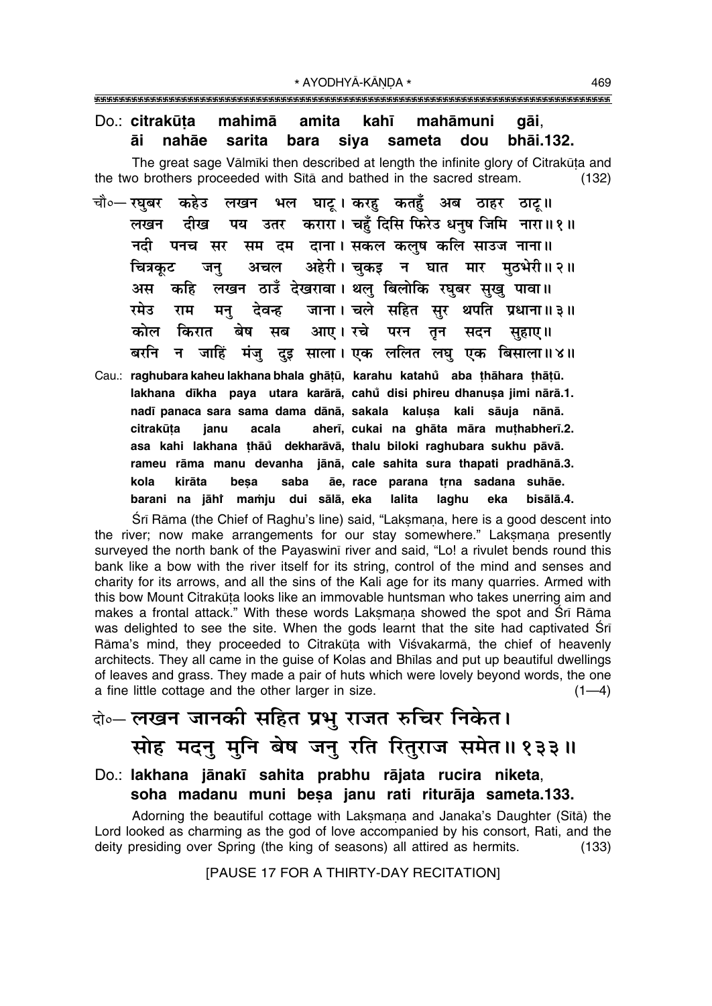### Do.: citrakūta mahimā amita kahī mahāmuni gāi, sarita bara siva bhai.132. āi nahāe sameta dou

The great sage Valmiki then described at length the infinite glory of Citrakuta and the two brothers proceeded with Sita and bathed in the sacred stream.  $(132)$ 

- भल घाटू। करहु कतहुँ अब ठाहर ठाटू॥ चौ०— रघबर कहेउ लखन पय उतर करारा। चहँ दिसि फिरेउ धनष जिमि नारा॥१॥ लखन दीख सम दम दाना। सकल कलुष कलि साउज नाना॥ नदी पनच सर अहेरी। चकड़ न घात मार मठभेरी॥२॥ चित्रकूट अचल जन लखन ठाउँ देखरावा। थलु बिलोकि रघुबर सुखु पावा॥ अस कहि जाना। चले सहित सुर थपति प्रधाना॥३॥ रमेउ राम मन् देवन्ह किरात आए। रचे कोल बेष परन मब तन सदन सहाए।। न जाहिं मंजु दुइ साला। एक ललित लघु एक बिसाला॥४॥ बरनि
- Cau.: raghubara kaheu lakhana bhala ghāṭū, karahu katahů aba thāhara thāṭū. lakhana dīkha paya utara karārā, cahů disi phireu dhanusa jimi nārā.1. nadī panaca sara sama dama dānā, sakala kalusa kali sāuja nānā. aherī, cukai na ghāta māra muthabherī.2. citrakūta janu acala asa kahi lakhana thāů dekharāvā, thalu biloki raghubara sukhu pāvā. rameu rāma manu devanha jānā, cale sahita sura thapati pradhānā.3. ãe, race parana trna sadana suhãe. kola kirāta besa saba barani na jāhi mamju laghu dui sālā, eka **lalita** bisālā.4. eka

Srī Rāma (the Chief of Raghu's line) said, "Lakṣmaṇa, here is a good descent into the river; now make arrangements for our stay somewhere." Laksmana presently surveyed the north bank of the Payaswinī river and said, "Lo! a rivulet bends round this bank like a bow with the river itself for its string, control of the mind and senses and charity for its arrows, and all the sins of the Kali age for its many quarries. Armed with this bow Mount Citrakūta looks like an immovable huntsman who takes unerring aim and makes a frontal attack." With these words Laksmana showed the spot and Sri Rāma was delighted to see the site. When the gods learnt that the site had captivated Sri Rāma's mind, they proceeded to Citrakūta with Viśvakarmā, the chief of heavenly architects. They all came in the quise of Kolas and Bhilas and put up beautiful dwellings of leaves and grass. They made a pair of huts which were lovely beyond words, the one a fine little cottage and the other larger in size.  $(1-4)$ 

### केन् लखन जानकी सहित प्रभु राजत रुचिर निकेत। सोह मदन् मूनि बेष जन् रति रितुराज समेत॥१३३॥

### Do.: lakhana jānakī sahita prabhu rājata rucira niketa, soha madanu muni besa janu rati riturāja sameta.133.

Adorning the beautiful cottage with Laksmana and Janaka's Daughter (Sītā) the Lord looked as charming as the god of love accompanied by his consort, Rati, and the deity presiding over Spring (the king of seasons) all attired as hermits.  $(133)$ 

[PAUSE 17 FOR A THIRTY-DAY RECITATION]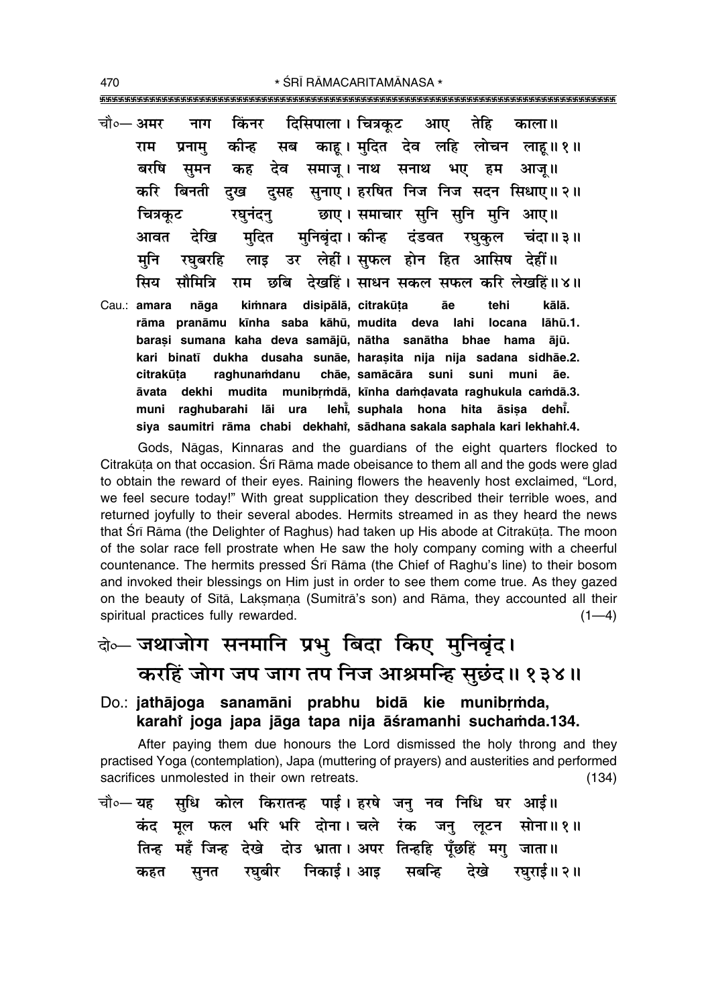- चौ०— अमर किंनर दिसिपाला । चित्रकट तेहि आए नाग काला ॥ कीन्ह सब काह । मुदित देव लहि लोचन लाह॥१॥ राम प्रनाम देव समाज् । नाथ सनाथ भए हम बरषि समन कह आज ॥ दसह सनाए। हरषित निज निज सदन सिधाए॥२॥ करि बिनती दख छाए। समाचार सनि सनि मनि आए॥ रघनंदन चित्रकट मनिबंदा। कीन्ह दंडवत रघकल आवत देखि मदित चंदा॥३॥ लाइ उर लेहीं। सुफल होन हित आसिष देहीं॥ मनि रघबरहि ਸਿਧ सौमित्रि छबि देखहिं। साधन सकल सफल करि लेखहिं॥४॥ राम Cau.: amara nāga kimnara disipālā, citrakūta āe tehi kālā. rāma pranāmu kīnha saba kāhū, mudita deva lahi locana lāhū.1. barași sumana kaha deva samājū, nātha sanātha bhae hama ājū.
- kari binatī dukha dusaha sunāe, harasita nija nija sadana sidhāe.2. chāe, samācāra suni suni muni citrakūta raghunamdanu āe. āvata dekhi mudita munibrmdā, kīnha damdavata raghukula camdā.3. leht, suphala hona hita āsisa deht. muni raghubarahi lāi ura siya saumitri rāma chabi dekhahi, sādhana sakala saphala kari lekhahi.4.

Gods, Nagas, Kinnaras and the quardians of the eight quarters flocked to Citrakūta on that occasion. Śrī Rāma made obeisance to them all and the gods were glad to obtain the reward of their eyes. Raining flowers the heavenly host exclaimed, "Lord, we feel secure today!" With great supplication they described their terrible woes, and returned joyfully to their several abodes. Hermits streamed in as they heard the news that Srī Rāma (the Delighter of Raghus) had taken up His abode at Citrakūta. The moon of the solar race fell prostrate when He saw the holy company coming with a cheerful countenance. The hermits pressed Srī Rāma (the Chief of Raghu's line) to their bosom and invoked their blessings on Him just in order to see them come true. As they gazed on the beauty of Sītā, Laksmaņa (Sumitrā's son) and Rāma, they accounted all their spiritual practices fully rewarded.  $(1-4)$ 

# के-जथाजोग सनमानि प्रभु बिदा किए मुनिबुंद। करहिं जोग जप जाग तप निज आश्रमन्हि सुछंद।। १३४॥

Do.: jathājoga sanamāni prabhu bidā kie munibrmda, karahi joga japa jāga tapa nija āśramanhi suchamda.134.

After paying them due honours the Lord dismissed the holy throng and they practised Yoga (contemplation), Japa (muttering of prayers) and austerities and performed sacrifices unmolested in their own retreats.  $(134)$ 

सुधि कोल किरातन्ह पाई। हरषे जनु नव निधि घर आई॥ चौ०— यह कंद मूल फल भरि भरि दोना। चले रंक जनु लूटन सोना॥१॥ तिन्ह महँ जिन्ह देखे दोउ भ्राता। अपर तिन्हहि पँछहिं मग जाता॥ सूनत रघबीर निकाई।आइ सबन्हि देखे रघराई॥ २॥ कहत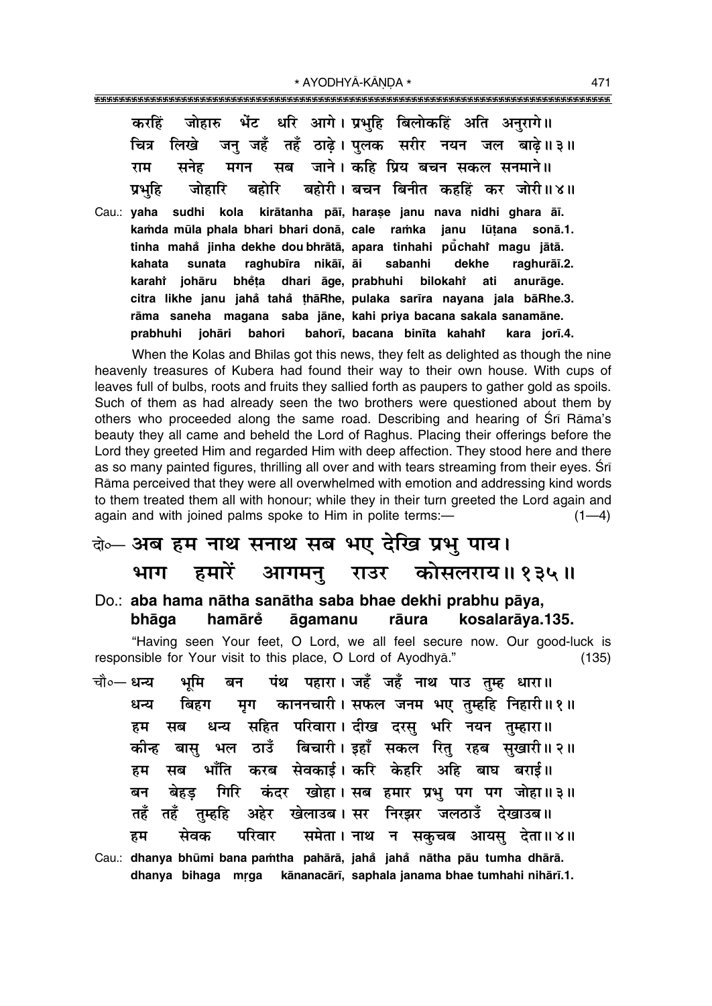| करहिं जोहारु भेंट धरि आगे।प्रभुहि बिलोकहिं अति अनुरागे॥ |  |  |  |                                                         |
|---------------------------------------------------------|--|--|--|---------------------------------------------------------|
|                                                         |  |  |  | चित्र लिखे जन् जहँ तहँ ठाढ़े। पुलक सरीर नयन जल बाढ़े॥३॥ |
| राम सनेह मगन सब जाने। कहि प्रिय बचन सकल सनमाने॥         |  |  |  |                                                         |
|                                                         |  |  |  | प्रभुहि जोहारि बहोरि बहोरी।बचन बिनीत कहहिं कर जोरी॥४॥   |

Cau.: yaha sudhi kola kirātanha pāī, harase janu nava nidhi ghara āī. kamda mūla phala bhari bhari donā, cale ramka janu lūtana sonā.1. tinha mahå jinha dekhe dou bhrātā, apara tinhahi pūchahi magu jātā. sunata raghubīra nikāī, āi sabanhi dekhe raghurāī.2. kahata karahî iohāru bhěta dhari āge, prabhuhi bilokahi anurāge. ati citra likhe janu jahå tahå thāRhe, pulaka sarīra nayana jala bāRhe.3. rāma saneha magana saba jāne, kahi priya bacana sakala sanamāne. bahorī, bacana binīta kahahi kara jorī.4. prabhuhi iohāri bahori

When the Kolas and Bhilas got this news, they felt as delighted as though the nine heavenly treasures of Kubera had found their way to their own house. With cups of leaves full of bulbs, roots and fruits they sallied forth as paupers to gather gold as spoils. Such of them as had already seen the two brothers were questioned about them by others who proceeded along the same road. Describing and hearing of Sri Rama's beauty they all came and beheld the Lord of Raghus. Placing their offerings before the Lord they greeted Him and regarded Him with deep affection. They stood here and there as so many painted figures, thrilling all over and with tears streaming from their eyes. Sri Rāma perceived that they were all overwhelmed with emotion and addressing kind words to them treated them all with honour; while they in their turn greeted the Lord again and again and with joined palms spoke to Him in polite terms:- $(1-4)$ 

### वे⊶ अब हम नाथ सनाथ सब भए देखि प्रभु पाय। हमारें आगमनु राउर कोसलराय॥१३५॥ भाग

Do.: aba hama nātha sanātha saba bhae dekhi prabhu pāya, hamārĕ bhāqa āgamanu rāura kosalarāya.135.

"Having seen Your feet, O Lord, we all feel secure now. Our good-luck is responsible for Your visit to this place, O Lord of Ayodhyā."  $(135)$ 

- पंथ पहारा। जहँ जहँ नाथ पाउ तम्ह धारा॥ चौ०— धन्य भमि बन मृग काननचारी। सफल जनम भए तुम्हहि निहारी॥१॥ धन्य बिहग धन्य सहित परिवारा। दीख दरस भरि नयन तम्हारा॥ हम सब भल ठाउँ बिचारी। इहाँ सकल रितु रहब सुखारी॥२॥ कीन्ह बास् भाँति करब सेवकाई। करि केहरि अहि बाघ बराई॥ सब हम कंदर खोहा। सब हमार प्रभु पग पग जोहा॥३॥ बेहड गिरि बन अहेर खेलाउब।सर निरझर जलठाउँ देखाउब॥ तहँ तहँ तम्हहि समेता। नाथ न सकचब आयस देता॥४॥ सेवक परिवार हम
- Cau.: dhanya bhūmi bana pamtha pahārā, jahå jahå nātha pāu tumha dhārā. dhanya bihaga mrga kānanacārī, saphala janama bhae tumhahi nihārī.1.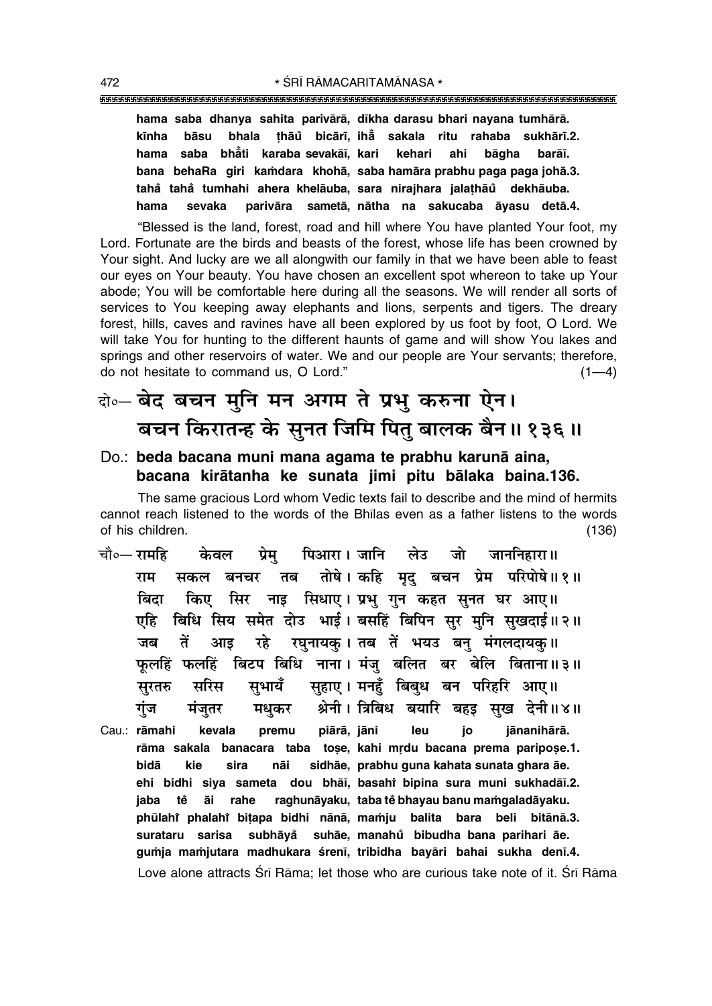### 

hama saba dhanya sahita parivārā, dīkha darasu bhari nayana tumhārā. bhala thāů bicārī, iha sakala ritu rahaba sukhārī.2. kīnha bāsu hama saba bhati karaba sevakāī, kari kehari bāɑha ahi barāī. bana behaRa giri kamdara khohā, saba hamāra prabhu paga paga johā.3. tahå tahå tumhahi ahera khelāuba, sara nirajhara jalathāu dekhāuba. parivāra sametā, nātha na sakucaba āyasu detā.4. hama sevaka

"Blessed is the land, forest, road and hill where You have planted Your foot, my Lord. Fortunate are the birds and beasts of the forest, whose life has been crowned by Your sight. And lucky are we all alongwith our family in that we have been able to feast our eyes on Your beauty. You have chosen an excellent spot whereon to take up Your abode; You will be comfortable here during all the seasons. We will render all sorts of services to You keeping away elephants and lions, serpents and tigers. The dreary forest, hills, caves and ravines have all been explored by us foot by foot, O Lord. We will take You for hunting to the different haunts of game and will show You lakes and springs and other reservoirs of water. We and our people are Your servants; therefore, do not hesitate to command us, O Lord."  $(1-4)$ 

### वे०- बेद बचन मुनि मन अगम ते प्रभु करुना ऐन। बचन किरातन्ह के सुनत जिमि पितु बालक बैन॥ १३६॥

### Do.: beda bacana muni mana agama te prabhu karunā aina, bacana kirātanha ke sunata jimi pitu bālaka baina.136.

The same gracious Lord whom Vedic texts fail to describe and the mind of hermits cannot reach listened to the words of the Bhilas even as a father listens to the words of his children.  $(136)$ 

- पिआरा। जानि लेउ जो जाननिहारा॥ चौ०— रामहि प्रेम केवल तोषे । कहि मृद् बचन प्रेम परिपोषे ॥ १ ॥ सकल बनचर तब राम किए सिर नाइ सिधाए। प्रभु गुन कहत सुनत घर आए॥ बिदा एहि बिधि सिय समेत दोउ भाई। बसहिं बिपिन सुर मुनि सुखदाई॥२॥ रघुनायक् । तब तें भयउ बन् मंगलदायक् ॥ जब तें आड रहे फलहिं फलहिं बिटप बिधि नाना। मंज बलित बर बेलि बिताना॥३॥ सुहाए। मनहुँ बिबुध बन परिहरि आए॥ सभायँ सुरतरु सरिस श्रेनी। त्रिबिध बयारि बहड़ सुख देनी॥४॥ गंज मंजुतर मधुकर
- Cau.: rāmahi kevala premu piārā, jāni leu io iānanihārā. rāma sakala banacara taba tose, kahi mrdu bacana prema paripose.1. bidā sidhāe, prabhu guna kahata sunata ghara āe. kie sira nāi ehi bidhi siya sameta dou bhāi, basahi bipina sura muni sukhadāi.2. āi rahe raghunāyaku, taba tě bhayau banu mamgaladāyaku. jaba tě phūlahi phalahi bitapa bidhi nānā, mamju balita bara beli bitānā.3. subhāvå suhāe, manahů bibudha bana parihari āe. surataru sarisa gumja mamjutara madhukara śreni, tribidha bayāri bahai sukha deni.4. Love alone attracts Śrī Rāma; let those who are curious take note of it. Śrī Rāma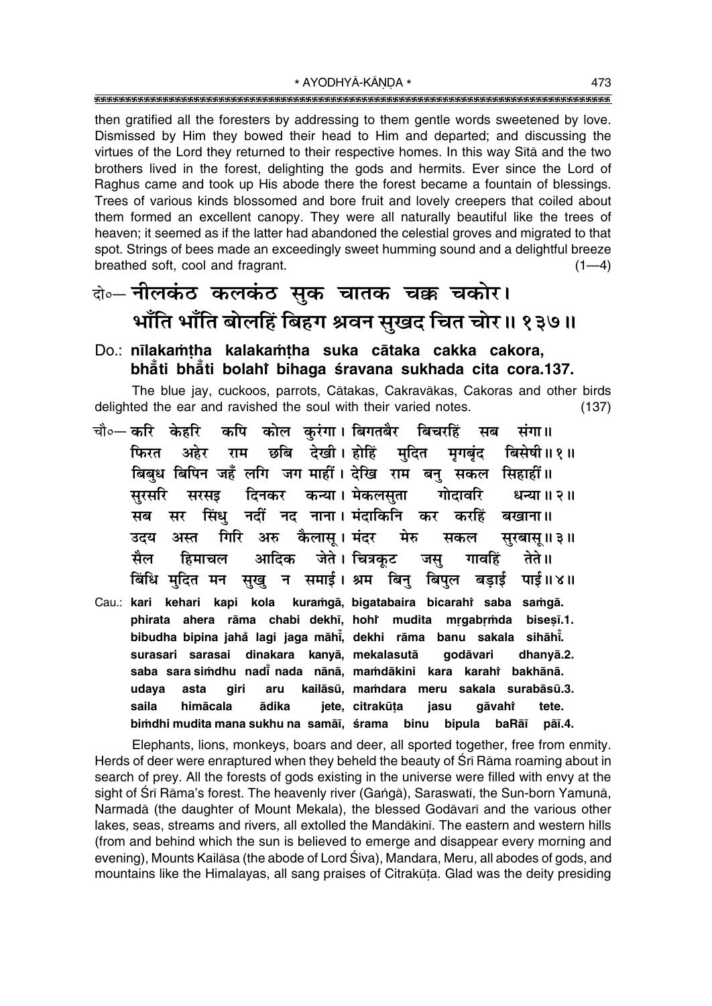then gratified all the foresters by addressing to them gentle words sweetened by love. Dismissed by Him they bowed their head to Him and departed; and discussing the virtues of the Lord they returned to their respective homes. In this way Sita and the two brothers lived in the forest, delighting the gods and hermits. Ever since the Lord of Raghus came and took up His abode there the forest became a fountain of blessings. Trees of various kinds blossomed and bore fruit and lovely creepers that coiled about them formed an excellent canopy. They were all naturally beautiful like the trees of heaven; it seemed as if the latter had abandoned the celestial groves and migrated to that spot. Strings of bees made an exceedingly sweet humming sound and a delightful breeze breathed soft, cool and fragrant.  $(1-4)$ 

## के— नीलकंठ कलकंठ सुक चातक चक्क चकोर। भाँति भाँति बोलहिं बिहग श्रवन सुखद चित चोर॥ १३७॥

### Do.: nīlakamtha kalakamtha suka cātaka cakka cakora, bhăti bhăti bolahi bihaga śravana sukhada cita cora.137.

The blue jay, cuckoos, parrots, Cātakas, Cakravākas, Cakoras and other birds delighted the ear and ravished the soul with their varied notes.  $(137)$ 

चौ०— **करि** केहरि कपि कोल कुरंगा। बिगतबैर बिचरहिं सब संगा॥ अहेर राम छबि देखी।होहिं मुदित फिरत मृगबंद बिसेषी॥१॥ बिबुध बिपिन जहँ लगि जग माहीं। देखि राम बन् सकल सिहाहीं॥ सुरसरि सरसइ दिनकर कन्या। मेकलसुता गोदावरि धन्या ॥ २ ॥ सर सिंध नदीं नद नाना। मंदाकिनि कर करहिं सब बखाना ॥ गिरि अरु कैलास। मंदर मेरु उदय अस्त सकल सरबास।। ३॥ आदिक जेते। चित्रकट मैल हिमाचल गावहिं तेते ॥ जस बिंधि मुदित मन सुखु न समाई। श्रम बिनु बिपुल बड़ाई पाई॥४॥ Cau.: kari kehari kapi kola kuramgā, bigatabaira bicarahi saba samgā. phirata ahera rāma chabi dekhī, hohi mudita mrgabrmda bisesī.1. bibudha bipina jahå lagi jaga māhi, dekhi rāma banu sakala sihāhi. surasari sarasai dinakara kanyā, mekalasutā **aodāvari** dhanyā.2. saba sara simdhu nadi nada nānā, mamdākini kara karahi bakhānā. udaya asta giri aru kailāsū, mamdara meru sakala surabāsū.3. gāvahi saila himācala ādika jete, citrakūta tete. jasu

bimdhi mudita mana sukhu na samāi, śrama binu bipula baRāi

Elephants, lions, monkeys, boars and deer, all sported together, free from enmity. Herds of deer were enraptured when they beheld the beauty of Sri Rama roaming about in search of prey. All the forests of gods existing in the universe were filled with envy at the sight of Śrī Rāma's forest. The heavenly river (Gangā), Saraswatī, the Sun-born Yamunā, Narmadā (the daughter of Mount Mekala), the blessed Godāvarī and the various other lakes, seas, streams and rivers, all extolled the Mandākinī. The eastern and western hills (from and behind which the sun is believed to emerge and disappear every morning and evening), Mounts Kailāsa (the abode of Lord Śiva), Mandara, Meru, all abodes of gods, and mountains like the Himalayas, all sang praises of Citrakūta. Glad was the deity presiding

pāī.4.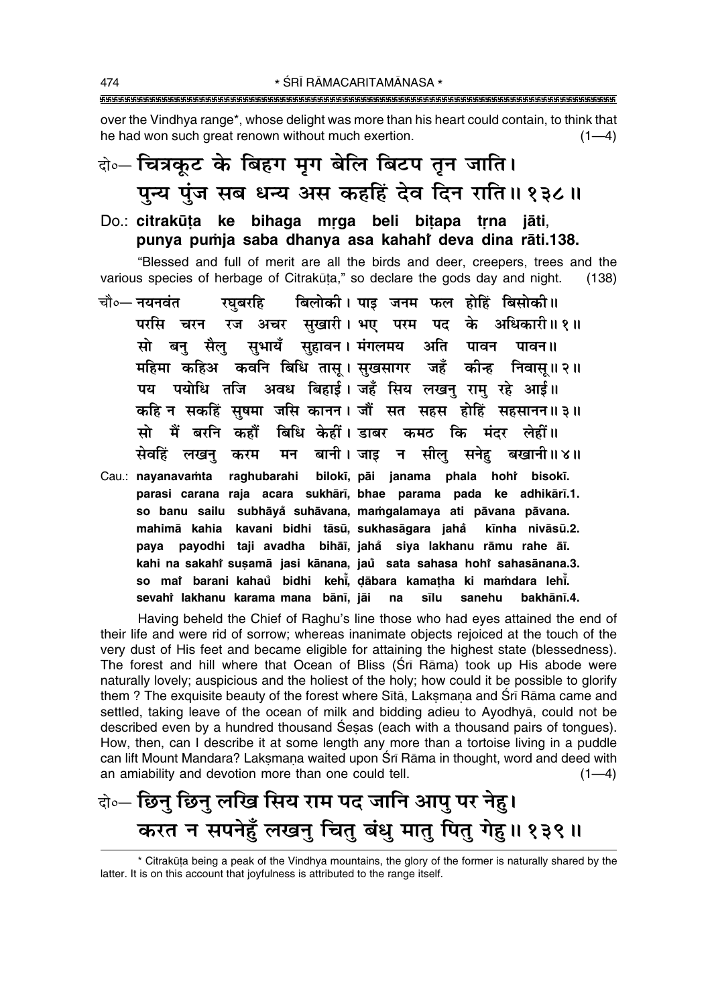over the Vindhya range\*, whose delight was more than his heart could contain, to think that he had won such great renown without much exertion.  $(1-4)$ 

# दो∘– चित्रकूट के बिहग मृग बेलि बिटप तून जाति। पुन्य पुंज सब धन्य अस कहहिं देव दिन राति॥१३८॥

### Do.: citrakūta ke bihaga mrga beli bitapa trna jāti, punya pumja saba dhanya asa kahahi deva dina rāti.138.

"Blessed and full of merit are all the birds and deer, creepers, trees and the various species of herbage of Citrakūta," so declare the gods day and night.  $(138)$ 

- चौ∘— नयनवंत रघबरहि बिलोकी। पाइ जनम फल होहिं बिसोकी॥ परसि चरन रज अचर सुखारी।शभए परम पद के अधिकारी॥१॥ सो बन सैल सभायँ सहावन। मंगलमय अति पावन पावन ॥ महिमा कहिअ कवनि बिधि तास। सखसागर जहँ कीन्ह निवास् ॥ २ ॥ पय पयोधि तजि अवध बिहाई। जहँ सिय लखनु रामु रहे आई।। कहि न सकहिं सुषमा जसि कानन। जौं सत सहस होहिं सहसानन॥३॥ सो मैं बरनि कहौं बिधि केहीं। डाबर कमठ कि मंदर लेहीं॥ सेवहिं लखन् मन बानी।जाइ न सील सनेह बखानी॥४॥ करम bilokī, pāi janama phala hohi bisokī. Cau.: navanavamta raghubarahi
- parasi carana raja acara sukhārī, bhae parama pada ke adhikārī.1. so banu sailu subhāyå suhāvana, mamgalamaya ati pāvana pāvana. mahimā kahia kavani bidhi tāsū, sukhasāgara jahå kīnha nivāsū.2. paya payodhi taji avadha bihāi, jahå siya lakhanu rāmu rahe āī. kahi na sakahi suṣamā jasi kānana, jaŭ sata sahasa hohi sahasānana.3. so mar barani kahaŭ bidhi kehi, dābara kamatha ki mamdara lehi. sevahi lakhanu karama mana bānī, jāi na sīlu sanehu bakhānī.4.

Having beheld the Chief of Raghu's line those who had eyes attained the end of their life and were rid of sorrow; whereas inanimate objects rejoiced at the touch of the very dust of His feet and became eligible for attaining the highest state (blessedness). The forest and hill where that Ocean of Bliss (Srī Rāma) took up His abode were naturally lovely; auspicious and the holiest of the holy; how could it be possible to glorify them? The exquisite beauty of the forest where Sita, Laksmana and Sri Rāma came and settled, taking leave of the ocean of milk and bidding adieu to Ayodhya, could not be described even by a hundred thousand Sesas (each with a thousand pairs of tongues). How, then, can I describe it at some length any more than a tortoise living in a puddle can lift Mount Mandara? Laksmana waited upon Sri Rāma in thought, word and deed with an amiability and devotion more than one could tell.  $(1-4)$ 

## केन्- छिनु छिनु लखि सिय राम पद जानि आपु पर नेहु। करत न सपनेहूँ लखन् चित् बंधु मात् पित् गेहु॥ १३९॥

\* Citrakūta being a peak of the Vindhya mountains, the glory of the former is naturally shared by the latter. It is on this account that joyfulness is attributed to the range itself.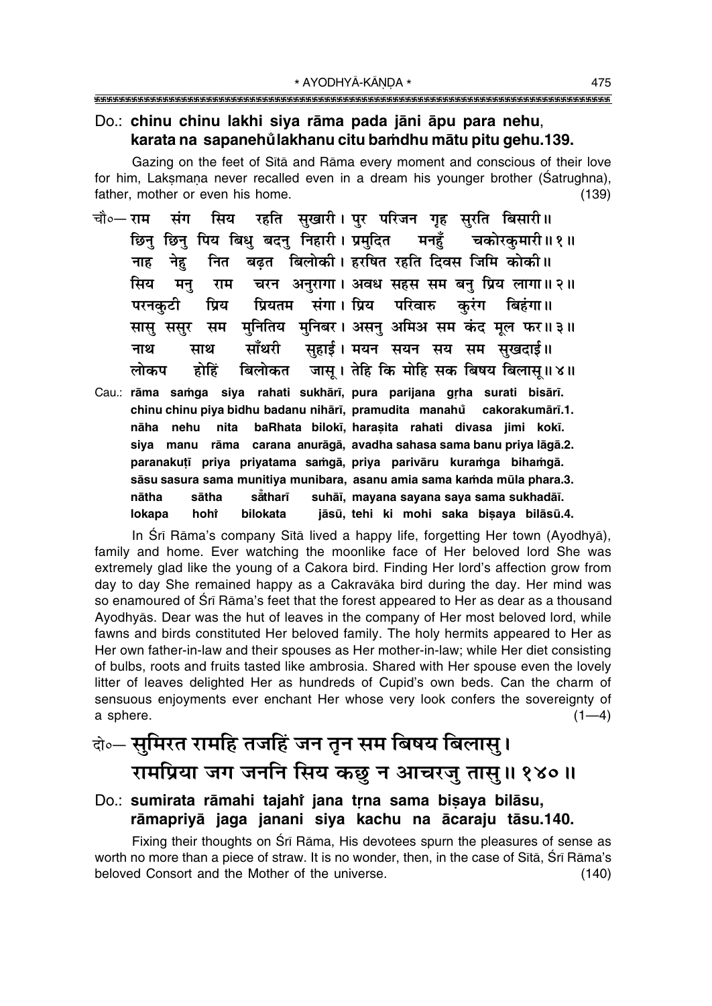#### Do.: chinu chinu lakhi siya rāma pada jāni āpu para nehu, karata na sapanehůlakhanu citu bamdhu mātu pitu gehu.139.

Gazing on the feet of Sītā and Rāma every moment and conscious of their love for him, Laksmana never recalled even in a dream his younger brother (Satrughna), father, mother or even his home.  $(139)$ 

- रहति सुखारी। पुर परिजन गृह सुरति बिसारी॥ सिय चौ०— राम संग छिन छिन पिय बिध बदन निहारी। प्रमदित मनहँ चकोरकमारी ॥ १॥ बढत विलोकी। हरषित रहति दिवस जिमि कोकी॥ नाह नेह नित चरन अनरागा। अवध सहस सम बन प्रिय लागा॥२॥ मिय मन् राम प्रियतम संगा। प्रिय परिवारु करंग बिहंगा।। परनकटी प्रिय सासु ससुर सम मुनितिय मुनिबर। असनु अमिअ सम कंद मूल फर॥३॥ साँथरी सहाई। मयन सयन सय सम सुखदाई॥ नाथ माथ बिलोकत जास। तेहि कि मोहि सक बिषय बिलास।।४॥ लोकप होहिं
- Cau.: rāma samga siya rahati sukhārī, pura parijana grha surati bisārī. chinu chinu piya bidhu badanu nihārī, pramudita manahů cakorakumārī.1. nāha nehu nita baRhata bilokī, harasita rahati divasa jimi kokī. siya manu rāma carana anurāgā, avadha sahasa sama banu priya lāgā.2. paranakutī priva privatama samgā, priva parivāru kuramga bihamgā. sāsu sasura sama munitiya munibara, asanu amia sama kamda mūla phara.3. nātha sātha såtharī suhāī, mayana sayana saya sama sukhadāī. **bilokata** jāsū, tehi ki mohi saka bisaya bilāsū.4. lokapa hoht

In Śrī Rāma's company Sītā lived a happy life, forgetting Her town (Ayodhyā), family and home. Ever watching the moonlike face of Her beloved lord She was extremely glad like the young of a Cakora bird. Finding Her lord's affection grow from day to day She remained happy as a Cakravaka bird during the day. Her mind was so enamoured of Sri Rama's feet that the forest appeared to Her as dear as a thousand Ayodhyas. Dear was the hut of leaves in the company of Her most beloved lord, while fawns and birds constituted Her beloved family. The holy hermits appeared to Her as Her own father-in-law and their spouses as Her mother-in-law; while Her diet consisting of bulbs, roots and fruits tasted like ambrosia. Shared with Her spouse even the lovely litter of leaves delighted Her as hundreds of Cupid's own beds. Can the charm of sensuous enjoyments ever enchant Her whose very look confers the sovereignty of a sphere.  $(1-4)$ 

## केन् सुमिरत रामहि तजहिं जन तुन सम बिषय बिलास् । रामप्रिया जग जननि सिय कछ न आचरजु तासु॥ १४०॥

### Do.: sumirata rāmahi tajahi jana trna sama bisaya bilāsu, rāmapriyā jaga janani siya kachu na ācaraju tāsu.140.

Fixing their thoughts on Srī Rāma, His devotees spurn the pleasures of sense as worth no more than a piece of straw. It is no wonder, then, in the case of Sita, Sri Rama's beloved Consort and the Mother of the universe.  $(140)$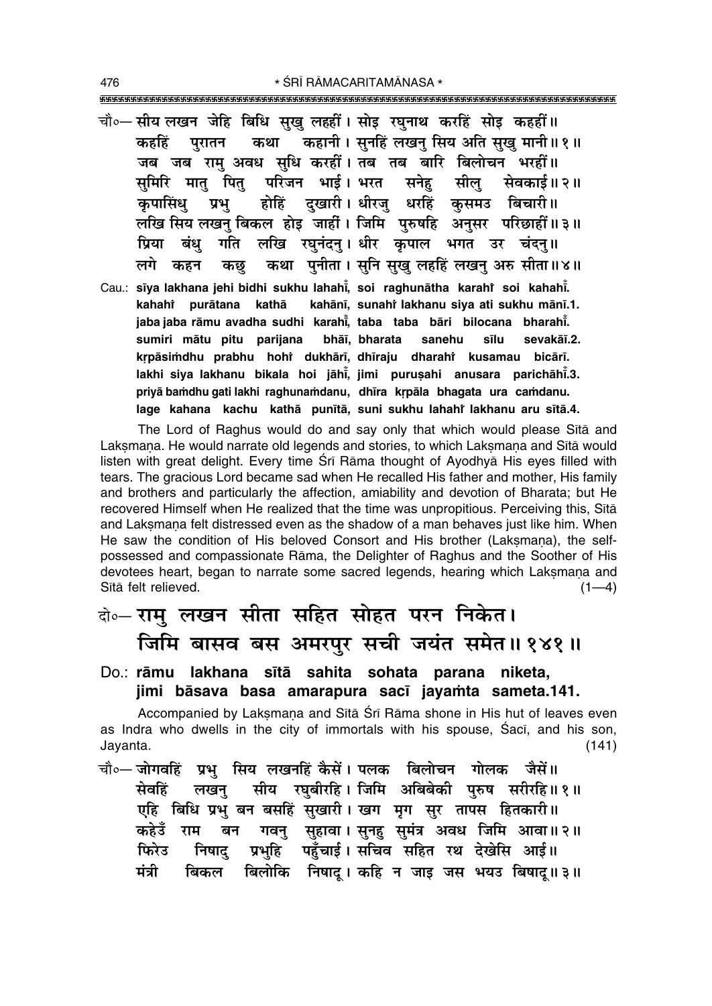चौ∘—सीय लखन जेहि बिधि सख लहहीं। सोड़ रघनाथ करहिं सोड़ कहहीं॥ कहानी। सुनहिं लखन् सिय अति सुखु मानी॥१॥ कहहिं परातन कथा जब जब राम अवध सधि करहीं। तब तब बारि बिलोचन भरहीं॥ समिरि मात पित परिजन भाई। भरत सनेह सील सेवकाई॥ २॥ कपासिंध प्रभ होहिं दखारी। धीरज् धरहिं कुसमउ बिचारी॥ लखि सिय लखन् बिकल होड़ जाहीं। जिमि पुरुषहि अनुसर परिछाहीं॥३॥ गति लखि रघुनंदन् । धीर कृपाल भगत उर चंदन् ॥ पिया बंध कथा पनीता। सनि सख लहहिं लखन् अरु सीता॥४॥ लगे कहन कछ Cau.: sīya lakhana jehi bidhi sukhu lahahi, soi raghunātha karahi soi kahahi. kahahi purātana kathā kahānī, sunahi lakhanu siya ati sukhu mānī.1. jaba jaba rāmu avadha sudhi karahī, taba taba bāri bilocana bharahī. sumiri mātu pitu parijana bhāī, bharata sanehu sevakāī.2. sīlu krpāsimdhu prabhu hohi dukhārī, dhīraju dharahi kusamau bicārī. lakhi siya lakhanu bikala hoi jāhi, jimi purusahi anusara parichāhi.3. priyā bamdhu gati lakhi raghunamdanu, dhīra krpāla bhagata ura camdanu.

lage kahana kachu kathā punītā, suni sukhu lahahi lakhanu aru sītā.4.

The Lord of Raghus would do and say only that which would please Sītā and Laksmana. He would narrate old legends and stories, to which Laksmana and Sītā would listen with great delight. Every time Srī Rāma thought of Ayodhyā His eyes filled with tears. The gracious Lord became sad when He recalled His father and mother, His family and brothers and particularly the affection, amiability and devotion of Bharata; but He recovered Himself when He realized that the time was unpropitious. Perceiving this, Sita and Laksmana felt distressed even as the shadow of a man behaves just like him. When He saw the condition of His beloved Consort and His brother (Laksmana), the selfpossessed and compassionate Rāma, the Delighter of Raghus and the Soother of His devotees heart, began to narrate some sacred legends, hearing which Laksmana and Sītā felt relieved.  $(1-4)$ 

## के-राम् लखन सीता सहित सोहत परन निकेत। जिमि बासव बस अमरपुर सची जयंत समेत॥१४१॥

Do.: rāmu lakhana sītā sahita sohata parana niketa, jimi bāsava basa amarapura sacī jayamta sameta.141.

Accompanied by Laksmana and Sita Śri Rāma shone in His hut of leaves even as Indra who dwells in the city of immortals with his spouse, Saci, and his son, Jayanta.  $(141)$ 

चौ∘— जोगवहिं प्रभ सिय लखनहिं कैसें। पलक बिलोचन गोलक जैसें॥ सीय रघबीरहि। जिमि अबिबेकी पुरुष सरीरहि॥१॥ सेवहिं लखन् एहि बिधि प्रभु बन बसहिं सुखारी। खग मृग सुर तापस हितकारी॥ बन गवनु सुहावा। सुनहु सुमंत्र अवध जिमि आवा॥२॥ कहेउँ राम प्रभुहि पहुँचाई। सचिव सहित रथ देखेसि आई॥ फिरेउ निषाद बिलोकि निषाद् । कहि न जाइ जस भयउ बिषाद् ॥ ३ ॥ मंत्री बिकल

476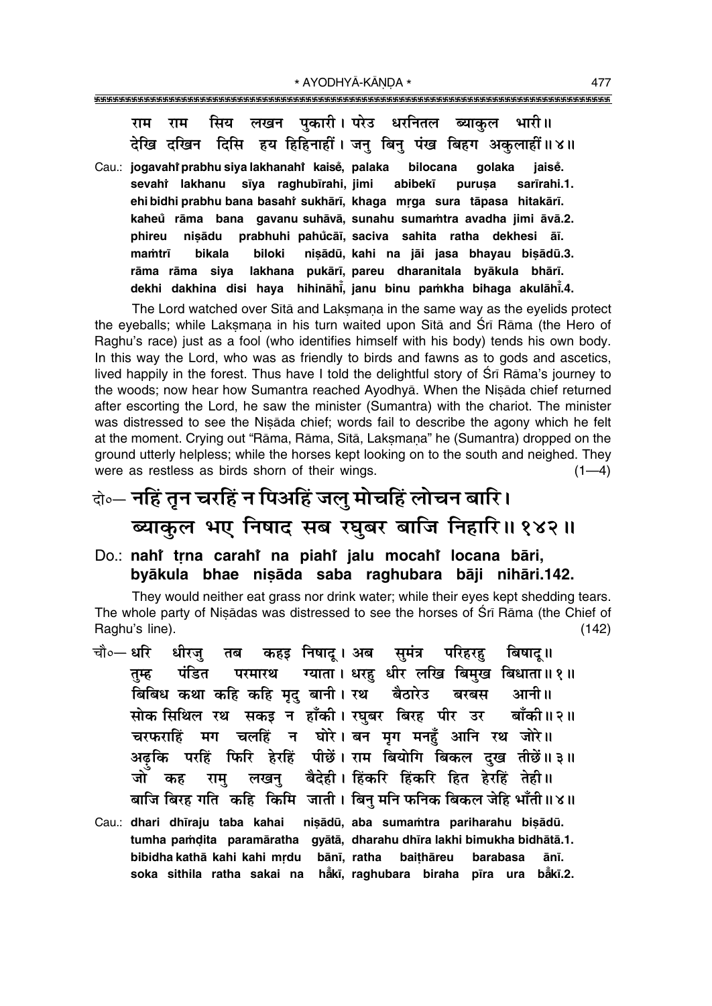सिय लखन पुकारी। परेउ धरनितल राम ब्याकल भारी॥ राम देखि दखिन दिसि हय हिहिनाहीं। जन् बिनु पंख बिहग अकुलाहीं॥४॥

Cau.: jogavahi prabhu siya lakhanahi kaisě, palaka bilocana golaka jaisė. sevahî lakhanu sīya raghubīrahi, jimi abibekī purusa sarīrahi.1. ehi bidhi prabhu bana basahi sukhārī, khaga mrga sura tāpasa hitakārī. kaheů rāma bana gavanu suhāvā, sunahu sumamtra avadha jimi āvā.2. prabhuhi pahůcāī, saciva sahita ratha dekhesi āī. phireu nisādu nisādū, kahi na jāi jasa bhayau bisādū.3. mamtrī bikala biloki lakhana pukārī, pareu dharanitala byākula bhārī. rāma rāma siya dekhi dakhina disi haya hihināhi, janu binu pamkha bihaga akulāhi.4.

The Lord watched over Sita and Laksmana in the same way as the eyelids protect the eyeballs; while Laksmana in his turn waited upon Sītā and Śrī Rāma (the Hero of Raghu's race) just as a fool (who identifies himself with his body) tends his own body. In this way the Lord, who was as friendly to birds and fawns as to gods and ascetics, lived happily in the forest. Thus have I told the delightful story of Srī Rāma's journey to the woods; now hear how Sumantra reached Ayodhyā. When the Nisāda chief returned after escorting the Lord, he saw the minister (Sumantra) with the chariot. The minister was distressed to see the Nisada chief; words fail to describe the agony which he felt at the moment. Crying out "Rāma, Rāma, Sītā, Laksmana" he (Sumantra) dropped on the ground utterly helpless; while the horses kept looking on to the south and neighed. They were as restless as birds shorn of their wings.  $(1-4)$ 

# केन्न नहिं तुन चरहिं न पिअहिं जलु मोचहिं लोचन बारि। ब्याकुल भए निषाद सब रघुबर बाजि निहारि॥१४२॥

### Do.: nahi trna carahi na piahi jalu mocahi locana bāri, byākula bhae nisāda saba raghubara bāji nihāri.142.

They would neither eat grass nor drink water; while their eyes kept shedding tears. The whole party of Nisadas was distressed to see the horses of Sri Rama (the Chief of Raghu's line).  $(142)$ 

- चौ०— धरि कहड़ निषाद् । अब समंत्र धीरज परिहरह बिषाट ॥ तब ग्याता। धरह धीर लखि बिमुख बिधाता॥१॥ पंडित परमारथ तम्ह बिबिध कथा कहि कहि मृद् बानी। रथ बैठारेउ बरबस आनी॥ सोक सिथिल रथ सकड़ न हाँकी। रघबर बिरह पीर उर बाँकी॥२॥ मग चलहिं न घोरे।बन मृग मनहुँ आनि रथ जोरे॥ चरफराहिं अढ़कि परहिं फिरि हेरहिं पीछें। राम बियोगि बिकल दुख तीछें॥३॥ लखनु बैदेही। हिंकरि हिंकरि हित हेरहिं तेही॥ जों कह राम बाजि बिरह गति कहि किमि जाती । बिन् मनि फनिक बिकल जेहि भाँती ॥४॥
- Cau.: dhari dhīraju taba kahai nișādū, aba sumamtra pariharahu bișādū. tumha pamdita paramāratha gyātā, dharahu dhīra lakhi bimukha bidhātā.1. bibidha kathā kahi kahi mrdu bānī, ratha baithāreu barabasa ānī. soka sithila ratha sakai na haki, raghubara biraha pira ura baki.2.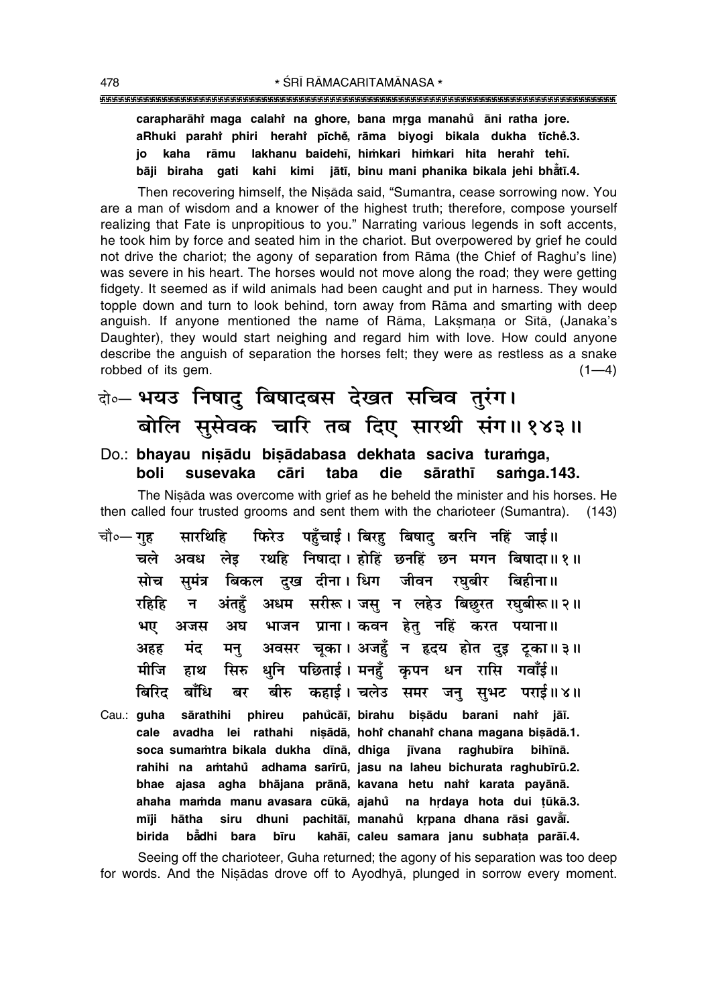#### 

carapharāhi maga calahi na ghore, bana mrga manahů āni ratha jore. aRhuki parahî phiri herahî pīchě, rāma biyogi bikala dukha tīchě.3. io kaha rāmu lakhanu baidehī, himkari himkari hita herahi tehī, gati kahi kimi jātī, binu mani phanika bikala jehi bhātī.4. bāji biraha

Then recovering himself, the Nisada said, "Sumantra, cease sorrowing now. You are a man of wisdom and a knower of the highest truth; therefore, compose yourself realizing that Fate is unpropitious to you." Narrating various legends in soft accents, he took him by force and seated him in the chariot. But overpowered by grief he could not drive the chariot; the agony of separation from Rama (the Chief of Raghu's line) was severe in his heart. The horses would not move along the road; they were getting fidgety. It seemed as if wild animals had been caught and put in harness. They would topple down and turn to look behind, torn away from Rama and smarting with deep anguish. If anyone mentioned the name of Rāma, Laksmana or Sītā, (Janaka's Daughter), they would start neighing and regard him with love. How could anyone describe the anguish of separation the horses felt; they were as restless as a snake robbed of its gem.  $(1-4)$ 

बे- भयउ निषादु बिषादबस देखत सचिव तुरंग। बोलि सूसेवक चारि तब दिए सारथी संग॥१४३॥

#### Do.: bhayau nisādu bisādabasa dekhata saciva turamga, holi susevaka cāri taba die sārathī samga.143.

The Nisada was overcome with grief as he beheld the minister and his horses. He then called four trusted grooms and sent them with the charioteer (Sumantra). (143)

- फिरेउ पहुँचाई। बिरह बिषाद बरनि नहिं जाई॥ चौ०— गह सारथिहि चले अवध लेड रथहि निषादा।होहिं छनहिं छन मगन बिषादा॥१॥ सुमंत्र बिकल दुख दीना।सधिग जीवन रघुबीर बिहीना॥ मोच अंतहँ अधम सरीरू। जसु न लहेउ बिछुरत रघुबीरू॥२॥ रहिहि न $\overline{a}$ भाजन प्राना। कवन हेतु नहिं करत पयाना॥ अघ भए अजस अवसर चूका। अजहुँ न हृदय होत दुइ टूका॥३॥ मंद अहह मन् धुनि पछिताई। मनहुँ कृपन धन रासि गवाँई॥ मीजि सिरु हाथ बिरिट बाँधि बीरु कहाई। चलेउ समर जन सभट पराई॥४॥ बर
- pahůcāī, birahu bisādu barani nahř jāī. Cau.: quha sārathihi phireu cale avadha lei rathahi nisādā, hohi chanahi chana magana bisādā.1. soca sumamtra bikala dukha dīnā, dhiga jīvana raghubīra bihīnā. rahihi na amtahů adhama sarīrū, jasu na laheu bichurata raghubīrū.2. bhae ajasa agha bhājana prānā, kavana hetu nahi karata payānā. ahaha mamda manu avasara cūkā, ajahů na hrdaya hota dui tūkā.3. mīji hātha siru dhuni pachitāī, manahů krpana dhana rāsi gavāī. birida bådhi bara kahāī, caleu samara janu subhata parāī.4. bīru

Seeing off the charioteer, Guha returned; the agony of his separation was too deep for words. And the Nisadas drove off to Ayodhya, plunged in sorrow every moment.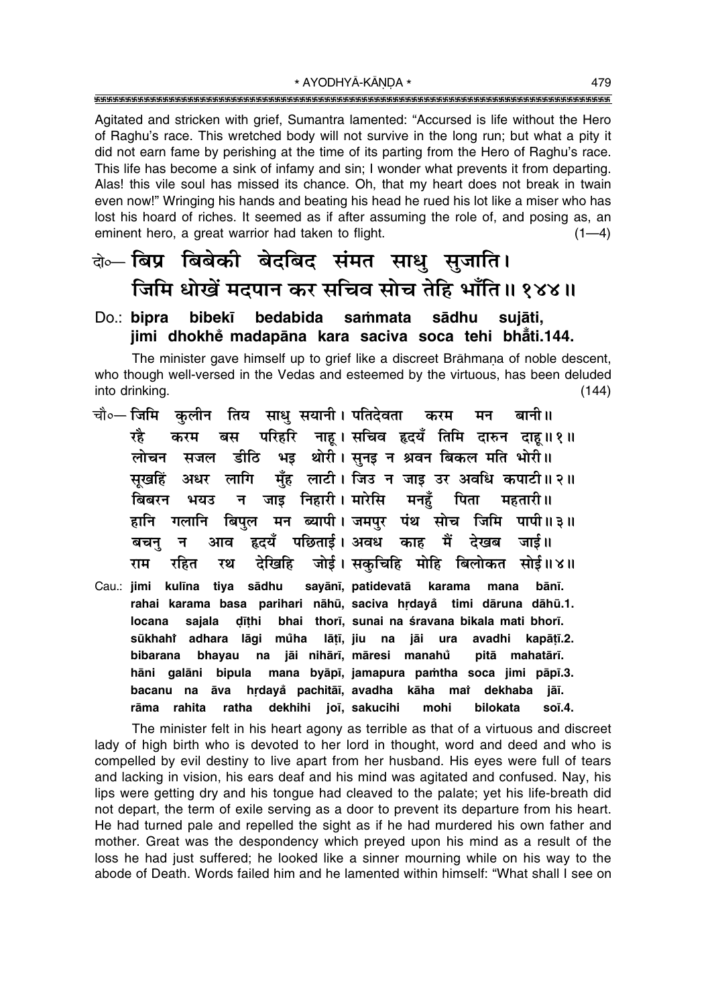Agitated and stricken with grief, Sumantra lamented: "Accursed is life without the Hero of Raghu's race. This wretched body will not survive in the long run; but what a pity it did not earn fame by perishing at the time of its parting from the Hero of Raghu's race. This life has become a sink of infamy and sin; I wonder what prevents it from departing. Alas! this vile soul has missed its chance. Oh, that my heart does not break in twain even now!" Wringing his hands and beating his head he rued his lot like a miser who has lost his hoard of riches. It seemed as if after assuming the role of, and posing as, an eminent hero, a great warrior had taken to flight.  $(1-4)$ 

## के- बिप्र बिबेकी बेदबिद संमत साधु सुजाति। जिमि धोखें मदपान कर सचिव सोच तेहि भाँति॥ १४४॥

#### bibekī bedabida sammata sādhu suiāti. Do.: bipra jimi dhokhe madapāna kara saciva soca tehi bhāti.144.

The minister gave himself up to grief like a discreet Brāhmana of noble descent, who though well-versed in the Vedas and esteemed by the virtuous, has been deluded into drinking.  $(144)$ 

- चौ०— जिमि कलीन तिय साध सयानी। पतिदेवता बानी ॥ करम मन परिहरि नाह। सचिव हृदयँ तिमि दारुन दाह॥१॥ रहे बस करम डीठि भइ थोरी। सुनइ न श्रवन बिकल मति भोरी॥ लोचन सजल लागि मँह लाटी। जिउ न जाइ उर अवधि कपाटी॥२॥ सखहिं अधर बिबरन न जाड निहारी। मारेसि मनहँ पिता महतारी।। भयउ जिमि पापी॥३॥ हानि गलानि बिपुल मन ब्यापी।जमपुर पंथ सोच देखब जाई॥ हृदयँ पछिताई। अवध काह मैं बचन आव न देखिहि जोई। सकुचिहि मोहि बिलोकत सोई॥४॥ राम रहित रथ Cau.: jimi kulīna tiya sādhu sayānī, patidevatā karama mana bānī.
- rahai karama basa parihari nāhū, saciva hrdayå timi dāruna dāhū.1. dīthi bhai thorī, sunai na śravana bikala mati bhorī. locana sajala sūkhahi adhara lāgi můha lāțī, jiu na jāi ura avadhi kapātī.2. na jāi nihārī, māresi manahů bibarana bhayau pitā mahatārī. hāni galāni bipula mana byāpī, jamapura pamtha soca jimi pāpī.3. bacanu na āva hrdayå pachitāi, avadha kāha mai dekhaba jāi. rāma rahita ratha dekhihi joī, sakucihi mohi bilokata soī.4.

The minister felt in his heart agony as terrible as that of a virtuous and discreet lady of high birth who is devoted to her lord in thought, word and deed and who is compelled by evil destiny to live apart from her husband. His eyes were full of tears and lacking in vision, his ears deaf and his mind was agitated and confused. Nay, his lips were getting dry and his tongue had cleaved to the palate; yet his life-breath did not depart, the term of exile serving as a door to prevent its departure from his heart. He had turned pale and repelled the sight as if he had murdered his own father and mother. Great was the despondency which preyed upon his mind as a result of the loss he had just suffered; he looked like a sinner mourning while on his way to the abode of Death. Words failed him and he lamented within himself: "What shall I see on